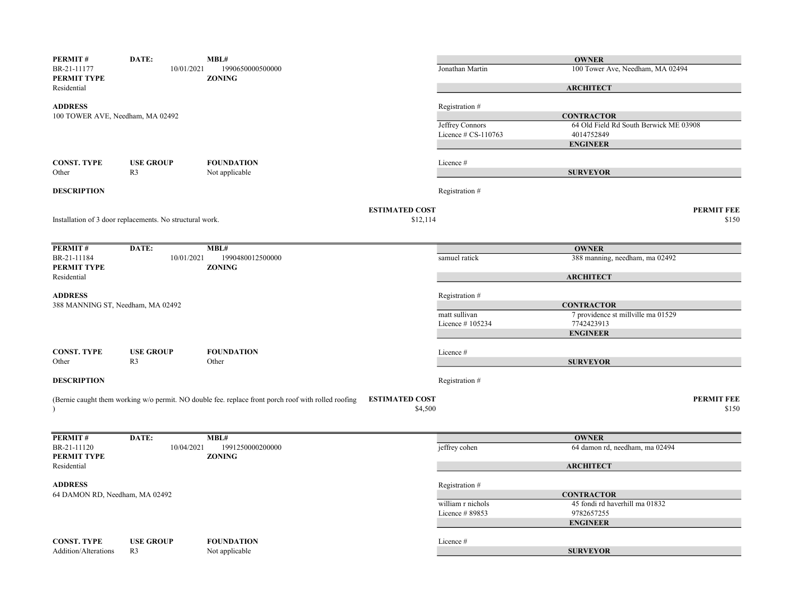| PERMIT#                                          | DATE:                                                    | MBL#                                                                                                |                       |                     | <b>OWNER</b>                                            |                   |
|--------------------------------------------------|----------------------------------------------------------|-----------------------------------------------------------------------------------------------------|-----------------------|---------------------|---------------------------------------------------------|-------------------|
| BR-21-11177<br>PERMIT TYPE                       | 10/01/2021                                               | 1990650000500000<br><b>ZONING</b>                                                                   |                       | Jonathan Martin     | 100 Tower Ave, Needham, MA 02494                        |                   |
| Residential                                      |                                                          |                                                                                                     |                       |                     | <b>ARCHITECT</b>                                        |                   |
| <b>ADDRESS</b>                                   |                                                          |                                                                                                     |                       | Registration #      |                                                         |                   |
| 100 TOWER AVE, Needham, MA 02492                 |                                                          |                                                                                                     |                       |                     | <b>CONTRACTOR</b>                                       |                   |
|                                                  |                                                          |                                                                                                     |                       | Jeffrey Connors     | 64 Old Field Rd South Berwick ME 03908                  |                   |
|                                                  |                                                          |                                                                                                     |                       | Licence # CS-110763 | 4014752849                                              |                   |
|                                                  |                                                          |                                                                                                     |                       |                     | <b>ENGINEER</b>                                         |                   |
| <b>CONST. TYPE</b>                               | <b>USE GROUP</b>                                         | <b>FOUNDATION</b>                                                                                   |                       | Licence#            |                                                         |                   |
| Other                                            | R <sub>3</sub>                                           | Not applicable                                                                                      |                       |                     | <b>SURVEYOR</b>                                         |                   |
| <b>DESCRIPTION</b>                               |                                                          |                                                                                                     |                       | Registration #      |                                                         |                   |
|                                                  |                                                          |                                                                                                     | <b>ESTIMATED COST</b> |                     |                                                         | <b>PERMIT FEE</b> |
|                                                  | Installation of 3 door replacements. No structural work. |                                                                                                     | \$12,114              |                     |                                                         | \$150             |
|                                                  |                                                          |                                                                                                     |                       |                     |                                                         |                   |
| PERMIT#                                          | DATE:                                                    | MBL#                                                                                                |                       |                     | <b>OWNER</b>                                            |                   |
| BR-21-11184<br>PERMIT TYPE                       | 10/01/2021                                               | 1990480012500000<br><b>ZONING</b>                                                                   |                       | samuel ratick       | 388 manning, needham, ma 02492                          |                   |
| Residential                                      |                                                          |                                                                                                     |                       |                     | <b>ARCHITECT</b>                                        |                   |
|                                                  |                                                          |                                                                                                     |                       |                     |                                                         |                   |
| <b>ADDRESS</b>                                   |                                                          |                                                                                                     |                       | Registration #      |                                                         |                   |
| 388 MANNING ST, Needham, MA 02492                |                                                          |                                                                                                     |                       | matt sullivan       | <b>CONTRACTOR</b><br>7 providence st millville ma 01529 |                   |
|                                                  |                                                          |                                                                                                     |                       | Licence #105234     | 7742423913                                              |                   |
|                                                  |                                                          |                                                                                                     |                       |                     | <b>ENGINEER</b>                                         |                   |
|                                                  |                                                          |                                                                                                     |                       |                     |                                                         |                   |
| <b>CONST. TYPE</b>                               | <b>USE GROUP</b>                                         | <b>FOUNDATION</b>                                                                                   |                       | Licence #           |                                                         |                   |
| Other                                            | R <sub>3</sub>                                           | Other                                                                                               |                       |                     | <b>SURVEYOR</b>                                         |                   |
| <b>DESCRIPTION</b>                               |                                                          |                                                                                                     |                       | Registration #      |                                                         |                   |
|                                                  |                                                          | (Bernie caught them working w/o permit. NO double fee. replace front porch roof with rolled roofing | <b>ESTIMATED COST</b> |                     |                                                         | <b>PERMIT FEE</b> |
|                                                  |                                                          |                                                                                                     | \$4,500               |                     |                                                         | \$150             |
|                                                  |                                                          |                                                                                                     |                       |                     |                                                         |                   |
| PERMIT#                                          | DATE:                                                    | MBL#                                                                                                |                       |                     | <b>OWNER</b>                                            |                   |
| BR-21-11120                                      | 10/04/2021                                               | 1991250000200000                                                                                    |                       | jeffrey cohen       | 64 damon rd, needham, ma 02494                          |                   |
| PERMIT TYPE<br>Residential                       |                                                          | <b>ZONING</b>                                                                                       |                       |                     | <b>ARCHITECT</b>                                        |                   |
|                                                  |                                                          |                                                                                                     |                       |                     |                                                         |                   |
| <b>ADDRESS</b><br>64 DAMON RD, Needham, MA 02492 |                                                          |                                                                                                     |                       | Registration #      | <b>CONTRACTOR</b>                                       |                   |
|                                                  |                                                          |                                                                                                     |                       | william r nichols   | 45 fondi rd haverhill ma 01832                          |                   |
|                                                  |                                                          |                                                                                                     |                       | Licence #89853      | 9782657255                                              |                   |
|                                                  |                                                          |                                                                                                     |                       |                     | <b>ENGINEER</b>                                         |                   |
|                                                  |                                                          |                                                                                                     |                       |                     |                                                         |                   |
| <b>CONST. TYPE</b>                               | <b>USE GROUP</b>                                         | <b>FOUNDATION</b>                                                                                   |                       | Licence#            |                                                         |                   |
| Addition/Alterations                             | R <sub>3</sub>                                           | Not applicable                                                                                      |                       |                     | <b>SURVEYOR</b>                                         |                   |
|                                                  |                                                          |                                                                                                     |                       |                     |                                                         |                   |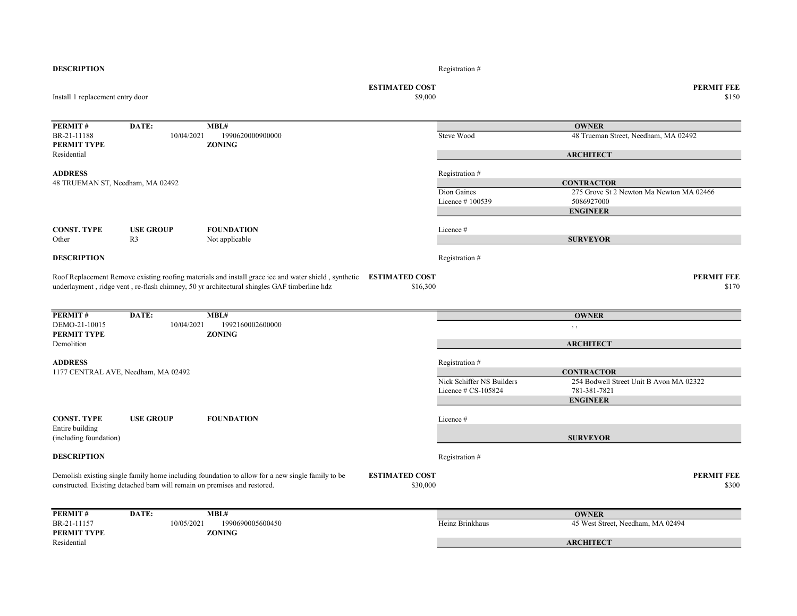| <b>DESCRIPTION</b>                        |                                                                           |                                                                                                                                                                                                     |                                   | Registration #            |                                          |
|-------------------------------------------|---------------------------------------------------------------------------|-----------------------------------------------------------------------------------------------------------------------------------------------------------------------------------------------------|-----------------------------------|---------------------------|------------------------------------------|
| Install 1 replacement entry door          |                                                                           |                                                                                                                                                                                                     | <b>ESTIMATED COST</b><br>\$9,000  |                           | <b>PERMIT FEE</b><br>\$150               |
|                                           |                                                                           |                                                                                                                                                                                                     |                                   |                           |                                          |
| <b>PERMIT#</b>                            | DATE:                                                                     | MBL#                                                                                                                                                                                                |                                   |                           | <b>OWNER</b>                             |
| BR-21-11188                               | 10/04/2021                                                                | 1990620000900000                                                                                                                                                                                    |                                   | Steve Wood                | 48 Trueman Street, Needham, MA 02492     |
| PERMIT TYPE<br>Residential                |                                                                           | <b>ZONING</b>                                                                                                                                                                                       |                                   |                           | <b>ARCHITECT</b>                         |
| <b>ADDRESS</b>                            |                                                                           |                                                                                                                                                                                                     |                                   |                           |                                          |
| 48 TRUEMAN ST, Needham, MA 02492          |                                                                           |                                                                                                                                                                                                     |                                   | Registration #            | <b>CONTRACTOR</b>                        |
|                                           |                                                                           |                                                                                                                                                                                                     |                                   | Dion Gaines               | 275 Grove St 2 Newton Ma Newton MA 02466 |
|                                           |                                                                           |                                                                                                                                                                                                     |                                   | Licence #100539           | 5086927000                               |
|                                           |                                                                           |                                                                                                                                                                                                     |                                   |                           | <b>ENGINEER</b>                          |
| <b>CONST. TYPE</b>                        | <b>USE GROUP</b>                                                          | <b>FOUNDATION</b>                                                                                                                                                                                   |                                   | Licence#                  |                                          |
| Other                                     | R <sub>3</sub>                                                            | Not applicable                                                                                                                                                                                      |                                   |                           | <b>SURVEYOR</b>                          |
| <b>DESCRIPTION</b>                        |                                                                           |                                                                                                                                                                                                     |                                   | Registration #            |                                          |
|                                           |                                                                           | Roof Replacement Remove existing roofing materials and install grace ice and water shield, synthetic<br>underlayment, ridge vent, re-flash chimney, 50 yr architectural shingles GAF timberline hdz | <b>ESTIMATED COST</b><br>\$16,300 |                           | <b>PERMIT FEE</b><br>\$170               |
| PERMIT#                                   | DATE:                                                                     | MBL#                                                                                                                                                                                                |                                   |                           | <b>OWNER</b>                             |
| DEMO-21-10015<br>PERMIT TYPE              | 10/04/2021                                                                | 1992160002600000<br><b>ZONING</b>                                                                                                                                                                   |                                   |                           | $, \,$                                   |
| Demolition                                |                                                                           |                                                                                                                                                                                                     |                                   |                           | <b>ARCHITECT</b>                         |
| <b>ADDRESS</b>                            |                                                                           |                                                                                                                                                                                                     |                                   | Registration #            |                                          |
| 1177 CENTRAL AVE, Needham, MA 02492       |                                                                           |                                                                                                                                                                                                     |                                   |                           | <b>CONTRACTOR</b>                        |
|                                           |                                                                           |                                                                                                                                                                                                     |                                   | Nick Schiffer NS Builders | 254 Bodwell Street Unit B Avon MA 02322  |
|                                           |                                                                           |                                                                                                                                                                                                     |                                   | Licence $# CS-105824$     | 781-381-7821                             |
|                                           |                                                                           |                                                                                                                                                                                                     |                                   |                           | <b>ENGINEER</b>                          |
| <b>CONST. TYPE</b>                        | <b>USE GROUP</b>                                                          | <b>FOUNDATION</b>                                                                                                                                                                                   |                                   | Licence #                 |                                          |
| Entire building<br>(including foundation) |                                                                           |                                                                                                                                                                                                     |                                   |                           | <b>SURVEYOR</b>                          |
| <b>DESCRIPTION</b>                        |                                                                           |                                                                                                                                                                                                     |                                   | Registration #            |                                          |
|                                           |                                                                           |                                                                                                                                                                                                     |                                   |                           |                                          |
|                                           | constructed. Existing detached barn will remain on premises and restored. | Demolish existing single family home including foundation to allow for a new single family to be                                                                                                    | <b>ESTIMATED COST</b><br>\$30,000 |                           | <b>PERMIT FEE</b><br>\$300               |
| PERMIT#                                   | DATE:                                                                     | MBL#                                                                                                                                                                                                |                                   |                           | <b>OWNER</b>                             |
| BR-21-11157                               | 10/05/2021                                                                | 1990690005600450                                                                                                                                                                                    |                                   | Heinz Brinkhaus           | 45 West Street, Needham, MA 02494        |
| PERMIT TYPE                               |                                                                           | <b>ZONING</b>                                                                                                                                                                                       |                                   |                           |                                          |
| Residential                               |                                                                           |                                                                                                                                                                                                     |                                   |                           | <b>ARCHITECT</b>                         |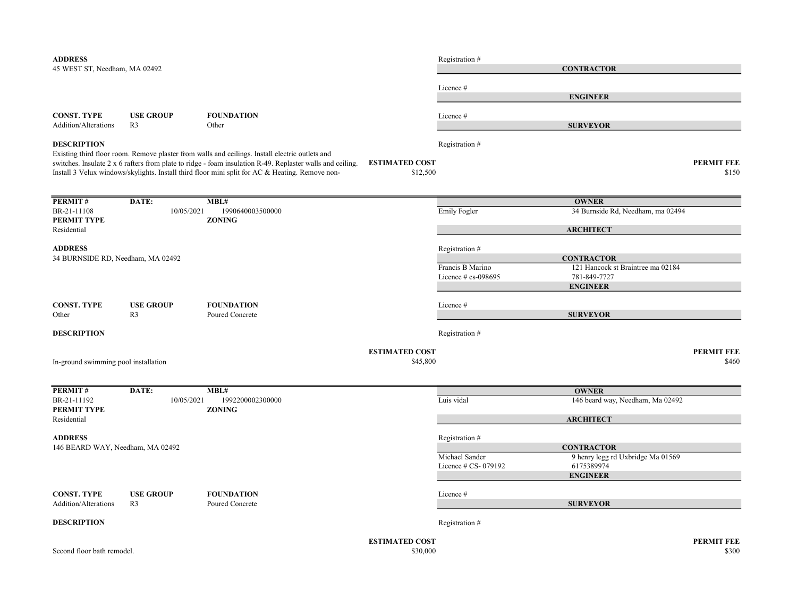| <b>ADDRESS</b><br>45 WEST ST, Needham, MA 02492     |                                    |                                                                                                                                                                                                                                                                                                                 |                                   | Registration #                         | <b>CONTRACTOR</b>                                                                       |                            |
|-----------------------------------------------------|------------------------------------|-----------------------------------------------------------------------------------------------------------------------------------------------------------------------------------------------------------------------------------------------------------------------------------------------------------------|-----------------------------------|----------------------------------------|-----------------------------------------------------------------------------------------|----------------------------|
|                                                     |                                    |                                                                                                                                                                                                                                                                                                                 |                                   | Licence #                              | <b>ENGINEER</b>                                                                         |                            |
| <b>CONST. TYPE</b><br>Addition/Alterations          | <b>USE GROUP</b><br>R <sub>3</sub> | <b>FOUNDATION</b><br>Other                                                                                                                                                                                                                                                                                      |                                   | Licence#                               | <b>SURVEYOR</b>                                                                         |                            |
| <b>DESCRIPTION</b>                                  |                                    | Existing third floor room. Remove plaster from walls and ceilings. Install electric outlets and<br>switches. Insulate 2 x 6 rafters from plate to ridge - foam insulation R-49. Replaster walls and ceiling.<br>Install 3 Velux windows/skylights. Install third floor mini split for AC & Heating. Remove non- | <b>ESTIMATED COST</b><br>\$12,500 | Registration #                         |                                                                                         | <b>PERMIT FEE</b><br>\$150 |
| PERMIT#<br>BR-21-11108                              | DATE:<br>10/05/2021                | MBL#<br>1990640003500000                                                                                                                                                                                                                                                                                        |                                   | <b>Emily Fogler</b>                    | <b>OWNER</b><br>34 Burnside Rd, Needham, ma 02494                                       |                            |
| PERMIT TYPE<br>Residential                          |                                    | <b>ZONING</b>                                                                                                                                                                                                                                                                                                   |                                   |                                        | <b>ARCHITECT</b>                                                                        |                            |
| <b>ADDRESS</b><br>34 BURNSIDE RD, Needham, MA 02492 |                                    |                                                                                                                                                                                                                                                                                                                 |                                   | Registration #<br>Francis B Marino     | <b>CONTRACTOR</b><br>121 Hancock st Braintree ma 02184                                  |                            |
|                                                     |                                    |                                                                                                                                                                                                                                                                                                                 |                                   | Licence $#$ cs-098695                  | 781-849-7727<br><b>ENGINEER</b>                                                         |                            |
| <b>CONST. TYPE</b><br>Other                         | <b>USE GROUP</b><br>R <sub>3</sub> | <b>FOUNDATION</b><br>Poured Concrete                                                                                                                                                                                                                                                                            |                                   | Licence #                              | <b>SURVEYOR</b>                                                                         |                            |
| <b>DESCRIPTION</b>                                  |                                    |                                                                                                                                                                                                                                                                                                                 |                                   | Registration #                         |                                                                                         |                            |
| In-ground swimming pool installation                |                                    |                                                                                                                                                                                                                                                                                                                 | <b>ESTIMATED COST</b><br>\$45,800 |                                        |                                                                                         | <b>PERMIT FEE</b><br>\$460 |
| PERMIT#                                             | DATE:                              | MBL#                                                                                                                                                                                                                                                                                                            |                                   |                                        | <b>OWNER</b>                                                                            |                            |
| BR-21-11192<br>PERMIT TYPE                          | 10/05/2021                         | 1992200002300000<br><b>ZONING</b>                                                                                                                                                                                                                                                                               |                                   | Luis vidal                             | 146 beard way, Needham, Ma 02492                                                        |                            |
| Residential<br><b>ADDRESS</b>                       |                                    |                                                                                                                                                                                                                                                                                                                 |                                   | Registration #                         | <b>ARCHITECT</b>                                                                        |                            |
| 146 BEARD WAY, Needham, MA 02492                    |                                    |                                                                                                                                                                                                                                                                                                                 |                                   | Michael Sander<br>Licence # CS- 079192 | <b>CONTRACTOR</b><br>9 henry legg rd Uxbridge Ma 01569<br>6175389974<br><b>ENGINEER</b> |                            |
| <b>CONST. TYPE</b><br>Addition/Alterations          | <b>USE GROUP</b><br>R <sub>3</sub> | <b>FOUNDATION</b><br>Poured Concrete                                                                                                                                                                                                                                                                            |                                   | Licence#                               | <b>SURVEYOR</b>                                                                         |                            |
| <b>DESCRIPTION</b>                                  |                                    |                                                                                                                                                                                                                                                                                                                 |                                   | Registration #                         |                                                                                         |                            |
| Second floor bath remodel.                          |                                    |                                                                                                                                                                                                                                                                                                                 | <b>ESTIMATED COST</b><br>\$30,000 |                                        |                                                                                         | <b>PERMIT FEE</b><br>\$300 |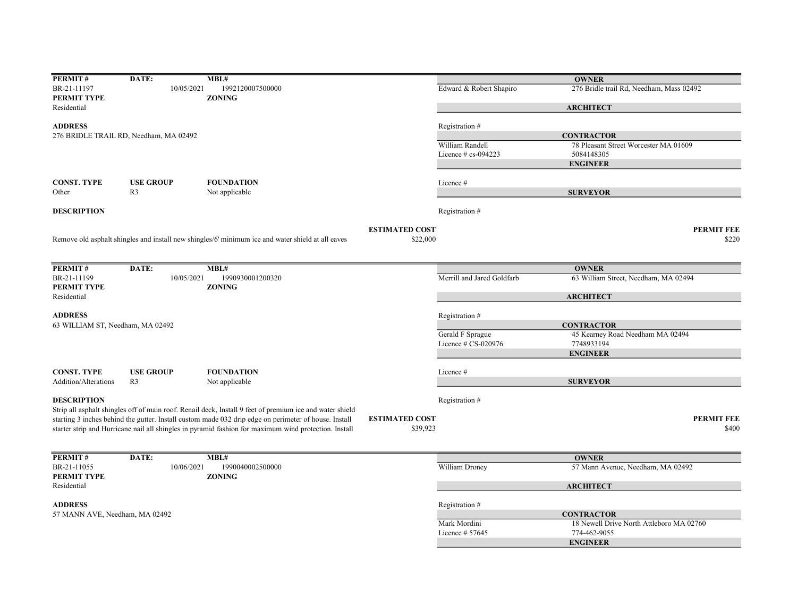| PERMIT#                          | DATE:                                  | MBL#                                                                                                     |                       |                            | <b>OWNER</b>                             |
|----------------------------------|----------------------------------------|----------------------------------------------------------------------------------------------------------|-----------------------|----------------------------|------------------------------------------|
| BR-21-11197                      | 10/05/2021                             | 1992120007500000                                                                                         |                       | Edward & Robert Shapiro    | 276 Bridle trail Rd, Needham, Mass 02492 |
| PERMIT TYPE                      |                                        | <b>ZONING</b>                                                                                            |                       |                            |                                          |
| Residential                      |                                        |                                                                                                          |                       |                            | <b>ARCHITECT</b>                         |
| <b>ADDRESS</b>                   |                                        |                                                                                                          |                       | Registration #             |                                          |
|                                  | 276 BRIDLE TRAIL RD, Needham, MA 02492 |                                                                                                          |                       |                            | <b>CONTRACTOR</b>                        |
|                                  |                                        |                                                                                                          |                       | William Randell            | 78 Pleasant Street Worcester MA 01609    |
|                                  |                                        |                                                                                                          |                       | Licence $# cs$ -094223     | 5084148305                               |
|                                  |                                        |                                                                                                          |                       |                            | <b>ENGINEER</b>                          |
|                                  |                                        |                                                                                                          |                       |                            |                                          |
| <b>CONST. TYPE</b>               | <b>USE GROUP</b>                       | <b>FOUNDATION</b>                                                                                        |                       | Licence#                   |                                          |
| Other                            | R <sub>3</sub>                         | Not applicable                                                                                           |                       |                            | <b>SURVEYOR</b>                          |
|                                  |                                        |                                                                                                          |                       |                            |                                          |
| <b>DESCRIPTION</b>               |                                        |                                                                                                          |                       | Registration#              |                                          |
|                                  |                                        |                                                                                                          |                       |                            |                                          |
|                                  |                                        |                                                                                                          | <b>ESTIMATED COST</b> |                            | <b>PERMIT FEE</b>                        |
|                                  |                                        | Remove old asphalt shingles and install new shingles/6' minimum ice and water shield at all eaves        | \$22,000              |                            | \$220                                    |
|                                  |                                        |                                                                                                          |                       |                            |                                          |
| PERMIT#                          | DATE:                                  | MBL#                                                                                                     |                       |                            |                                          |
|                                  |                                        |                                                                                                          |                       |                            | <b>OWNER</b>                             |
| BR-21-11199<br>PERMIT TYPE       | 10/05/2021                             | 1990930001200320<br><b>ZONING</b>                                                                        |                       | Merrill and Jared Goldfarb | 63 William Street, Needham, MA 02494     |
| Residential                      |                                        |                                                                                                          |                       |                            | <b>ARCHITECT</b>                         |
|                                  |                                        |                                                                                                          |                       |                            |                                          |
| <b>ADDRESS</b>                   |                                        |                                                                                                          |                       | Registration #             |                                          |
| 63 WILLIAM ST, Needham, MA 02492 |                                        |                                                                                                          |                       |                            | <b>CONTRACTOR</b>                        |
|                                  |                                        |                                                                                                          |                       | Gerald F Sprague           | 45 Kearney Road Needham MA 02494         |
|                                  |                                        |                                                                                                          |                       | Licence # CS-020976        | 7748933194                               |
|                                  |                                        |                                                                                                          |                       |                            | <b>ENGINEER</b>                          |
|                                  |                                        |                                                                                                          |                       |                            |                                          |
| <b>CONST. TYPE</b>               | <b>USE GROUP</b>                       | <b>FOUNDATION</b>                                                                                        |                       | Licence#                   |                                          |
| <b>Addition/Alterations</b>      | R <sub>3</sub>                         | Not applicable                                                                                           |                       |                            | <b>SURVEYOR</b>                          |
|                                  |                                        |                                                                                                          |                       |                            |                                          |
| <b>DESCRIPTION</b>               |                                        |                                                                                                          |                       | Registration #             |                                          |
|                                  |                                        | Strip all asphalt shingles off of main roof. Renail deck, Install 9 feet of premium ice and water shield |                       |                            |                                          |
|                                  |                                        | starting 3 inches behind the gutter. Install custom made 032 drip edge on perimeter of house. Install    | <b>ESTIMATED COST</b> |                            | <b>PERMIT FEE</b>                        |
|                                  |                                        | starter strip and Hurricane nail all shingles in pyramid fashion for maximum wind protection. Install    | \$39,923              |                            | \$400                                    |
|                                  |                                        |                                                                                                          |                       |                            |                                          |
|                                  |                                        |                                                                                                          |                       |                            |                                          |
| PERMIT#                          | DATE:                                  | MBL#                                                                                                     |                       |                            | <b>OWNER</b>                             |
| BR-21-11055                      | 10/06/2021                             | 1990040002500000                                                                                         |                       | William Droney             | 57 Mann Avenue, Needham, MA 02492        |
| PERMIT TYPE                      |                                        | <b>ZONING</b>                                                                                            |                       |                            |                                          |
| Residential                      |                                        |                                                                                                          |                       |                            | <b>ARCHITECT</b>                         |
|                                  |                                        |                                                                                                          |                       |                            |                                          |
| <b>ADDRESS</b>                   |                                        |                                                                                                          |                       | Registration #             |                                          |
| 57 MANN AVE, Needham, MA 02492   |                                        |                                                                                                          |                       |                            | <b>CONTRACTOR</b>                        |
|                                  |                                        |                                                                                                          |                       | Mark Mordini               | 18 Newell Drive North Attleboro MA 02760 |
|                                  |                                        |                                                                                                          |                       | Licence $# 57645$          | 774-462-9055                             |
|                                  |                                        |                                                                                                          |                       |                            | <b>ENGINEER</b>                          |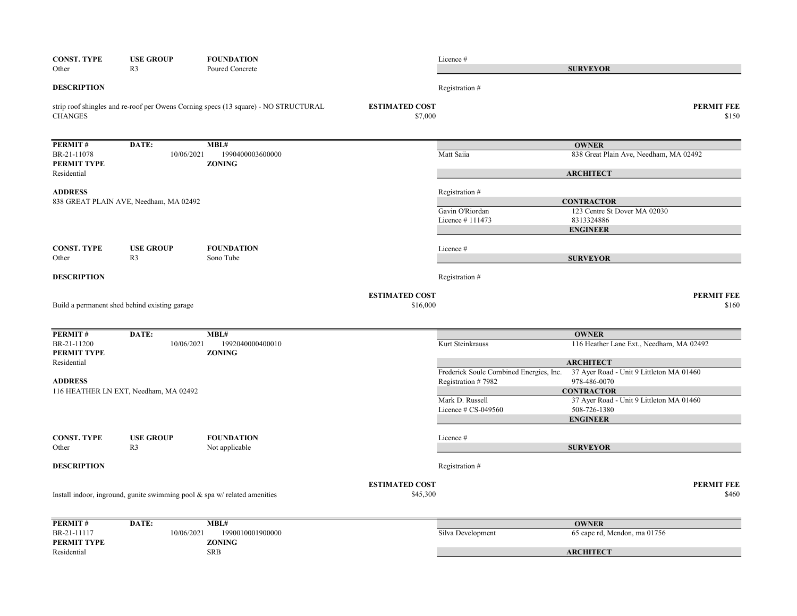| <b>CONST. TYPE</b><br>Other            | <b>USE GROUP</b><br>R <sub>3</sub>            | <b>FOUNDATION</b><br>Poured Concrete                                                |                                   | Licence #                               | <b>SURVEYOR</b>                                   |
|----------------------------------------|-----------------------------------------------|-------------------------------------------------------------------------------------|-----------------------------------|-----------------------------------------|---------------------------------------------------|
| <b>DESCRIPTION</b>                     |                                               |                                                                                     |                                   | Registration #                          |                                                   |
| <b>CHANGES</b>                         |                                               | strip roof shingles and re-roof per Owens Corning specs (13 square) - NO STRUCTURAL | <b>ESTIMATED COST</b><br>\$7,000  |                                         | <b>PERMIT FEE</b><br>\$150                        |
| PERMIT#                                | DATE:                                         | MBL#                                                                                |                                   |                                         | <b>OWNER</b>                                      |
| BR-21-11078<br>PERMIT TYPE             | 10/06/2021                                    | 1990400003600000<br><b>ZONING</b>                                                   |                                   | Matt Saiia                              | 838 Great Plain Ave, Needham, MA 02492            |
| Residential                            |                                               |                                                                                     |                                   |                                         | <b>ARCHITECT</b>                                  |
| <b>ADDRESS</b>                         |                                               |                                                                                     |                                   | Registration #                          |                                                   |
| 838 GREAT PLAIN AVE, Needham, MA 02492 |                                               |                                                                                     |                                   | Gavin O'Riordan                         | <b>CONTRACTOR</b><br>123 Centre St Dover MA 02030 |
|                                        |                                               |                                                                                     |                                   | Licence #111473                         | 8313324886                                        |
|                                        |                                               |                                                                                     |                                   |                                         | <b>ENGINEER</b>                                   |
| <b>CONST. TYPE</b>                     | <b>USE GROUP</b>                              | <b>FOUNDATION</b>                                                                   |                                   | Licence #                               |                                                   |
| Other                                  | R <sub>3</sub>                                | Sono Tube                                                                           |                                   |                                         | <b>SURVEYOR</b>                                   |
| <b>DESCRIPTION</b>                     |                                               |                                                                                     |                                   | Registration #                          |                                                   |
|                                        | Build a permanent shed behind existing garage |                                                                                     | <b>ESTIMATED COST</b><br>\$16,000 |                                         | <b>PERMIT FEE</b><br>\$160                        |
|                                        |                                               |                                                                                     |                                   |                                         |                                                   |
| <b>PERMIT#</b>                         | DATE:                                         | MBL#                                                                                |                                   |                                         | <b>OWNER</b>                                      |
| BR-21-11200<br>PERMIT TYPE             | 10/06/2021                                    | 1992040000400010<br><b>ZONING</b>                                                   |                                   | Kurt Steinkrauss                        | 116 Heather Lane Ext., Needham, MA 02492          |
| Residential                            |                                               |                                                                                     |                                   |                                         | <b>ARCHITECT</b>                                  |
|                                        |                                               |                                                                                     |                                   | Frederick Soule Combined Energies, Inc. | 37 Ayer Road - Unit 9 Littleton MA 01460          |
| <b>ADDRESS</b>                         | 116 HEATHER LN EXT, Needham, MA 02492         |                                                                                     |                                   | Registration #7982                      | 978-486-0070<br><b>CONTRACTOR</b>                 |
|                                        |                                               |                                                                                     |                                   | Mark D. Russell                         | 37 Ayer Road - Unit 9 Littleton MA 01460          |
|                                        |                                               |                                                                                     |                                   | Licence $# CS-049560$                   | 508-726-1380                                      |
|                                        |                                               |                                                                                     |                                   |                                         | <b>ENGINEER</b>                                   |
| <b>CONST. TYPE</b>                     | <b>USE GROUP</b>                              | <b>FOUNDATION</b>                                                                   |                                   | Licence #                               |                                                   |
| Other                                  | R <sub>3</sub>                                | Not applicable                                                                      |                                   |                                         | <b>SURVEYOR</b>                                   |
| <b>DESCRIPTION</b>                     |                                               |                                                                                     |                                   | Registration #                          |                                                   |
|                                        |                                               |                                                                                     | <b>ESTIMATED COST</b>             |                                         | <b>PERMIT FEE</b>                                 |
|                                        |                                               | Install indoor, inground, gunite swimming pool $\&$ spa w/ related amenities        | \$45,300                          |                                         | \$460                                             |
| PERMIT#                                | DATE:                                         | MBL#                                                                                |                                   |                                         | <b>OWNER</b>                                      |
| BR-21-11117<br>PERMIT TYPE             | 10/06/2021                                    | 1990010001900000<br><b>ZONING</b>                                                   |                                   | Silva Development                       | 65 cape rd, Mendon, ma 01756                      |
| Residential                            |                                               | SRB                                                                                 |                                   |                                         | <b>ARCHITECT</b>                                  |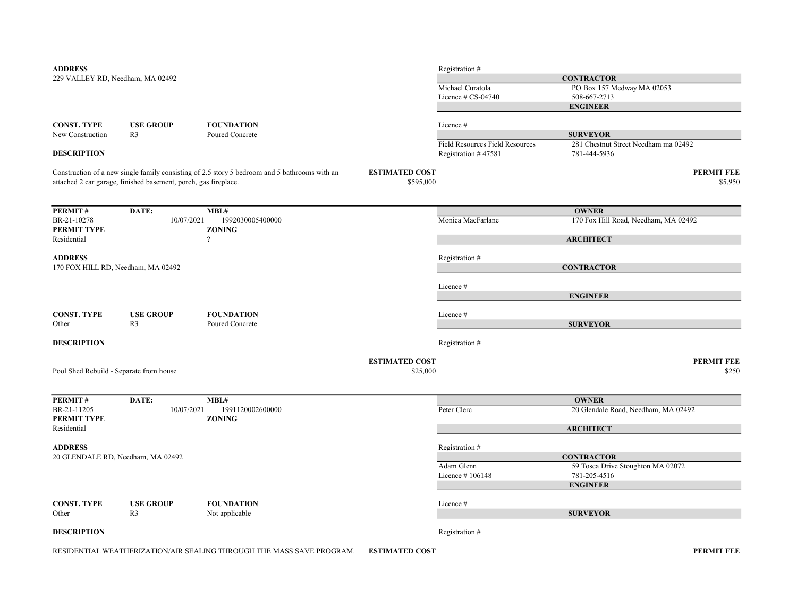| <b>ADDRESS</b>                          |                                                                 |                                                                                               |                       | Registration #                         |                                      |
|-----------------------------------------|-----------------------------------------------------------------|-----------------------------------------------------------------------------------------------|-----------------------|----------------------------------------|--------------------------------------|
| 229 VALLEY RD, Needham, MA 02492        |                                                                 |                                                                                               |                       |                                        | <b>CONTRACTOR</b>                    |
|                                         |                                                                 |                                                                                               |                       | Michael Curatola                       | PO Box 157 Medway MA 02053           |
|                                         |                                                                 |                                                                                               |                       | Licence # CS-04740                     | 508-667-2713                         |
|                                         |                                                                 |                                                                                               |                       |                                        | <b>ENGINEER</b>                      |
|                                         |                                                                 |                                                                                               |                       |                                        |                                      |
| <b>CONST. TYPE</b>                      | <b>USE GROUP</b>                                                | <b>FOUNDATION</b>                                                                             |                       | Licence#                               |                                      |
| New Construction                        | R <sub>3</sub>                                                  | Poured Concrete                                                                               |                       |                                        | <b>SURVEYOR</b>                      |
|                                         |                                                                 |                                                                                               |                       | <b>Field Resources Field Resources</b> | 281 Chestnut Street Needham ma 02492 |
| <b>DESCRIPTION</b>                      |                                                                 |                                                                                               |                       | Registration #47581                    | 781-444-5936                         |
|                                         |                                                                 | Construction of a new single family consisting of 2.5 story 5 bedroom and 5 bathrooms with an | <b>ESTIMATED COST</b> |                                        | <b>PERMIT FEE</b>                    |
|                                         | attached 2 car garage, finished basement, porch, gas fireplace. |                                                                                               | \$595,000             |                                        | \$5,950                              |
| PERMIT#                                 | DATE:                                                           | MBL#                                                                                          |                       |                                        | <b>OWNER</b>                         |
| BR-21-10278                             | 10/07/2021                                                      | 1992030005400000                                                                              |                       | Monica MacFarlane                      | 170 Fox Hill Road, Needham, MA 02492 |
| PERMIT TYPE                             |                                                                 | <b>ZONING</b>                                                                                 |                       |                                        |                                      |
| Residential                             |                                                                 | $\overline{?}$                                                                                |                       |                                        | <b>ARCHITECT</b>                     |
|                                         |                                                                 |                                                                                               |                       |                                        |                                      |
| <b>ADDRESS</b>                          |                                                                 |                                                                                               |                       | Registration #                         |                                      |
|                                         | 170 FOX HILL RD, Needham, MA 02492                              |                                                                                               |                       |                                        | <b>CONTRACTOR</b>                    |
|                                         |                                                                 |                                                                                               |                       | Licence #                              |                                      |
|                                         |                                                                 |                                                                                               |                       |                                        | <b>ENGINEER</b>                      |
|                                         |                                                                 |                                                                                               |                       |                                        |                                      |
| <b>CONST. TYPE</b>                      | <b>USE GROUP</b>                                                | <b>FOUNDATION</b>                                                                             |                       | Licence#                               |                                      |
| Other                                   | R <sub>3</sub>                                                  | Poured Concrete                                                                               |                       |                                        | <b>SURVEYOR</b>                      |
| <b>DESCRIPTION</b>                      |                                                                 |                                                                                               |                       | Registration #                         |                                      |
|                                         |                                                                 |                                                                                               |                       |                                        |                                      |
|                                         |                                                                 |                                                                                               | <b>ESTIMATED COST</b> |                                        | <b>PERMIT FEE</b>                    |
| Pool Shed Rebuild - Separate from house |                                                                 |                                                                                               | \$25,000              |                                        | \$250                                |
| PERMIT#                                 | DATE:                                                           | MBL#                                                                                          |                       |                                        | <b>OWNER</b>                         |
| BR-21-11205                             | 10/07/2021                                                      | 1991120002600000                                                                              |                       | Peter Clerc                            | 20 Glendale Road, Needham, MA 02492  |
| PERMIT TYPE                             |                                                                 | <b>ZONING</b>                                                                                 |                       |                                        |                                      |
| Residential                             |                                                                 |                                                                                               |                       |                                        | <b>ARCHITECT</b>                     |
| <b>ADDRESS</b>                          |                                                                 |                                                                                               |                       | Registration #                         |                                      |
|                                         | 20 GLENDALE RD, Needham, MA 02492                               |                                                                                               |                       |                                        | <b>CONTRACTOR</b>                    |
|                                         |                                                                 |                                                                                               |                       | Adam Glenn                             | 59 Tosca Drive Stoughton MA 02072    |
|                                         |                                                                 |                                                                                               |                       | Licence #106148                        | 781-205-4516                         |
|                                         |                                                                 |                                                                                               |                       |                                        | <b>ENGINEER</b>                      |
|                                         |                                                                 |                                                                                               |                       |                                        |                                      |
| <b>CONST. TYPE</b>                      | <b>USE GROUP</b>                                                | <b>FOUNDATION</b>                                                                             |                       | Licence#                               |                                      |
| Other                                   | R <sub>3</sub>                                                  | Not applicable                                                                                |                       |                                        | <b>SURVEYOR</b>                      |
| <b>DESCRIPTION</b>                      |                                                                 |                                                                                               |                       | Registration #                         |                                      |
|                                         |                                                                 |                                                                                               |                       |                                        |                                      |

RESIDENTIAL WEATHERIZATION/AIR SEALING THROUGH THE MASS SAVE PROGRAM. ESTIMATED COST **A COMPUT ALL AND A CONTROLLY A**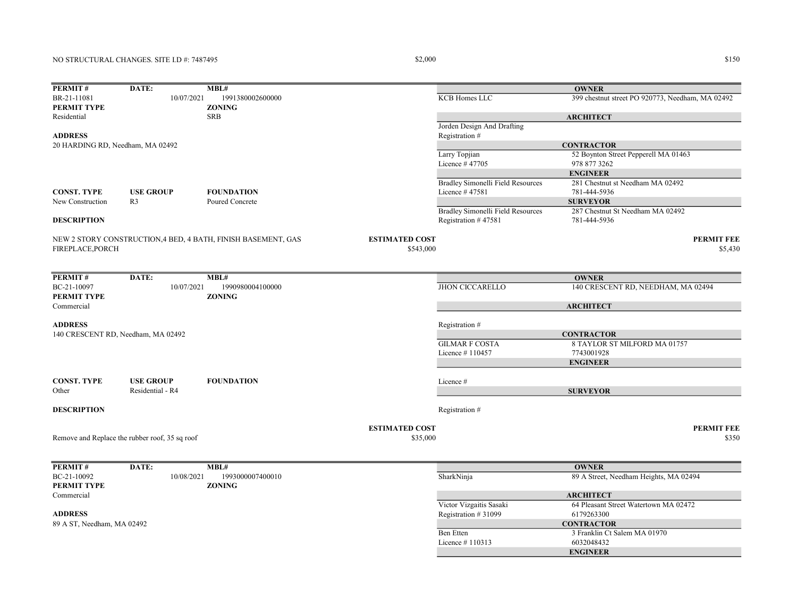# NO STRUCTURAL CHANGES. SITE I.D #: 7487495

### $$150$   $$150$

| PERMIT#                            | DATE:                                          | MBL#                                                          |                       |                                   | <b>OWNER</b>                                     |
|------------------------------------|------------------------------------------------|---------------------------------------------------------------|-----------------------|-----------------------------------|--------------------------------------------------|
| BR-21-11081                        | 10/07/2021                                     | 1991380002600000                                              |                       | KCB Homes LLC                     | 399 chestnut street PO 920773, Needham, MA 02492 |
| PERMIT TYPE                        |                                                | <b>ZONING</b>                                                 |                       |                                   |                                                  |
| Residential                        |                                                | <b>SRB</b>                                                    |                       |                                   | <b>ARCHITECT</b>                                 |
|                                    |                                                |                                                               |                       | Jorden Design And Drafting        |                                                  |
| <b>ADDRESS</b>                     |                                                |                                                               |                       | Registration #                    |                                                  |
| 20 HARDING RD, Needham, MA 02492   |                                                |                                                               |                       |                                   | <b>CONTRACTOR</b>                                |
|                                    |                                                |                                                               |                       | Larry Topjian                     | 52 Boynton Street Pepperell MA 01463             |
|                                    |                                                |                                                               |                       | Licence #47705                    | 978 877 3262                                     |
|                                    |                                                |                                                               |                       |                                   | <b>ENGINEER</b>                                  |
|                                    |                                                |                                                               |                       | Bradley Simonelli Field Resources | 281 Chestnut st Needham MA 02492                 |
| <b>CONST. TYPE</b>                 | <b>USE GROUP</b>                               | <b>FOUNDATION</b>                                             |                       | Licence #47581                    | 781-444-5936                                     |
| New Construction                   | R <sub>3</sub>                                 | Poured Concrete                                               |                       |                                   | <b>SURVEYOR</b>                                  |
|                                    |                                                |                                                               |                       | Bradley Simonelli Field Resources | 287 Chestnut St Needham MA 02492                 |
| <b>DESCRIPTION</b>                 |                                                |                                                               |                       | Registration #47581               | 781-444-5936                                     |
|                                    |                                                |                                                               |                       |                                   |                                                  |
|                                    |                                                | NEW 2 STORY CONSTRUCTION, 4 BED, 4 BATH, FINISH BASEMENT, GAS | <b>ESTIMATED COST</b> |                                   | <b>PERMIT FEE</b>                                |
| FIREPLACE, PORCH                   |                                                |                                                               | \$543,000             |                                   | \$5,430                                          |
|                                    |                                                |                                                               |                       |                                   |                                                  |
|                                    |                                                |                                                               |                       |                                   |                                                  |
| PERMIT#                            | DATE:                                          | MBL#                                                          |                       |                                   | <b>OWNER</b>                                     |
| BC-21-10097                        | 10/07/2021                                     | 1990980004100000                                              |                       | <b>JHON CICCARELLO</b>            | 140 CRESCENT RD, NEEDHAM, MA 02494               |
| PERMIT TYPE                        |                                                | <b>ZONING</b>                                                 |                       |                                   |                                                  |
| Commercial                         |                                                |                                                               |                       |                                   | <b>ARCHITECT</b>                                 |
|                                    |                                                |                                                               |                       |                                   |                                                  |
| <b>ADDRESS</b>                     |                                                |                                                               |                       | Registration#                     |                                                  |
| 140 CRESCENT RD, Needham, MA 02492 |                                                |                                                               |                       |                                   | <b>CONTRACTOR</b>                                |
|                                    |                                                |                                                               |                       | <b>GILMAR F COSTA</b>             | 8 TAYLOR ST MILFORD MA 01757                     |
|                                    |                                                |                                                               |                       | Licence #110457                   | 7743001928                                       |
|                                    |                                                |                                                               |                       |                                   |                                                  |
|                                    |                                                |                                                               |                       |                                   | <b>ENGINEER</b>                                  |
| <b>CONST. TYPE</b>                 | <b>USE GROUP</b>                               | <b>FOUNDATION</b>                                             |                       |                                   |                                                  |
|                                    |                                                |                                                               |                       | Licence#                          |                                                  |
| Other                              | Residential - R4                               |                                                               |                       |                                   | <b>SURVEYOR</b>                                  |
|                                    |                                                |                                                               |                       |                                   |                                                  |
| <b>DESCRIPTION</b>                 |                                                |                                                               |                       | Registration #                    |                                                  |
|                                    |                                                |                                                               | <b>ESTIMATED COST</b> |                                   | <b>PERMIT FEE</b>                                |
|                                    |                                                |                                                               |                       |                                   | \$350                                            |
|                                    | Remove and Replace the rubber roof, 35 sq roof |                                                               | \$35,000              |                                   |                                                  |
|                                    |                                                |                                                               |                       |                                   |                                                  |
|                                    |                                                | MBL#                                                          |                       |                                   |                                                  |
| PERMIT#                            | DATE:                                          |                                                               |                       |                                   | <b>OWNER</b>                                     |
| BC-21-10092                        | 10/08/2021                                     | 1993000007400010                                              |                       | SharkNinja                        | 89 A Street, Needham Heights, MA 02494           |
| PERMIT TYPE                        |                                                | <b>ZONING</b>                                                 |                       |                                   |                                                  |
| Commercial                         |                                                |                                                               |                       |                                   | <b>ARCHITECT</b>                                 |
|                                    |                                                |                                                               |                       | Victor Vizgaitis Sasaki           | 64 Pleasant Street Watertown MA 02472            |
| <b>ADDRESS</b>                     |                                                |                                                               |                       | Registration #31099               | 6179263300                                       |
| 89 A ST, Needham, MA 02492         |                                                |                                                               |                       |                                   | <b>CONTRACTOR</b>                                |
|                                    |                                                |                                                               |                       | <b>Ben</b> Etten                  | 3 Franklin Ct Salem MA 01970                     |
|                                    |                                                |                                                               |                       | Licence #110313                   | 6032048432                                       |
|                                    |                                                |                                                               |                       |                                   | <b>ENGINEER</b>                                  |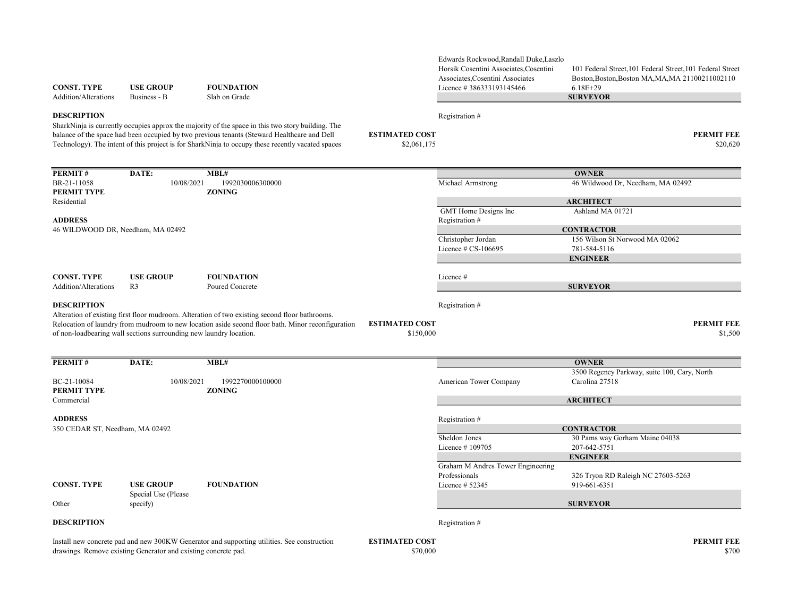| <b>CONST. TYPE</b><br>Addition/Alterations | <b>USE GROUP</b><br>Business - B                                   | <b>FOUNDATION</b><br>Slab on Grade                                                                                                                                                                                                                                                                                             | Horsik Cosentini Associates, Cosentini<br>Associates, Cosentini Associates<br>Licence #386333193145466 | 101 Federal Street, 101 Federal Street, 101 Federal Street<br>Boston, Boston, Boston MA, MA, MA 21100211002110<br>$6.18E+29$<br><b>SURVEYOR</b> |
|--------------------------------------------|--------------------------------------------------------------------|--------------------------------------------------------------------------------------------------------------------------------------------------------------------------------------------------------------------------------------------------------------------------------------------------------------------------------|--------------------------------------------------------------------------------------------------------|-------------------------------------------------------------------------------------------------------------------------------------------------|
| <b>DESCRIPTION</b>                         |                                                                    |                                                                                                                                                                                                                                                                                                                                | Registration#                                                                                          |                                                                                                                                                 |
|                                            |                                                                    | SharkNinja is currently occupies approx the majority of the space in this two story building. The<br>balance of the space had been occupied by two previous tenants (Steward Healthcare and Dell<br><b>ESTIMATED COST</b><br>Technology). The intent of this project is for SharkNinja to occupy these recently vacated spaces | \$2,061,175                                                                                            | <b>PERMIT FEE</b><br>\$20,620                                                                                                                   |
| PERMIT#                                    | DATE:                                                              | MBL#                                                                                                                                                                                                                                                                                                                           |                                                                                                        | <b>OWNER</b>                                                                                                                                    |
| BR-21-11058<br><b>PERMIT TYPE</b>          | 10/08/2021                                                         | 1992030006300000<br><b>ZONING</b>                                                                                                                                                                                                                                                                                              | Michael Armstrong                                                                                      | 46 Wildwood Dr, Needham, MA 02492                                                                                                               |
| Residential                                |                                                                    |                                                                                                                                                                                                                                                                                                                                |                                                                                                        | <b>ARCHITECT</b>                                                                                                                                |
| <b>ADDRESS</b>                             |                                                                    |                                                                                                                                                                                                                                                                                                                                | <b>GMT</b> Home Designs Inc<br>Registration #                                                          | Ashland MA 01721                                                                                                                                |
| 46 WILDWOOD DR, Needham, MA 02492          |                                                                    |                                                                                                                                                                                                                                                                                                                                |                                                                                                        | <b>CONTRACTOR</b>                                                                                                                               |
|                                            |                                                                    |                                                                                                                                                                                                                                                                                                                                | Christopher Jordan<br>Licence # CS-106695                                                              | 156 Wilson St Norwood MA 02062<br>781-584-5116                                                                                                  |
|                                            |                                                                    |                                                                                                                                                                                                                                                                                                                                |                                                                                                        | <b>ENGINEER</b>                                                                                                                                 |
| <b>CONST. TYPE</b>                         | <b>USE GROUP</b>                                                   | <b>FOUNDATION</b>                                                                                                                                                                                                                                                                                                              | Licence #                                                                                              |                                                                                                                                                 |
| Addition/Alterations                       | R <sub>3</sub>                                                     | Poured Concrete                                                                                                                                                                                                                                                                                                                |                                                                                                        | <b>SURVEYOR</b>                                                                                                                                 |
| <b>DESCRIPTION</b>                         |                                                                    | Alteration of existing first floor mudroom. Alteration of two existing second floor bathrooms.                                                                                                                                                                                                                                 | Registration #                                                                                         |                                                                                                                                                 |
|                                            | of non-loadbearing wall sections surrounding new laundry location. | Relocation of laundry from mudroom to new location aside second floor bath. Minor reconfiguration<br><b>ESTIMATED COST</b>                                                                                                                                                                                                     | \$150,000                                                                                              | <b>PERMIT FEE</b><br>\$1,500                                                                                                                    |
| PERMIT#                                    | DATE:                                                              | MBL#                                                                                                                                                                                                                                                                                                                           |                                                                                                        | <b>OWNER</b>                                                                                                                                    |
|                                            |                                                                    |                                                                                                                                                                                                                                                                                                                                |                                                                                                        | 3500 Regency Parkway, suite 100, Cary, North                                                                                                    |
| BC-21-10084<br>PERMIT TYPE                 | 10/08/2021                                                         | 1992270000100000<br><b>ZONING</b>                                                                                                                                                                                                                                                                                              | American Tower Company                                                                                 | Carolina 27518                                                                                                                                  |
| Commercial                                 |                                                                    |                                                                                                                                                                                                                                                                                                                                |                                                                                                        | <b>ARCHITECT</b>                                                                                                                                |
| <b>ADDRESS</b>                             |                                                                    |                                                                                                                                                                                                                                                                                                                                | Registration #                                                                                         |                                                                                                                                                 |
| 350 CEDAR ST, Needham, MA 02492            |                                                                    |                                                                                                                                                                                                                                                                                                                                |                                                                                                        | <b>CONTRACTOR</b>                                                                                                                               |
|                                            |                                                                    |                                                                                                                                                                                                                                                                                                                                | Sheldon Jones<br>Licence #109705                                                                       | 30 Pams way Gorham Maine 04038<br>207-642-5751                                                                                                  |
|                                            |                                                                    |                                                                                                                                                                                                                                                                                                                                |                                                                                                        | <b>ENGINEER</b>                                                                                                                                 |
|                                            |                                                                    |                                                                                                                                                                                                                                                                                                                                | Graham M Andres Tower Engineering                                                                      |                                                                                                                                                 |
|                                            |                                                                    |                                                                                                                                                                                                                                                                                                                                | Professionals                                                                                          | 326 Tryon RD Raleigh NC 27603-5263                                                                                                              |
| <b>CONST. TYPE</b>                         | <b>USE GROUP</b><br>Special Use (Please                            | <b>FOUNDATION</b>                                                                                                                                                                                                                                                                                                              | Licence $# 52345$                                                                                      | 919-661-6351                                                                                                                                    |
| Other                                      | specify)                                                           |                                                                                                                                                                                                                                                                                                                                |                                                                                                        | <b>SURVEYOR</b>                                                                                                                                 |
| <b>DESCRIPTION</b>                         |                                                                    |                                                                                                                                                                                                                                                                                                                                | Registration #                                                                                         |                                                                                                                                                 |

Edwards Rockwood,Randall Duke,Laszlo

Install new concrete pad and new 300KW Generator and supporting utilities. See construction drawings. Remove existing Generator and existing concrete pad.

ESTIMATED COST PERMIT FEE<br>  $$70,000$   $$700$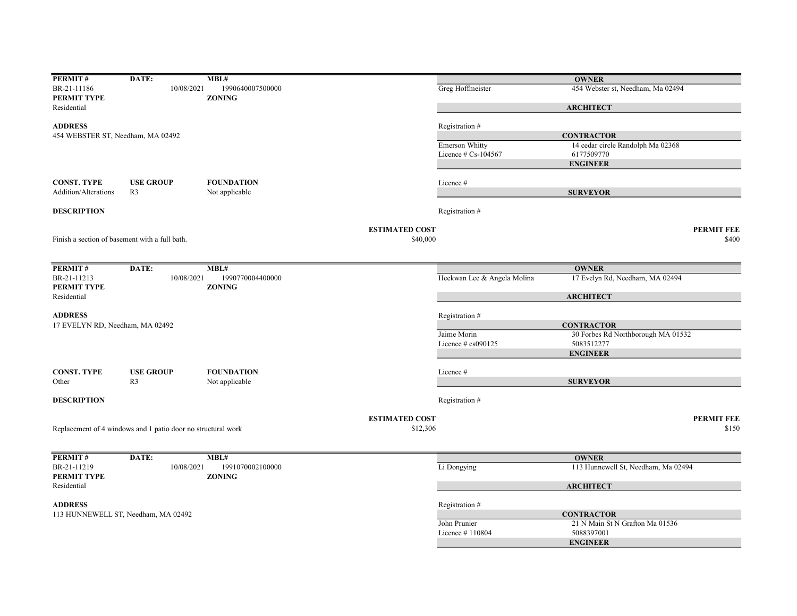| PERMIT#                                        | DATE:                                                        | MBL#                              |                       |                             | <b>OWNER</b>                        |                   |
|------------------------------------------------|--------------------------------------------------------------|-----------------------------------|-----------------------|-----------------------------|-------------------------------------|-------------------|
| BR-21-11186                                    | 10/08/2021                                                   | 1990640007500000                  |                       | Greg Hoffmeister            | 454 Webster st, Needham, Ma 02494   |                   |
| PERMIT TYPE                                    |                                                              | <b>ZONING</b>                     |                       |                             |                                     |                   |
| Residential                                    |                                                              |                                   |                       |                             | <b>ARCHITECT</b>                    |                   |
| <b>ADDRESS</b>                                 |                                                              |                                   |                       | Registration #              |                                     |                   |
| 454 WEBSTER ST, Needham, MA 02492              |                                                              |                                   |                       |                             | <b>CONTRACTOR</b>                   |                   |
|                                                |                                                              |                                   |                       | Emerson Whitty              | 14 cedar circle Randolph Ma 02368   |                   |
|                                                |                                                              |                                   |                       | Licence $# Cs-104567$       | 6177509770                          |                   |
|                                                |                                                              |                                   |                       |                             | <b>ENGINEER</b>                     |                   |
|                                                |                                                              |                                   |                       |                             |                                     |                   |
| <b>CONST. TYPE</b>                             | <b>USE GROUP</b>                                             | <b>FOUNDATION</b>                 |                       | Licence#                    |                                     |                   |
| Addition/Alterations                           | R <sub>3</sub>                                               | Not applicable                    |                       |                             | <b>SURVEYOR</b>                     |                   |
| <b>DESCRIPTION</b>                             |                                                              |                                   |                       | Registration #              |                                     |                   |
|                                                |                                                              |                                   | <b>ESTIMATED COST</b> |                             |                                     | <b>PERMIT FEE</b> |
| Finish a section of basement with a full bath. |                                                              |                                   | \$40,000              |                             |                                     | \$400             |
|                                                |                                                              |                                   |                       |                             |                                     |                   |
|                                                |                                                              |                                   |                       |                             |                                     |                   |
| PERMIT#                                        | DATE:                                                        | MBL#                              |                       |                             | <b>OWNER</b>                        |                   |
| BR-21-11213<br>PERMIT TYPE                     | 10/08/2021                                                   | 1990770004400000<br><b>ZONING</b> |                       | Heekwan Lee & Angela Molina | 17 Evelyn Rd, Needham, MA 02494     |                   |
| Residential                                    |                                                              |                                   |                       |                             | <b>ARCHITECT</b>                    |                   |
|                                                |                                                              |                                   |                       |                             |                                     |                   |
| <b>ADDRESS</b>                                 |                                                              |                                   |                       | Registration #              |                                     |                   |
| 17 EVELYN RD, Needham, MA 02492                |                                                              |                                   |                       |                             | <b>CONTRACTOR</b>                   |                   |
|                                                |                                                              |                                   |                       | Jaime Morin                 | 30 Forbes Rd Northborough MA 01532  |                   |
|                                                |                                                              |                                   |                       | Licence # cs090125          | 5083512277                          |                   |
|                                                |                                                              |                                   |                       |                             | <b>ENGINEER</b>                     |                   |
| <b>CONST. TYPE</b>                             | <b>USE GROUP</b>                                             | <b>FOUNDATION</b>                 |                       | Licence #                   |                                     |                   |
| Other                                          | R <sub>3</sub>                                               | Not applicable                    |                       |                             | <b>SURVEYOR</b>                     |                   |
| <b>DESCRIPTION</b>                             |                                                              |                                   |                       | Registration #              |                                     |                   |
|                                                |                                                              |                                   |                       |                             |                                     |                   |
|                                                |                                                              |                                   | <b>ESTIMATED COST</b> |                             |                                     | <b>PERMIT FEE</b> |
|                                                | Replacement of 4 windows and 1 patio door no structural work |                                   | \$12,306              |                             |                                     | \$150             |
|                                                |                                                              |                                   |                       |                             |                                     |                   |
| PERMIT#                                        | DATE:                                                        | MBL#                              |                       |                             | <b>OWNER</b>                        |                   |
| BR-21-11219                                    | 10/08/2021                                                   | 1991070002100000                  |                       | Li Dongying                 | 113 Hunnewell St, Needham, Ma 02494 |                   |
| PERMIT TYPE                                    |                                                              | <b>ZONING</b>                     |                       |                             |                                     |                   |
| Residential                                    |                                                              |                                   |                       |                             | <b>ARCHITECT</b>                    |                   |
| <b>ADDRESS</b>                                 |                                                              |                                   |                       | Registration #              |                                     |                   |
|                                                | 113 HUNNEWELL ST, Needham, MA 02492                          |                                   |                       |                             | <b>CONTRACTOR</b>                   |                   |
|                                                |                                                              |                                   |                       | John Prunier                | 21 N Main St N Grafton Ma 01536     |                   |
|                                                |                                                              |                                   |                       | Licence #110804             | 5088397001                          |                   |
|                                                |                                                              |                                   |                       |                             | <b>ENGINEER</b>                     |                   |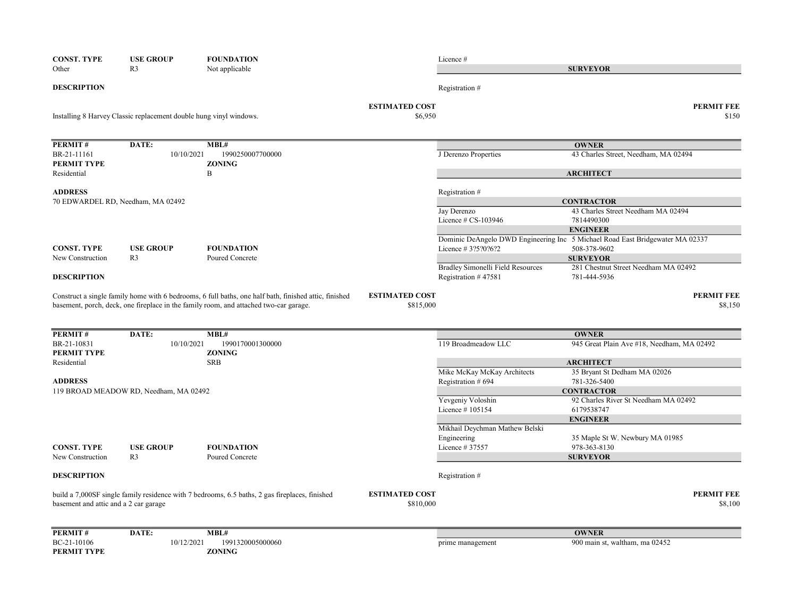| <b>CONST. TYPE</b><br>Other           | <b>USE GROUP</b><br>R <sub>3</sub>                                 | <b>FOUNDATION</b>                                                                              |                                    | Licence#                                                 |                                                                               |
|---------------------------------------|--------------------------------------------------------------------|------------------------------------------------------------------------------------------------|------------------------------------|----------------------------------------------------------|-------------------------------------------------------------------------------|
|                                       |                                                                    | Not applicable                                                                                 |                                    |                                                          | <b>SURVEYOR</b>                                                               |
| <b>DESCRIPTION</b>                    |                                                                    |                                                                                                |                                    | Registration #                                           |                                                                               |
|                                       | Installing 8 Harvey Classic replacement double hung vinyl windows. |                                                                                                | <b>ESTIMATED COST</b><br>\$6,950   |                                                          | <b>PERMIT FEE</b><br>\$150                                                    |
| <b>PERMIT#</b>                        | DATE:                                                              | MBL#                                                                                           |                                    |                                                          | <b>OWNER</b>                                                                  |
| BR-21-11161<br>PERMIT TYPE            | 10/10/2021                                                         | 1990250007700000<br><b>ZONING</b>                                                              |                                    | J Derenzo Properties                                     | 43 Charles Street, Needham, MA 02494                                          |
| Residential                           |                                                                    | B                                                                                              |                                    |                                                          | <b>ARCHITECT</b>                                                              |
| <b>ADDRESS</b>                        |                                                                    |                                                                                                |                                    | Registration #                                           |                                                                               |
|                                       | 70 EDWARDEL RD, Needham, MA 02492                                  |                                                                                                |                                    | Jay Derenzo                                              | <b>CONTRACTOR</b><br>43 Charles Street Needham MA 02494                       |
|                                       |                                                                    |                                                                                                |                                    | Licence # CS-103946                                      | 7814490300                                                                    |
|                                       |                                                                    |                                                                                                |                                    |                                                          | <b>ENGINEER</b>                                                               |
|                                       |                                                                    |                                                                                                |                                    |                                                          | Dominic DeAngelo DWD Engineering Inc 5 Michael Road East Bridgewater MA 02337 |
| <b>CONST. TYPE</b>                    | <b>USE GROUP</b>                                                   | <b>FOUNDATION</b>                                                                              |                                    | Licence #3?5?0?6?2                                       | 508-378-9602                                                                  |
| New Construction                      | R <sub>3</sub>                                                     | Poured Concrete                                                                                |                                    |                                                          | <b>SURVEYOR</b>                                                               |
| <b>DESCRIPTION</b>                    |                                                                    |                                                                                                |                                    | Bradley Simonelli Field Resources<br>Registration #47581 | 281 Chestnut Street Needham MA 02492<br>781-444-5936                          |
|                                       |                                                                    | basement, porch, deck, one fireplace in the family room, and attached two-car garage.          | \$815,000                          |                                                          | \$8,150                                                                       |
| PERMIT#                               | DATE:                                                              | MBL#                                                                                           |                                    |                                                          | <b>OWNER</b>                                                                  |
| BR-21-10831                           | 10/10/2021                                                         | 1990170001300000                                                                               |                                    | 119 Broadmeadow LLC                                      | 945 Great Plain Ave #18, Needham, MA 02492                                    |
| PERMIT TYPE                           |                                                                    | <b>ZONING</b>                                                                                  |                                    |                                                          |                                                                               |
| Residential                           |                                                                    | <b>SRB</b>                                                                                     |                                    | Mike McKay McKay Architects                              | <b>ARCHITECT</b><br>35 Bryant St Dedham MA 02026                              |
| <b>ADDRESS</b>                        |                                                                    |                                                                                                |                                    | Registration # 694                                       | 781-326-5400                                                                  |
|                                       | 119 BROAD MEADOW RD, Needham, MA 02492                             |                                                                                                |                                    |                                                          | <b>CONTRACTOR</b>                                                             |
|                                       |                                                                    |                                                                                                |                                    | Yevgeniy Voloshin                                        | 92 Charles River St Needham MA 02492                                          |
|                                       |                                                                    |                                                                                                |                                    | Licence #105154                                          | 6179538747                                                                    |
|                                       |                                                                    |                                                                                                |                                    |                                                          | <b>ENGINEER</b>                                                               |
|                                       |                                                                    |                                                                                                |                                    | Mikhail Deychman Mathew Belski                           |                                                                               |
|                                       |                                                                    |                                                                                                |                                    | Engineering                                              | 35 Maple St W. Newbury MA 01985                                               |
| <b>CONST. TYPE</b>                    | <b>USE GROUP</b>                                                   | <b>FOUNDATION</b>                                                                              |                                    | Licence # 37557                                          | 978-363-8130                                                                  |
| New Construction                      | R <sub>3</sub>                                                     | Poured Concrete                                                                                |                                    |                                                          | <b>SURVEYOR</b>                                                               |
| <b>DESCRIPTION</b>                    |                                                                    |                                                                                                |                                    | Registration #                                           |                                                                               |
| basement and attic and a 2 car garage |                                                                    | build a 7,000SF single family residence with 7 bedrooms, 6.5 baths, 2 gas fireplaces, finished | <b>ESTIMATED COST</b><br>\$810,000 |                                                          | <b>PERMIT FEE</b><br>\$8,100                                                  |
| PERMIT#                               | DATE:                                                              | MBL#                                                                                           |                                    |                                                          | <b>OWNER</b>                                                                  |
| BC-21-10106                           | 10/12/2021                                                         | 1991320005000060                                                                               |                                    | prime management                                         | 900 main st, waltham, ma 02452                                                |
| PERMIT TYPE                           |                                                                    | <b>ZONING</b>                                                                                  |                                    |                                                          |                                                                               |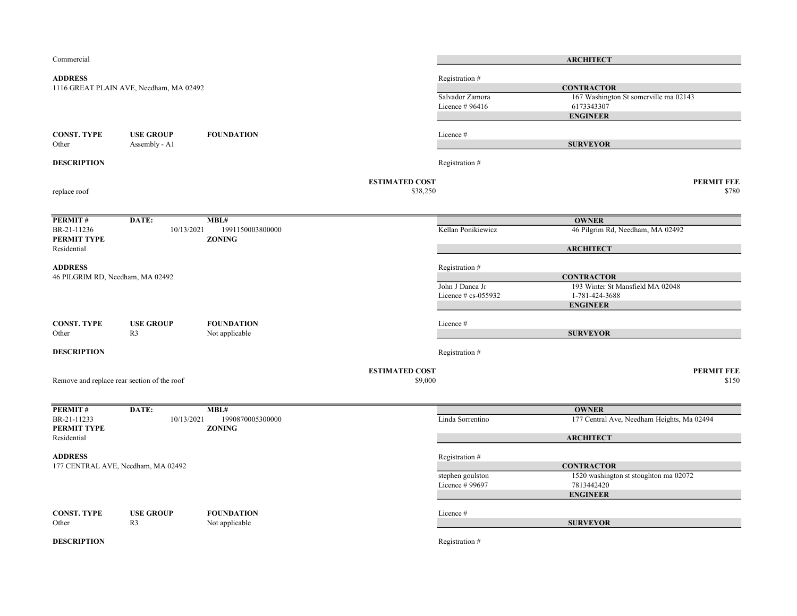| Commercial                       |                                             |                                   |                                  |                        | <b>ARCHITECT</b>                           |
|----------------------------------|---------------------------------------------|-----------------------------------|----------------------------------|------------------------|--------------------------------------------|
| <b>ADDRESS</b>                   |                                             |                                   |                                  | Registration #         |                                            |
|                                  | 1116 GREAT PLAIN AVE, Needham, MA 02492     |                                   |                                  |                        | <b>CONTRACTOR</b>                          |
|                                  |                                             |                                   |                                  | Salvador Zamora        | 167 Washington St somerville ma 02143      |
|                                  |                                             |                                   |                                  | Licence $#96416$       | 6173343307                                 |
|                                  |                                             |                                   |                                  |                        | <b>ENGINEER</b>                            |
|                                  |                                             |                                   |                                  |                        |                                            |
| <b>CONST. TYPE</b>               | <b>USE GROUP</b>                            | <b>FOUNDATION</b>                 |                                  | Licence #              |                                            |
| Other                            | Assembly - Al                               |                                   |                                  |                        | <b>SURVEYOR</b>                            |
| <b>DESCRIPTION</b>               |                                             |                                   |                                  | Registration #         |                                            |
|                                  |                                             |                                   | <b>ESTIMATED COST</b>            |                        | <b>PERMIT FEE</b>                          |
| replace roof                     |                                             |                                   | \$38,250                         |                        | \$780                                      |
| PERMIT#                          | DATE:                                       | MBL#                              |                                  |                        | <b>OWNER</b>                               |
| BR-21-11236<br>PERMIT TYPE       | 10/13/2021                                  | 1991150003800000<br><b>ZONING</b> |                                  | Kellan Ponikiewicz     | 46 Pilgrim Rd, Needham, MA 02492           |
| Residential                      |                                             |                                   |                                  |                        | <b>ARCHITECT</b>                           |
| <b>ADDRESS</b>                   |                                             |                                   |                                  | Registration #         |                                            |
|                                  |                                             |                                   |                                  |                        | <b>CONTRACTOR</b>                          |
| 46 PILGRIM RD, Needham, MA 02492 |                                             | John J Danca Jr                   | 193 Winter St Mansfield MA 02048 |                        |                                            |
|                                  |                                             |                                   |                                  | Licence $# cs$ -055932 | 1-781-424-3688                             |
|                                  |                                             |                                   |                                  |                        | <b>ENGINEER</b>                            |
| <b>CONST. TYPE</b>               | <b>USE GROUP</b>                            | <b>FOUNDATION</b>                 |                                  | Licence #              |                                            |
| Other                            | R <sub>3</sub>                              | Not applicable                    |                                  |                        | <b>SURVEYOR</b>                            |
| <b>DESCRIPTION</b>               |                                             |                                   |                                  | Registration #         |                                            |
|                                  |                                             |                                   | <b>ESTIMATED COST</b>            |                        | <b>PERMIT FEE</b>                          |
|                                  | Remove and replace rear section of the roof |                                   | \$9,000                          |                        | \$150                                      |
|                                  |                                             |                                   |                                  |                        |                                            |
| PERMIT#                          | DATE:                                       | MBL#                              |                                  |                        | <b>OWNER</b>                               |
| BR-21-11233<br>PERMIT TYPE       | 10/13/2021                                  | 1990870005300000<br><b>ZONING</b> |                                  | Linda Sorrentino       | 177 Central Ave, Needham Heights, Ma 02494 |
| Residential                      |                                             |                                   |                                  |                        | <b>ARCHITECT</b>                           |
| <b>ADDRESS</b>                   |                                             |                                   |                                  | Registration #         |                                            |
|                                  | 177 CENTRAL AVE, Needham, MA 02492          |                                   |                                  |                        | <b>CONTRACTOR</b>                          |
|                                  |                                             |                                   |                                  | stephen goulston       | 1520 washington st stoughton ma 02072      |
|                                  |                                             |                                   |                                  | Licence # 99697        | 7813442420                                 |
|                                  |                                             |                                   |                                  |                        | <b>ENGINEER</b>                            |
| <b>CONST. TYPE</b>               | <b>USE GROUP</b>                            | <b>FOUNDATION</b>                 |                                  | Licence #              |                                            |
| Other                            | R <sub>3</sub>                              | Not applicable                    |                                  |                        | <b>SURVEYOR</b>                            |
| <b>DESCRIPTION</b>               |                                             |                                   |                                  | Registration #         |                                            |
|                                  |                                             |                                   |                                  |                        |                                            |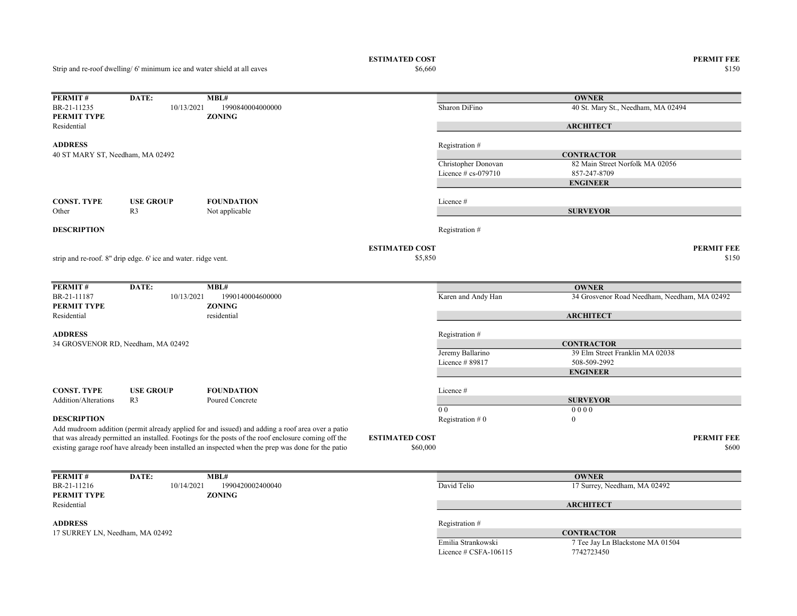Strip and re-roof dwelling/ 6' minimum ice and water shield at all eaves

ESTIMATED COST PERMIT FEE<br>  $$6,660$  8150

 $\$6,660$   $\$150$ 

| PERMIT#                          | DATE:                                                          | MBL#                                                                                                 |                       |                                               | <b>OWNER</b>                                 |
|----------------------------------|----------------------------------------------------------------|------------------------------------------------------------------------------------------------------|-----------------------|-----------------------------------------------|----------------------------------------------|
| BR-21-11235                      | 10/13/2021                                                     | 1990840004000000                                                                                     |                       | Sharon DiFino                                 | 40 St. Mary St., Needham, MA 02494           |
| PERMIT TYPE                      |                                                                | <b>ZONING</b>                                                                                        |                       |                                               |                                              |
| Residential                      |                                                                |                                                                                                      |                       |                                               | <b>ARCHITECT</b>                             |
| <b>ADDRESS</b>                   |                                                                |                                                                                                      |                       |                                               |                                              |
|                                  |                                                                |                                                                                                      |                       | Registration #                                |                                              |
| 40 ST MARY ST, Needham, MA 02492 |                                                                |                                                                                                      |                       |                                               | <b>CONTRACTOR</b>                            |
|                                  |                                                                |                                                                                                      |                       | Christopher Donovan<br>Licence $# cs$ -079710 | 82 Main Street Norfolk MA 02056              |
|                                  |                                                                |                                                                                                      |                       |                                               | 857-247-8709                                 |
|                                  |                                                                |                                                                                                      |                       |                                               | <b>ENGINEER</b>                              |
| <b>CONST. TYPE</b>               | <b>USE GROUP</b>                                               | <b>FOUNDATION</b>                                                                                    |                       | Licence #                                     |                                              |
| Other                            | R <sub>3</sub>                                                 | Not applicable                                                                                       |                       |                                               | <b>SURVEYOR</b>                              |
|                                  |                                                                |                                                                                                      |                       |                                               |                                              |
| <b>DESCRIPTION</b>               |                                                                |                                                                                                      |                       | Registration #                                |                                              |
|                                  |                                                                |                                                                                                      |                       |                                               |                                              |
|                                  |                                                                |                                                                                                      | <b>ESTIMATED COST</b> |                                               | <b>PERMIT FEE</b>                            |
|                                  | strip and re-roof. 8" drip edge. 6' ice and water. ridge vent. |                                                                                                      | \$5,850               |                                               | \$150                                        |
|                                  |                                                                |                                                                                                      |                       |                                               |                                              |
| PERMIT#                          | DATE:                                                          | MBL#                                                                                                 |                       |                                               | <b>OWNER</b>                                 |
| BR-21-11187                      | 10/13/2021                                                     | 1990140004600000                                                                                     |                       | Karen and Andy Han                            | 34 Grosvenor Road Needham, Needham, MA 02492 |
| PERMIT TYPE                      |                                                                | <b>ZONING</b>                                                                                        |                       |                                               |                                              |
| Residential                      |                                                                | residential                                                                                          |                       |                                               | <b>ARCHITECT</b>                             |
| <b>ADDRESS</b>                   |                                                                |                                                                                                      |                       | Registration #                                |                                              |
|                                  | 34 GROSVENOR RD, Needham, MA 02492                             |                                                                                                      |                       |                                               | <b>CONTRACTOR</b>                            |
|                                  |                                                                |                                                                                                      |                       | Jeremy Ballarino                              | 39 Elm Street Franklin MA 02038              |
|                                  |                                                                |                                                                                                      |                       | Licence #89817                                | 508-509-2992                                 |
|                                  |                                                                |                                                                                                      |                       |                                               | <b>ENGINEER</b>                              |
|                                  |                                                                |                                                                                                      |                       |                                               |                                              |
| <b>CONST. TYPE</b>               | <b>USE GROUP</b>                                               | <b>FOUNDATION</b>                                                                                    |                       | Licence#                                      |                                              |
| <b>Addition/Alterations</b>      | R <sub>3</sub>                                                 | Poured Concrete                                                                                      |                       |                                               | <b>SURVEYOR</b>                              |
|                                  |                                                                |                                                                                                      |                       | 0 <sub>0</sub>                                | 0000                                         |
| <b>DESCRIPTION</b>               |                                                                |                                                                                                      |                       | Registration $#0$                             | $\bf{0}$                                     |
|                                  |                                                                | Add mudroom addition (permit already applied for and issued) and adding a roof area over a patio     |                       |                                               |                                              |
|                                  |                                                                | that was already permitted an installed. Footings for the posts of the roof enclosure coming off the | <b>ESTIMATED COST</b> |                                               | <b>PERMIT FEE</b>                            |
|                                  |                                                                | existing garage roof have already been installed an inspected when the prep was done for the patio   | \$60,000              |                                               | \$600                                        |
|                                  |                                                                |                                                                                                      |                       |                                               |                                              |
| PERMIT#                          | DATE:                                                          | MBL#                                                                                                 |                       |                                               | <b>OWNER</b>                                 |
| BR-21-11216                      | 10/14/2021                                                     | 1990420002400040                                                                                     |                       | David Telio                                   | 17 Surrey, Needham, MA 02492                 |
| PERMIT TYPE                      |                                                                | <b>ZONING</b>                                                                                        |                       |                                               |                                              |
| Residential                      |                                                                |                                                                                                      |                       |                                               | <b>ARCHITECT</b>                             |
|                                  |                                                                |                                                                                                      |                       |                                               |                                              |
| <b>ADDRESS</b>                   |                                                                |                                                                                                      |                       | Registration #                                |                                              |
| 17 SURREY LN, Needham, MA 02492  |                                                                |                                                                                                      |                       |                                               | <b>CONTRACTOR</b>                            |
|                                  |                                                                |                                                                                                      |                       | Emilia Strankowski                            | 7 Tee Jay Ln Blackstone MA 01504             |
|                                  |                                                                |                                                                                                      |                       | Licence $\#$ CSFA-106115                      | 7742723450                                   |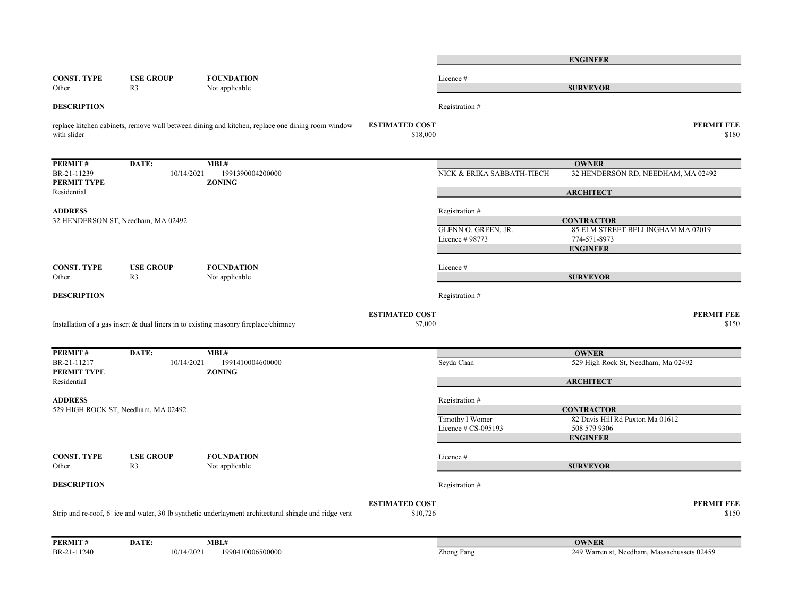|                            |                                     |                                                                                                        |                                   |                            | <b>ENGINEER</b>                             |                            |
|----------------------------|-------------------------------------|--------------------------------------------------------------------------------------------------------|-----------------------------------|----------------------------|---------------------------------------------|----------------------------|
| <b>CONST. TYPE</b>         | <b>USE GROUP</b>                    | <b>FOUNDATION</b>                                                                                      |                                   | Licence #                  |                                             |                            |
| Other                      | R <sub>3</sub>                      | Not applicable                                                                                         |                                   |                            | <b>SURVEYOR</b>                             |                            |
| <b>DESCRIPTION</b>         |                                     |                                                                                                        |                                   | Registration #             |                                             |                            |
| with slider                |                                     | replace kitchen cabinets, remove wall between dining and kitchen, replace one dining room window       | <b>ESTIMATED COST</b><br>\$18,000 |                            |                                             | <b>PERMIT FEE</b><br>\$180 |
|                            |                                     |                                                                                                        |                                   |                            |                                             |                            |
| PERMIT#                    | DATE:                               | MBL#                                                                                                   |                                   |                            | <b>OWNER</b>                                |                            |
| BR-21-11239<br>PERMIT TYPE | 10/14/2021                          | 1991390004200000<br><b>ZONING</b>                                                                      |                                   | NICK & ERIKA SABBATH-TIECH | 32 HENDERSON RD, NEEDHAM, MA 02492          |                            |
| Residential                |                                     |                                                                                                        |                                   |                            | <b>ARCHITECT</b>                            |                            |
| <b>ADDRESS</b>             |                                     |                                                                                                        |                                   | Registration #             |                                             |                            |
|                            | 32 HENDERSON ST, Needham, MA 02492  |                                                                                                        |                                   |                            | <b>CONTRACTOR</b>                           |                            |
|                            |                                     |                                                                                                        |                                   | GLENN O. GREEN, JR.        | 85 ELM STREET BELLINGHAM MA 02019           |                            |
|                            |                                     |                                                                                                        |                                   | Licence # 98773            | 774-571-8973                                |                            |
|                            |                                     |                                                                                                        |                                   |                            | <b>ENGINEER</b>                             |                            |
| <b>CONST. TYPE</b>         | <b>USE GROUP</b>                    | <b>FOUNDATION</b>                                                                                      |                                   | Licence #                  |                                             |                            |
| Other                      | R <sub>3</sub>                      | Not applicable                                                                                         |                                   |                            | <b>SURVEYOR</b>                             |                            |
| <b>DESCRIPTION</b>         |                                     |                                                                                                        |                                   | Registration #             |                                             |                            |
|                            |                                     |                                                                                                        | <b>ESTIMATED COST</b>             |                            |                                             | <b>PERMIT FEE</b>          |
|                            |                                     | Installation of a gas insert & dual liners in to existing masonry fireplace/chimney                    | \$7,000                           |                            |                                             | \$150                      |
| PERMIT#                    | DATE:                               | MBL#                                                                                                   |                                   |                            | <b>OWNER</b>                                |                            |
| BR-21-11217                | 10/14/2021                          | 1991410004600000                                                                                       |                                   | Seyda Chan                 | 529 High Rock St, Needham, Ma 02492         |                            |
| PERMIT TYPE                |                                     | <b>ZONING</b>                                                                                          |                                   |                            |                                             |                            |
| Residential                |                                     |                                                                                                        |                                   |                            | <b>ARCHITECT</b>                            |                            |
| <b>ADDRESS</b>             |                                     |                                                                                                        |                                   | Registration #             |                                             |                            |
|                            | 529 HIGH ROCK ST, Needham, MA 02492 |                                                                                                        |                                   |                            | <b>CONTRACTOR</b>                           |                            |
|                            |                                     |                                                                                                        |                                   | Timothy I Womer            | 82 Davis Hill Rd Paxton Ma 01612            |                            |
|                            |                                     |                                                                                                        |                                   | Licence # CS-095193        | 508 579 9306                                |                            |
|                            |                                     |                                                                                                        |                                   |                            | <b>ENGINEER</b>                             |                            |
| <b>CONST. TYPE</b>         | <b>USE GROUP</b>                    | <b>FOUNDATION</b>                                                                                      |                                   | Licence #                  |                                             |                            |
| Other                      | R <sub>3</sub>                      | Not applicable                                                                                         |                                   |                            | <b>SURVEYOR</b>                             |                            |
| <b>DESCRIPTION</b>         |                                     |                                                                                                        |                                   | Registration #             |                                             |                            |
|                            |                                     |                                                                                                        | <b>ESTIMATED COST</b>             |                            |                                             | <b>PERMIT FEE</b>          |
|                            |                                     | Strip and re-roof, 6" ice and water, 30 lb synthetic underlayment architectural shingle and ridge vent | \$10,726                          |                            |                                             | \$150                      |
| PERMIT#                    | DATE:                               | MBL#                                                                                                   |                                   |                            | <b>OWNER</b>                                |                            |
| BR-21-11240                | 10/14/2021                          | 1990410006500000                                                                                       |                                   | <b>Zhong Fang</b>          | 249 Warren st, Needham, Massachussets 02459 |                            |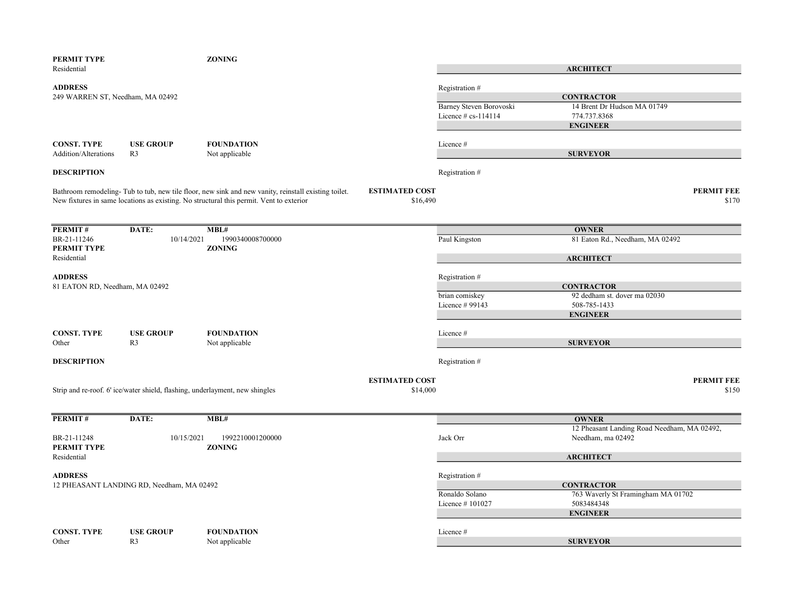| PERMIT TYPE<br>Residential                         |                                                                              | <b>ZONING</b>                                                                                                                                                                                   |                                   |                                                | <b>ARCHITECT</b>                                                 |
|----------------------------------------------------|------------------------------------------------------------------------------|-------------------------------------------------------------------------------------------------------------------------------------------------------------------------------------------------|-----------------------------------|------------------------------------------------|------------------------------------------------------------------|
| <b>ADDRESS</b><br>249 WARREN ST, Needham, MA 02492 |                                                                              |                                                                                                                                                                                                 |                                   | Registration #                                 | <b>CONTRACTOR</b>                                                |
|                                                    |                                                                              |                                                                                                                                                                                                 |                                   | Barney Steven Borovoski<br>Licence # cs-114114 | 14 Brent Dr Hudson MA 01749<br>774.737.8368                      |
|                                                    |                                                                              |                                                                                                                                                                                                 |                                   |                                                | <b>ENGINEER</b>                                                  |
| <b>CONST. TYPE</b><br>Addition/Alterations         | <b>USE GROUP</b><br>R <sub>3</sub>                                           | <b>FOUNDATION</b><br>Not applicable                                                                                                                                                             |                                   | Licence#                                       | <b>SURVEYOR</b>                                                  |
| <b>DESCRIPTION</b>                                 |                                                                              |                                                                                                                                                                                                 |                                   | Registration #                                 |                                                                  |
|                                                    |                                                                              | Bathroom remodeling- Tub to tub, new tile floor, new sink and new vanity, reinstall existing toilet.<br>New fixtures in same locations as existing. No structural this permit. Vent to exterior | <b>ESTIMATED COST</b><br>\$16,490 |                                                | <b>PERMIT FEE</b><br>\$170                                       |
| PERMIT#                                            | DATE:                                                                        | MBL#                                                                                                                                                                                            |                                   |                                                | <b>OWNER</b>                                                     |
| BR-21-11246<br>PERMIT TYPE                         | 10/14/2021                                                                   | 1990340008700000<br><b>ZONING</b>                                                                                                                                                               |                                   | Paul Kingston                                  | 81 Eaton Rd., Needham, MA 02492                                  |
| Residential                                        |                                                                              |                                                                                                                                                                                                 |                                   |                                                | <b>ARCHITECT</b>                                                 |
| <b>ADDRESS</b>                                     |                                                                              |                                                                                                                                                                                                 |                                   | Registration #                                 |                                                                  |
| 81 EATON RD, Needham, MA 02492                     |                                                                              |                                                                                                                                                                                                 |                                   | brian comiskey                                 | <b>CONTRACTOR</b><br>92 dedham st. dover ma 02030                |
|                                                    |                                                                              |                                                                                                                                                                                                 |                                   | Licence # 99143                                | 508-785-1433                                                     |
|                                                    |                                                                              |                                                                                                                                                                                                 |                                   |                                                | <b>ENGINEER</b>                                                  |
| <b>CONST. TYPE</b>                                 | <b>USE GROUP</b><br>R <sub>3</sub>                                           | <b>FOUNDATION</b>                                                                                                                                                                               |                                   | Licence#                                       |                                                                  |
| Other                                              |                                                                              | Not applicable                                                                                                                                                                                  |                                   |                                                | <b>SURVEYOR</b>                                                  |
| <b>DESCRIPTION</b>                                 |                                                                              |                                                                                                                                                                                                 |                                   | Registration #                                 |                                                                  |
|                                                    | Strip and re-roof. 6' ice/water shield, flashing, underlayment, new shingles |                                                                                                                                                                                                 | <b>ESTIMATED COST</b><br>\$14,000 |                                                | <b>PERMIT FEE</b><br>\$150                                       |
|                                                    |                                                                              |                                                                                                                                                                                                 |                                   |                                                |                                                                  |
| PERMIT#                                            | DATE:                                                                        | MBL#                                                                                                                                                                                            |                                   |                                                | <b>OWNER</b>                                                     |
| BR-21-11248<br>PERMIT TYPE                         | 10/15/2021                                                                   | 1992210001200000<br><b>ZONING</b>                                                                                                                                                               |                                   | Jack Orr                                       | 12 Pheasant Landing Road Needham, MA 02492,<br>Needham, ma 02492 |
| Residential                                        |                                                                              |                                                                                                                                                                                                 |                                   |                                                | <b>ARCHITECT</b>                                                 |
| <b>ADDRESS</b>                                     | 12 PHEASANT LANDING RD, Needham, MA 02492                                    |                                                                                                                                                                                                 |                                   | Registration #                                 | <b>CONTRACTOR</b>                                                |
|                                                    |                                                                              |                                                                                                                                                                                                 |                                   | Ronaldo Solano                                 | 763 Waverly St Framingham MA 01702                               |
|                                                    |                                                                              |                                                                                                                                                                                                 |                                   | Licence #101027                                | 5083484348<br><b>ENGINEER</b>                                    |
| <b>CONST. TYPE</b>                                 | <b>USE GROUP</b>                                                             | <b>FOUNDATION</b>                                                                                                                                                                               |                                   | Licence#                                       |                                                                  |
| Other                                              | R <sub>3</sub>                                                               | Not applicable                                                                                                                                                                                  |                                   |                                                | <b>SURVEYOR</b>                                                  |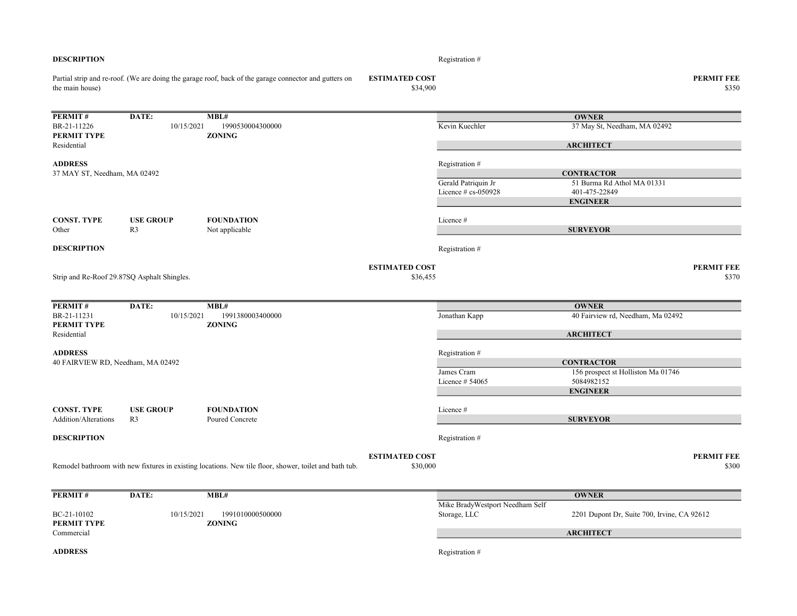| <b>DESCRIPTION</b>                |                                             |                                                                                                        |                                   | Registration #                  |                                                  |                            |
|-----------------------------------|---------------------------------------------|--------------------------------------------------------------------------------------------------------|-----------------------------------|---------------------------------|--------------------------------------------------|----------------------------|
| the main house)                   |                                             | Partial strip and re-roof. (We are doing the garage roof, back of the garage connector and gutters on  | <b>ESTIMATED COST</b><br>\$34,900 |                                 |                                                  | <b>PERMIT FEE</b><br>\$350 |
| <b>PERMIT#</b>                    | DATE:                                       | MBL#                                                                                                   |                                   |                                 | <b>OWNER</b>                                     |                            |
| BR-21-11226                       | 10/15/2021                                  | 1990530004300000                                                                                       |                                   | Kevin Kuechler                  | 37 May St, Needham, MA 02492                     |                            |
| PERMIT TYPE                       |                                             | <b>ZONING</b>                                                                                          |                                   |                                 |                                                  |                            |
| Residential                       |                                             |                                                                                                        |                                   |                                 | <b>ARCHITECT</b>                                 |                            |
| <b>ADDRESS</b>                    |                                             |                                                                                                        |                                   | Registration #                  |                                                  |                            |
| 37 MAY ST, Needham, MA 02492      |                                             |                                                                                                        |                                   |                                 | <b>CONTRACTOR</b>                                |                            |
|                                   |                                             |                                                                                                        |                                   | Gerald Patriquin Jr             | 51 Burma Rd Athol MA 01331                       |                            |
|                                   |                                             |                                                                                                        |                                   | Licence # cs-050928             | 401-475-22849<br><b>ENGINEER</b>                 |                            |
|                                   |                                             |                                                                                                        |                                   |                                 |                                                  |                            |
| <b>CONST. TYPE</b>                | <b>USE GROUP</b>                            | <b>FOUNDATION</b>                                                                                      |                                   | Licence #                       |                                                  |                            |
| Other                             | R <sub>3</sub>                              | Not applicable                                                                                         |                                   |                                 | <b>SURVEYOR</b>                                  |                            |
| <b>DESCRIPTION</b>                |                                             |                                                                                                        |                                   | Registration #                  |                                                  |                            |
|                                   |                                             |                                                                                                        | <b>ESTIMATED COST</b>             |                                 |                                                  | <b>PERMIT FEE</b>          |
|                                   | Strip and Re-Roof 29.87SQ Asphalt Shingles. |                                                                                                        | \$36,455                          |                                 |                                                  | \$370                      |
| PERMIT#                           | DATE:                                       | MBL#                                                                                                   |                                   |                                 | <b>OWNER</b>                                     |                            |
| BR-21-11231                       | 10/15/2021                                  | 1991380003400000                                                                                       |                                   | Jonathan Kapp                   | 40 Fairview rd, Needham, Ma 02492                |                            |
| PERMIT TYPE<br>Residential        |                                             | <b>ZONING</b>                                                                                          |                                   |                                 | <b>ARCHITECT</b>                                 |                            |
|                                   |                                             |                                                                                                        |                                   |                                 |                                                  |                            |
| <b>ADDRESS</b>                    |                                             |                                                                                                        |                                   | Registration #                  |                                                  |                            |
| 40 FAIRVIEW RD, Needham, MA 02492 |                                             |                                                                                                        |                                   |                                 | <b>CONTRACTOR</b>                                |                            |
|                                   |                                             |                                                                                                        |                                   | James Cram<br>Licence $#54065$  | 156 prospect st Holliston Ma 01746<br>5084982152 |                            |
|                                   |                                             |                                                                                                        |                                   |                                 | <b>ENGINEER</b>                                  |                            |
|                                   |                                             |                                                                                                        |                                   |                                 |                                                  |                            |
| <b>CONST. TYPE</b>                | <b>USE GROUP</b>                            | <b>FOUNDATION</b>                                                                                      |                                   | Licence #                       |                                                  |                            |
| Addition/Alterations              | R <sub>3</sub>                              | Poured Concrete                                                                                        |                                   |                                 | <b>SURVEYOR</b>                                  |                            |
| <b>DESCRIPTION</b>                |                                             |                                                                                                        |                                   | Registration #                  |                                                  |                            |
|                                   |                                             |                                                                                                        | <b>ESTIMATED COST</b>             |                                 |                                                  | <b>PERMIT FEE</b>          |
|                                   |                                             | Remodel bathroom with new fixtures in existing locations. New tile floor, shower, toilet and bath tub. | \$30,000                          |                                 |                                                  | \$300                      |
| PERMIT#                           | DATE:                                       | MBL#                                                                                                   |                                   |                                 | <b>OWNER</b>                                     |                            |
|                                   |                                             |                                                                                                        |                                   | Mike BradyWestport Needham Self |                                                  |                            |
| BC-21-10102<br>PERMIT TYPE        | 10/15/2021                                  | 1991010000500000<br><b>ZONING</b>                                                                      |                                   | Storage, LLC                    | 2201 Dupont Dr, Suite 700, Irvine, CA 92612      |                            |
| Commercial                        |                                             |                                                                                                        |                                   |                                 | <b>ARCHITECT</b>                                 |                            |
| <b>ADDRESS</b>                    |                                             |                                                                                                        |                                   | Registration #                  |                                                  |                            |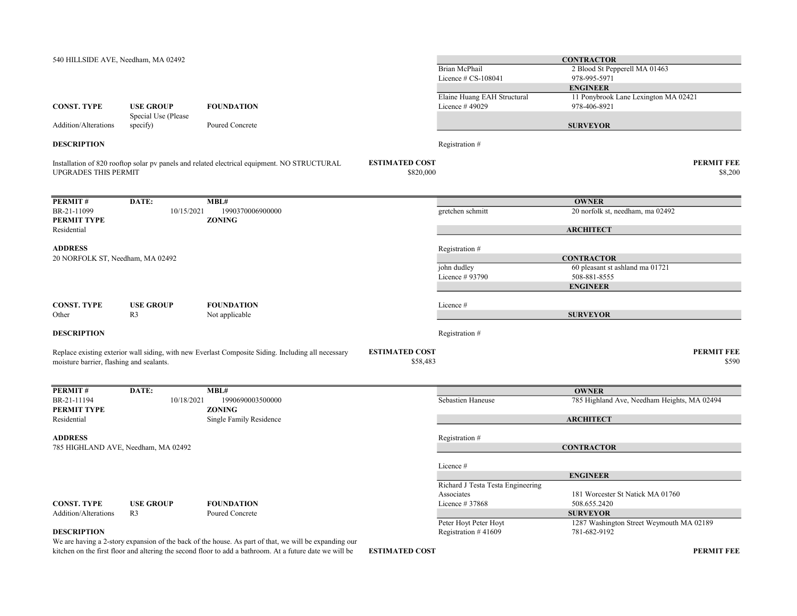| <b>CONTRACTOR</b>                                        |
|----------------------------------------------------------|
| 2 Blood St Pepperell MA 01463                            |
| 978-995-5971                                             |
| <b>ENGINEER</b>                                          |
| 11 Ponybrook Lane Lexington MA 02421                     |
| 978-406-8921                                             |
|                                                          |
| <b>SURVEYOR</b>                                          |
|                                                          |
| <b>PERMIT FEE</b>                                        |
| \$8,200                                                  |
|                                                          |
| <b>OWNER</b>                                             |
| 20 norfolk st, needham, ma 02492                         |
|                                                          |
| <b>ARCHITECT</b>                                         |
|                                                          |
| <b>CONTRACTOR</b>                                        |
| 60 pleasant st ashland ma 01721                          |
| 508-881-8555                                             |
| <b>ENGINEER</b>                                          |
|                                                          |
|                                                          |
| <b>SURVEYOR</b>                                          |
|                                                          |
| <b>PERMIT FEE</b>                                        |
| \$590                                                    |
|                                                          |
| <b>OWNER</b>                                             |
| 785 Highland Ave, Needham Heights, MA 02494              |
|                                                          |
| <b>ARCHITECT</b>                                         |
|                                                          |
| <b>CONTRACTOR</b>                                        |
|                                                          |
|                                                          |
| <b>ENGINEER</b>                                          |
| Richard J Testa Testa Engineering                        |
| 181 Worcester St Natick MA 01760                         |
|                                                          |
| 508.655.2420                                             |
| <b>SURVEYOR</b>                                          |
| 1287 Washington Street Weymouth MA 02189<br>781-682-9192 |
|                                                          |

kitchen on the first floor and altering the second floor to add a bathroom. At a future date we will be ESTIMATED COST PERMIT FEE We are having a 2-story expansion of the back of the house. As part of that, we will be expanding our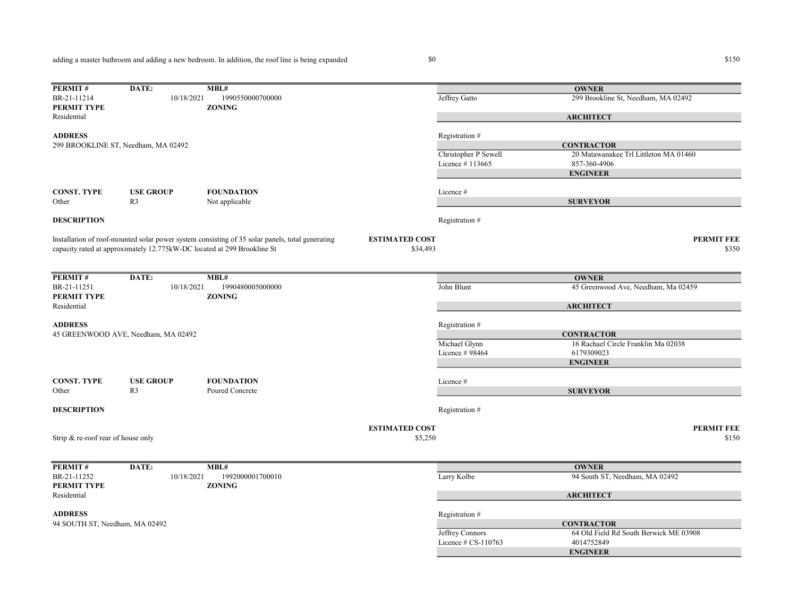adding a master bathroom and adding a new bedroom. In addition, the roof line is being expanded

| PERMIT#                            | DATE:                               | MBL#                                                                                            |                       |                        | <b>OWNER</b>                           |
|------------------------------------|-------------------------------------|-------------------------------------------------------------------------------------------------|-----------------------|------------------------|----------------------------------------|
| BR-21-11214<br>PERMIT TYPE         | 10/18/2021                          | 1990550000700000<br><b>ZONING</b>                                                               |                       | Jeffrey Gatto          | 299 Brookline St, Needham, MA 02492    |
| Residential                        |                                     |                                                                                                 |                       |                        | <b>ARCHITECT</b>                       |
| <b>ADDRESS</b>                     |                                     |                                                                                                 |                       | Registration #         |                                        |
|                                    | 299 BROOKLINE ST, Needham, MA 02492 |                                                                                                 |                       |                        | <b>CONTRACTOR</b>                      |
|                                    |                                     |                                                                                                 |                       | Christopher P Sewell   | 20 Matawanakee Trl Littleton MA 01460  |
|                                    |                                     |                                                                                                 |                       | Licence #113665        | 857-360-4906                           |
|                                    |                                     |                                                                                                 |                       |                        | <b>ENGINEER</b>                        |
| <b>CONST. TYPE</b>                 | <b>USE GROUP</b>                    | <b>FOUNDATION</b>                                                                               |                       | Licence #              |                                        |
| Other                              | R <sub>3</sub>                      | Not applicable                                                                                  |                       |                        | <b>SURVEYOR</b>                        |
| <b>DESCRIPTION</b>                 |                                     |                                                                                                 |                       | Registration #         |                                        |
|                                    |                                     | Installation of roof-mounted solar power system consisting of 35 solar panels, total generating | <b>ESTIMATED COST</b> |                        | <b>PERMIT FEE</b>                      |
|                                    |                                     | capacity rated at approximately 12.775kW-DC located at 299 Brookline St                         | \$34,493              |                        | \$350                                  |
|                                    |                                     |                                                                                                 |                       |                        |                                        |
| PERMIT#                            | DATE:                               | MBL#                                                                                            |                       |                        | <b>OWNER</b>                           |
| BR-21-11251<br>PERMIT TYPE         | 10/18/2021                          | 1990480005000000<br><b>ZONING</b>                                                               |                       | John Blunt             | 45 Greenwood Ave, Needham, Ma 02459    |
| Residential                        |                                     |                                                                                                 |                       |                        | <b>ARCHITECT</b>                       |
| <b>ADDRESS</b>                     |                                     |                                                                                                 |                       | Registration #         |                                        |
|                                    | 45 GREENWOOD AVE, Needham, MA 02492 |                                                                                                 |                       |                        | <b>CONTRACTOR</b>                      |
|                                    |                                     |                                                                                                 |                       | Michael Glynn          | 16 Rachael Circle Franklin Ma 02038    |
|                                    |                                     |                                                                                                 |                       | Licence #98464         | 6179309023                             |
|                                    |                                     |                                                                                                 |                       |                        | <b>ENGINEER</b>                        |
|                                    |                                     |                                                                                                 |                       |                        |                                        |
| <b>CONST. TYPE</b>                 | <b>USE GROUP</b>                    | <b>FOUNDATION</b>                                                                               |                       | Licence#               |                                        |
| Other                              | R <sub>3</sub>                      | Poured Concrete                                                                                 |                       |                        | <b>SURVEYOR</b>                        |
| <b>DESCRIPTION</b>                 |                                     |                                                                                                 |                       | Registration #         |                                        |
|                                    |                                     |                                                                                                 | <b>ESTIMATED COST</b> |                        | <b>PERMIT FEE</b>                      |
| Strip & re-roof rear of house only |                                     |                                                                                                 | \$5,250               |                        | \$150                                  |
|                                    |                                     |                                                                                                 |                       |                        |                                        |
| PERMIT#                            | DATE:                               | MBL#                                                                                            |                       |                        | <b>OWNER</b>                           |
| BR-21-11252<br><b>PERMIT TYPE</b>  | 10/18/2021                          | 1992000001700010<br><b>ZONING</b>                                                               |                       | Larry Kolbe            | 94 South ST, Needham, MA 02492         |
| Residential                        |                                     |                                                                                                 |                       |                        | <b>ARCHITECT</b>                       |
| <b>ADDRESS</b>                     |                                     |                                                                                                 |                       | Registration #         |                                        |
| 94 SOUTH ST, Needham, MA 02492     |                                     |                                                                                                 |                       |                        | <b>CONTRACTOR</b>                      |
|                                    |                                     |                                                                                                 |                       | Jeffrey Connors        | 64 Old Field Rd South Berwick ME 03908 |
|                                    |                                     |                                                                                                 |                       | Licence $\#$ CS-110763 | 4014752849                             |
|                                    |                                     |                                                                                                 |                       |                        |                                        |
|                                    |                                     |                                                                                                 |                       |                        | <b>ENGINEER</b>                        |

 $$150$   $$150$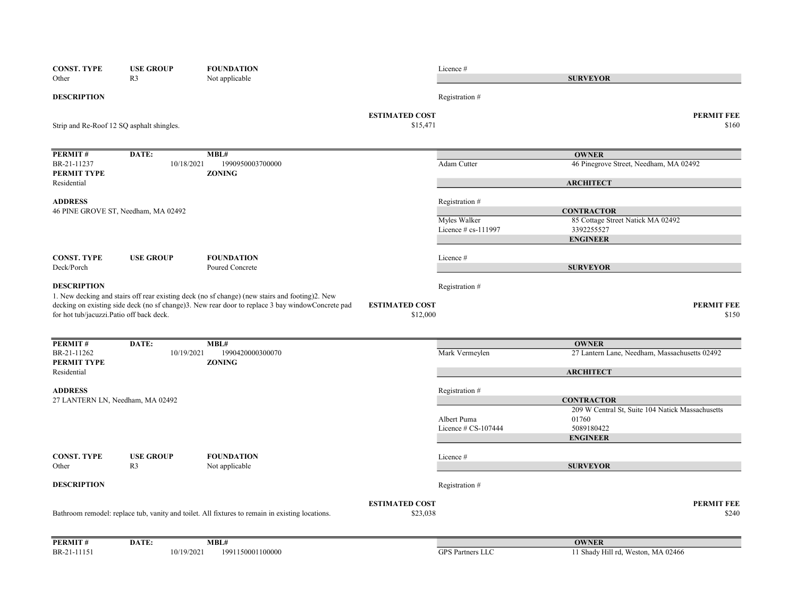| <b>CONST. TYPE</b>                       | <b>USE GROUP</b>                          | <b>FOUNDATION</b>                                                                                 |                                   | Licence#                            |                                                           |       |
|------------------------------------------|-------------------------------------------|---------------------------------------------------------------------------------------------------|-----------------------------------|-------------------------------------|-----------------------------------------------------------|-------|
| Other                                    | R <sub>3</sub>                            | Not applicable                                                                                    |                                   |                                     | <b>SURVEYOR</b>                                           |       |
| <b>DESCRIPTION</b>                       |                                           |                                                                                                   |                                   | Registration #                      |                                                           |       |
|                                          | Strip and Re-Roof 12 SQ asphalt shingles. |                                                                                                   | <b>ESTIMATED COST</b><br>\$15,471 |                                     | <b>PERMIT FEE</b>                                         | \$160 |
| PERMIT#                                  | DATE:                                     | MBL#                                                                                              |                                   |                                     | <b>OWNER</b>                                              |       |
| BR-21-11237<br>PERMIT TYPE               | 10/18/2021                                | 1990950003700000<br><b>ZONING</b>                                                                 |                                   | Adam Cutter                         | 46 Pinegrove Street, Needham, MA 02492                    |       |
| Residential                              |                                           |                                                                                                   |                                   |                                     | <b>ARCHITECT</b>                                          |       |
| <b>ADDRESS</b>                           | 46 PINE GROVE ST, Needham, MA 02492       |                                                                                                   |                                   | Registration #                      | <b>CONTRACTOR</b>                                         |       |
|                                          |                                           |                                                                                                   |                                   | Myles Walker<br>Licence # cs-111997 | 85 Cottage Street Natick MA 02492<br>3392255527           |       |
|                                          |                                           |                                                                                                   |                                   |                                     | <b>ENGINEER</b>                                           |       |
| <b>CONST. TYPE</b>                       | <b>USE GROUP</b>                          | <b>FOUNDATION</b>                                                                                 |                                   | Licence#                            |                                                           |       |
| Deck/Porch                               |                                           | Poured Concrete                                                                                   |                                   |                                     | <b>SURVEYOR</b>                                           |       |
| <b>DESCRIPTION</b>                       |                                           | 1. New decking and stairs off rear existing deck (no sf change) (new stairs and footing)2. New    |                                   | Registration #                      |                                                           |       |
| for hot tub/jacuzzi.Patio off back deck. |                                           | decking on existing side deck (no sf change)3. New rear door to replace 3 bay window Concrete pad | <b>ESTIMATED COST</b><br>\$12,000 |                                     | <b>PERMIT FEE</b>                                         | \$150 |
| PERMIT#                                  | DATE:                                     | MBL#                                                                                              |                                   |                                     | <b>OWNER</b>                                              |       |
| BR-21-11262<br>PERMIT TYPE               | 10/19/2021                                | 1990420000300070<br><b>ZONING</b>                                                                 |                                   | Mark Vermeylen                      | 27 Lantern Lane, Needham, Massachusetts 02492             |       |
| Residential                              |                                           |                                                                                                   |                                   |                                     | <b>ARCHITECT</b>                                          |       |
| <b>ADDRESS</b>                           |                                           |                                                                                                   |                                   | Registration #                      |                                                           |       |
|                                          | 27 LANTERN LN, Needham, MA 02492          |                                                                                                   |                                   |                                     | <b>CONTRACTOR</b>                                         |       |
|                                          |                                           |                                                                                                   |                                   | Albert Puma                         | 209 W Central St, Suite 104 Natick Massachusetts<br>01760 |       |
|                                          |                                           |                                                                                                   |                                   | Licence $\#$ CS-107444              | 5089180422                                                |       |
|                                          |                                           |                                                                                                   |                                   |                                     | <b>ENGINEER</b>                                           |       |
| <b>CONST. TYPE</b>                       | <b>USE GROUP</b>                          | <b>FOUNDATION</b>                                                                                 |                                   | Licence#                            |                                                           |       |
| Other                                    | R <sub>3</sub>                            | Not applicable                                                                                    |                                   |                                     | <b>SURVEYOR</b>                                           |       |
| <b>DESCRIPTION</b>                       |                                           |                                                                                                   |                                   | Registration #                      |                                                           |       |
|                                          |                                           |                                                                                                   | <b>ESTIMATED COST</b>             |                                     | <b>PERMIT FEE</b>                                         |       |
|                                          |                                           | Bathroom remodel: replace tub, vanity and toilet. All fixtures to remain in existing locations.   | \$23,038                          |                                     |                                                           | \$240 |
| PERMIT#                                  | DATE:                                     | MBL#                                                                                              |                                   |                                     | <b>OWNER</b>                                              |       |
| BR-21-11151                              | 10/19/2021                                | 1991150001100000                                                                                  |                                   | GPS Partners LLC                    | 11 Shady Hill rd, Weston, MA 02466                        |       |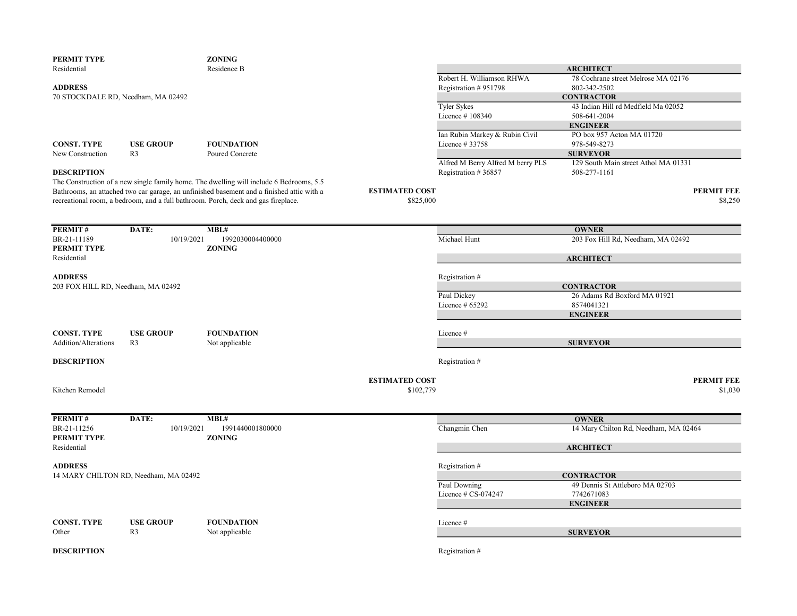| PERMIT TYPE                        |                                       | <b>ZONING</b>                                                                             |                       |                                   |                                       |                   |
|------------------------------------|---------------------------------------|-------------------------------------------------------------------------------------------|-----------------------|-----------------------------------|---------------------------------------|-------------------|
| Residential                        |                                       | Residence B                                                                               |                       |                                   | <b>ARCHITECT</b>                      |                   |
|                                    |                                       |                                                                                           |                       | Robert H. Williamson RHWA         | 78 Cochrane street Melrose MA 02176   |                   |
| <b>ADDRESS</b>                     |                                       |                                                                                           |                       | Registration #951798              | 802-342-2502                          |                   |
| 70 STOCKDALE RD, Needham, MA 02492 |                                       |                                                                                           |                       |                                   | <b>CONTRACTOR</b>                     |                   |
|                                    |                                       |                                                                                           |                       | <b>Tyler Sykes</b>                | 43 Indian Hill rd Medfield Ma 02052   |                   |
|                                    |                                       |                                                                                           |                       | Licence #108340                   | 508-641-2004                          |                   |
|                                    |                                       |                                                                                           |                       |                                   | <b>ENGINEER</b>                       |                   |
|                                    |                                       |                                                                                           |                       | Ian Rubin Markey & Rubin Civil    | PO box 957 Acton MA 01720             |                   |
| <b>CONST. TYPE</b>                 | <b>USE GROUP</b>                      | <b>FOUNDATION</b>                                                                         |                       | Licence #33758                    | 978-549-8273                          |                   |
| New Construction                   | R <sub>3</sub>                        | Poured Concrete                                                                           |                       |                                   | <b>SURVEYOR</b>                       |                   |
|                                    |                                       |                                                                                           |                       | Alfred M Berry Alfred M berry PLS | 129 South Main street Athol MA 01331  |                   |
| <b>DESCRIPTION</b>                 |                                       |                                                                                           |                       | Registration #36857               | 508-277-1161                          |                   |
|                                    |                                       | The Construction of a new single family home. The dwelling will include 6 Bedrooms, 5.5   |                       |                                   |                                       |                   |
|                                    |                                       | Bathrooms, an attached two car garage, an unfinished basement and a finished attic with a | <b>ESTIMATED COST</b> |                                   |                                       | <b>PERMIT FEE</b> |
|                                    |                                       | recreational room, a bedroom, and a full bathroom. Porch, deck and gas fireplace.         | \$825,000             |                                   |                                       | \$8,250           |
|                                    |                                       |                                                                                           |                       |                                   |                                       |                   |
|                                    |                                       |                                                                                           |                       |                                   |                                       |                   |
|                                    |                                       |                                                                                           |                       |                                   |                                       |                   |
| <b>PERMIT#</b>                     | DATE:                                 | MBL#                                                                                      |                       |                                   | <b>OWNER</b>                          |                   |
| BR-21-11189                        | 10/19/2021                            | 1992030004400000                                                                          |                       | Michael Hunt                      | 203 Fox Hill Rd, Needham, MA 02492    |                   |
| PERMIT TYPE                        |                                       | <b>ZONING</b>                                                                             |                       |                                   |                                       |                   |
| Residential                        |                                       |                                                                                           |                       |                                   | <b>ARCHITECT</b>                      |                   |
|                                    |                                       |                                                                                           |                       |                                   |                                       |                   |
| <b>ADDRESS</b>                     |                                       |                                                                                           |                       | Registration#                     |                                       |                   |
| 203 FOX HILL RD, Needham, MA 02492 |                                       |                                                                                           |                       |                                   | <b>CONTRACTOR</b>                     |                   |
|                                    |                                       |                                                                                           |                       | Paul Dickey                       | 26 Adams Rd Boxford MA 01921          |                   |
|                                    |                                       |                                                                                           |                       | Licence $#65292$                  | 8574041321                            |                   |
|                                    |                                       |                                                                                           |                       |                                   | <b>ENGINEER</b>                       |                   |
|                                    |                                       |                                                                                           |                       |                                   |                                       |                   |
| <b>CONST. TYPE</b>                 | <b>USE GROUP</b>                      | <b>FOUNDATION</b>                                                                         |                       | Licence #                         |                                       |                   |
| Addition/Alterations               | R3                                    | Not applicable                                                                            |                       |                                   | <b>SURVEYOR</b>                       |                   |
|                                    |                                       |                                                                                           |                       |                                   |                                       |                   |
| <b>DESCRIPTION</b>                 |                                       |                                                                                           |                       | Registration #                    |                                       |                   |
|                                    |                                       |                                                                                           |                       |                                   |                                       |                   |
|                                    |                                       |                                                                                           | <b>ESTIMATED COST</b> |                                   |                                       | <b>PERMIT FEE</b> |
| Kitchen Remodel                    |                                       |                                                                                           | \$102,779             |                                   |                                       | \$1,030           |
|                                    |                                       |                                                                                           |                       |                                   |                                       |                   |
|                                    |                                       |                                                                                           |                       |                                   |                                       |                   |
|                                    |                                       |                                                                                           |                       |                                   |                                       |                   |
| PERMIT#                            | DATE:                                 | MBL#                                                                                      |                       |                                   | <b>OWNER</b>                          |                   |
| BR-21-11256                        | 10/19/2021                            | 1991440001800000                                                                          |                       | Changmin Chen                     | 14 Mary Chilton Rd, Needham, MA 02464 |                   |
| PERMIT TYPE                        |                                       | <b>ZONING</b>                                                                             |                       |                                   |                                       |                   |
| Residential                        |                                       |                                                                                           |                       |                                   | <b>ARCHITECT</b>                      |                   |
|                                    |                                       |                                                                                           |                       |                                   |                                       |                   |
| <b>ADDRESS</b>                     |                                       |                                                                                           |                       | Registration #                    |                                       |                   |
|                                    | 14 MARY CHILTON RD, Needham, MA 02492 |                                                                                           |                       |                                   | <b>CONTRACTOR</b>                     |                   |
|                                    |                                       |                                                                                           |                       | Paul Downing                      | 49 Dennis St Attleboro MA 02703       |                   |
|                                    |                                       |                                                                                           |                       | Licence # CS-074247               | 7742671083                            |                   |
|                                    |                                       |                                                                                           |                       |                                   | <b>ENGINEER</b>                       |                   |
|                                    |                                       |                                                                                           |                       |                                   |                                       |                   |
| CONST. TYPE                        | <b>USE GROUP</b>                      | <b>FOUNDATION</b>                                                                         |                       | Licence #                         |                                       |                   |
| Other                              | R <sub>3</sub>                        | Not applicable                                                                            |                       |                                   | <b>SURVEYOR</b>                       |                   |
|                                    |                                       |                                                                                           |                       |                                   |                                       |                   |
| <b>DESCRIPTION</b>                 |                                       |                                                                                           |                       | Registration#                     |                                       |                   |
|                                    |                                       |                                                                                           |                       |                                   |                                       |                   |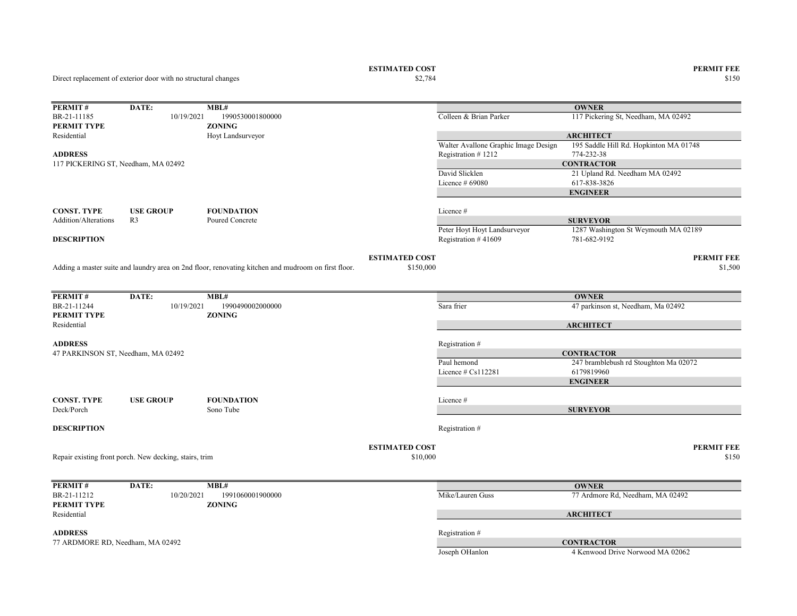ESTIMATED COST PERMIT FEE<br>  $$2,784$  8150

Direct replacement of exterior door with no structural changes

| PERMIT#                             | DATE:                                                  | MBL#                                                                                                |                       |                                      | <b>OWNER</b>                           |
|-------------------------------------|--------------------------------------------------------|-----------------------------------------------------------------------------------------------------|-----------------------|--------------------------------------|----------------------------------------|
| BR-21-11185                         | 10/19/2021                                             | 1990530001800000                                                                                    |                       | Colleen & Brian Parker               | 117 Pickering St, Needham, MA 02492    |
| PERMIT TYPE                         |                                                        | <b>ZONING</b>                                                                                       |                       |                                      |                                        |
| Residential                         |                                                        | Hoyt Landsurveyor                                                                                   |                       |                                      | <b>ARCHITECT</b>                       |
| <b>ADDRESS</b>                      |                                                        |                                                                                                     |                       | Walter Avallone Graphic Image Design | 195 Saddle Hill Rd. Hopkinton MA 01748 |
|                                     |                                                        |                                                                                                     |                       | Registration #1212                   | 774-232-38<br><b>CONTRACTOR</b>        |
| 117 PICKERING ST, Needham, MA 02492 |                                                        |                                                                                                     |                       | David Slicklen                       | 21 Upland Rd. Needham MA 02492         |
|                                     |                                                        |                                                                                                     |                       | Licence # 69080                      | 617-838-3826                           |
|                                     |                                                        |                                                                                                     |                       |                                      | <b>ENGINEER</b>                        |
|                                     |                                                        |                                                                                                     |                       |                                      |                                        |
| <b>CONST. TYPE</b>                  | <b>USE GROUP</b>                                       | <b>FOUNDATION</b>                                                                                   |                       | Licence #                            |                                        |
| Addition/Alterations                | R <sub>3</sub>                                         | Poured Concrete                                                                                     |                       |                                      | <b>SURVEYOR</b>                        |
|                                     |                                                        |                                                                                                     |                       | Peter Hoyt Hoyt Landsurveyor         | 1287 Washington St Weymouth MA 02189   |
| <b>DESCRIPTION</b>                  |                                                        |                                                                                                     |                       | Registration #41609                  | 781-682-9192                           |
|                                     |                                                        |                                                                                                     |                       |                                      |                                        |
|                                     |                                                        |                                                                                                     | <b>ESTIMATED COST</b> |                                      | <b>PERMIT FEE</b>                      |
|                                     |                                                        | Adding a master suite and laundry area on 2nd floor, renovating kitchen and mudroom on first floor. | \$150,000             |                                      | \$1,500                                |
|                                     |                                                        |                                                                                                     |                       |                                      |                                        |
| PERMIT#                             | DATE:                                                  | MBL#                                                                                                |                       |                                      | <b>OWNER</b>                           |
| BR-21-11244                         | 10/19/2021                                             | 1990490002000000                                                                                    |                       | Sara frier                           | 47 parkinson st, Needham, Ma 02492     |
| PERMIT TYPE                         |                                                        | <b>ZONING</b>                                                                                       |                       |                                      |                                        |
| Residential                         |                                                        |                                                                                                     |                       |                                      | <b>ARCHITECT</b>                       |
|                                     |                                                        |                                                                                                     |                       |                                      |                                        |
| <b>ADDRESS</b>                      |                                                        |                                                                                                     |                       | Registration #                       |                                        |
| 47 PARKINSON ST, Needham, MA 02492  |                                                        |                                                                                                     |                       |                                      | <b>CONTRACTOR</b>                      |
|                                     |                                                        |                                                                                                     |                       | Paul hemond                          | 247 bramblebush rd Stoughton Ma 02072  |
|                                     |                                                        |                                                                                                     |                       | Licence $#Cs112281$                  | 6179819960                             |
|                                     |                                                        |                                                                                                     |                       |                                      | <b>ENGINEER</b>                        |
| <b>CONST. TYPE</b>                  | <b>USE GROUP</b>                                       | <b>FOUNDATION</b>                                                                                   |                       | Licence #                            |                                        |
| Deck/Porch                          |                                                        | Sono Tube                                                                                           |                       |                                      | <b>SURVEYOR</b>                        |
|                                     |                                                        |                                                                                                     |                       |                                      |                                        |
| <b>DESCRIPTION</b>                  |                                                        |                                                                                                     |                       | Registration #                       |                                        |
|                                     |                                                        |                                                                                                     |                       |                                      |                                        |
|                                     |                                                        |                                                                                                     | <b>ESTIMATED COST</b> |                                      | <b>PERMIT FEE</b>                      |
|                                     | Repair existing front porch. New decking, stairs, trim |                                                                                                     | \$10,000              |                                      | \$150                                  |
|                                     |                                                        |                                                                                                     |                       |                                      |                                        |
|                                     |                                                        |                                                                                                     |                       |                                      |                                        |
| PERMIT#                             | DATE:                                                  | MBL#                                                                                                |                       |                                      | <b>OWNER</b>                           |
| BR-21-11212                         | 10/20/2021                                             | 1991060001900000                                                                                    |                       | Mike/Lauren Guss                     | 77 Ardmore Rd, Needham, MA 02492       |
| PERMIT TYPE                         |                                                        | <b>ZONING</b>                                                                                       |                       |                                      |                                        |
| Residential                         |                                                        |                                                                                                     |                       |                                      | <b>ARCHITECT</b>                       |
| <b>ADDRESS</b>                      |                                                        |                                                                                                     |                       | Registration #                       |                                        |
| 77 ARDMORE RD, Needham, MA 02492    |                                                        |                                                                                                     |                       |                                      | <b>CONTRACTOR</b>                      |
|                                     |                                                        |                                                                                                     |                       | Joseph OHanlon                       | 4 Kenwood Drive Norwood MA 02062       |

 $\$2,784$   $\$150$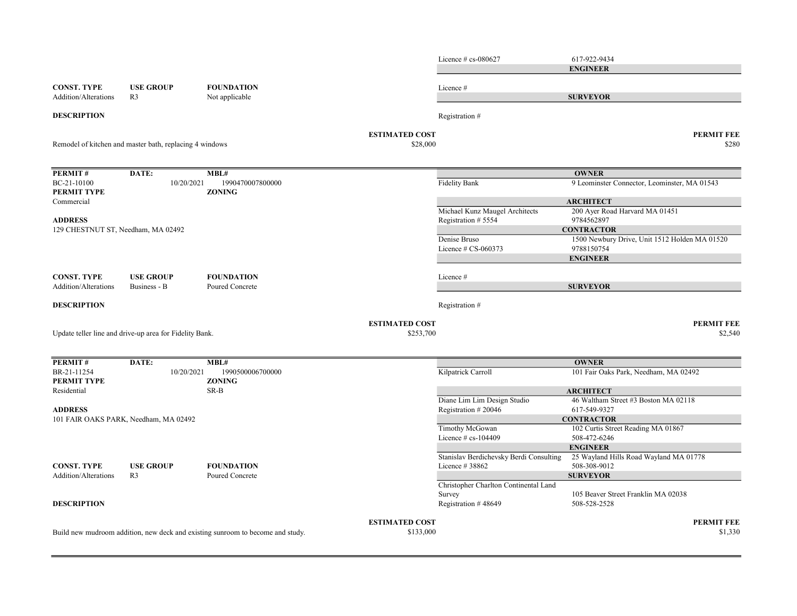Licence # cs-080627 617-922-9434 CONST. TYPE USE GROUP FOUNDATION Licence # Addition/Alterations R3 Not applicable **DESCRIPTION** Registration  $#$ ESTIMATED COST PERMIT FEE  $$28,000$   $$280$ PERMIT # DATE: MBL# BC-21-10100 10/20/2021 1990470007800000 100000 Fidelity Bank 9 Leominster Connector, Leominster, MA 01543 PERMIT TYPE ZONING Commercial Michael Kunz Maugel Architects 200 Ayer Road Harvard MA 01451<br>Registration # 5554 9784562897 ADDRESS Registration # 5554 Denise Bruso 1500 Newbury Drive, Unit 1512 Holden MA 01520 Licence # CS-060373 9788150754 CONST. TYPE USE GROUP FOUNDATION Licence # Addition/Alterations Business - B Poured Concrete **DESCRIPTION** Registration  $#$ ESTIMATED COST PERMIT FEE  $$2,540$   $$2,540$ PERMIT # DATE: MBL# BR-21-11254 10/20/2021 1990500006700000 Kilpatrick Carroll Kilpatrick Carroll 101 Fair Oaks Park, Needham, MA 02492 PERMIT TYPE ZONING Residential SR-B Diane Lim Lim Design Studio 46 Waltham Street #3 Boston MA 02118 ADDRESS Registration # 20046 617-549-9327 Timothy McGowan 102 Curtis Street Reading MA 01867 Licence # cs-104409 508-472-6246 Stanislav Berdichevsky Berdi Consulting 25 Wayland Hills Road Wayland MA 01778 CONST. TYPE USE GROUP FOUNDATION Licence # 38862 508-308-9012 Addition/Alterations R3 Poured Concrete Christopher Charlton Continental Land Survey 105 Beaver Street Franklin MA 02038 **DESCRIPTION** Registration # 48649 508-528-2528 **ESTIMATED COST PERMIT FEE**  $$1,330$   $$1,330$ ENGINEER **SURVEYOR** Build new mudroom addition, new deck and existing sunroom to become and study. Update teller line and drive-up area for Fidelity Bank. **OWNER ARCHITECT CONTRACTOR** ENGINEER SURVEYOR 101 FAIR OAKS PARK, Needham, MA 02492 Remodel of kitchen and master bath, replacing 4 windows **OWNER ARCHITECT CONTRACTOR** ENGINEER SURVEYOR 129 CHESTNUT ST, Needham, MA 02492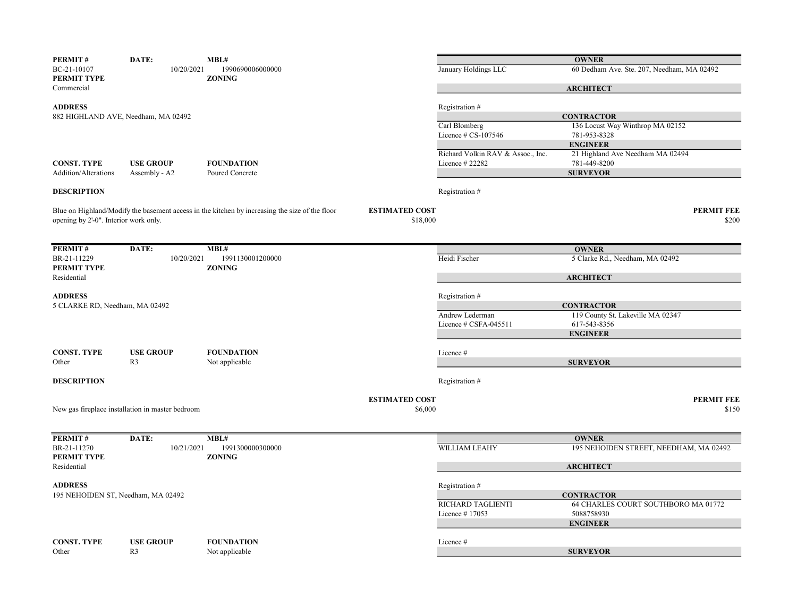| PERMIT#                               | DATE:                                            | MBL#                                                                                           |                       |                                   | <b>OWNER</b>                               |       |
|---------------------------------------|--------------------------------------------------|------------------------------------------------------------------------------------------------|-----------------------|-----------------------------------|--------------------------------------------|-------|
| BC-21-10107                           | 10/20/2021                                       | 1990690006000000                                                                               |                       | January Holdings LLC              | 60 Dedham Ave. Ste. 207, Needham, MA 02492 |       |
| PERMIT TYPE                           |                                                  | <b>ZONING</b>                                                                                  |                       |                                   |                                            |       |
| Commercial                            |                                                  |                                                                                                |                       |                                   | <b>ARCHITECT</b>                           |       |
| <b>ADDRESS</b>                        |                                                  |                                                                                                |                       | Registration #                    |                                            |       |
|                                       | 882 HIGHLAND AVE, Needham, MA 02492              |                                                                                                |                       |                                   | <b>CONTRACTOR</b>                          |       |
|                                       |                                                  |                                                                                                |                       | Carl Blomberg                     | 136 Locust Way Winthrop MA 02152           |       |
|                                       |                                                  |                                                                                                |                       | Licence # CS-107546               | 781-953-8328                               |       |
|                                       |                                                  |                                                                                                |                       |                                   | <b>ENGINEER</b>                            |       |
|                                       |                                                  |                                                                                                |                       | Richard Volkin RAV & Assoc., Inc. | 21 Highland Ave Needham MA 02494           |       |
| <b>CONST. TYPE</b>                    | <b>USE GROUP</b>                                 | <b>FOUNDATION</b>                                                                              |                       | Licence # 22282                   | 781-449-8200                               |       |
| Addition/Alterations                  | Assembly - A2                                    | Poured Concrete                                                                                |                       |                                   | <b>SURVEYOR</b>                            |       |
| <b>DESCRIPTION</b>                    |                                                  |                                                                                                |                       | Registration #                    |                                            |       |
|                                       |                                                  | Blue on Highland/Modify the basement access in the kitchen by increasing the size of the floor | <b>ESTIMATED COST</b> |                                   | <b>PERMIT FEE</b>                          |       |
| opening by 2'-0". Interior work only. |                                                  |                                                                                                | \$18,000              |                                   |                                            | \$200 |
|                                       |                                                  |                                                                                                |                       |                                   |                                            |       |
| PERMIT#                               | DATE:                                            | MBL#                                                                                           |                       |                                   | <b>OWNER</b>                               |       |
| BR-21-11229                           | 10/20/2021                                       | 1991130001200000                                                                               |                       | Heidi Fischer                     | 5 Clarke Rd., Needham, MA 02492            |       |
| PERMIT TYPE                           |                                                  | <b>ZONING</b>                                                                                  |                       |                                   |                                            |       |
| Residential                           |                                                  |                                                                                                |                       |                                   | <b>ARCHITECT</b>                           |       |
|                                       |                                                  |                                                                                                |                       |                                   |                                            |       |
| <b>ADDRESS</b>                        |                                                  |                                                                                                |                       | Registration #                    |                                            |       |
| 5 CLARKE RD, Needham, MA 02492        |                                                  |                                                                                                |                       |                                   | <b>CONTRACTOR</b>                          |       |
|                                       |                                                  |                                                                                                |                       | Andrew Lederman                   | 119 County St. Lakeville MA 02347          |       |
|                                       |                                                  |                                                                                                |                       | Licence # CSFA-045511             | 617-543-8356                               |       |
|                                       |                                                  |                                                                                                |                       |                                   | <b>ENGINEER</b>                            |       |
| <b>CONST. TYPE</b>                    | <b>USE GROUP</b>                                 | <b>FOUNDATION</b>                                                                              |                       | Licence #                         |                                            |       |
| Other                                 | R <sub>3</sub>                                   | Not applicable                                                                                 |                       |                                   | <b>SURVEYOR</b>                            |       |
|                                       |                                                  |                                                                                                |                       |                                   |                                            |       |
| <b>DESCRIPTION</b>                    |                                                  |                                                                                                |                       | Registration #                    |                                            |       |
|                                       |                                                  |                                                                                                | <b>ESTIMATED COST</b> |                                   | <b>PERMIT FEE</b>                          |       |
|                                       | New gas fireplace installation in master bedroom |                                                                                                | \$6,000               |                                   |                                            | \$150 |
|                                       |                                                  |                                                                                                |                       |                                   |                                            |       |
| PERMIT#                               | DATE:                                            | MBL#                                                                                           |                       |                                   | <b>OWNER</b>                               |       |
| BR-21-11270                           | 10/21/2021                                       | 1991300000300000                                                                               |                       | WILLIAM LEAHY                     | 195 NEHOIDEN STREET, NEEDHAM, MA 02492     |       |
| PERMIT TYPE                           |                                                  | <b>ZONING</b>                                                                                  |                       |                                   |                                            |       |
| Residential                           |                                                  |                                                                                                |                       |                                   | <b>ARCHITECT</b>                           |       |
| <b>ADDRESS</b>                        |                                                  |                                                                                                |                       | Registration #                    |                                            |       |
| 195 NEHOIDEN ST, Needham, MA 02492    |                                                  |                                                                                                |                       |                                   | <b>CONTRACTOR</b>                          |       |
|                                       |                                                  |                                                                                                |                       | RICHARD TAGLIENTI                 | 64 CHARLES COURT SOUTHBORO MA 01772        |       |
|                                       |                                                  |                                                                                                |                       | Licence #17053                    | 5088758930                                 |       |
|                                       |                                                  |                                                                                                |                       |                                   | <b>ENGINEER</b>                            |       |
|                                       |                                                  |                                                                                                |                       |                                   |                                            |       |
| <b>CONST. TYPE</b><br>Other           | <b>USE GROUP</b><br>R <sub>3</sub>               | <b>FOUNDATION</b>                                                                              |                       | Licence #                         |                                            |       |
|                                       |                                                  | Not applicable                                                                                 |                       |                                   | <b>SURVEYOR</b>                            |       |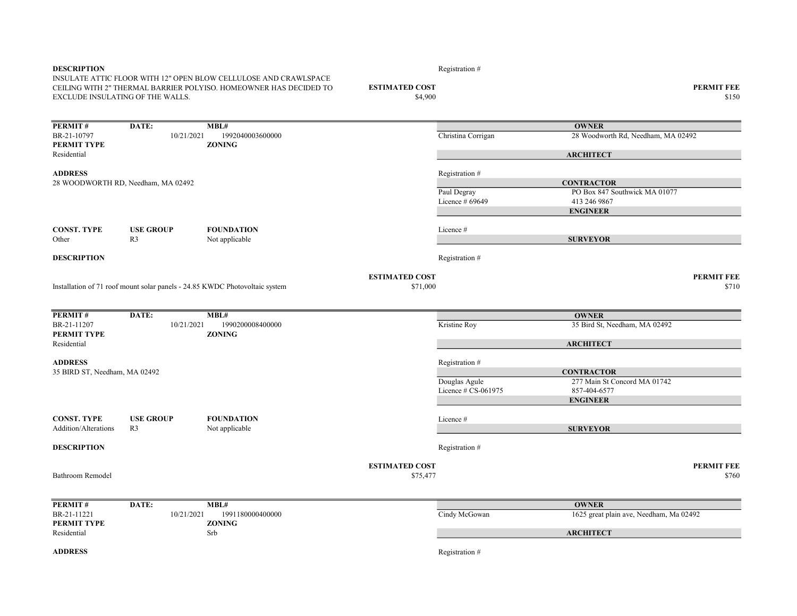| <b>DESCRIPTION</b><br>INSULATE ATTIC FLOOR WITH 12" OPEN BLOW CELLULOSE AND CRAWLSPACE<br>CEILING WITH 2" THERMAL BARRIER POLYISO. HOMEOWNER HAS DECIDED TO<br>EXCLUDE INSULATING OF THE WALLS. |                                    |                                                                             | <b>ESTIMATED COST</b><br>\$4,900  | Registration #                                         | <b>PERMIT FEE</b><br>\$150                                                            |                            |
|-------------------------------------------------------------------------------------------------------------------------------------------------------------------------------------------------|------------------------------------|-----------------------------------------------------------------------------|-----------------------------------|--------------------------------------------------------|---------------------------------------------------------------------------------------|----------------------------|
| PERMIT#<br>BR-21-10797<br>PERMIT TYPE                                                                                                                                                           | DATE:<br>10/21/2021                | MBL#<br>1992040003600000<br><b>ZONING</b>                                   |                                   | Christina Corrigan                                     | <b>OWNER</b><br>28 Woodworth Rd, Needham, MA 02492                                    |                            |
| Residential                                                                                                                                                                                     |                                    |                                                                             |                                   |                                                        | <b>ARCHITECT</b>                                                                      |                            |
| <b>ADDRESS</b>                                                                                                                                                                                  | 28 WOODWORTH RD, Needham, MA 02492 |                                                                             |                                   | Registration #<br>Paul Degray<br>Licence $#69649$      | <b>CONTRACTOR</b><br>PO Box 847 Southwick MA 01077<br>413 246 9867<br><b>ENGINEER</b> |                            |
| <b>CONST. TYPE</b><br>Other                                                                                                                                                                     | <b>USE GROUP</b><br>R3             | <b>FOUNDATION</b><br>Not applicable                                         |                                   | Licence #                                              | <b>SURVEYOR</b>                                                                       |                            |
| <b>DESCRIPTION</b>                                                                                                                                                                              |                                    |                                                                             |                                   | Registration #                                         |                                                                                       |                            |
|                                                                                                                                                                                                 |                                    | Installation of 71 roof mount solar panels - 24.85 KWDC Photovoltaic system | <b>ESTIMATED COST</b><br>\$71,000 |                                                        |                                                                                       | <b>PERMIT FEE</b><br>\$710 |
| PERMIT#                                                                                                                                                                                         | DATE:                              | MBL#                                                                        |                                   |                                                        | <b>OWNER</b>                                                                          |                            |
| BR-21-11207<br>PERMIT TYPE                                                                                                                                                                      | 10/21/2021                         | 1990200008400000<br><b>ZONING</b>                                           |                                   | Kristine Roy                                           | 35 Bird St, Needham, MA 02492                                                         |                            |
| Residential                                                                                                                                                                                     |                                    |                                                                             |                                   |                                                        | <b>ARCHITECT</b>                                                                      |                            |
| <b>ADDRESS</b><br>35 BIRD ST, Needham, MA 02492                                                                                                                                                 |                                    |                                                                             |                                   | Registration #<br>Douglas Agule<br>Licence # CS-061975 | <b>CONTRACTOR</b><br>277 Main St Concord MA 01742<br>857-404-6577                     |                            |
|                                                                                                                                                                                                 |                                    |                                                                             |                                   |                                                        | <b>ENGINEER</b>                                                                       |                            |
| <b>CONST. TYPE</b><br><b>Addition/Alterations</b>                                                                                                                                               | <b>USE GROUP</b><br>R <sub>3</sub> | <b>FOUNDATION</b><br>Not applicable                                         |                                   | Licence #                                              | <b>SURVEYOR</b>                                                                       |                            |
| <b>DESCRIPTION</b>                                                                                                                                                                              |                                    |                                                                             |                                   | Registration #                                         |                                                                                       |                            |
| Bathroom Remodel                                                                                                                                                                                |                                    |                                                                             | <b>ESTIMATED COST</b><br>\$75,477 |                                                        |                                                                                       | <b>PERMIT FEE</b><br>\$760 |
| PERMIT#                                                                                                                                                                                         | DATE:                              | MBL#                                                                        |                                   |                                                        | <b>OWNER</b>                                                                          |                            |
| BR-21-11221<br>PERMIT TYPE                                                                                                                                                                      | 10/21/2021                         | 1991180000400000<br><b>ZONING</b>                                           |                                   | Cindy McGowan                                          | 1625 great plain ave, Needham, Ma 02492                                               |                            |
| Residential                                                                                                                                                                                     |                                    | Srb                                                                         |                                   |                                                        | <b>ARCHITECT</b>                                                                      |                            |
| <b>ADDRESS</b>                                                                                                                                                                                  |                                    |                                                                             |                                   | Registration #                                         |                                                                                       |                            |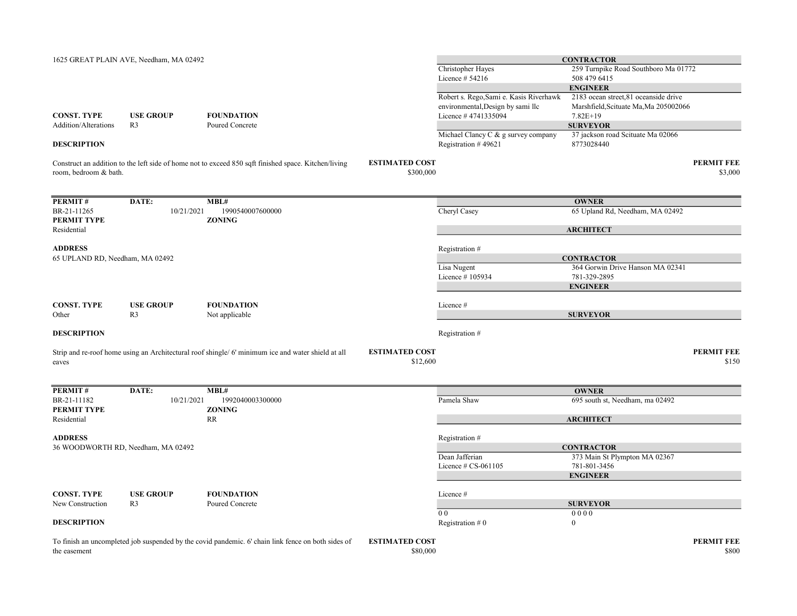|                                 | 1625 GREAT PLAIN AVE, Needham, MA 02492 |                                                                                                      |                                    |                                                            | <b>CONTRACTOR</b>                               |                              |
|---------------------------------|-----------------------------------------|------------------------------------------------------------------------------------------------------|------------------------------------|------------------------------------------------------------|-------------------------------------------------|------------------------------|
|                                 |                                         |                                                                                                      |                                    | Christopher Hayes                                          | 259 Turnpike Road Southboro Ma 01772            |                              |
|                                 |                                         |                                                                                                      |                                    | Licence # 54216                                            | 508 479 6415                                    |                              |
|                                 |                                         |                                                                                                      |                                    |                                                            | <b>ENGINEER</b>                                 |                              |
|                                 |                                         |                                                                                                      |                                    | Robert s. Rego, Sami e. Kasis Riverhawk                    | 2183 ocean street, 81 oceanside drive           |                              |
|                                 |                                         |                                                                                                      |                                    | environmental, Design by sami llc                          | Marshfield, Scituate Ma, Ma 205002066           |                              |
| <b>CONST. TYPE</b>              | <b>USE GROUP</b>                        | <b>FOUNDATION</b>                                                                                    |                                    | Licence #4741335094                                        | $7.82E+19$                                      |                              |
| Addition/Alterations            | R <sub>3</sub>                          | Poured Concrete                                                                                      |                                    |                                                            | <b>SURVEYOR</b>                                 |                              |
| <b>DESCRIPTION</b>              |                                         |                                                                                                      |                                    | Michael Clancy C & g survey company<br>Registration #49621 | 37 jackson road Scituate Ma 02066<br>8773028440 |                              |
| room, bedroom & bath.           |                                         | Construct an addition to the left side of home not to exceed 850 sqft finished space. Kitchen/living | <b>ESTIMATED COST</b><br>\$300,000 |                                                            |                                                 | <b>PERMIT FEE</b><br>\$3,000 |
|                                 |                                         |                                                                                                      |                                    |                                                            |                                                 |                              |
| PERMIT#                         | DATE:                                   | MBL#                                                                                                 |                                    |                                                            | <b>OWNER</b>                                    |                              |
| BR-21-11265                     | 10/21/2021                              | 1990540007600000                                                                                     |                                    | Cheryl Casey                                               | 65 Upland Rd, Needham, MA 02492                 |                              |
| <b>PERMIT TYPE</b>              |                                         | <b>ZONING</b>                                                                                        |                                    |                                                            |                                                 |                              |
| Residential                     |                                         |                                                                                                      |                                    |                                                            | <b>ARCHITECT</b>                                |                              |
| <b>ADDRESS</b>                  |                                         |                                                                                                      |                                    | Registration #                                             |                                                 |                              |
| 65 UPLAND RD, Needham, MA 02492 |                                         |                                                                                                      |                                    |                                                            | <b>CONTRACTOR</b>                               |                              |
|                                 |                                         |                                                                                                      |                                    | Lisa Nugent                                                | 364 Gorwin Drive Hanson MA 02341                |                              |
|                                 |                                         |                                                                                                      |                                    | Licence #105934                                            | 781-329-2895                                    |                              |
|                                 |                                         |                                                                                                      |                                    |                                                            | <b>ENGINEER</b>                                 |                              |
|                                 |                                         |                                                                                                      |                                    |                                                            |                                                 |                              |
| <b>CONST. TYPE</b>              | <b>USE GROUP</b>                        | <b>FOUNDATION</b>                                                                                    |                                    | Licence #                                                  |                                                 |                              |
| Other                           | R <sub>3</sub>                          | Not applicable                                                                                       |                                    |                                                            | <b>SURVEYOR</b>                                 |                              |
| <b>DESCRIPTION</b>              |                                         |                                                                                                      |                                    | Registration #                                             |                                                 |                              |
|                                 |                                         | Strip and re-roof home using an Architectural roof shingle/ 6' minimum ice and water shield at all   | <b>ESTIMATED COST</b>              |                                                            |                                                 | <b>PERMIT FEE</b>            |
| eaves                           |                                         |                                                                                                      | \$12,600                           |                                                            |                                                 | \$150                        |
| PERMIT#                         | DATE:                                   | MBL#                                                                                                 |                                    |                                                            | <b>OWNER</b>                                    |                              |
| BR-21-11182                     | 10/21/2021                              | 1992040003300000                                                                                     |                                    | Pamela Shaw                                                | 695 south st, Needham, ma 02492                 |                              |
| PERMIT TYPE                     |                                         | <b>ZONING</b>                                                                                        |                                    |                                                            |                                                 |                              |
| Residential                     |                                         | RR                                                                                                   |                                    |                                                            | <b>ARCHITECT</b>                                |                              |
| <b>ADDRESS</b>                  |                                         |                                                                                                      |                                    | Registration #                                             |                                                 |                              |
|                                 | 36 WOODWORTH RD, Needham, MA 02492      |                                                                                                      |                                    |                                                            | <b>CONTRACTOR</b>                               |                              |
|                                 |                                         |                                                                                                      |                                    | Dean Jafferian                                             | 373 Main St Plympton MA 02367                   |                              |
|                                 |                                         |                                                                                                      |                                    | Licence $# CS-061105$                                      | 781-801-3456                                    |                              |
|                                 |                                         |                                                                                                      |                                    |                                                            | <b>ENGINEER</b>                                 |                              |
| <b>CONST. TYPE</b>              | <b>USE GROUP</b>                        | <b>FOUNDATION</b>                                                                                    |                                    | Licence #                                                  |                                                 |                              |
| New Construction                | R <sub>3</sub>                          | Poured Concrete                                                                                      |                                    |                                                            | <b>SURVEYOR</b>                                 |                              |
|                                 |                                         |                                                                                                      |                                    | 0 <sub>0</sub>                                             | 0000                                            |                              |
| <b>DESCRIPTION</b>              |                                         |                                                                                                      |                                    | Registration $#0$                                          | $\boldsymbol{0}$                                |                              |
|                                 |                                         | To finish an uncompleted job suspended by the covid pandemic. 6' chain link fence on both sides of   | <b>ESTIMATED COST</b>              |                                                            |                                                 | <b>PERMIT FEE</b>            |
| the easement                    |                                         |                                                                                                      | \$80,000                           |                                                            |                                                 | \$800                        |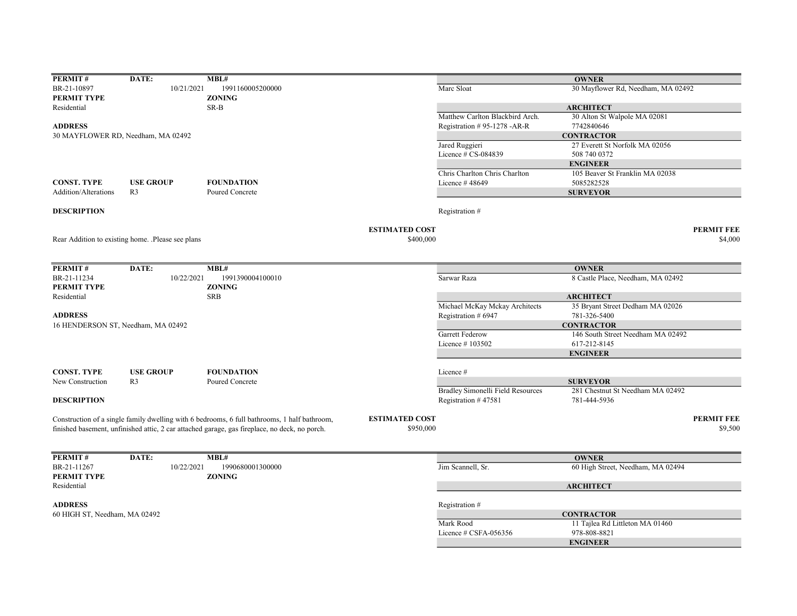| PERMIT#                       | DATE:                                             | MBL#                                                                                          |                       |                                   | <b>OWNER</b>                       |                   |
|-------------------------------|---------------------------------------------------|-----------------------------------------------------------------------------------------------|-----------------------|-----------------------------------|------------------------------------|-------------------|
| BR-21-10897                   | 10/21/2021                                        | 1991160005200000                                                                              |                       | Marc Sloat                        | 30 Mayflower Rd, Needham, MA 02492 |                   |
| PERMIT TYPE                   |                                                   | <b>ZONING</b>                                                                                 |                       |                                   |                                    |                   |
| Residential                   |                                                   | SR-B                                                                                          |                       |                                   | <b>ARCHITECT</b>                   |                   |
|                               |                                                   |                                                                                               |                       | Matthew Carlton Blackbird Arch.   | 30 Alton St Walpole MA 02081       |                   |
| <b>ADDRESS</b>                |                                                   |                                                                                               |                       | Registration #95-1278 -AR-R       | 7742840646                         |                   |
|                               | 30 MAYFLOWER RD, Needham, MA 02492                |                                                                                               |                       |                                   | <b>CONTRACTOR</b>                  |                   |
|                               |                                                   |                                                                                               |                       | Jared Ruggieri                    | 27 Everett St Norfolk MA 02056     |                   |
|                               |                                                   |                                                                                               |                       | Licence # CS-084839               | 508 740 0372                       |                   |
|                               |                                                   |                                                                                               |                       |                                   | <b>ENGINEER</b>                    |                   |
|                               |                                                   |                                                                                               |                       | Chris Charlton Chris Charlton     | 105 Beaver St Franklin MA 02038    |                   |
| <b>CONST. TYPE</b>            | <b>USE GROUP</b>                                  | <b>FOUNDATION</b>                                                                             |                       | Licence #48649                    | 5085282528                         |                   |
| <b>Addition/Alterations</b>   | R <sub>3</sub>                                    | Poured Concrete                                                                               |                       |                                   | <b>SURVEYOR</b>                    |                   |
|                               |                                                   |                                                                                               |                       |                                   |                                    |                   |
| <b>DESCRIPTION</b>            |                                                   |                                                                                               |                       | Registration #                    |                                    |                   |
|                               |                                                   |                                                                                               | <b>ESTIMATED COST</b> |                                   |                                    | <b>PERMIT FEE</b> |
|                               | Rear Addition to existing home. .Please see plans |                                                                                               | \$400,000             |                                   |                                    | \$4,000           |
|                               |                                                   |                                                                                               |                       |                                   |                                    |                   |
| PERMIT#                       | DATE:                                             | MBL#                                                                                          |                       |                                   | <b>OWNER</b>                       |                   |
| BR-21-11234                   | 10/22/2021                                        | 1991390004100010                                                                              |                       | Sarwar Raza                       | 8 Castle Place, Needham, MA 02492  |                   |
| PERMIT TYPE                   |                                                   | <b>ZONING</b>                                                                                 |                       |                                   |                                    |                   |
| Residential                   |                                                   | <b>SRB</b>                                                                                    |                       |                                   | <b>ARCHITECT</b>                   |                   |
|                               |                                                   |                                                                                               |                       | Michael McKay Mckay Architects    | 35 Bryant Street Dedham MA 02026   |                   |
| <b>ADDRESS</b>                |                                                   |                                                                                               |                       | Registration # 6947               | 781-326-5400                       |                   |
|                               | 16 HENDERSON ST, Needham, MA 02492                |                                                                                               |                       |                                   | <b>CONTRACTOR</b>                  |                   |
|                               |                                                   |                                                                                               |                       | <b>Garrett Federow</b>            | 146 South Street Needham MA 02492  |                   |
|                               |                                                   |                                                                                               |                       | Licence #103502                   | 617-212-8145                       |                   |
|                               |                                                   |                                                                                               |                       |                                   | <b>ENGINEER</b>                    |                   |
| <b>CONST. TYPE</b>            | <b>USE GROUP</b>                                  | <b>FOUNDATION</b>                                                                             |                       | Licence #                         |                                    |                   |
| New Construction              | R <sub>3</sub>                                    | Poured Concrete                                                                               |                       |                                   | <b>SURVEYOR</b>                    |                   |
|                               |                                                   |                                                                                               |                       | Bradley Simonelli Field Resources | 281 Chestnut St Needham MA 02492   |                   |
| <b>DESCRIPTION</b>            |                                                   |                                                                                               |                       | Registration #47581               | 781-444-5936                       |                   |
|                               |                                                   | Construction of a single family dwelling with 6 bedrooms, 6 full bathrooms, 1 half bathroom,  | <b>ESTIMATED COST</b> |                                   |                                    | <b>PERMIT FEE</b> |
|                               |                                                   | finished basement, unfinished attic, 2 car attached garage, gas fireplace, no deck, no porch. | \$950,000             |                                   |                                    | \$9,500           |
|                               |                                                   |                                                                                               |                       |                                   |                                    |                   |
| PERMIT#                       | DATE:                                             | MBL#                                                                                          |                       |                                   | <b>OWNER</b>                       |                   |
| BR-21-11267                   | 10/22/2021                                        | 1990680001300000                                                                              |                       | Jim Scannell, Sr.                 | 60 High Street, Needham, MA 02494  |                   |
| <b>PERMIT TYPE</b>            |                                                   | <b>ZONING</b>                                                                                 |                       |                                   |                                    |                   |
| Residential                   |                                                   |                                                                                               |                       |                                   | <b>ARCHITECT</b>                   |                   |
|                               |                                                   |                                                                                               |                       |                                   |                                    |                   |
| <b>ADDRESS</b>                |                                                   |                                                                                               |                       | Registration #                    |                                    |                   |
| 60 HIGH ST, Needham, MA 02492 |                                                   |                                                                                               |                       |                                   | <b>CONTRACTOR</b>                  |                   |
|                               |                                                   |                                                                                               |                       | Mark Rood                         | 11 Tajlea Rd Littleton MA 01460    |                   |
|                               |                                                   |                                                                                               |                       | Licence # CSFA-056356             | 978-808-8821                       |                   |
|                               |                                                   |                                                                                               |                       |                                   | <b>ENGINEER</b>                    |                   |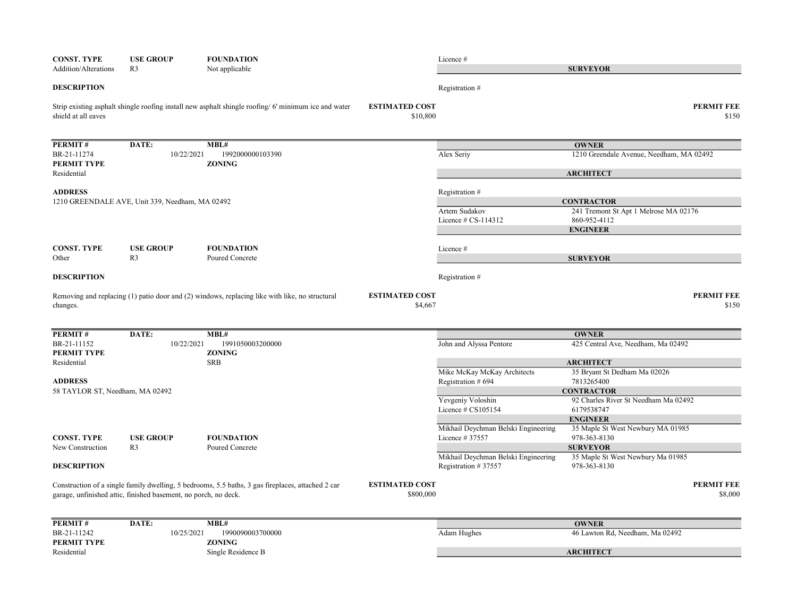| <b>CONST. TYPE</b>                                              | <b>USE GROUP</b>                   | <b>FOUNDATION</b>                                                                                   |                                    | Licence #                                         |                                                            |
|-----------------------------------------------------------------|------------------------------------|-----------------------------------------------------------------------------------------------------|------------------------------------|---------------------------------------------------|------------------------------------------------------------|
| Addition/Alterations                                            | R <sub>3</sub>                     | Not applicable                                                                                      |                                    |                                                   | <b>SURVEYOR</b>                                            |
| <b>DESCRIPTION</b>                                              |                                    |                                                                                                     |                                    | Registration #                                    |                                                            |
| shield at all eaves                                             |                                    | Strip existing asphalt shingle roofing install new asphalt shingle roofing/6' minimum ice and water | <b>ESTIMATED COST</b><br>\$10,800  |                                                   | <b>PERMIT FEE</b><br>\$150                                 |
| PERMIT#                                                         | DATE:                              | MBL#                                                                                                |                                    |                                                   | <b>OWNER</b>                                               |
| BR-21-11274<br>PERMIT TYPE                                      | 10/22/2021                         | 1992000000103390<br><b>ZONING</b>                                                                   |                                    | Alex Seriy                                        | 1210 Greendale Avenue, Needham, MA 02492                   |
| Residential                                                     |                                    |                                                                                                     |                                    |                                                   | <b>ARCHITECT</b>                                           |
| <b>ADDRESS</b>                                                  |                                    |                                                                                                     |                                    | Registration #                                    |                                                            |
| 1210 GREENDALE AVE, Unit 339, Needham, MA 02492                 |                                    |                                                                                                     |                                    | Artem Sudakov                                     | <b>CONTRACTOR</b><br>241 Tremont St Apt 1 Melrose MA 02176 |
|                                                                 |                                    |                                                                                                     |                                    | Licence $\#$ CS-114312                            | 860-952-4112                                               |
|                                                                 |                                    |                                                                                                     |                                    |                                                   | <b>ENGINEER</b>                                            |
| <b>CONST. TYPE</b>                                              | <b>USE GROUP</b>                   | <b>FOUNDATION</b>                                                                                   |                                    | Licence #                                         |                                                            |
| Other                                                           | R <sub>3</sub>                     | Poured Concrete                                                                                     |                                    |                                                   | <b>SURVEYOR</b>                                            |
| <b>DESCRIPTION</b>                                              |                                    |                                                                                                     |                                    | Registration #                                    |                                                            |
| changes.                                                        |                                    | Removing and replacing (1) patio door and (2) windows, replacing like with like, no structural      | <b>ESTIMATED COST</b><br>\$4,667   |                                                   | <b>PERMIT FEE</b><br>\$150                                 |
|                                                                 |                                    |                                                                                                     |                                    |                                                   |                                                            |
| PERMIT#                                                         | DATE:                              | MBL#                                                                                                |                                    |                                                   | <b>OWNER</b>                                               |
| BR-21-11152<br>PERMIT TYPE                                      | 10/22/2021                         | 1991050003200000<br><b>ZONING</b>                                                                   |                                    | John and Alyssa Pentore                           | 425 Central Ave, Needham, Ma 02492                         |
| Residential                                                     |                                    | <b>SRB</b>                                                                                          |                                    |                                                   | <b>ARCHITECT</b>                                           |
| <b>ADDRESS</b>                                                  |                                    |                                                                                                     |                                    | Mike McKay McKay Architects<br>Registration # 694 | 35 Bryant St Dedham Ma 02026<br>7813265400                 |
| 58 TAYLOR ST, Needham, MA 02492                                 |                                    |                                                                                                     |                                    |                                                   | <b>CONTRACTOR</b>                                          |
|                                                                 |                                    |                                                                                                     |                                    | Yevgeniy Voloshin<br>Licence $# \text{CS}105154$  | 92 Charles River St Needham Ma 02492<br>6179538747         |
|                                                                 |                                    |                                                                                                     |                                    |                                                   | <b>ENGINEER</b>                                            |
|                                                                 |                                    |                                                                                                     |                                    | Mikhail Deychman Belski Engineering               | 35 Maple St West Newbury MA 01985<br>978-363-8130          |
| <b>CONST. TYPE</b><br>New Construction                          | <b>USE GROUP</b><br>R <sub>3</sub> | <b>FOUNDATION</b><br>Poured Concrete                                                                |                                    | Licence # 37557                                   | <b>SURVEYOR</b>                                            |
|                                                                 |                                    |                                                                                                     |                                    | Mikhail Deychman Belski Engineering               | 35 Maple St West Newbury Ma 01985                          |
| <b>DESCRIPTION</b>                                              |                                    |                                                                                                     |                                    | Registration #37557                               | 978-363-8130                                               |
| garage, unfinished attic, finished basement, no porch, no deck. |                                    | Construction of a single family dwelling, 5 bedrooms, 5.5 baths, 3 gas fireplaces, attached 2 car   | <b>ESTIMATED COST</b><br>\$800,000 |                                                   | <b>PERMIT FEE</b><br>\$8,000                               |
|                                                                 |                                    |                                                                                                     |                                    |                                                   |                                                            |
| PERMIT#<br>BR-21-11242                                          | DATE:<br>10/25/2021                | MBL#<br>1990090003700000                                                                            |                                    | Adam Hughes                                       | <b>OWNER</b><br>46 Lawton Rd, Needham, Ma 02492            |
| PERMIT TYPE                                                     |                                    | <b>ZONING</b>                                                                                       |                                    |                                                   |                                                            |
| Residential                                                     |                                    | Single Residence B                                                                                  |                                    |                                                   | <b>ARCHITECT</b>                                           |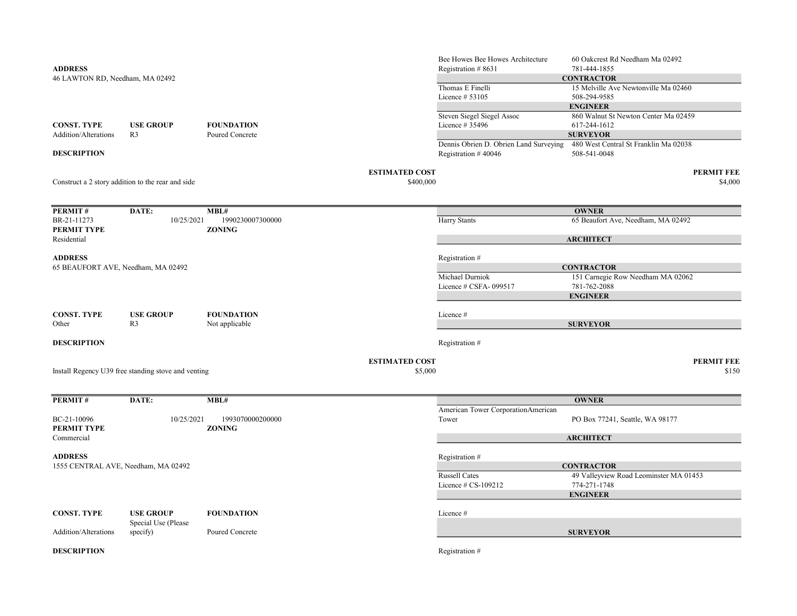| <b>ADDRESS</b><br>46 LAWTON RD, Needham, MA 02492    |                                                     |                                      |                                    | Bee Howes Bee Howes Architecture<br>Registration #8631        | 60 Oakcrest Rd Needham Ma 02492<br>781-444-1855<br><b>CONTRACTOR</b>                       |
|------------------------------------------------------|-----------------------------------------------------|--------------------------------------|------------------------------------|---------------------------------------------------------------|--------------------------------------------------------------------------------------------|
|                                                      |                                                     |                                      |                                    | Thomas E Finelli<br>Licence # 53105                           | 15 Melville Ave Newtonville Ma 02460<br>508-294-9585                                       |
| <b>CONST. TYPE</b><br>Addition/Alterations           | <b>USE GROUP</b><br>R <sub>3</sub>                  | <b>FOUNDATION</b><br>Poured Concrete |                                    | <b>Steven Siegel Siegel Assoc</b><br>Licence # 35496          | <b>ENGINEER</b><br>860 Walnut St Newton Center Ma 02459<br>617-244-1612<br><b>SURVEYOR</b> |
| <b>DESCRIPTION</b>                                   |                                                     |                                      |                                    | Dennis Obrien D. Obrien Land Surveying<br>Registration #40046 | 480 West Central St Franklin Ma 02038<br>508-541-0048                                      |
|                                                      | Construct a 2 story addition to the rear and side   |                                      | <b>ESTIMATED COST</b><br>\$400,000 |                                                               | <b>PERMIT FEE</b><br>\$4,000                                                               |
|                                                      |                                                     |                                      |                                    |                                                               |                                                                                            |
| PERMIT#                                              | DATE:                                               | MBL#                                 |                                    |                                                               | <b>OWNER</b>                                                                               |
| BR-21-11273<br>PERMIT TYPE                           | 10/25/2021                                          | 1990230007300000<br><b>ZONING</b>    |                                    | <b>Harry Stants</b>                                           | 65 Beaufort Ave, Needham, MA 02492                                                         |
| Residential                                          |                                                     |                                      |                                    |                                                               | <b>ARCHITECT</b>                                                                           |
| <b>ADDRESS</b><br>65 BEAUFORT AVE, Needham, MA 02492 |                                                     |                                      |                                    | Registration #                                                | <b>CONTRACTOR</b>                                                                          |
|                                                      |                                                     |                                      |                                    | Michael Durniok<br>Licence # CSFA-099517                      | 151 Carnegie Row Needham MA 02062<br>781-762-2088                                          |
|                                                      |                                                     |                                      |                                    |                                                               | <b>ENGINEER</b>                                                                            |
| <b>CONST. TYPE</b><br>Other                          | <b>USE GROUP</b><br>R3                              | <b>FOUNDATION</b><br>Not applicable  |                                    | Licence #                                                     | <b>SURVEYOR</b>                                                                            |
|                                                      |                                                     |                                      |                                    |                                                               |                                                                                            |
| <b>DESCRIPTION</b>                                   |                                                     |                                      |                                    | Registration #                                                |                                                                                            |
|                                                      | Install Regency U39 free standing stove and venting |                                      | <b>ESTIMATED COST</b><br>\$5,000   |                                                               | <b>PERMIT FEE</b><br>\$150                                                                 |
|                                                      |                                                     |                                      |                                    |                                                               |                                                                                            |
| PERMIT#                                              | DATE:                                               | MBL#                                 |                                    | American Tower CorporationAmerican                            | <b>OWNER</b>                                                                               |
| BC-21-10096<br>PERMIT TYPE                           | 10/25/2021                                          | 1993070000200000<br><b>ZONING</b>    |                                    | Tower                                                         | PO Box 77241, Seattle, WA 98177                                                            |
| Commercial                                           |                                                     |                                      |                                    |                                                               | <b>ARCHITECT</b>                                                                           |
| <b>ADDRESS</b>                                       |                                                     |                                      |                                    | Registration #                                                |                                                                                            |
| 1555 CENTRAL AVE, Needham, MA 02492                  |                                                     |                                      |                                    | <b>Russell Cates</b>                                          | <b>CONTRACTOR</b><br>49 Valleyview Road Leominster MA 01453                                |
|                                                      |                                                     |                                      |                                    | Licence $# CS-109212$                                         | 774-271-1748                                                                               |
|                                                      |                                                     |                                      |                                    |                                                               | <b>ENGINEER</b>                                                                            |
| <b>CONST. TYPE</b>                                   | <b>USE GROUP</b>                                    | <b>FOUNDATION</b>                    |                                    | Licence #                                                     |                                                                                            |
| Addition/Alterations                                 | Special Use (Please<br>specify)                     | Poured Concrete                      |                                    |                                                               | <b>SURVEYOR</b>                                                                            |
| <b>DESCRIPTION</b>                                   |                                                     |                                      |                                    | Registration #                                                |                                                                                            |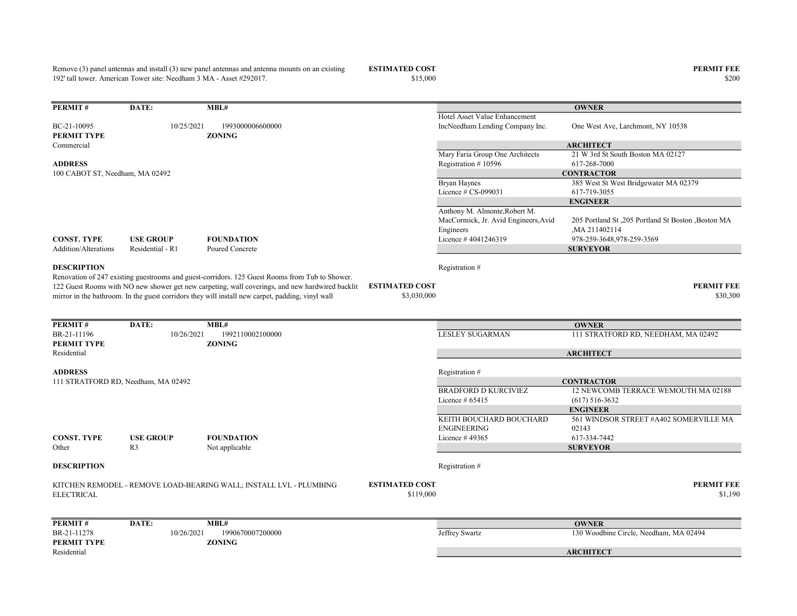Remove (3) panel antennas and install (3) new panel antennas and antenna mounts on an existing 192' tall tower. American Tower site: Needham 3 MA - Asset #292017.

ESTIMATED COST PERMIT FEE<br>  $$15,000$  \$200 \$200

| PERMIT#                         | DATE:                               | MBL#                                                                                                                                                                                              |                       |                                      | <b>OWNER</b>                                       |
|---------------------------------|-------------------------------------|---------------------------------------------------------------------------------------------------------------------------------------------------------------------------------------------------|-----------------------|--------------------------------------|----------------------------------------------------|
|                                 |                                     |                                                                                                                                                                                                   |                       | Hotel Asset Value Enhancement        |                                                    |
| BC-21-10095                     | 10/25/2021                          | 1993000006600000                                                                                                                                                                                  |                       | IncNeedham Lending Company Inc.      | One West Ave, Larchmont, NY 10538                  |
| PERMIT TYPE                     |                                     | <b>ZONING</b>                                                                                                                                                                                     |                       |                                      |                                                    |
| Commercial                      |                                     |                                                                                                                                                                                                   |                       |                                      | <b>ARCHITECT</b>                                   |
|                                 |                                     |                                                                                                                                                                                                   |                       | Mary Faria Group One Architects      | 21 W 3rd St South Boston MA 02127                  |
| <b>ADDRESS</b>                  |                                     |                                                                                                                                                                                                   |                       | Registration #10596                  | 617-268-7000                                       |
| 100 CABOT ST, Needham, MA 02492 |                                     |                                                                                                                                                                                                   |                       |                                      | <b>CONTRACTOR</b>                                  |
|                                 |                                     |                                                                                                                                                                                                   |                       | <b>Bryan Haynes</b>                  | 385 West St West Bridgewater MA 02379              |
|                                 |                                     |                                                                                                                                                                                                   |                       | Licence # CS-099031                  | 617-719-3055                                       |
|                                 |                                     |                                                                                                                                                                                                   |                       |                                      | <b>ENGINEER</b>                                    |
|                                 |                                     |                                                                                                                                                                                                   |                       | Anthony M. Almonte, Robert M.        |                                                    |
|                                 |                                     |                                                                                                                                                                                                   |                       | MacCormick, Jr. Avid Engineers, Avid | 205 Portland St ,205 Portland St Boston ,Boston MA |
|                                 |                                     |                                                                                                                                                                                                   |                       | Engineers                            | MA 211402114                                       |
| <b>CONST. TYPE</b>              | <b>USE GROUP</b>                    | <b>FOUNDATION</b>                                                                                                                                                                                 |                       | Licence #4041246319                  | 978-259-3648,978-259-3569                          |
| Addition/Alterations            | Residential - R1                    | Poured Concrete                                                                                                                                                                                   |                       |                                      | <b>SURVEYOR</b>                                    |
|                                 |                                     |                                                                                                                                                                                                   |                       |                                      |                                                    |
| <b>DESCRIPTION</b>              |                                     |                                                                                                                                                                                                   |                       | Registration #                       |                                                    |
|                                 |                                     | Renovation of 247 existing guestrooms and guest-corridors. 125 Guest Rooms from Tub to Shower.<br>122 Guest Rooms with NO new shower get new carpeting, wall coverings, and new hardwired backlit | <b>ESTIMATED COST</b> |                                      | <b>PERMIT FEE</b>                                  |
|                                 |                                     | mirror in the bathroom. In the guest corridors they will install new carpet, padding, vinyl wall                                                                                                  | \$3,030,000           |                                      | \$30,300                                           |
|                                 |                                     |                                                                                                                                                                                                   |                       |                                      |                                                    |
|                                 |                                     |                                                                                                                                                                                                   |                       |                                      |                                                    |
| PERMIT#                         | DATE:                               | MBL#                                                                                                                                                                                              |                       |                                      | <b>OWNER</b>                                       |
| BR-21-11196                     | 10/26/2021                          | 1992110002100000                                                                                                                                                                                  |                       | <b>LESLEY SUGARMAN</b>               | 111 STRATFORD RD, NEEDHAM, MA 02492                |
| PERMIT TYPE                     |                                     | <b>ZONING</b>                                                                                                                                                                                     |                       |                                      |                                                    |
| Residential                     |                                     |                                                                                                                                                                                                   |                       |                                      | <b>ARCHITECT</b>                                   |
|                                 |                                     |                                                                                                                                                                                                   |                       |                                      |                                                    |
| <b>ADDRESS</b>                  |                                     |                                                                                                                                                                                                   |                       | Registration #                       |                                                    |
|                                 | 111 STRATFORD RD, Needham, MA 02492 |                                                                                                                                                                                                   |                       |                                      | <b>CONTRACTOR</b>                                  |
|                                 |                                     |                                                                                                                                                                                                   |                       | <b>BRADFORD D KURCIVIEZ</b>          | 12 NEWCOMB TERRACE WEMOUTH MA 02188                |
|                                 |                                     |                                                                                                                                                                                                   |                       | Licence $#65415$                     | $(617)$ 516-3632                                   |
|                                 |                                     |                                                                                                                                                                                                   |                       |                                      | <b>ENGINEER</b>                                    |
|                                 |                                     |                                                                                                                                                                                                   |                       | KEITH BOUCHARD BOUCHARD              | 561 WINDSOR STREET #A402 SOMERVILLE MA             |
|                                 |                                     |                                                                                                                                                                                                   |                       | <b>ENGINEERING</b>                   | 02143                                              |
| <b>CONST. TYPE</b>              | <b>USE GROUP</b>                    | <b>FOUNDATION</b>                                                                                                                                                                                 |                       | Licence #49365                       | 617-334-7442                                       |
| Other                           | R <sub>3</sub>                      | Not applicable                                                                                                                                                                                    |                       |                                      | <b>SURVEYOR</b>                                    |
|                                 |                                     |                                                                                                                                                                                                   |                       |                                      |                                                    |
| <b>DESCRIPTION</b>              |                                     |                                                                                                                                                                                                   |                       | Registration #                       |                                                    |
|                                 |                                     |                                                                                                                                                                                                   |                       |                                      |                                                    |
|                                 |                                     | KITCHEN REMODEL - REMOVE LOAD-BEARING WALL; INSTALL LVL - PLUMBING                                                                                                                                | <b>ESTIMATED COST</b> |                                      | <b>PERMIT FEE</b>                                  |
| <b>ELECTRICAL</b>               |                                     |                                                                                                                                                                                                   | \$119,000             |                                      | \$1,190                                            |
|                                 |                                     |                                                                                                                                                                                                   |                       |                                      |                                                    |
|                                 |                                     |                                                                                                                                                                                                   |                       |                                      |                                                    |
| PERMIT#                         | DATE:                               | MBL#                                                                                                                                                                                              |                       |                                      | <b>OWNER</b>                                       |
| BR-21-11278                     | 10/26/2021                          | 1990670007200000                                                                                                                                                                                  |                       | Jeffrey Swartz                       | 130 Woodbine Circle, Needham, MA 02494             |
| PERMIT TYPE                     |                                     | <b>ZONING</b>                                                                                                                                                                                     |                       |                                      |                                                    |
| Residential                     |                                     |                                                                                                                                                                                                   |                       |                                      | <b>ARCHITECT</b>                                   |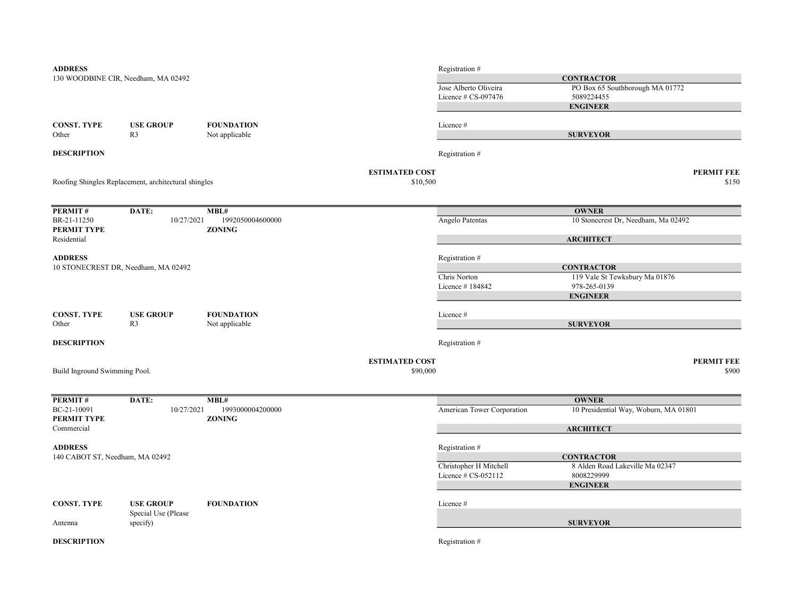| <b>ADDRESS</b>                  |                                                      |                   |                       | Registration #             |                                       |                   |
|---------------------------------|------------------------------------------------------|-------------------|-----------------------|----------------------------|---------------------------------------|-------------------|
|                                 | 130 WOODBINE CIR, Needham, MA 02492                  |                   |                       | <b>CONTRACTOR</b>          |                                       |                   |
|                                 |                                                      |                   |                       | Jose Alberto Oliveira      | PO Box 65 Southborough MA 01772       |                   |
|                                 |                                                      |                   |                       | Licence # CS-097476        | 5089224455                            |                   |
|                                 |                                                      |                   |                       |                            | <b>ENGINEER</b>                       |                   |
| <b>CONST. TYPE</b>              | <b>USE GROUP</b>                                     | <b>FOUNDATION</b> |                       | Licence#                   |                                       |                   |
| Other                           | R <sub>3</sub>                                       | Not applicable    |                       |                            | <b>SURVEYOR</b>                       |                   |
| <b>DESCRIPTION</b>              |                                                      |                   |                       | Registration #             |                                       |                   |
|                                 |                                                      |                   |                       |                            |                                       |                   |
|                                 |                                                      |                   | <b>ESTIMATED COST</b> |                            |                                       | <b>PERMIT FEE</b> |
|                                 | Roofing Shingles Replacement, architectural shingles |                   | \$10,500              |                            |                                       | \$150             |
|                                 |                                                      |                   |                       |                            |                                       |                   |
| PERMIT#                         | DATE:                                                | MBL#              |                       |                            | <b>OWNER</b>                          |                   |
| BR-21-11250                     | 10/27/2021                                           | 1992050004600000  |                       | Angelo Patentas            | 10 Stonecrest Dr, Needham, Ma 02492   |                   |
| PERMIT TYPE<br>Residential      |                                                      | <b>ZONING</b>     |                       |                            | <b>ARCHITECT</b>                      |                   |
|                                 |                                                      |                   |                       |                            |                                       |                   |
| <b>ADDRESS</b>                  |                                                      |                   |                       | Registration #             |                                       |                   |
|                                 | 10 STONECREST DR, Needham, MA 02492                  |                   |                       |                            | <b>CONTRACTOR</b>                     |                   |
|                                 |                                                      |                   |                       | Chris Norton               | 119 Vale St Tewksbury Ma 01876        |                   |
|                                 |                                                      |                   |                       | Licence #184842            | 978-265-0139                          |                   |
|                                 |                                                      |                   |                       |                            | <b>ENGINEER</b>                       |                   |
| <b>CONST. TYPE</b>              | <b>USE GROUP</b>                                     | <b>FOUNDATION</b> |                       | Licence#                   |                                       |                   |
| Other                           | R <sub>3</sub>                                       | Not applicable    |                       |                            | <b>SURVEYOR</b>                       |                   |
|                                 |                                                      |                   |                       |                            |                                       |                   |
| <b>DESCRIPTION</b>              |                                                      |                   |                       | Registration #             |                                       |                   |
|                                 |                                                      |                   | <b>ESTIMATED COST</b> |                            |                                       | <b>PERMIT FEE</b> |
| Build Inground Swimming Pool.   |                                                      |                   | \$90,000              |                            |                                       | \$900             |
|                                 |                                                      |                   |                       |                            |                                       |                   |
| PERMIT#                         | DATE:                                                | MBL#              |                       |                            | <b>OWNER</b>                          |                   |
| BC-21-10091                     | 10/27/2021                                           | 1993000004200000  |                       | American Tower Corporation | 10 Presidential Way, Woburn, MA 01801 |                   |
| PERMIT TYPE                     |                                                      | <b>ZONING</b>     |                       |                            |                                       |                   |
| Commercial                      |                                                      |                   |                       |                            | <b>ARCHITECT</b>                      |                   |
| <b>ADDRESS</b>                  |                                                      |                   |                       | Registration #             |                                       |                   |
| 140 CABOT ST, Needham, MA 02492 |                                                      |                   |                       |                            | <b>CONTRACTOR</b>                     |                   |
|                                 |                                                      |                   |                       | Christopher H Mitchell     | 8 Alden Road Lakeville Ma 02347       |                   |
|                                 |                                                      |                   |                       | Licence # CS-052112        | 8008229999                            |                   |
|                                 |                                                      |                   |                       |                            | <b>ENGINEER</b>                       |                   |
| <b>CONST. TYPE</b>              | <b>USE GROUP</b>                                     | <b>FOUNDATION</b> |                       | Licence#                   |                                       |                   |
|                                 | Special Use (Please                                  |                   |                       |                            |                                       |                   |
| Antenna                         | specify)                                             |                   |                       |                            | <b>SURVEYOR</b>                       |                   |
| <b>DESCRIPTION</b>              |                                                      |                   |                       | Registration #             |                                       |                   |
|                                 |                                                      |                   |                       |                            |                                       |                   |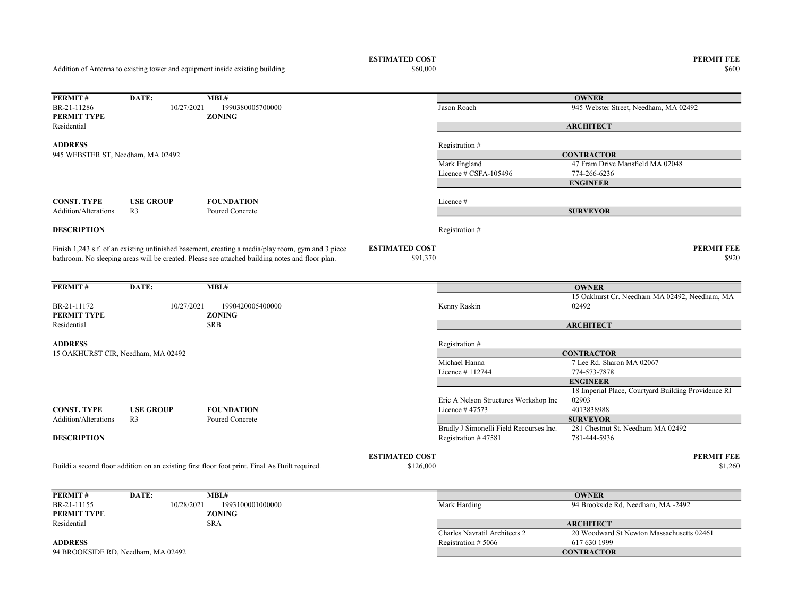Addition of Antenna to existing tower and equipment inside existing building

 $$60,000$   $$600$ 

ESTIMATED COST PERMIT FEE<br>  $$60,000$  86000 8600

| PERMIT#                            | DATE:            | MBL#                                                                                              |                       |                                         | <b>OWNER</b>                                        |  |
|------------------------------------|------------------|---------------------------------------------------------------------------------------------------|-----------------------|-----------------------------------------|-----------------------------------------------------|--|
| BR-21-11286                        | 10/27/2021       | 1990380005700000                                                                                  |                       | Jason Roach                             | 945 Webster Street, Needham, MA 02492               |  |
| PERMIT TYPE                        |                  | <b>ZONING</b>                                                                                     |                       |                                         |                                                     |  |
| Residential                        |                  |                                                                                                   |                       |                                         | <b>ARCHITECT</b>                                    |  |
| <b>ADDRESS</b>                     |                  |                                                                                                   |                       | Registration #                          |                                                     |  |
| 945 WEBSTER ST, Needham, MA 02492  |                  |                                                                                                   |                       |                                         | <b>CONTRACTOR</b>                                   |  |
|                                    |                  |                                                                                                   |                       | Mark England                            | 47 Fram Drive Mansfield MA 02048                    |  |
|                                    |                  |                                                                                                   |                       | Licence # CSFA-105496                   | 774-266-6236                                        |  |
|                                    |                  |                                                                                                   |                       |                                         | <b>ENGINEER</b>                                     |  |
| <b>CONST. TYPE</b>                 | <b>USE GROUP</b> | <b>FOUNDATION</b>                                                                                 |                       | Licence #                               |                                                     |  |
| Addition/Alterations               | R <sub>3</sub>   | Poured Concrete                                                                                   |                       |                                         | <b>SURVEYOR</b>                                     |  |
|                                    |                  |                                                                                                   |                       |                                         |                                                     |  |
| <b>DESCRIPTION</b>                 |                  |                                                                                                   |                       | Registration #                          |                                                     |  |
|                                    |                  | Finish 1,243 s.f. of an existing unfinished basement, creating a media/play room, gym and 3 piece | <b>ESTIMATED COST</b> |                                         | <b>PERMIT FEE</b>                                   |  |
|                                    |                  | bathroom. No sleeping areas will be created. Please see attached building notes and floor plan.   | \$91,370              |                                         | \$920                                               |  |
|                                    |                  |                                                                                                   |                       |                                         |                                                     |  |
| PERMIT#                            | DATE:            | MBL#                                                                                              |                       |                                         | <b>OWNER</b>                                        |  |
|                                    |                  |                                                                                                   |                       |                                         | 15 Oakhurst Cr. Needham MA 02492, Needham, MA       |  |
| BR-21-11172                        | 10/27/2021       | 1990420005400000                                                                                  |                       | Kenny Raskin                            | 02492                                               |  |
| PERMIT TYPE                        |                  | <b>ZONING</b>                                                                                     |                       |                                         |                                                     |  |
| Residential                        |                  | <b>SRB</b>                                                                                        |                       |                                         | <b>ARCHITECT</b>                                    |  |
| <b>ADDRESS</b>                     |                  |                                                                                                   |                       | Registration #                          |                                                     |  |
| 15 OAKHURST CIR, Needham, MA 02492 |                  |                                                                                                   |                       | <b>CONTRACTOR</b>                       |                                                     |  |
|                                    |                  |                                                                                                   |                       | Michael Hanna                           | 7 Lee Rd. Sharon MA 02067                           |  |
|                                    |                  |                                                                                                   |                       | Licence $#112744$                       | 774-573-7878                                        |  |
|                                    |                  |                                                                                                   |                       |                                         | <b>ENGINEER</b>                                     |  |
|                                    |                  |                                                                                                   |                       |                                         | 18 Imperial Place, Courtyard Building Providence RI |  |
|                                    |                  |                                                                                                   |                       | Eric A Nelson Structures Workshop Inc   | 02903                                               |  |
| <b>CONST. TYPE</b>                 | <b>USE GROUP</b> | <b>FOUNDATION</b>                                                                                 |                       | Licence $#47573$                        | 4013838988                                          |  |
| Addition/Alterations               | R <sub>3</sub>   | Poured Concrete                                                                                   |                       |                                         | <b>SURVEYOR</b>                                     |  |
|                                    |                  |                                                                                                   |                       | Bradly J Simonelli Field Recourses Inc. | 281 Chestnut St. Needham MA 02492                   |  |
| <b>DESCRIPTION</b>                 |                  |                                                                                                   |                       | Registration #47581                     | 781-444-5936                                        |  |
|                                    |                  |                                                                                                   | <b>ESTIMATED COST</b> |                                         | <b>PERMIT FEE</b>                                   |  |
|                                    |                  | Buildi a second floor addition on an existing first floor foot print. Final As Built required.    | \$126,000             |                                         | \$1,260                                             |  |
|                                    |                  |                                                                                                   |                       |                                         |                                                     |  |
| PERMIT#                            | DATE:            | MBL#                                                                                              |                       |                                         | <b>OWNER</b>                                        |  |
| BR-21-11155                        | 10/28/2021       | 1993100001000000                                                                                  |                       | Mark Harding                            | 94 Brookside Rd, Needham, MA -2492                  |  |
| PERMIT TYPE                        |                  | <b>ZONING</b>                                                                                     |                       |                                         |                                                     |  |
| Residential                        |                  | <b>SRA</b>                                                                                        |                       |                                         | <b>ARCHITECT</b>                                    |  |
|                                    |                  |                                                                                                   |                       | Charles Navratil Architects 2           | 20 Woodward St Newton Massachusetts 02461           |  |
| <b>ADDRESS</b>                     |                  |                                                                                                   |                       | Registration #5066                      | 617 630 1999                                        |  |
| 94 BROOKSIDE RD, Needham, MA 02492 |                  |                                                                                                   |                       |                                         | <b>CONTRACTOR</b>                                   |  |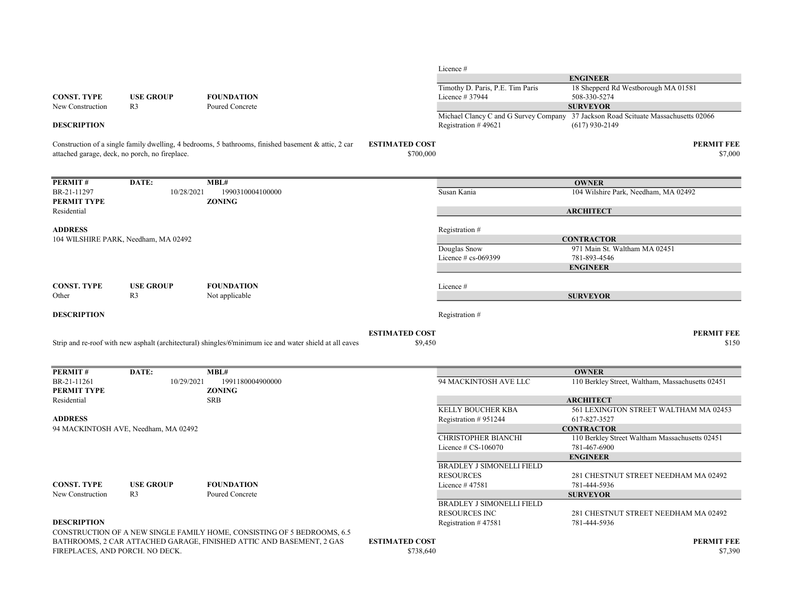|                            |                                                |                                                                                                         |                                    | Licence #                        |                                                                                    |
|----------------------------|------------------------------------------------|---------------------------------------------------------------------------------------------------------|------------------------------------|----------------------------------|------------------------------------------------------------------------------------|
|                            |                                                |                                                                                                         |                                    |                                  | <b>ENGINEER</b>                                                                    |
|                            |                                                |                                                                                                         |                                    | Timothy D. Paris, P.E. Tim Paris | 18 Shepperd Rd Westborough MA 01581                                                |
| <b>CONST. TYPE</b>         | <b>USE GROUP</b>                               | <b>FOUNDATION</b>                                                                                       |                                    | Licence # 37944                  | 508-330-5274                                                                       |
| New Construction           | R <sub>3</sub>                                 | Poured Concrete                                                                                         |                                    |                                  | <b>SURVEYOR</b>                                                                    |
|                            |                                                |                                                                                                         |                                    |                                  | Michael Clancy C and G Survey Company 37 Jackson Road Scituate Massachusetts 02066 |
| <b>DESCRIPTION</b>         |                                                |                                                                                                         |                                    | Registration #49621              | $(617)$ 930-2149                                                                   |
|                            | attached garage, deck, no porch, no fireplace. | Construction of a single family dwelling, 4 bedrooms, 5 bathrooms, finished basement & attic, 2 car     | <b>ESTIMATED COST</b><br>\$700,000 |                                  | <b>PERMIT FEE</b><br>\$7,000                                                       |
| PERMIT#                    | DATE:                                          | MBL#                                                                                                    |                                    |                                  | <b>OWNER</b>                                                                       |
| BR-21-11297                | 10/28/2021                                     | 1990310004100000                                                                                        |                                    | Susan Kania                      | 104 Wilshire Park, Needham, MA 02492                                               |
| PERMIT TYPE                |                                                | <b>ZONING</b>                                                                                           |                                    |                                  |                                                                                    |
| Residential                |                                                |                                                                                                         |                                    |                                  | <b>ARCHITECT</b>                                                                   |
| <b>ADDRESS</b>             |                                                |                                                                                                         |                                    | Registration #                   |                                                                                    |
|                            | 104 WILSHIRE PARK, Needham, MA 02492           |                                                                                                         |                                    |                                  | <b>CONTRACTOR</b>                                                                  |
|                            |                                                |                                                                                                         |                                    | Douglas Snow                     | 971 Main St. Waltham MA 02451                                                      |
|                            |                                                |                                                                                                         |                                    | Licence $#$ cs-069399            | 781-893-4546                                                                       |
|                            |                                                |                                                                                                         |                                    |                                  | <b>ENGINEER</b>                                                                    |
| <b>CONST. TYPE</b>         | <b>USE GROUP</b>                               | <b>FOUNDATION</b>                                                                                       |                                    | Licence #                        |                                                                                    |
| Other                      | R <sub>3</sub>                                 | Not applicable                                                                                          |                                    |                                  | <b>SURVEYOR</b>                                                                    |
| <b>DESCRIPTION</b>         |                                                |                                                                                                         |                                    | Registration #                   |                                                                                    |
|                            |                                                | Strip and re-roof with new asphalt (architectural) shingles/6'minimum ice and water shield at all eaves | <b>ESTIMATED COST</b><br>\$9,450   |                                  | <b>PERMIT FEE</b><br>\$150                                                         |
| <b>PERMIT#</b>             | DATE:                                          | MBL#                                                                                                    |                                    |                                  | <b>OWNER</b>                                                                       |
| BR-21-11261<br>PERMIT TYPE | 10/29/2021                                     | 1991180004900000<br><b>ZONING</b>                                                                       |                                    | 94 MACKINTOSH AVE LLC            | 110 Berkley Street, Waltham, Massachusetts 02451                                   |
| Residential                |                                                | <b>SRB</b>                                                                                              |                                    |                                  | <b>ARCHITECT</b>                                                                   |
|                            |                                                |                                                                                                         |                                    | KELLY BOUCHER KBA                | 561 LEXINGTON STREET WALTHAM MA 02453                                              |
| <b>ADDRESS</b>             |                                                |                                                                                                         |                                    | Registration #951244             | 617-827-3527                                                                       |
|                            | 94 MACKINTOSH AVE, Needham, MA 02492           |                                                                                                         |                                    |                                  | <b>CONTRACTOR</b>                                                                  |
|                            |                                                |                                                                                                         |                                    | CHRISTOPHER BIANCHI              | 110 Berkley Street Waltham Massachusetts 02451                                     |
|                            |                                                |                                                                                                         |                                    | Licence # CS-106070              | 781-467-6900                                                                       |
|                            |                                                |                                                                                                         |                                    |                                  | <b>ENGINEER</b>                                                                    |
|                            |                                                |                                                                                                         |                                    | <b>BRADLEY J SIMONELLI FIELD</b> |                                                                                    |
|                            |                                                |                                                                                                         |                                    | <b>RESOURCES</b>                 | 281 CHESTNUT STREET NEEDHAM MA 02492                                               |
| <b>CONST. TYPE</b>         | <b>USE GROUP</b>                               | <b>FOUNDATION</b>                                                                                       |                                    | Licence #47581                   | 781-444-5936                                                                       |
| New Construction           | R <sub>3</sub>                                 | Poured Concrete                                                                                         |                                    | <b>BRADLEY J SIMONELLI FIELD</b> | <b>SURVEYOR</b>                                                                    |
|                            |                                                |                                                                                                         |                                    | <b>RESOURCES INC</b>             | 281 CHESTNUT STREET NEEDHAM MA 02492                                               |
| <b>DESCRIPTION</b>         |                                                |                                                                                                         |                                    | Registration #47581              | 781-444-5936                                                                       |
|                            |                                                | CONSTRUCTION OF A NEW SINGLE FAMILY HOME, CONSISTING OF 5 BEDROOMS, 6.5                                 |                                    |                                  |                                                                                    |
|                            | FIREPLACES, AND PORCH. NO DECK.                | BATHROOMS, 2 CAR ATTACHED GARAGE, FINISHED ATTIC AND BASEMENT, 2 GAS                                    | <b>ESTIMATED COST</b><br>\$738,640 |                                  | <b>PERMIT FEE</b><br>\$7,390                                                       |
|                            |                                                |                                                                                                         |                                    |                                  |                                                                                    |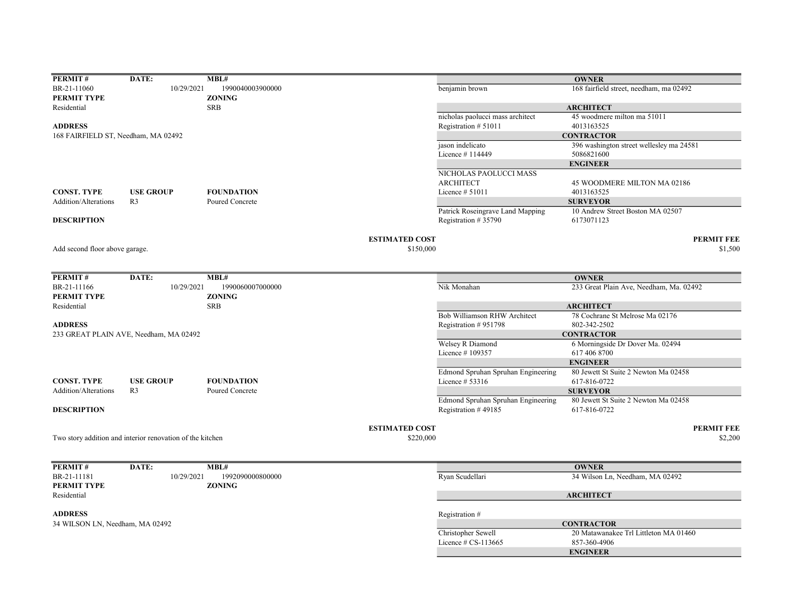| PERMIT#                             | DATE:                                                     | MBL#              |                                    |                                                         | <b>OWNER</b>                                   |
|-------------------------------------|-----------------------------------------------------------|-------------------|------------------------------------|---------------------------------------------------------|------------------------------------------------|
| BR-21-11060                         | 10/29/2021                                                | 1990040003900000  |                                    | benjamin brown                                          | 168 fairfield street, needham, ma 02492        |
| <b>PERMIT TYPE</b>                  |                                                           | <b>ZONING</b>     |                                    |                                                         |                                                |
| Residential                         |                                                           | <b>SRB</b>        |                                    |                                                         | <b>ARCHITECT</b>                               |
|                                     |                                                           |                   |                                    | nicholas paolucci mass architect                        | 45 woodmere milton ma 51011                    |
| <b>ADDRESS</b>                      |                                                           |                   |                                    | Registration # 51011                                    | 4013163525                                     |
| 168 FAIRFIELD ST, Needham, MA 02492 |                                                           |                   |                                    |                                                         | <b>CONTRACTOR</b>                              |
|                                     |                                                           |                   |                                    | jason indelicato                                        | 396 washington street wellesley ma 24581       |
|                                     |                                                           |                   |                                    | Licence #114449                                         | 5086821600                                     |
|                                     |                                                           |                   |                                    |                                                         | <b>ENGINEER</b>                                |
|                                     |                                                           |                   |                                    | NICHOLAS PAOLUCCI MASS                                  |                                                |
|                                     |                                                           |                   |                                    | <b>ARCHITECT</b>                                        | 45 WOODMERE MILTON MA 02186                    |
| <b>CONST. TYPE</b>                  | <b>USE GROUP</b>                                          | <b>FOUNDATION</b> |                                    | Licence $# 51011$                                       | 4013163525                                     |
| Addition/Alterations                | R <sub>3</sub>                                            | Poured Concrete   |                                    |                                                         | <b>SURVEYOR</b>                                |
| <b>DESCRIPTION</b>                  |                                                           |                   |                                    | Patrick Roseingrave Land Mapping<br>Registration #35790 | 10 Andrew Street Boston MA 02507<br>6173071123 |
|                                     |                                                           |                   | <b>ESTIMATED COST</b>              |                                                         | <b>PERMIT FEE</b>                              |
| Add second floor above garage.      |                                                           |                   | \$150,000                          |                                                         | \$1,500                                        |
|                                     |                                                           |                   |                                    |                                                         |                                                |
|                                     |                                                           |                   |                                    |                                                         |                                                |
| PERMIT#                             | DATE:                                                     | MBL#              |                                    |                                                         | <b>OWNER</b>                                   |
| BR-21-11166                         | 10/29/2021                                                | 1990060007000000  |                                    | Nik Monahan                                             | 233 Great Plain Ave, Needham, Ma. 02492        |
| <b>PERMIT TYPE</b>                  |                                                           | <b>ZONING</b>     |                                    |                                                         |                                                |
| Residential                         |                                                           | <b>SRB</b>        |                                    |                                                         | <b>ARCHITECT</b>                               |
|                                     |                                                           |                   |                                    | Bob Williamson RHW Architect                            | 78 Cochrane St Melrose Ma 02176                |
| <b>ADDRESS</b>                      |                                                           |                   |                                    | Registration #951798                                    | 802-342-2502                                   |
|                                     | 233 GREAT PLAIN AVE, Needham, MA 02492                    |                   |                                    |                                                         | <b>CONTRACTOR</b>                              |
|                                     |                                                           |                   |                                    | Welsey R Diamond                                        | 6 Morningside Dr Dover Ma. 02494               |
|                                     |                                                           |                   |                                    | Licence #109357                                         | 617 406 8700                                   |
|                                     |                                                           |                   |                                    |                                                         | <b>ENGINEER</b>                                |
|                                     |                                                           |                   |                                    | Edmond Spruhan Spruhan Engineering                      | 80 Jewett St Suite 2 Newton Ma 02458           |
| <b>CONST. TYPE</b>                  | <b>USE GROUP</b>                                          | <b>FOUNDATION</b> |                                    | Licence $# 53316$                                       | 617-816-0722                                   |
| Addition/Alterations                | R <sub>3</sub>                                            | Poured Concrete   |                                    |                                                         | <b>SURVEYOR</b>                                |
|                                     |                                                           |                   |                                    | Edmond Spruhan Spruhan Engineering                      | 80 Jewett St Suite 2 Newton Ma 02458           |
| <b>DESCRIPTION</b>                  |                                                           |                   |                                    | Registration #49185                                     | 617-816-0722                                   |
|                                     |                                                           |                   |                                    |                                                         | <b>PERMIT FEE</b>                              |
|                                     | Two story addition and interior renovation of the kitchen |                   | <b>ESTIMATED COST</b><br>\$220,000 |                                                         | \$2,200                                        |
|                                     |                                                           |                   |                                    |                                                         |                                                |
|                                     |                                                           |                   |                                    |                                                         |                                                |
| PERMIT#                             | DATE:                                                     | MBL#              |                                    |                                                         | <b>OWNER</b>                                   |
| BR-21-11181                         | 10/29/2021                                                | 1992090000800000  |                                    | Ryan Scudellari                                         | 34 Wilson Ln, Needham, MA 02492                |
| <b>PERMIT TYPE</b>                  |                                                           | <b>ZONING</b>     |                                    |                                                         |                                                |
| Residential                         |                                                           |                   |                                    |                                                         | <b>ARCHITECT</b>                               |
|                                     |                                                           |                   |                                    |                                                         |                                                |
| <b>ADDRESS</b>                      |                                                           |                   |                                    | Registration #                                          |                                                |
| 34 WILSON LN, Needham, MA 02492     |                                                           |                   |                                    |                                                         | <b>CONTRACTOR</b>                              |
|                                     |                                                           |                   |                                    | Christopher Sewell                                      | 20 Matawanakee Trl Littleton MA 01460          |
|                                     |                                                           |                   |                                    | Licence $# CS-113665$                                   | 857-360-4906                                   |
|                                     |                                                           |                   |                                    |                                                         | <b>ENGINEER</b>                                |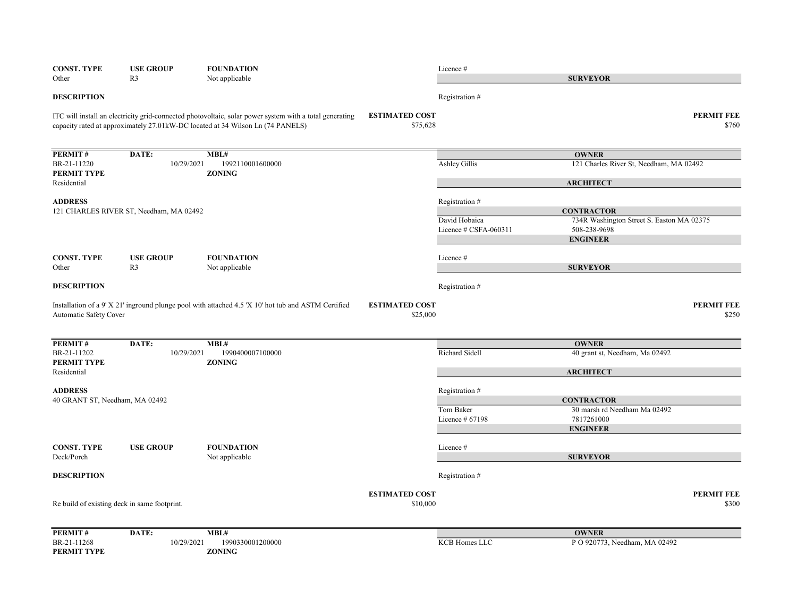| <b>CONST. TYPE</b><br>Other      | <b>USE GROUP</b><br>R <sub>3</sub>           | <b>FOUNDATION</b><br>Not applicable                                                                                                                                                       |                                   | Licence #                     | <b>SURVEYOR</b>                                                |                            |
|----------------------------------|----------------------------------------------|-------------------------------------------------------------------------------------------------------------------------------------------------------------------------------------------|-----------------------------------|-------------------------------|----------------------------------------------------------------|----------------------------|
| <b>DESCRIPTION</b>               |                                              |                                                                                                                                                                                           |                                   | Registration #                |                                                                |                            |
|                                  |                                              | ITC will install an electricity grid-connected photovoltaic, solar power system with a total generating<br>capacity rated at approximately 27.01kW-DC located at 34 Wilson Ln (74 PANELS) | <b>ESTIMATED COST</b><br>\$75,628 |                               |                                                                | <b>PERMIT FEE</b><br>\$760 |
| PERMIT#                          | DATE:                                        | MBL#                                                                                                                                                                                      |                                   |                               | <b>OWNER</b>                                                   |                            |
| BR-21-11220<br>PERMIT TYPE       | 10/29/2021                                   | 1992110001600000<br><b>ZONING</b>                                                                                                                                                         |                                   | Ashley Gillis                 | 121 Charles River St, Needham, MA 02492                        |                            |
| Residential                      |                                              |                                                                                                                                                                                           |                                   |                               | <b>ARCHITECT</b>                                               |                            |
| <b>ADDRESS</b>                   |                                              |                                                                                                                                                                                           |                                   | Registration #                |                                                                |                            |
|                                  | 121 CHARLES RIVER ST, Needham, MA 02492      |                                                                                                                                                                                           |                                   | David Hobaica                 | <b>CONTRACTOR</b><br>734R Washington Street S. Easton MA 02375 |                            |
|                                  |                                              |                                                                                                                                                                                           |                                   | Licence $\#$ CSFA-060311      | 508-238-9698                                                   |                            |
|                                  |                                              |                                                                                                                                                                                           |                                   |                               | <b>ENGINEER</b>                                                |                            |
| <b>CONST. TYPE</b>               | <b>USE GROUP</b>                             | <b>FOUNDATION</b>                                                                                                                                                                         |                                   | Licence#                      |                                                                |                            |
| Other                            | R <sub>3</sub>                               | Not applicable                                                                                                                                                                            |                                   |                               | <b>SURVEYOR</b>                                                |                            |
| <b>DESCRIPTION</b>               |                                              |                                                                                                                                                                                           |                                   | Registration #                |                                                                |                            |
| Automatic Safety Cover           |                                              | Installation of a 9' X 21' inground plunge pool with attached 4.5 'X 10' hot tub and ASTM Certified                                                                                       | <b>ESTIMATED COST</b><br>\$25,000 |                               |                                                                | <b>PERMIT FEE</b><br>\$250 |
| PERMIT#                          | DATE:                                        | MBL#                                                                                                                                                                                      |                                   |                               | <b>OWNER</b>                                                   |                            |
| BR-21-11202<br>PERMIT TYPE       | 10/29/2021                                   | 1990400007100000<br><b>ZONING</b>                                                                                                                                                         |                                   | Richard Sidell                | 40 grant st, Needham, Ma 02492                                 |                            |
| Residential                      |                                              |                                                                                                                                                                                           |                                   |                               | <b>ARCHITECT</b>                                               |                            |
| <b>ADDRESS</b>                   |                                              |                                                                                                                                                                                           |                                   | Registration #                |                                                                |                            |
| 40 GRANT ST, Needham, MA 02492   |                                              |                                                                                                                                                                                           |                                   |                               | <b>CONTRACTOR</b>                                              |                            |
|                                  |                                              |                                                                                                                                                                                           |                                   | Tom Baker<br>Licence $#67198$ | 30 marsh rd Needham Ma 02492<br>7817261000                     |                            |
|                                  |                                              |                                                                                                                                                                                           |                                   |                               | <b>ENGINEER</b>                                                |                            |
|                                  |                                              |                                                                                                                                                                                           |                                   |                               |                                                                |                            |
| <b>CONST. TYPE</b><br>Deck/Porch | <b>USE GROUP</b>                             | <b>FOUNDATION</b><br>Not applicable                                                                                                                                                       |                                   | Licence #                     | <b>SURVEYOR</b>                                                |                            |
| <b>DESCRIPTION</b>               |                                              |                                                                                                                                                                                           |                                   | Registration #                |                                                                |                            |
|                                  |                                              |                                                                                                                                                                                           | <b>ESTIMATED COST</b>             |                               |                                                                | <b>PERMIT FEE</b>          |
|                                  | Re build of existing deck in same footprint. |                                                                                                                                                                                           | \$10,000                          |                               |                                                                | \$300                      |
| PERMIT#                          | DATE:                                        | MBL#                                                                                                                                                                                      |                                   |                               | <b>OWNER</b>                                                   |                            |
| BR-21-11268                      | 10/29/2021                                   | 1990330001200000                                                                                                                                                                          |                                   | <b>KCB Homes LLC</b>          | P O 920773, Needham, MA 02492                                  |                            |
| PERMIT TYPE                      |                                              | ZONING                                                                                                                                                                                    |                                   |                               |                                                                |                            |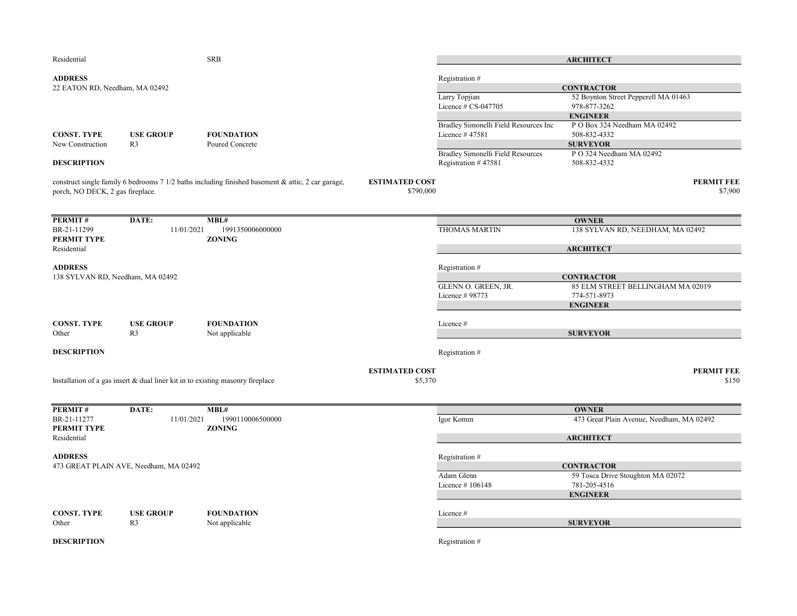| Residential                      |                                                                                  | <b>SRB</b>                                                                                        |                       |                                                          | <b>ARCHITECT</b>                          |
|----------------------------------|----------------------------------------------------------------------------------|---------------------------------------------------------------------------------------------------|-----------------------|----------------------------------------------------------|-------------------------------------------|
| <b>ADDRESS</b>                   |                                                                                  |                                                                                                   |                       | Registration #                                           |                                           |
| 22 EATON RD, Needham, MA 02492   |                                                                                  |                                                                                                   |                       |                                                          | <b>CONTRACTOR</b>                         |
|                                  |                                                                                  |                                                                                                   |                       | Larry Topjian                                            | 52 Boynton Street Pepperell MA 01463      |
|                                  |                                                                                  |                                                                                                   |                       | Licence $# CS-047705$                                    | 978-877-3262                              |
|                                  |                                                                                  |                                                                                                   |                       |                                                          | <b>ENGINEER</b>                           |
|                                  |                                                                                  |                                                                                                   |                       | Bradley Simonelli Field Resources Inc                    | PO Box 324 Needham MA 02492               |
| <b>CONST. TYPE</b>               | <b>USE GROUP</b>                                                                 | <b>FOUNDATION</b>                                                                                 |                       | Licence #47581                                           | 508-832-4332                              |
| New Construction                 | R <sub>3</sub>                                                                   | Poured Concrete                                                                                   |                       |                                                          | <b>SURVEYOR</b>                           |
| <b>DESCRIPTION</b>               |                                                                                  |                                                                                                   |                       | Bradley Simonelli Field Resources<br>Registration #47581 | P O 324 Needham MA 02492<br>508-832-4332  |
|                                  |                                                                                  | construct single family 6 bedrooms 7 1/2 baths including finished basement & attic, 2 car garage, | <b>ESTIMATED COST</b> |                                                          | <b>PERMIT FEE</b>                         |
| porch, NO DECK, 2 gas fireplace. |                                                                                  |                                                                                                   | \$790,000             |                                                          | \$7,900                                   |
| PERMIT#                          | DATE:                                                                            | MBL#                                                                                              |                       |                                                          | <b>OWNER</b>                              |
| BR-21-11299<br>PERMIT TYPE       | 11/01/2021                                                                       | 1991350006000000<br><b>ZONING</b>                                                                 |                       | <b>THOMAS MARTIN</b>                                     | 138 SYLVAN RD, NEEDHAM, MA 02492          |
| Residential                      |                                                                                  |                                                                                                   |                       |                                                          | <b>ARCHITECT</b>                          |
| <b>ADDRESS</b>                   |                                                                                  |                                                                                                   |                       | Registration #                                           |                                           |
| 138 SYLVAN RD, Needham, MA 02492 |                                                                                  |                                                                                                   |                       |                                                          | <b>CONTRACTOR</b>                         |
|                                  |                                                                                  |                                                                                                   |                       | GLENN O. GREEN, JR.                                      | 85 ELM STREET BELLINGHAM MA 02019         |
|                                  |                                                                                  |                                                                                                   |                       | Licence # 98773                                          | 774-571-8973                              |
|                                  |                                                                                  |                                                                                                   |                       |                                                          | <b>ENGINEER</b>                           |
|                                  |                                                                                  |                                                                                                   |                       |                                                          |                                           |
| <b>CONST. TYPE</b>               | <b>USE GROUP</b>                                                                 | <b>FOUNDATION</b>                                                                                 |                       | Licence #                                                |                                           |
| Other                            | R <sub>3</sub>                                                                   | Not applicable                                                                                    |                       |                                                          | <b>SURVEYOR</b>                           |
| <b>DESCRIPTION</b>               |                                                                                  |                                                                                                   |                       | Registration #                                           |                                           |
|                                  |                                                                                  |                                                                                                   | <b>ESTIMATED COST</b> |                                                          | <b>PERMIT FEE</b>                         |
|                                  | Installation of a gas insert $&$ dual liner kit in to existing masonry fireplace |                                                                                                   | \$5,370               |                                                          | \$150                                     |
|                                  |                                                                                  |                                                                                                   |                       |                                                          |                                           |
| PERMIT#                          | DATE:                                                                            | MBL#                                                                                              |                       |                                                          | <b>OWNER</b>                              |
| BR-21-11277                      | 11/01/2021                                                                       | 1990110006500000                                                                                  |                       | Igor Komm                                                | 473 Great Plain Avenue, Needham, MA 02492 |
| PERMIT TYPE<br>Residential       |                                                                                  | <b>ZONING</b>                                                                                     |                       |                                                          | <b>ARCHITECT</b>                          |
| <b>ADDRESS</b>                   |                                                                                  |                                                                                                   |                       | Registration #                                           |                                           |
|                                  | 473 GREAT PLAIN AVE, Needham, MA 02492                                           |                                                                                                   |                       |                                                          | <b>CONTRACTOR</b>                         |
|                                  |                                                                                  |                                                                                                   |                       | Adam Glenn                                               | 59 Tosca Drive Stoughton MA 02072         |
|                                  |                                                                                  |                                                                                                   |                       | Licence #106148                                          | 781-205-4516                              |
|                                  |                                                                                  |                                                                                                   |                       |                                                          | <b>ENGINEER</b>                           |
| <b>CONST. TYPE</b>               | <b>USE GROUP</b>                                                                 | <b>FOUNDATION</b>                                                                                 |                       | Licence #                                                |                                           |
| Other                            | R <sub>3</sub>                                                                   | Not applicable                                                                                    |                       |                                                          | <b>SURVEYOR</b>                           |
| <b>DESCRIPTION</b>               |                                                                                  |                                                                                                   |                       | Registration #                                           |                                           |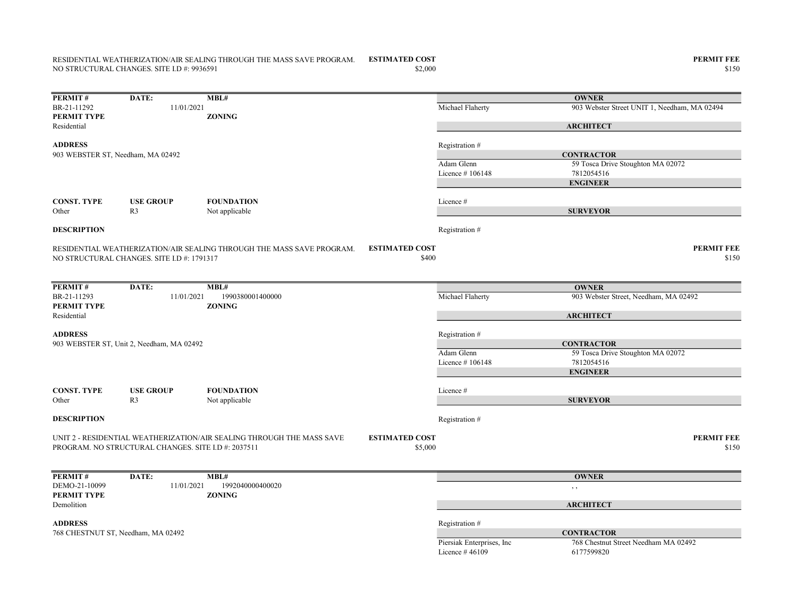## RESIDENTIAL WEATHERIZATION/AIR SEALING THROUGH THE MASS SAVE PROGRAM. ESTIMATED COST **A COMPUT ALL AND A CONTROLLY A** NO STRUCTURAL CHANGES. SITE I.D #: 9936591

| PERMIT#                           | DATE:                                               | MBL#                                                                  |                       |                  | <b>OWNER</b>                                 |
|-----------------------------------|-----------------------------------------------------|-----------------------------------------------------------------------|-----------------------|------------------|----------------------------------------------|
| BR-21-11292                       | 11/01/2021                                          |                                                                       |                       | Michael Flaherty | 903 Webster Street UNIT 1, Needham, MA 02494 |
| PERMIT TYPE                       |                                                     | <b>ZONING</b>                                                         |                       |                  |                                              |
| Residential                       |                                                     |                                                                       |                       |                  | <b>ARCHITECT</b>                             |
|                                   |                                                     |                                                                       |                       |                  |                                              |
| <b>ADDRESS</b>                    |                                                     |                                                                       |                       | Registration #   |                                              |
| 903 WEBSTER ST, Needham, MA 02492 |                                                     |                                                                       |                       |                  | <b>CONTRACTOR</b>                            |
|                                   |                                                     |                                                                       |                       | Adam Glenn       | 59 Tosca Drive Stoughton MA 02072            |
|                                   |                                                     |                                                                       |                       | Licence #106148  | 7812054516                                   |
|                                   |                                                     |                                                                       |                       |                  | <b>ENGINEER</b>                              |
| <b>CONST. TYPE</b>                | <b>USE GROUP</b>                                    | <b>FOUNDATION</b>                                                     |                       | Licence #        |                                              |
| Other                             | R <sub>3</sub>                                      | Not applicable                                                        |                       |                  | <b>SURVEYOR</b>                              |
|                                   |                                                     |                                                                       |                       |                  |                                              |
| <b>DESCRIPTION</b>                |                                                     |                                                                       |                       | Registration #   |                                              |
|                                   |                                                     |                                                                       |                       |                  |                                              |
|                                   |                                                     | RESIDENTIAL WEATHERIZATION/AIR SEALING THROUGH THE MASS SAVE PROGRAM. | <b>ESTIMATED COST</b> |                  | <b>PERMIT FEE</b>                            |
|                                   | NO STRUCTURAL CHANGES. SITE I.D #: 1791317          |                                                                       | \$400                 |                  | \$150                                        |
|                                   |                                                     |                                                                       |                       |                  |                                              |
|                                   |                                                     |                                                                       |                       |                  |                                              |
| PERMIT#                           | DATE:                                               | MBL#                                                                  |                       |                  | <b>OWNER</b>                                 |
| BR-21-11293                       | 11/01/2021                                          | 1990380001400000                                                      |                       | Michael Flaherty | 903 Webster Street, Needham, MA 02492        |
| PERMIT TYPE                       |                                                     | <b>ZONING</b>                                                         |                       |                  |                                              |
| Residential                       |                                                     |                                                                       |                       |                  | <b>ARCHITECT</b>                             |
|                                   |                                                     |                                                                       |                       |                  |                                              |
| <b>ADDRESS</b>                    |                                                     |                                                                       |                       | Registration #   |                                              |
|                                   | 903 WEBSTER ST, Unit 2, Needham, MA 02492           |                                                                       |                       |                  | <b>CONTRACTOR</b>                            |
|                                   |                                                     |                                                                       |                       | Adam Glenn       | 59 Tosca Drive Stoughton MA 02072            |
|                                   |                                                     |                                                                       |                       | Licence #106148  | 7812054516                                   |
|                                   |                                                     |                                                                       |                       |                  | <b>ENGINEER</b>                              |
|                                   |                                                     |                                                                       |                       |                  |                                              |
| <b>CONST. TYPE</b>                | <b>USE GROUP</b>                                    | <b>FOUNDATION</b>                                                     |                       | Licence#         |                                              |
| Other                             | R <sub>3</sub>                                      | Not applicable                                                        |                       |                  | <b>SURVEYOR</b>                              |
| <b>DESCRIPTION</b>                |                                                     |                                                                       |                       | Registration #   |                                              |
|                                   |                                                     |                                                                       |                       |                  |                                              |
|                                   |                                                     | UNIT 2 - RESIDENTIAL WEATHERIZATION/AIR SEALING THROUGH THE MASS SAVE | <b>ESTIMATED COST</b> |                  | <b>PERMIT FEE</b>                            |
|                                   | PROGRAM. NO STRUCTURAL CHANGES. SITE I.D #: 2037511 |                                                                       | \$5,000               |                  | \$150                                        |
|                                   |                                                     |                                                                       |                       |                  |                                              |
|                                   |                                                     |                                                                       |                       |                  |                                              |
| PERMIT#                           | DATE:                                               | MBL#                                                                  |                       |                  | <b>OWNER</b>                                 |
| DEMO-21-10099                     | 11/01/2021                                          | 1992040000400020                                                      |                       |                  | , ,                                          |
| PERMIT TYPE                       |                                                     | <b>ZONING</b>                                                         |                       |                  |                                              |
| Demolition                        |                                                     |                                                                       |                       |                  | <b>ARCHITECT</b>                             |
|                                   |                                                     |                                                                       |                       |                  |                                              |
| <b>ADDRESS</b>                    |                                                     |                                                                       |                       | Registration #   |                                              |
|                                   | 768 CHESTNUT ST, Needham, MA 02492                  |                                                                       |                       |                  | <b>CONTRACTOR</b>                            |

768 Chestnut Street Needham MA 02492<br>6177599820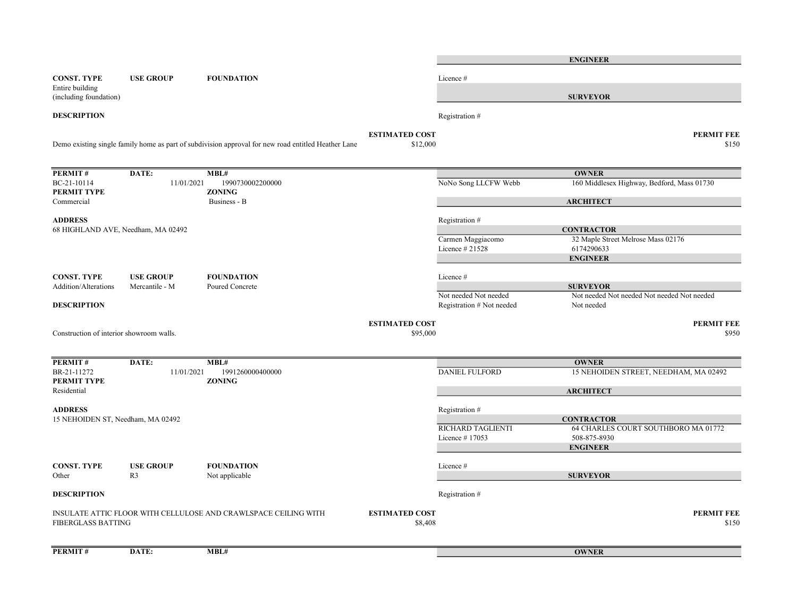|                                           |                  |                                                                                                     |                                  |                                                    | <b>ENGINEER</b>                                           |
|-------------------------------------------|------------------|-----------------------------------------------------------------------------------------------------|----------------------------------|----------------------------------------------------|-----------------------------------------------------------|
| <b>CONST. TYPE</b>                        | <b>USE GROUP</b> | <b>FOUNDATION</b>                                                                                   |                                  | Licence #                                          |                                                           |
| Entire building<br>(including foundation) |                  |                                                                                                     |                                  |                                                    | <b>SURVEYOR</b>                                           |
| <b>DESCRIPTION</b>                        |                  |                                                                                                     |                                  | Registration #                                     |                                                           |
|                                           |                  |                                                                                                     | <b>ESTIMATED COST</b>            |                                                    | <b>PERMIT FEE</b>                                         |
|                                           |                  | Demo existing single family home as part of subdivision approval for new road entitled Heather Lane | \$12,000                         |                                                    | \$150                                                     |
| PERMIT#                                   | DATE:            | MBL#                                                                                                |                                  |                                                    | <b>OWNER</b>                                              |
| BC-21-10114<br>PERMIT TYPE                | 11/01/2021       | 1990730002200000<br><b>ZONING</b>                                                                   |                                  | NoNo Song LLCFW Webb                               | 160 Middlesex Highway, Bedford, Mass 01730                |
| Commercial                                |                  | Business - B                                                                                        |                                  |                                                    | <b>ARCHITECT</b>                                          |
| <b>ADDRESS</b>                            |                  |                                                                                                     |                                  | Registration #                                     |                                                           |
| 68 HIGHLAND AVE, Needham, MA 02492        |                  |                                                                                                     |                                  | Carmen Maggiacomo                                  | <b>CONTRACTOR</b><br>32 Maple Street Melrose Mass 02176   |
|                                           |                  |                                                                                                     |                                  | Licence # 21528                                    | 6174290633                                                |
|                                           |                  |                                                                                                     |                                  |                                                    | <b>ENGINEER</b>                                           |
| <b>CONST. TYPE</b>                        | <b>USE GROUP</b> | <b>FOUNDATION</b>                                                                                   |                                  | Licence #                                          |                                                           |
| Addition/Alterations                      | Mercantile - M   | Poured Concrete                                                                                     |                                  |                                                    | <b>SURVEYOR</b>                                           |
| <b>DESCRIPTION</b>                        |                  |                                                                                                     |                                  | Not needed Not needed<br>Registration # Not needed | Not needed Not needed Not needed Not needed<br>Not needed |
|                                           |                  |                                                                                                     | <b>ESTIMATED COST</b>            |                                                    | <b>PERMIT FEE</b>                                         |
| Construction of interior showroom walls.  |                  |                                                                                                     | \$95,000                         |                                                    | \$950                                                     |
| PERMIT#                                   | DATE:            | MBL#                                                                                                |                                  |                                                    | <b>OWNER</b>                                              |
| BR-21-11272<br>PERMIT TYPE                | 11/01/2021       | 1991260000400000<br><b>ZONING</b>                                                                   |                                  | <b>DANIEL FULFORD</b>                              | 15 NEHOIDEN STREET, NEEDHAM, MA 02492                     |
| Residential                               |                  |                                                                                                     |                                  |                                                    | <b>ARCHITECT</b>                                          |
| <b>ADDRESS</b>                            |                  |                                                                                                     |                                  | Registration #                                     |                                                           |
| 15 NEHOIDEN ST, Needham, MA 02492         |                  |                                                                                                     |                                  |                                                    | <b>CONTRACTOR</b>                                         |
|                                           |                  |                                                                                                     |                                  | <b>RICHARD TAGLIENTI</b><br>Licence #17053         | 64 CHARLES COURT SOUTHBORO MA 01772<br>508-875-8930       |
|                                           |                  |                                                                                                     |                                  |                                                    | <b>ENGINEER</b>                                           |
| <b>CONST. TYPE</b>                        | <b>USE GROUP</b> | <b>FOUNDATION</b>                                                                                   |                                  | Licence #                                          |                                                           |
| Other                                     | R <sub>3</sub>   | Not applicable                                                                                      |                                  |                                                    | <b>SURVEYOR</b>                                           |
| <b>DESCRIPTION</b>                        |                  |                                                                                                     |                                  | Registration #                                     |                                                           |
| <b>FIBERGLASS BATTING</b>                 |                  | INSULATE ATTIC FLOOR WITH CELLULOSE AND CRAWLSPACE CEILING WITH                                     | <b>ESTIMATED COST</b><br>\$8,408 |                                                    | <b>PERMIT FEE</b><br>\$150                                |
| PERMIT#                                   | DATE:            | MBL#                                                                                                |                                  |                                                    | <b>OWNER</b>                                              |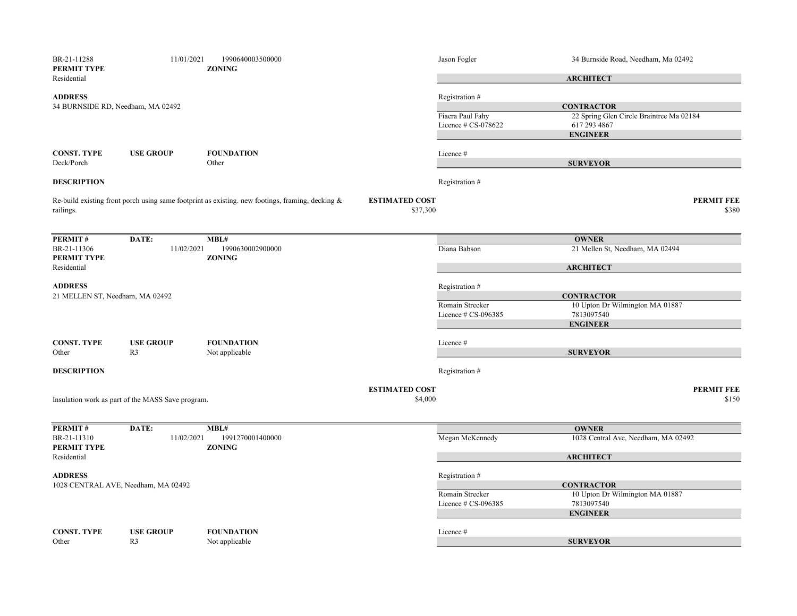| BR-21-11288<br>PERMIT TYPE      | 11/01/2021                                        | 1990640003500000<br><b>ZONING</b>                                                                   |                                   | Jason Fogler        | 34 Burnside Road, Needham, Ma 02492                           |
|---------------------------------|---------------------------------------------------|-----------------------------------------------------------------------------------------------------|-----------------------------------|---------------------|---------------------------------------------------------------|
| Residential                     |                                                   |                                                                                                     |                                   |                     | <b>ARCHITECT</b>                                              |
| <b>ADDRESS</b>                  |                                                   |                                                                                                     |                                   | Registration#       |                                                               |
|                                 | 34 BURNSIDE RD, Needham, MA 02492                 |                                                                                                     |                                   | Fiacra Paul Fahy    | <b>CONTRACTOR</b><br>22 Spring Glen Circle Braintree Ma 02184 |
|                                 |                                                   |                                                                                                     |                                   | Licence # CS-078622 | 617 293 4867                                                  |
|                                 |                                                   |                                                                                                     |                                   |                     | <b>ENGINEER</b>                                               |
| <b>CONST. TYPE</b>              | <b>USE GROUP</b>                                  | <b>FOUNDATION</b>                                                                                   |                                   | Licence #           |                                                               |
| Deck/Porch                      |                                                   | Other                                                                                               |                                   |                     | <b>SURVEYOR</b>                                               |
| <b>DESCRIPTION</b>              |                                                   |                                                                                                     |                                   | Registration#       |                                                               |
| railings.                       |                                                   | Re-build existing front porch using same footprint as existing. new footings, framing, decking $\&$ | <b>ESTIMATED COST</b><br>\$37,300 |                     | <b>PERMIT FEE</b><br>\$380                                    |
|                                 |                                                   |                                                                                                     |                                   |                     |                                                               |
| <b>PERMIT#</b>                  | DATE:                                             | MBL#                                                                                                |                                   |                     | <b>OWNER</b>                                                  |
| BR-21-11306<br>PERMIT TYPE      | 11/02/2021                                        | 1990630002900000<br><b>ZONING</b>                                                                   |                                   | Diana Babson        | 21 Mellen St, Needham, MA 02494                               |
| Residential                     |                                                   |                                                                                                     |                                   |                     | <b>ARCHITECT</b>                                              |
| <b>ADDRESS</b>                  |                                                   |                                                                                                     |                                   | Registration #      |                                                               |
| 21 MELLEN ST, Needham, MA 02492 |                                                   |                                                                                                     |                                   |                     | <b>CONTRACTOR</b>                                             |
|                                 |                                                   |                                                                                                     |                                   | Romain Strecker     | 10 Upton Dr Wilmington MA 01887                               |
|                                 |                                                   |                                                                                                     |                                   | Licence # CS-096385 | 7813097540                                                    |
|                                 |                                                   |                                                                                                     |                                   |                     | <b>ENGINEER</b>                                               |
| <b>CONST. TYPE</b>              | <b>USE GROUP</b>                                  | <b>FOUNDATION</b>                                                                                   |                                   | Licence#            |                                                               |
| Other                           | R <sub>3</sub>                                    | Not applicable                                                                                      |                                   |                     | <b>SURVEYOR</b>                                               |
| <b>DESCRIPTION</b>              |                                                   |                                                                                                     |                                   | Registration #      |                                                               |
|                                 |                                                   |                                                                                                     | <b>ESTIMATED COST</b>             |                     | PERMIT FEE                                                    |
|                                 | Insulation work as part of the MASS Save program. |                                                                                                     | \$4,000                           |                     | \$150                                                         |
| PERMIT#                         | DATE:                                             | MBL#                                                                                                |                                   |                     | <b>OWNER</b>                                                  |
| BR-21-11310                     | 11/02/2021                                        | 1991270001400000                                                                                    |                                   | Megan McKennedy     | 1028 Central Ave, Needham, MA 02492                           |
| PERMIT TYPE<br>Residential      |                                                   | <b>ZONING</b>                                                                                       |                                   |                     | <b>ARCHITECT</b>                                              |
| <b>ADDRESS</b>                  |                                                   |                                                                                                     |                                   |                     |                                                               |
|                                 | 1028 CENTRAL AVE, Needham, MA 02492               |                                                                                                     |                                   | Registration #      | <b>CONTRACTOR</b>                                             |
|                                 |                                                   |                                                                                                     |                                   | Romain Strecker     | 10 Upton Dr Wilmington MA 01887                               |
|                                 |                                                   |                                                                                                     |                                   | Licence # CS-096385 | 7813097540                                                    |
|                                 |                                                   |                                                                                                     |                                   |                     | <b>ENGINEER</b>                                               |
| <b>CONST. TYPE</b>              | <b>USE GROUP</b>                                  | <b>FOUNDATION</b>                                                                                   |                                   | Licence #           |                                                               |
| Other                           | R <sub>3</sub>                                    | Not applicable                                                                                      |                                   |                     | <b>SURVEYOR</b>                                               |
|                                 |                                                   |                                                                                                     |                                   |                     |                                                               |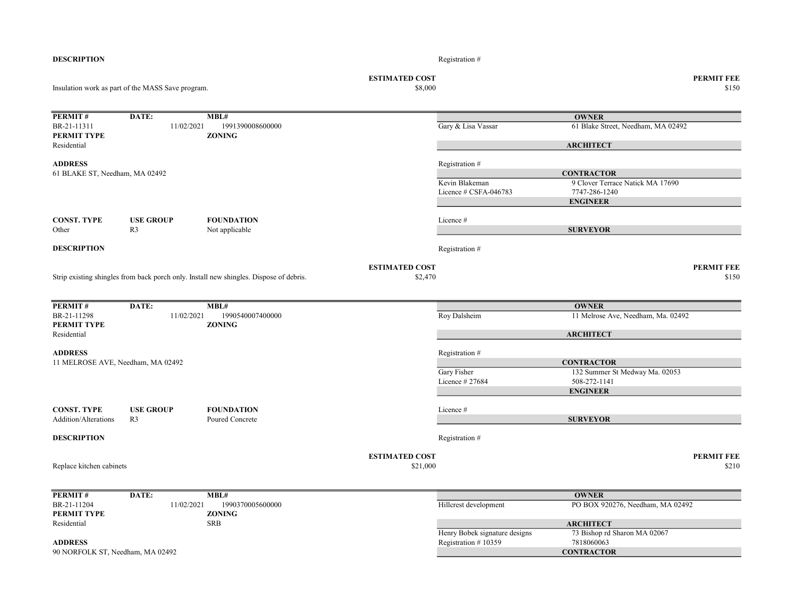| <b>DESCRIPTION</b>                                  |                                                   |                                                                                        |                                  | Registration #                          |                                                   |                            |
|-----------------------------------------------------|---------------------------------------------------|----------------------------------------------------------------------------------------|----------------------------------|-----------------------------------------|---------------------------------------------------|----------------------------|
|                                                     | Insulation work as part of the MASS Save program. |                                                                                        | <b>ESTIMATED COST</b><br>\$8,000 |                                         |                                                   | <b>PERMIT FEE</b><br>\$150 |
|                                                     |                                                   |                                                                                        |                                  |                                         |                                                   |                            |
| PERMIT#                                             | DATE:                                             | MBL#                                                                                   |                                  |                                         | <b>OWNER</b>                                      |                            |
| BR-21-11311                                         | 11/02/2021                                        | 1991390008600000                                                                       |                                  | Gary & Lisa Vassar                      | 61 Blake Street, Needham, MA 02492                |                            |
| <b>PERMIT TYPE</b><br>Residential                   |                                                   | <b>ZONING</b>                                                                          |                                  |                                         | <b>ARCHITECT</b>                                  |                            |
|                                                     |                                                   |                                                                                        |                                  |                                         |                                                   |                            |
| <b>ADDRESS</b><br>61 BLAKE ST, Needham, MA 02492    |                                                   |                                                                                        |                                  | Registration #                          | <b>CONTRACTOR</b>                                 |                            |
|                                                     |                                                   |                                                                                        |                                  | Kevin Blakeman<br>Licence # CSFA-046783 | 9 Clover Terrace Natick MA 17690<br>7747-286-1240 |                            |
|                                                     |                                                   |                                                                                        |                                  |                                         | <b>ENGINEER</b>                                   |                            |
|                                                     | <b>USE GROUP</b>                                  | <b>FOUNDATION</b>                                                                      |                                  |                                         |                                                   |                            |
| <b>CONST. TYPE</b><br>Other                         | R <sub>3</sub>                                    | Not applicable                                                                         |                                  | Licence #                               | <b>SURVEYOR</b>                                   |                            |
| <b>DESCRIPTION</b>                                  |                                                   |                                                                                        |                                  | Registration #                          |                                                   |                            |
|                                                     |                                                   |                                                                                        | <b>ESTIMATED COST</b>            |                                         |                                                   | <b>PERMIT FEE</b>          |
|                                                     |                                                   | Strip existing shingles from back porch only. Install new shingles. Dispose of debris. | \$2,470                          |                                         |                                                   | \$150                      |
| PERMIT#                                             | DATE:                                             | MBL#                                                                                   |                                  |                                         | <b>OWNER</b>                                      |                            |
| BR-21-11298                                         | 11/02/2021                                        | 1990540007400000                                                                       |                                  | Roy Dalsheim                            | 11 Melrose Ave, Needham, Ma. 02492                |                            |
| <b>PERMIT TYPE</b><br>Residential                   |                                                   | <b>ZONING</b>                                                                          |                                  |                                         | <b>ARCHITECT</b>                                  |                            |
|                                                     |                                                   |                                                                                        |                                  |                                         |                                                   |                            |
| <b>ADDRESS</b><br>11 MELROSE AVE, Needham, MA 02492 |                                                   |                                                                                        |                                  | Registration #                          | <b>CONTRACTOR</b>                                 |                            |
|                                                     |                                                   |                                                                                        |                                  | Gary Fisher                             | 132 Summer St Medway Ma. 02053                    |                            |
|                                                     |                                                   |                                                                                        |                                  | Licence #27684                          | 508-272-1141                                      |                            |
|                                                     |                                                   |                                                                                        |                                  |                                         | <b>ENGINEER</b>                                   |                            |
| <b>CONST. TYPE</b>                                  | <b>USE GROUP</b>                                  | <b>FOUNDATION</b>                                                                      |                                  | Licence#                                |                                                   |                            |
| Addition/Alterations                                | R <sub>3</sub>                                    | Poured Concrete                                                                        |                                  |                                         | <b>SURVEYOR</b>                                   |                            |
| <b>DESCRIPTION</b>                                  |                                                   |                                                                                        |                                  | Registration #                          |                                                   |                            |
|                                                     |                                                   |                                                                                        | <b>ESTIMATED COST</b>            |                                         |                                                   | <b>PERMIT FEE</b>          |
| Replace kitchen cabinets                            |                                                   |                                                                                        | \$21,000                         |                                         |                                                   | \$210                      |
| PERMIT#                                             | DATE:                                             | MBL#                                                                                   |                                  |                                         | <b>OWNER</b>                                      |                            |
| BR-21-11204                                         | 11/02/2021                                        | 1990370005600000                                                                       |                                  | Hillcrest development                   | PO BOX 920276, Needham, MA 02492                  |                            |
| <b>PERMIT TYPE</b>                                  |                                                   | <b>ZONING</b>                                                                          |                                  |                                         |                                                   |                            |
| Residential                                         |                                                   | <b>SRB</b>                                                                             |                                  | Henry Bobek signature designs           | <b>ARCHITECT</b><br>73 Bishop rd Sharon MA 02067  |                            |
| <b>ADDRESS</b>                                      |                                                   |                                                                                        |                                  | Registration #10359                     | 7818060063                                        |                            |
| 90 NORFOLK ST, Needham, MA 02492                    |                                                   |                                                                                        |                                  |                                         | <b>CONTRACTOR</b>                                 |                            |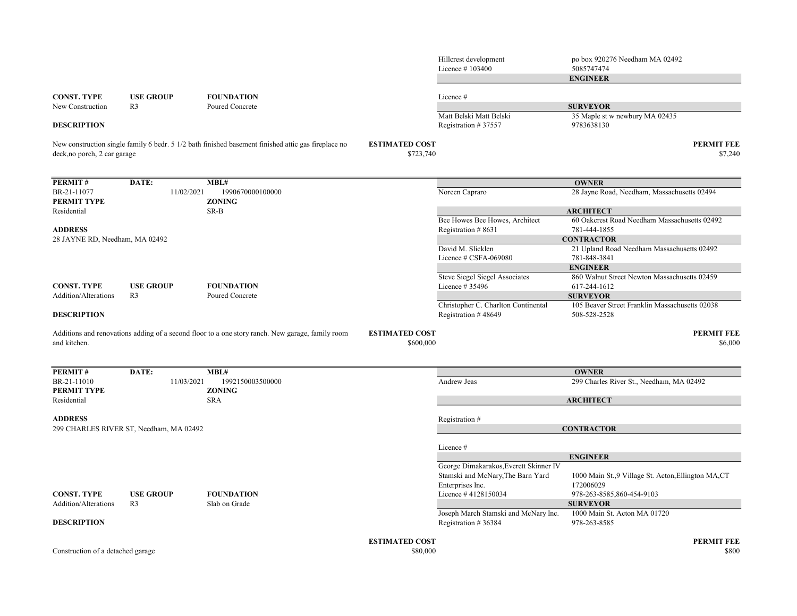|                                        |                                         |                                                                                                     |                                    | Hillcrest development<br>Licence #103400                   | po box 920276 Needham MA 02492<br>5085747474                    |
|----------------------------------------|-----------------------------------------|-----------------------------------------------------------------------------------------------------|------------------------------------|------------------------------------------------------------|-----------------------------------------------------------------|
|                                        |                                         |                                                                                                     |                                    |                                                            | <b>ENGINEER</b>                                                 |
|                                        |                                         |                                                                                                     |                                    |                                                            |                                                                 |
| <b>CONST. TYPE</b><br>New Construction | <b>USE GROUP</b><br>R <sub>3</sub>      | <b>FOUNDATION</b><br>Poured Concrete                                                                |                                    | Licence#                                                   | <b>SURVEYOR</b>                                                 |
|                                        |                                         |                                                                                                     |                                    | Matt Belski Matt Belski                                    | 35 Maple st w newbury MA 02435                                  |
| <b>DESCRIPTION</b>                     |                                         |                                                                                                     |                                    | Registration #37557                                        | 9783638130                                                      |
| deck, no porch, 2 car garage           |                                         | New construction single family 6 bedr. 5 1/2 bath finished basement finished attic gas fireplace no | <b>ESTIMATED COST</b><br>\$723,740 |                                                            | <b>PERMIT FEE</b><br>\$7,240                                    |
| PERMIT#                                | DATE:                                   | MBL#                                                                                                |                                    |                                                            | <b>OWNER</b>                                                    |
| BR-21-11077                            | 11/02/2021                              | 1990670000100000                                                                                    |                                    | Noreen Capraro                                             | 28 Jayne Road, Needham, Massachusetts 02494                     |
| PERMIT TYPE                            |                                         | <b>ZONING</b>                                                                                       |                                    |                                                            |                                                                 |
| Residential                            |                                         | SR-B                                                                                                |                                    |                                                            | <b>ARCHITECT</b>                                                |
|                                        |                                         |                                                                                                     |                                    | Bee Howes Bee Howes, Architect                             | 60 Oakcrest Road Needham Massachusetts 02492                    |
| <b>ADDRESS</b>                         |                                         |                                                                                                     |                                    | Registration #8631                                         | 781-444-1855                                                    |
| 28 JAYNE RD, Needham, MA 02492         |                                         |                                                                                                     |                                    | David M. Slicklen                                          | <b>CONTRACTOR</b><br>21 Upland Road Needham Massachusetts 02492 |
|                                        |                                         |                                                                                                     |                                    | Licence # CSFA-069080                                      | 781-848-3841                                                    |
|                                        |                                         |                                                                                                     |                                    |                                                            | <b>ENGINEER</b>                                                 |
|                                        |                                         |                                                                                                     |                                    | Steve Siegel Siegel Associates                             | 860 Walnut Street Newton Massachusetts 02459                    |
| <b>CONST. TYPE</b>                     | <b>USE GROUP</b>                        | <b>FOUNDATION</b>                                                                                   |                                    | Licence # 35496                                            | 617-244-1612                                                    |
| <b>Addition/Alterations</b>            | R <sub>3</sub>                          | Poured Concrete                                                                                     |                                    |                                                            | <b>SURVEYOR</b>                                                 |
| <b>DESCRIPTION</b>                     |                                         |                                                                                                     |                                    | Christopher C. Charlton Continental<br>Registration #48649 | 105 Beaver Street Franklin Massachusetts 02038<br>508-528-2528  |
| and kitchen.                           |                                         | Additions and renovations adding of a second floor to a one story ranch. New garage, family room    | <b>ESTIMATED COST</b><br>\$600,000 |                                                            | <b>PERMIT FEE</b><br>\$6,000                                    |
| PERMIT#                                | DATE:                                   | MBL#                                                                                                |                                    |                                                            | <b>OWNER</b>                                                    |
| BR-21-11010                            | 11/03/2021                              | 1992150003500000                                                                                    |                                    | Andrew Jeas                                                | 299 Charles River St., Needham, MA 02492                        |
| PERMIT TYPE                            |                                         | <b>ZONING</b>                                                                                       |                                    |                                                            |                                                                 |
| Residential                            |                                         | <b>SRA</b>                                                                                          |                                    |                                                            | <b>ARCHITECT</b>                                                |
|                                        |                                         |                                                                                                     |                                    |                                                            |                                                                 |
| <b>ADDRESS</b>                         | 299 CHARLES RIVER ST, Needham, MA 02492 |                                                                                                     |                                    | Registration #                                             | <b>CONTRACTOR</b>                                               |
|                                        |                                         |                                                                                                     |                                    |                                                            |                                                                 |
|                                        |                                         |                                                                                                     |                                    | Licence #                                                  |                                                                 |
|                                        |                                         |                                                                                                     |                                    |                                                            | <b>ENGINEER</b>                                                 |
|                                        |                                         |                                                                                                     |                                    | George Dimakarakos, Everett Skinner IV                     |                                                                 |
|                                        |                                         |                                                                                                     |                                    | Stamski and McNary, The Barn Yard                          | 1000 Main St., 9 Village St. Acton, Ellington MA, CT            |
|                                        |                                         |                                                                                                     |                                    | Enterprises Inc.                                           | 172006029                                                       |
| <b>CONST. TYPE</b>                     | <b>USE GROUP</b>                        | <b>FOUNDATION</b>                                                                                   |                                    | Licence #4128150034                                        | 978-263-8585,860-454-9103                                       |
| Addition/Alterations                   | R <sub>3</sub>                          | Slab on Grade                                                                                       |                                    | Joseph March Stamski and McNary Inc.                       | <b>SURVEYOR</b><br>1000 Main St. Acton MA 01720                 |
| <b>DESCRIPTION</b>                     |                                         |                                                                                                     |                                    | Registration #36384                                        | 978-263-8585                                                    |
|                                        |                                         |                                                                                                     | <b>ESTIMATED COST</b>              |                                                            | <b>PERMIT FEE</b>                                               |
| Construction of a detached garage      |                                         |                                                                                                     | \$80,000                           |                                                            | \$800                                                           |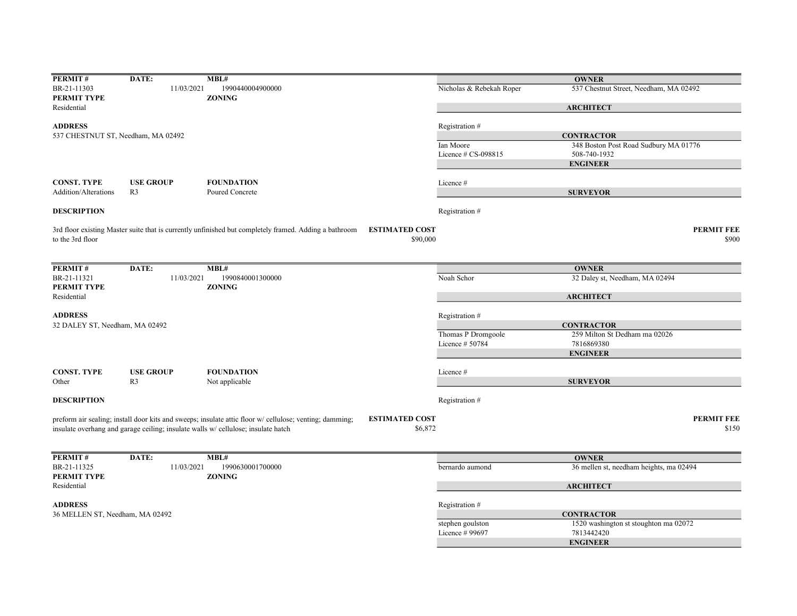| PERMIT#                            | DATE:            | MBL#                                                                                                                             |                          | <b>OWNER</b>                            |
|------------------------------------|------------------|----------------------------------------------------------------------------------------------------------------------------------|--------------------------|-----------------------------------------|
| BR-21-11303                        | 11/03/2021       | 1990440004900000                                                                                                                 | Nicholas & Rebekah Roper | 537 Chestnut Street, Needham, MA 02492  |
| PERMIT TYPE                        |                  | <b>ZONING</b>                                                                                                                    |                          |                                         |
| Residential                        |                  |                                                                                                                                  |                          | <b>ARCHITECT</b>                        |
|                                    |                  |                                                                                                                                  |                          |                                         |
| <b>ADDRESS</b>                     |                  |                                                                                                                                  | Registration #           |                                         |
| 537 CHESTNUT ST, Needham, MA 02492 |                  |                                                                                                                                  |                          | <b>CONTRACTOR</b>                       |
|                                    |                  |                                                                                                                                  | Ian Moore                | 348 Boston Post Road Sudbury MA 01776   |
|                                    |                  |                                                                                                                                  | Licence # CS-098815      | 508-740-1932                            |
|                                    |                  |                                                                                                                                  |                          | <b>ENGINEER</b>                         |
|                                    |                  |                                                                                                                                  |                          |                                         |
| <b>CONST. TYPE</b>                 | <b>USE GROUP</b> | <b>FOUNDATION</b>                                                                                                                | Licence #                |                                         |
| <b>Addition/Alterations</b>        | R <sub>3</sub>   | Poured Concrete                                                                                                                  |                          | <b>SURVEYOR</b>                         |
| <b>DESCRIPTION</b>                 |                  |                                                                                                                                  | Registration #           |                                         |
|                                    |                  |                                                                                                                                  |                          |                                         |
|                                    |                  | <b>ESTIMATED COST</b><br>3rd floor existing Master suite that is currently unfinished but completely framed. Adding a bathroom   |                          | <b>PERMIT FEE</b>                       |
| to the 3rd floor                   |                  |                                                                                                                                  | \$90,000                 | \$900                                   |
|                                    |                  |                                                                                                                                  |                          |                                         |
|                                    |                  |                                                                                                                                  |                          |                                         |
| PERMIT#                            | DATE:            | MBL#                                                                                                                             |                          | <b>OWNER</b>                            |
| BR-21-11321                        | 11/03/2021       | 1990840001300000                                                                                                                 | Noah Schor               | 32 Daley st, Needham, MA 02494          |
| PERMIT TYPE                        |                  | <b>ZONING</b>                                                                                                                    |                          |                                         |
| Residential                        |                  |                                                                                                                                  |                          | <b>ARCHITECT</b>                        |
|                                    |                  |                                                                                                                                  |                          |                                         |
| <b>ADDRESS</b>                     |                  |                                                                                                                                  | Registration #           |                                         |
| 32 DALEY ST, Needham, MA 02492     |                  |                                                                                                                                  |                          | <b>CONTRACTOR</b>                       |
|                                    |                  |                                                                                                                                  | Thomas P Dromgoole       | 259 Milton St Dedham ma 02026           |
|                                    |                  |                                                                                                                                  | Licence # 50784          | 7816869380                              |
|                                    |                  |                                                                                                                                  |                          | <b>ENGINEER</b>                         |
|                                    |                  |                                                                                                                                  |                          |                                         |
| <b>CONST. TYPE</b>                 | <b>USE GROUP</b> | <b>FOUNDATION</b>                                                                                                                | Licence#                 |                                         |
| Other                              | R <sub>3</sub>   | Not applicable                                                                                                                   |                          | <b>SURVEYOR</b>                         |
|                                    |                  |                                                                                                                                  |                          |                                         |
| <b>DESCRIPTION</b>                 |                  |                                                                                                                                  | Registration#            |                                         |
|                                    |                  |                                                                                                                                  |                          |                                         |
|                                    |                  | preform air sealing; install door kits and sweeps; insulate attic floor w/ cellulose; venting; damming;<br><b>ESTIMATED COST</b> |                          | <b>PERMIT FEE</b>                       |
|                                    |                  | insulate overhang and garage ceiling; insulate walls w/ cellulose; insulate hatch                                                | \$6,872                  | \$150                                   |
|                                    |                  |                                                                                                                                  |                          |                                         |
|                                    |                  |                                                                                                                                  |                          |                                         |
| PERMIT#                            | DATE:            | MBL#                                                                                                                             |                          | <b>OWNER</b>                            |
| BR-21-11325                        | 11/03/2021       | 1990630001700000                                                                                                                 | bernardo aumond          | 36 mellen st, needham heights, ma 02494 |
| PERMIT TYPE                        |                  | <b>ZONING</b>                                                                                                                    |                          |                                         |
| Residential                        |                  |                                                                                                                                  |                          | <b>ARCHITECT</b>                        |
|                                    |                  |                                                                                                                                  |                          |                                         |
| <b>ADDRESS</b>                     |                  |                                                                                                                                  | Registration #           |                                         |
| 36 MELLEN ST, Needham, MA 02492    |                  |                                                                                                                                  |                          | <b>CONTRACTOR</b>                       |
|                                    |                  |                                                                                                                                  | stephen goulston         | 1520 washington st stoughton ma 02072   |
|                                    |                  |                                                                                                                                  | Licence # 99697          | 7813442420                              |
|                                    |                  |                                                                                                                                  |                          | <b>ENGINEER</b>                         |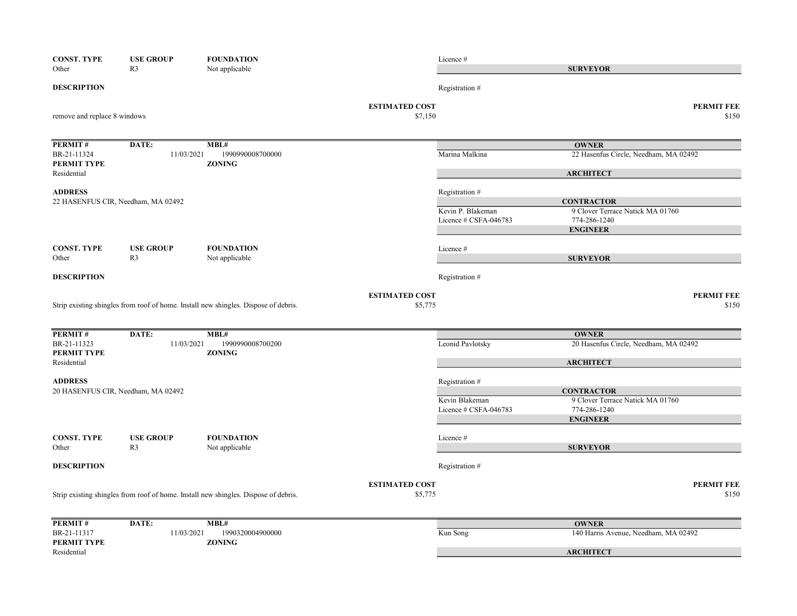| <b>CONST. TYPE</b><br>Other  | <b>USE GROUP</b><br>R <sub>3</sub> | <b>FOUNDATION</b><br>Not applicable                                                 |                                  | Licence #                               | <b>SURVEYOR</b>                                  |
|------------------------------|------------------------------------|-------------------------------------------------------------------------------------|----------------------------------|-----------------------------------------|--------------------------------------------------|
|                              |                                    |                                                                                     |                                  |                                         |                                                  |
| <b>DESCRIPTION</b>           |                                    |                                                                                     |                                  | Registration #                          |                                                  |
| remove and replace 8 windows |                                    |                                                                                     | <b>ESTIMATED COST</b><br>\$7,150 |                                         | <b>PERMIT FEE</b><br>\$150                       |
| PERMIT#                      | DATE:                              | MBL#                                                                                |                                  |                                         | <b>OWNER</b>                                     |
| BR-21-11324<br>PERMIT TYPE   | 11/03/2021                         | 1990990008700000<br><b>ZONING</b>                                                   |                                  | Marina Malkina                          | 22 Hasenfus Circle, Needham, MA 02492            |
| Residential                  |                                    |                                                                                     |                                  |                                         | <b>ARCHITECT</b>                                 |
| <b>ADDRESS</b>               | 22 HASENFUS CIR, Needham, MA 02492 |                                                                                     |                                  | Registration #                          | <b>CONTRACTOR</b>                                |
|                              |                                    |                                                                                     |                                  | Kevin P. Blakeman                       | 9 Clover Terrace Natick MA 01760                 |
|                              |                                    |                                                                                     |                                  | Licence # CSFA-046783                   | 774-286-1240                                     |
|                              |                                    |                                                                                     |                                  |                                         | <b>ENGINEER</b>                                  |
| <b>CONST. TYPE</b>           | <b>USE GROUP</b>                   | <b>FOUNDATION</b>                                                                   |                                  | Licence #                               |                                                  |
| Other                        | R <sub>3</sub>                     | Not applicable                                                                      |                                  |                                         | <b>SURVEYOR</b>                                  |
| <b>DESCRIPTION</b>           |                                    |                                                                                     |                                  | Registration #                          |                                                  |
|                              |                                    | Strip existing shingles from roof of home. Install new shingles. Dispose of debris. | <b>ESTIMATED COST</b><br>\$5,775 |                                         | <b>PERMIT FEE</b><br>\$150                       |
|                              |                                    |                                                                                     |                                  |                                         |                                                  |
| PERMIT#                      | DATE:                              | MBL#                                                                                |                                  |                                         | <b>OWNER</b>                                     |
| BR-21-11323<br>PERMIT TYPE   | 11/03/2021                         | 1990990008700200<br><b>ZONING</b>                                                   |                                  | Leonid Pavlotsky                        | 20 Hasenfus Circle, Needham, MA 02492            |
| Residential                  |                                    |                                                                                     |                                  |                                         | <b>ARCHITECT</b>                                 |
| <b>ADDRESS</b>               |                                    |                                                                                     |                                  | Registration #                          |                                                  |
|                              | 20 HASENFUS CIR, Needham, MA 02492 |                                                                                     |                                  |                                         | <b>CONTRACTOR</b>                                |
|                              |                                    |                                                                                     |                                  | Kevin Blakeman<br>Licence # CSFA-046783 | 9 Clover Terrace Natick MA 01760<br>774-286-1240 |
|                              |                                    |                                                                                     |                                  |                                         | <b>ENGINEER</b>                                  |
| <b>CONST. TYPE</b>           | <b>USE GROUP</b>                   | <b>FOUNDATION</b>                                                                   |                                  | Licence #                               |                                                  |
| Other                        | R <sub>3</sub>                     | Not applicable                                                                      |                                  |                                         | <b>SURVEYOR</b>                                  |
| <b>DESCRIPTION</b>           |                                    |                                                                                     |                                  | Registration #                          |                                                  |
|                              |                                    |                                                                                     | <b>ESTIMATED COST</b>            |                                         | <b>PERMIT FEE</b>                                |
|                              |                                    | Strip existing shingles from roof of home. Install new shingles. Dispose of debris. | \$5,775                          |                                         | \$150                                            |
| PERMIT#                      | DATE:                              | MBL#                                                                                |                                  |                                         | <b>OWNER</b>                                     |
| BR-21-11317<br>PERMIT TYPE   | 11/03/2021                         | 1990320004900000<br><b>ZONING</b>                                                   |                                  | Kun Song                                | 140 Harris Avenue, Needham, MA 02492             |
| Residential                  |                                    |                                                                                     |                                  |                                         | <b>ARCHITECT</b>                                 |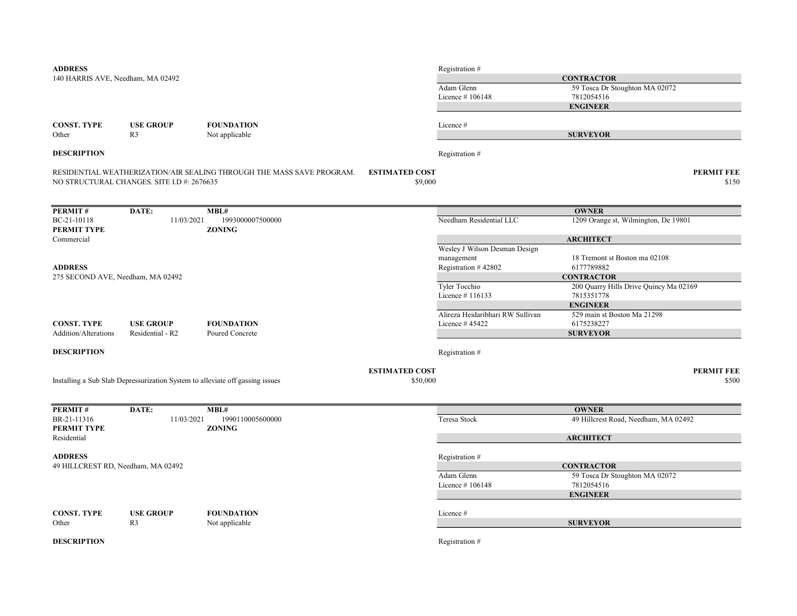| <b>ADDRESS</b>                     |                                                                               |                                                                       |                                  | Registration #                   |                                                             |
|------------------------------------|-------------------------------------------------------------------------------|-----------------------------------------------------------------------|----------------------------------|----------------------------------|-------------------------------------------------------------|
| 140 HARRIS AVE, Needham, MA 02492  |                                                                               |                                                                       |                                  |                                  | <b>CONTRACTOR</b>                                           |
|                                    |                                                                               |                                                                       |                                  | Adam Glenn                       | 59 Tosca Dr Stoughton MA 02072                              |
|                                    |                                                                               |                                                                       |                                  | Licence #106148                  | 7812054516                                                  |
|                                    |                                                                               |                                                                       |                                  |                                  | <b>ENGINEER</b>                                             |
|                                    |                                                                               | <b>FOUNDATION</b>                                                     |                                  | Licence #                        |                                                             |
| <b>CONST. TYPE</b><br>Other        | <b>USE GROUP</b><br>R <sub>3</sub>                                            | Not applicable                                                        |                                  |                                  | <b>SURVEYOR</b>                                             |
| <b>DESCRIPTION</b>                 |                                                                               |                                                                       |                                  | Registration #                   |                                                             |
|                                    |                                                                               |                                                                       |                                  |                                  |                                                             |
|                                    | NO STRUCTURAL CHANGES. SITE I.D #: 2676635                                    | RESIDENTIAL WEATHERIZATION/AIR SEALING THROUGH THE MASS SAVE PROGRAM. | <b>ESTIMATED COST</b><br>\$9,000 |                                  | <b>PERMIT FEE</b><br>\$150                                  |
| PERMIT#                            | DATE:                                                                         | MBL#                                                                  |                                  |                                  | <b>OWNER</b>                                                |
| BC-21-10118                        | 11/03/2021                                                                    | 1993000007500000                                                      |                                  | Needham Residential LLC          | 1209 Orange st, Wilmington, De 19801                        |
| PERMIT TYPE                        |                                                                               | <b>ZONING</b>                                                         |                                  |                                  |                                                             |
| Commercial                         |                                                                               |                                                                       |                                  |                                  | <b>ARCHITECT</b>                                            |
|                                    |                                                                               |                                                                       |                                  | Wesley J Wilson Desman Design    |                                                             |
|                                    |                                                                               |                                                                       |                                  | management                       | 18 Tremont st Boston ma 02108                               |
| <b>ADDRESS</b>                     |                                                                               |                                                                       |                                  | Registration #42802              | 6177789882                                                  |
| 275 SECOND AVE, Needham, MA 02492  |                                                                               |                                                                       |                                  | Tyler Tocchio                    | <b>CONTRACTOR</b><br>200 Quarry Hills Drive Quincy Ma 02169 |
|                                    |                                                                               |                                                                       |                                  | Licence #116133                  | 7815351778                                                  |
|                                    |                                                                               |                                                                       |                                  |                                  | <b>ENGINEER</b>                                             |
|                                    |                                                                               |                                                                       |                                  | Alireza Heidaribhari RW Sullivan | 529 main st Boston Ma 21298                                 |
| <b>CONST. TYPE</b>                 | <b>USE GROUP</b>                                                              | <b>FOUNDATION</b>                                                     |                                  | Licence #45422                   | 6175238227                                                  |
| Addition/Alterations               | Residential - R2                                                              | Poured Concrete                                                       |                                  |                                  | <b>SURVEYOR</b>                                             |
| <b>DESCRIPTION</b>                 |                                                                               |                                                                       |                                  | Registration #                   |                                                             |
|                                    |                                                                               |                                                                       | <b>ESTIMATED COST</b>            |                                  | <b>PERMIT FEE</b>                                           |
|                                    | Installing a Sub Slab Depressurization System to alleviate off gassing issues |                                                                       | \$50,000                         |                                  | \$500                                                       |
|                                    |                                                                               |                                                                       |                                  |                                  |                                                             |
| PERMIT#                            | DATE:                                                                         | MBL#                                                                  |                                  |                                  | <b>OWNER</b>                                                |
| BR-21-11316<br>PERMIT TYPE         | 11/03/2021                                                                    | 1990110005600000<br><b>ZONING</b>                                     |                                  | Teresa Stock                     | 49 Hillcrest Road, Needham, MA 02492                        |
| Residential                        |                                                                               |                                                                       |                                  |                                  | <b>ARCHITECT</b>                                            |
| <b>ADDRESS</b>                     |                                                                               |                                                                       |                                  | Registration #                   |                                                             |
| 49 HILLCREST RD, Needham, MA 02492 |                                                                               |                                                                       |                                  |                                  | <b>CONTRACTOR</b>                                           |
|                                    |                                                                               |                                                                       |                                  | Adam Glenn                       | 59 Tosca Dr Stoughton MA 02072                              |
|                                    |                                                                               |                                                                       |                                  | Licence #106148                  | 7812054516                                                  |
|                                    |                                                                               |                                                                       |                                  |                                  | <b>ENGINEER</b>                                             |
| <b>CONST. TYPE</b>                 | <b>USE GROUP</b>                                                              | <b>FOUNDATION</b>                                                     |                                  | Licence #                        |                                                             |
| Other                              | R <sub>3</sub>                                                                | Not applicable                                                        |                                  |                                  | <b>SURVEYOR</b>                                             |
|                                    |                                                                               |                                                                       |                                  |                                  |                                                             |
| <b>DESCRIPTION</b>                 |                                                                               |                                                                       |                                  | Registration #                   |                                                             |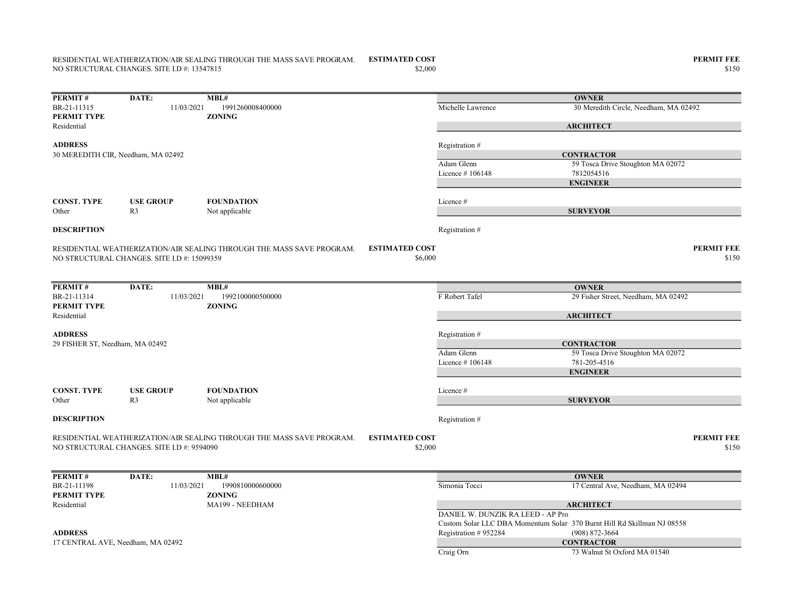## ESTIMATED COST PERMIT FEE RESIDENTIAL WEATHERIZATION/AIR SEALING THROUGH THE MASS SAVE PROGRAM. NO STRUCTURAL CHANGES. SITE I.D #: 13547815

ADDRESS Registration #

| <b>PERMIT#</b>     | DATE: | MBL#                           |                   | <b>OWNER</b>                          |
|--------------------|-------|--------------------------------|-------------------|---------------------------------------|
| BR-21-11315        |       | 11/03/2021<br>1991260008400000 | Michelle Lawrence | 30 Meredith Circle, Needham, MA 02492 |
| <b>PERMIT TYPE</b> |       | <b>ZONING</b>                  |                   |                                       |
| Residential        |       |                                |                   | <b>ARCHITECT</b>                      |
|                    |       |                                |                   |                                       |

Adam Glenn 59 Tosca Drive Stoughton MA 02072 Licence # 106148 7812054516 CONST. TYPE USE GROUP FOUNDATION Licence # Other R3 Not applicable **DESCRIPTION** Registration # ESTIMATED COST PERMIT FEE  $$6,000$   $$150$ RESIDENTIAL WEATHERIZATION/AIR SEALING THROUGH THE MASS SAVE PROGRAM. NO STRUCTURAL CHANGES. SITE I.D #: 15099359 **CONTRACTOR** ENGINEER SURVEYOR 30 MEREDITH CIR, Needham, MA 02492

| PERMIT#                         | DATE:                                      | MBL#                                                                  |                                  |                   | <b>OWNER</b>                        |                            |
|---------------------------------|--------------------------------------------|-----------------------------------------------------------------------|----------------------------------|-------------------|-------------------------------------|----------------------------|
| BR-21-11314                     | 11/03/2021                                 | 1992100000500000                                                      |                                  | F Robert Tafel    | 29 Fisher Street, Needham, MA 02492 |                            |
| PERMIT TYPE                     |                                            | <b>ZONING</b>                                                         |                                  |                   |                                     |                            |
| Residential                     |                                            |                                                                       |                                  |                   | <b>ARCHITECT</b>                    |                            |
| <b>ADDRESS</b>                  |                                            |                                                                       |                                  | Registration #    |                                     |                            |
| 29 FISHER ST, Needham, MA 02492 |                                            |                                                                       |                                  |                   | <b>CONTRACTOR</b>                   |                            |
|                                 |                                            |                                                                       |                                  | Adam Glenn        | 59 Tosca Drive Stoughton MA 02072   |                            |
|                                 |                                            |                                                                       |                                  | Licence $#106148$ | 781-205-4516                        |                            |
|                                 |                                            |                                                                       |                                  |                   | <b>ENGINEER</b>                     |                            |
| <b>CONST. TYPE</b>              | <b>USE GROUP</b>                           | <b>FOUNDATION</b>                                                     |                                  | Licence #         |                                     |                            |
| Other                           | R <sub>3</sub>                             | Not applicable                                                        |                                  |                   | <b>SURVEYOR</b>                     |                            |
| <b>DESCRIPTION</b>              |                                            |                                                                       |                                  | Registration #    |                                     |                            |
|                                 | NO STRUCTURAL CHANGES. SITE I.D #: 9594090 | RESIDENTIAL WEATHERIZATION/AIR SEALING THROUGH THE MASS SAVE PROGRAM. | <b>ESTIMATED COST</b><br>\$2,000 |                   |                                     | <b>PERMIT FEE</b><br>\$150 |
|                                 |                                            |                                                                       |                                  |                   |                                     |                            |

| PERMIT#                           | DATE: | MBL#          |                  |                                   | <b>OWNER</b>                                                            |
|-----------------------------------|-------|---------------|------------------|-----------------------------------|-------------------------------------------------------------------------|
| BR-21-11198                       |       | 11/03/2021    | 1990810000600000 | Simonia Tocci                     | 17 Central Ave, Needham, MA 02494                                       |
| PERMIT TYPE                       |       | <b>ZONING</b> |                  |                                   |                                                                         |
| Residential                       |       |               | MA199 - NEEDHAM  |                                   | <b>ARCHITECT</b>                                                        |
|                                   |       |               |                  | DANIEL W. DUNZIK RA LEED - AP Pro |                                                                         |
|                                   |       |               |                  |                                   | Custom Solar LLC DBA Momentum Solar 370 Burnt Hill Rd Skillman NJ 08558 |
| <b>ADDRESS</b>                    |       |               |                  | Registration #952284              | $(908)$ 872-3664                                                        |
| 17 CENTRAL AVE, Needham, MA 02492 |       |               |                  |                                   | <b>CONTRACTOR</b>                                                       |
|                                   |       |               |                  | Craig Orn                         | 73 Walnut St Oxford MA 01540                                            |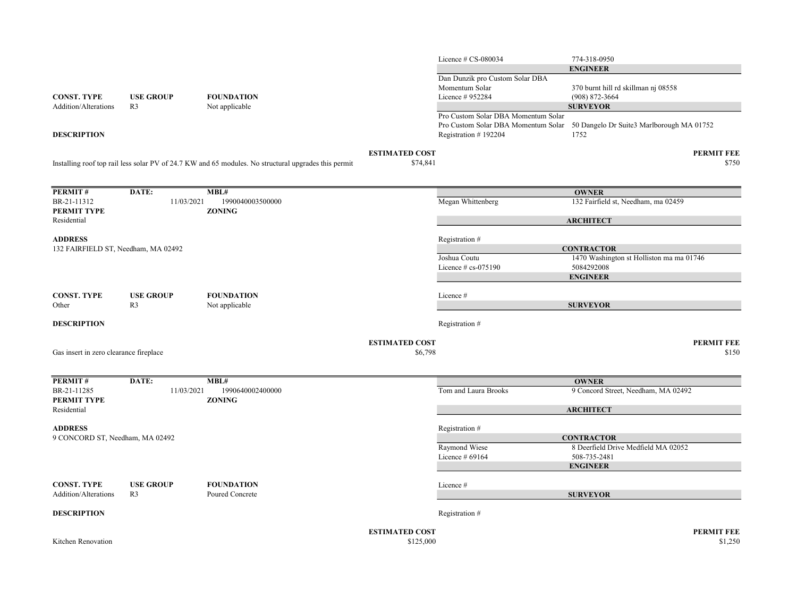|                                                       |                                    |                                                                                                      |                                    | Licence $\#$ CS-080034              | 774-318-0950                                                                  |
|-------------------------------------------------------|------------------------------------|------------------------------------------------------------------------------------------------------|------------------------------------|-------------------------------------|-------------------------------------------------------------------------------|
|                                                       |                                    |                                                                                                      |                                    |                                     | <b>ENGINEER</b>                                                               |
|                                                       |                                    |                                                                                                      |                                    | Dan Dunzik pro Custom Solar DBA     |                                                                               |
|                                                       |                                    |                                                                                                      |                                    | Momentum Solar                      | 370 burnt hill rd skillman nj 08558                                           |
| <b>CONST. TYPE</b>                                    | <b>USE GROUP</b>                   | <b>FOUNDATION</b>                                                                                    |                                    | Licence # 952284                    | $(908) 872 - 3664$                                                            |
| Addition/Alterations                                  | R <sub>3</sub>                     | Not applicable                                                                                       |                                    |                                     | <b>SURVEYOR</b>                                                               |
|                                                       |                                    |                                                                                                      |                                    | Pro Custom Solar DBA Momentum Solar |                                                                               |
|                                                       |                                    |                                                                                                      |                                    |                                     | Pro Custom Solar DBA Momentum Solar 50 Dangelo Dr Suite3 Marlborough MA 01752 |
| <b>DESCRIPTION</b>                                    |                                    |                                                                                                      |                                    | Registration #192204                | 1752                                                                          |
|                                                       |                                    |                                                                                                      | <b>ESTIMATED COST</b>              |                                     | <b>PERMIT FEE</b>                                                             |
|                                                       |                                    | Installing roof top rail less solar PV of 24.7 KW and 65 modules. No structural upgrades this permit | \$74,841                           |                                     | \$750                                                                         |
|                                                       |                                    |                                                                                                      |                                    |                                     |                                                                               |
| PERMIT#                                               | DATE:                              | MBL#                                                                                                 |                                    |                                     | <b>OWNER</b>                                                                  |
| BR-21-11312                                           | 11/03/2021                         | 1990040003500000                                                                                     |                                    | Megan Whittenberg                   | 132 Fairfield st, Needham, ma 02459                                           |
| PERMIT TYPE                                           |                                    | <b>ZONING</b>                                                                                        |                                    |                                     |                                                                               |
| Residential                                           |                                    |                                                                                                      |                                    |                                     | <b>ARCHITECT</b>                                                              |
|                                                       |                                    |                                                                                                      |                                    |                                     |                                                                               |
| <b>ADDRESS</b><br>132 FAIRFIELD ST, Needham, MA 02492 |                                    |                                                                                                      |                                    | Registration #                      | <b>CONTRACTOR</b>                                                             |
|                                                       |                                    |                                                                                                      |                                    | Joshua Coutu                        | 1470 Washington st Holliston ma ma 01746                                      |
|                                                       |                                    |                                                                                                      |                                    | Licence $\#$ cs-075190              | 5084292008                                                                    |
|                                                       |                                    |                                                                                                      |                                    |                                     | <b>ENGINEER</b>                                                               |
|                                                       |                                    |                                                                                                      |                                    |                                     |                                                                               |
| <b>CONST. TYPE</b><br>Other                           | <b>USE GROUP</b><br>R <sub>3</sub> | <b>FOUNDATION</b>                                                                                    |                                    | Licence #                           | <b>SURVEYOR</b>                                                               |
|                                                       |                                    | Not applicable                                                                                       |                                    |                                     |                                                                               |
| <b>DESCRIPTION</b>                                    |                                    |                                                                                                      |                                    | Registration #                      |                                                                               |
|                                                       |                                    |                                                                                                      |                                    |                                     |                                                                               |
| Gas insert in zero clearance fireplace                |                                    |                                                                                                      | <b>ESTIMATED COST</b><br>\$6,798   |                                     | <b>PERMIT FEE</b><br>\$150                                                    |
|                                                       |                                    |                                                                                                      |                                    |                                     |                                                                               |
| PERMIT#                                               | DATE:                              | MBL#                                                                                                 |                                    |                                     | <b>OWNER</b>                                                                  |
| BR-21-11285                                           | 11/03/2021                         | 1990640002400000                                                                                     |                                    | Tom and Laura Brooks                | 9 Concord Street, Needham, MA 02492                                           |
| PERMIT TYPE                                           |                                    | <b>ZONING</b>                                                                                        |                                    |                                     |                                                                               |
| Residential                                           |                                    |                                                                                                      |                                    |                                     | <b>ARCHITECT</b>                                                              |
|                                                       |                                    |                                                                                                      |                                    |                                     |                                                                               |
| <b>ADDRESS</b><br>9 CONCORD ST, Needham, MA 02492     |                                    |                                                                                                      |                                    | Registration #                      | <b>CONTRACTOR</b>                                                             |
|                                                       |                                    |                                                                                                      |                                    | Raymond Wiese                       | 8 Deerfield Drive Medfield MA 02052                                           |
|                                                       |                                    |                                                                                                      |                                    | Licence # 69164                     | 508-735-2481                                                                  |
|                                                       |                                    |                                                                                                      |                                    |                                     | <b>ENGINEER</b>                                                               |
|                                                       |                                    |                                                                                                      |                                    |                                     |                                                                               |
| <b>CONST. TYPE</b>                                    | <b>USE GROUP</b>                   | <b>FOUNDATION</b>                                                                                    |                                    | Licence #                           |                                                                               |
| Addition/Alterations                                  | R <sub>3</sub>                     | Poured Concrete                                                                                      |                                    |                                     | <b>SURVEYOR</b>                                                               |
| <b>DESCRIPTION</b>                                    |                                    |                                                                                                      |                                    | Registration #                      |                                                                               |
|                                                       |                                    |                                                                                                      |                                    |                                     |                                                                               |
| Kitchen Renovation                                    |                                    |                                                                                                      | <b>ESTIMATED COST</b><br>\$125,000 |                                     | <b>PERMIT FEE</b><br>\$1,250                                                  |
|                                                       |                                    |                                                                                                      |                                    |                                     |                                                                               |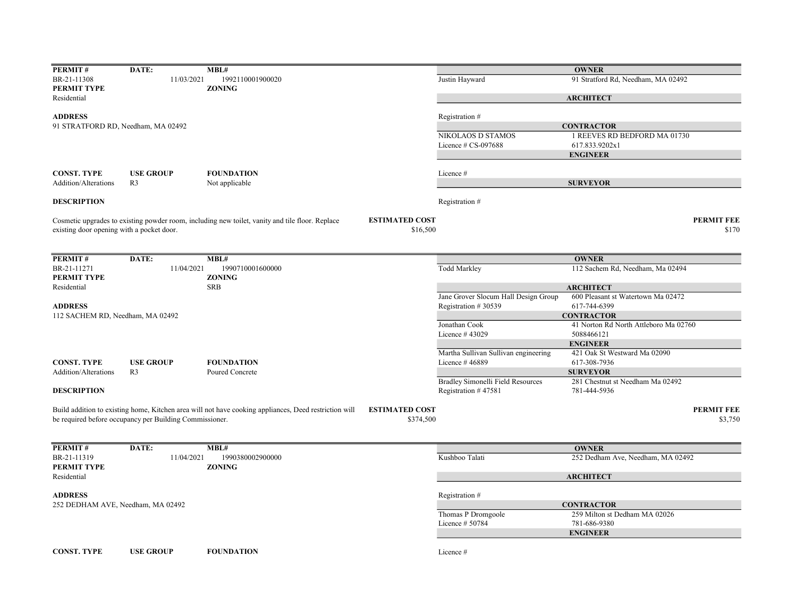| PERMIT#                                   | DATE:                                                   | MBL#                                                                                                  |                       |                                                             | <b>OWNER</b>                                       |                   |
|-------------------------------------------|---------------------------------------------------------|-------------------------------------------------------------------------------------------------------|-----------------------|-------------------------------------------------------------|----------------------------------------------------|-------------------|
| BR-21-11308<br>PERMIT TYPE                | 11/03/2021                                              | 1992110001900020<br><b>ZONING</b>                                                                     |                       | Justin Hayward                                              | 91 Stratford Rd, Needham, MA 02492                 |                   |
| Residential                               |                                                         |                                                                                                       |                       |                                                             | <b>ARCHITECT</b>                                   |                   |
| <b>ADDRESS</b>                            |                                                         |                                                                                                       |                       | Registration #                                              |                                                    |                   |
| 91 STRATFORD RD, Needham, MA 02492        |                                                         |                                                                                                       |                       |                                                             | <b>CONTRACTOR</b>                                  |                   |
|                                           |                                                         |                                                                                                       |                       | NIKOLAOS D STAMOS                                           | 1 REEVES RD BEDFORD MA 01730                       |                   |
|                                           |                                                         |                                                                                                       |                       | Licence $\#$ CS-097688                                      | 617.833.9202x1                                     |                   |
|                                           |                                                         |                                                                                                       |                       |                                                             | <b>ENGINEER</b>                                    |                   |
| <b>CONST. TYPE</b>                        | <b>USE GROUP</b>                                        | <b>FOUNDATION</b>                                                                                     |                       | Licence #                                                   |                                                    |                   |
| Addition/Alterations                      | R <sub>3</sub>                                          | Not applicable                                                                                        |                       |                                                             | <b>SURVEYOR</b>                                    |                   |
| <b>DESCRIPTION</b>                        |                                                         |                                                                                                       |                       | Registration #                                              |                                                    |                   |
|                                           |                                                         | Cosmetic upgrades to existing powder room, including new toilet, vanity and tile floor. Replace       | <b>ESTIMATED COST</b> |                                                             |                                                    | <b>PERMIT FEE</b> |
| existing door opening with a pocket door. |                                                         |                                                                                                       | \$16,500              |                                                             |                                                    | \$170             |
|                                           |                                                         |                                                                                                       |                       |                                                             |                                                    |                   |
| PERMIT#                                   | DATE:                                                   | MBL#                                                                                                  |                       |                                                             | <b>OWNER</b>                                       |                   |
| BR-21-11271                               | 11/04/2021                                              | 1990710001600000                                                                                      |                       | <b>Todd Markley</b>                                         | 112 Sachem Rd, Needham, Ma 02494                   |                   |
| PERMIT TYPE                               |                                                         | <b>ZONING</b>                                                                                         |                       |                                                             |                                                    |                   |
| Residential                               |                                                         | <b>SRB</b>                                                                                            |                       |                                                             | <b>ARCHITECT</b>                                   |                   |
| <b>ADDRESS</b>                            |                                                         |                                                                                                       |                       | Jane Grover Slocum Hall Design Group<br>Registration #30539 | 600 Pleasant st Watertown Ma 02472<br>617-744-6399 |                   |
| 112 SACHEM RD, Needham, MA 02492          |                                                         |                                                                                                       |                       |                                                             | <b>CONTRACTOR</b>                                  |                   |
|                                           |                                                         |                                                                                                       |                       | Jonathan Cook                                               | 41 Norton Rd North Attleboro Ma 02760              |                   |
|                                           |                                                         |                                                                                                       |                       | Licence #43029                                              | 5088466121                                         |                   |
|                                           |                                                         |                                                                                                       |                       |                                                             | <b>ENGINEER</b>                                    |                   |
|                                           |                                                         |                                                                                                       |                       | Martha Sullivan Sullivan engineering                        | 421 Oak St Westward Ma 02090                       |                   |
| <b>CONST. TYPE</b>                        | <b>USE GROUP</b>                                        | <b>FOUNDATION</b>                                                                                     |                       | Licence #46889                                              | 617-308-7936                                       |                   |
| <b>Addition/Alterations</b>               | R <sub>3</sub>                                          | Poured Concrete                                                                                       |                       |                                                             | <b>SURVEYOR</b>                                    |                   |
|                                           |                                                         |                                                                                                       |                       | <b>Bradley Simonelli Field Resources</b>                    | 281 Chestnut st Needham Ma 02492                   |                   |
| <b>DESCRIPTION</b>                        |                                                         |                                                                                                       |                       | Registration #47581                                         | 781-444-5936                                       |                   |
|                                           |                                                         | Build addition to existing home, Kitchen area will not have cooking appliances, Deed restriction will | <b>ESTIMATED COST</b> |                                                             |                                                    | <b>PERMIT FEE</b> |
|                                           | be required before occupancy per Building Commissioner. |                                                                                                       | \$374,500             |                                                             |                                                    | \$3,750           |
|                                           |                                                         |                                                                                                       |                       |                                                             |                                                    |                   |
| PERMIT#                                   | DATE:                                                   | MBL#                                                                                                  |                       |                                                             | <b>OWNER</b>                                       |                   |
| BR-21-11319                               | 11/04/2021                                              | 1990380002900000                                                                                      |                       | Kushboo Talati                                              | 252 Dedham Ave, Needham, MA 02492                  |                   |
| PERMIT TYPE                               |                                                         | <b>ZONING</b>                                                                                         |                       |                                                             |                                                    |                   |
| Residential                               |                                                         |                                                                                                       |                       |                                                             | <b>ARCHITECT</b>                                   |                   |
| <b>ADDRESS</b>                            |                                                         |                                                                                                       |                       | Registration #                                              |                                                    |                   |
| 252 DEDHAM AVE, Needham, MA 02492         |                                                         |                                                                                                       |                       |                                                             | <b>CONTRACTOR</b>                                  |                   |
|                                           |                                                         |                                                                                                       |                       | Thomas P Dromgoole                                          | 259 Milton st Dedham MA 02026                      |                   |
|                                           |                                                         |                                                                                                       |                       | Licence # 50784                                             | 781-686-9380                                       |                   |
|                                           |                                                         |                                                                                                       |                       |                                                             | <b>ENGINEER</b>                                    |                   |
|                                           |                                                         |                                                                                                       |                       |                                                             |                                                    |                   |
| <b>CONST. TYPE</b>                        | <b>USE GROUP</b>                                        | <b>FOUNDATION</b>                                                                                     |                       | Licence #                                                   |                                                    |                   |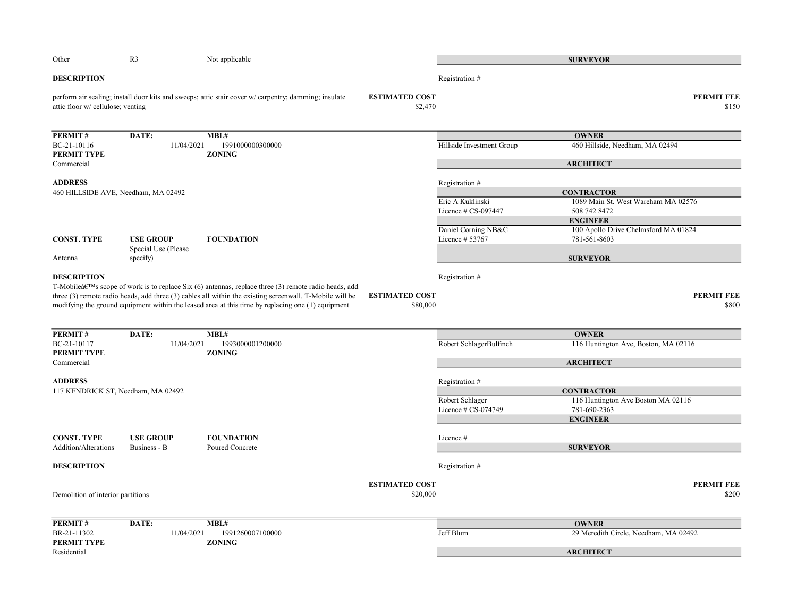| Other                                                 | R <sub>3</sub>                                      | Not applicable                                                                                                                                                                                                                                                                                                                         |                                   |                                         | <b>SURVEYOR</b>                                         |
|-------------------------------------------------------|-----------------------------------------------------|----------------------------------------------------------------------------------------------------------------------------------------------------------------------------------------------------------------------------------------------------------------------------------------------------------------------------------------|-----------------------------------|-----------------------------------------|---------------------------------------------------------|
| <b>DESCRIPTION</b>                                    |                                                     |                                                                                                                                                                                                                                                                                                                                        |                                   | Registration #                          |                                                         |
| attic floor w/ cellulose; venting                     |                                                     | perform air sealing; install door kits and sweeps; attic stair cover w/ carpentry; damming; insulate                                                                                                                                                                                                                                   | <b>ESTIMATED COST</b><br>\$2,470  |                                         | <b>PERMIT FEE</b><br>\$150                              |
| PERMIT#                                               | DATE:                                               | MBL#                                                                                                                                                                                                                                                                                                                                   |                                   |                                         | <b>OWNER</b>                                            |
| BC-21-10116<br>PERMIT TYPE                            | 11/04/2021                                          | 1991000000300000<br><b>ZONING</b>                                                                                                                                                                                                                                                                                                      |                                   | Hillside Investment Group               | 460 Hillside, Needham, MA 02494                         |
| Commercial                                            |                                                     |                                                                                                                                                                                                                                                                                                                                        |                                   |                                         | <b>ARCHITECT</b>                                        |
| <b>ADDRESS</b><br>460 HILLSIDE AVE, Needham, MA 02492 |                                                     |                                                                                                                                                                                                                                                                                                                                        |                                   | Registration #                          | <b>CONTRACTOR</b>                                       |
|                                                       |                                                     |                                                                                                                                                                                                                                                                                                                                        |                                   | Eric A Kuklinski<br>Licence # CS-097447 | 1089 Main St. West Wareham MA 02576<br>508 742 8472     |
|                                                       |                                                     |                                                                                                                                                                                                                                                                                                                                        |                                   | Daniel Corning NB&C                     | <b>ENGINEER</b><br>100 Apollo Drive Chelmsford MA 01824 |
| <b>CONST. TYPE</b><br>Antenna                         | <b>USE GROUP</b><br>Special Use (Please<br>specify) | <b>FOUNDATION</b>                                                                                                                                                                                                                                                                                                                      |                                   | Licence # 53767                         | 781-561-8603<br><b>SURVEYOR</b>                         |
| <b>DESCRIPTION</b>                                    |                                                     |                                                                                                                                                                                                                                                                                                                                        |                                   | Registration #                          |                                                         |
|                                                       |                                                     | T-Mobileâ $\mathcal{E}^{TM}$ s scope of work is to replace Six (6) antennas, replace three (3) remote radio heads, add<br>three (3) remote radio heads, add three (3) cables all within the existing screenwall. T-Mobile will be<br>modifying the ground equipment within the leased area at this time by replacing one (1) equipment | <b>ESTIMATED COST</b><br>\$80,000 |                                         | <b>PERMIT FEE</b><br>\$800                              |
|                                                       |                                                     |                                                                                                                                                                                                                                                                                                                                        |                                   |                                         |                                                         |
| PERMIT#<br>BC-21-10117                                | DATE:<br>11/04/2021                                 | MBL#<br>1993000001200000                                                                                                                                                                                                                                                                                                               |                                   | Robert SchlagerBulfinch                 | <b>OWNER</b><br>116 Huntington Ave, Boston, MA 02116    |
| <b>PERMIT TYPE</b><br>Commercial                      |                                                     | <b>ZONING</b>                                                                                                                                                                                                                                                                                                                          |                                   |                                         | <b>ARCHITECT</b>                                        |
| <b>ADDRESS</b>                                        |                                                     |                                                                                                                                                                                                                                                                                                                                        |                                   | Registration #                          |                                                         |
| 117 KENDRICK ST, Needham, MA 02492                    |                                                     |                                                                                                                                                                                                                                                                                                                                        |                                   | Robert Schlager                         | <b>CONTRACTOR</b><br>116 Huntington Ave Boston MA 02116 |
|                                                       |                                                     |                                                                                                                                                                                                                                                                                                                                        |                                   | Licence # CS-074749                     | 781-690-2363                                            |
|                                                       |                                                     |                                                                                                                                                                                                                                                                                                                                        |                                   |                                         | <b>ENGINEER</b>                                         |
| <b>CONST. TYPE</b><br>Addition/Alterations            | <b>USE GROUP</b><br>Business - B                    | <b>FOUNDATION</b><br>Poured Concrete                                                                                                                                                                                                                                                                                                   |                                   | Licence #                               | <b>SURVEYOR</b>                                         |
| <b>DESCRIPTION</b>                                    |                                                     |                                                                                                                                                                                                                                                                                                                                        |                                   | Registration #                          |                                                         |
| Demolition of interior partitions                     |                                                     |                                                                                                                                                                                                                                                                                                                                        | <b>ESTIMATED COST</b><br>\$20,000 |                                         | <b>PERMIT FEE</b><br>\$200                              |
|                                                       |                                                     |                                                                                                                                                                                                                                                                                                                                        |                                   |                                         |                                                         |
| PERMIT#                                               | DATE:                                               | MBL#                                                                                                                                                                                                                                                                                                                                   |                                   |                                         | <b>OWNER</b>                                            |
| BR-21-11302<br>PERMIT TYPE                            | 11/04/2021                                          | 1991260007100000<br><b>ZONING</b>                                                                                                                                                                                                                                                                                                      |                                   | Jeff Blum                               | 29 Meredith Circle, Needham, MA 02492                   |
| Residential                                           |                                                     |                                                                                                                                                                                                                                                                                                                                        |                                   |                                         | <b>ARCHITECT</b>                                        |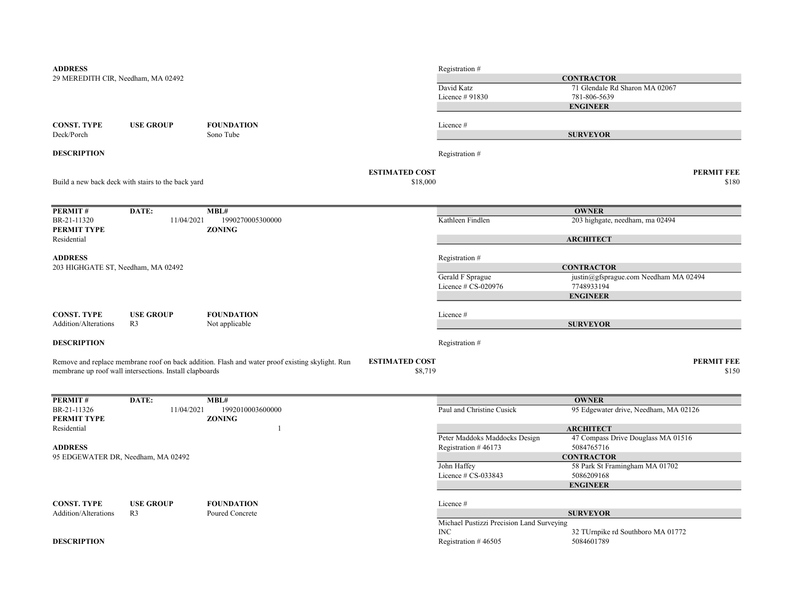| <b>ADDRESS</b>                     |                                                         |                                                                                                 |                       | Registration #                            |                                                 |
|------------------------------------|---------------------------------------------------------|-------------------------------------------------------------------------------------------------|-----------------------|-------------------------------------------|-------------------------------------------------|
| 29 MEREDITH CIR, Needham, MA 02492 |                                                         |                                                                                                 |                       |                                           | <b>CONTRACTOR</b>                               |
|                                    |                                                         |                                                                                                 |                       | David Katz                                | 71 Glendale Rd Sharon MA 02067                  |
|                                    |                                                         |                                                                                                 |                       | Licence # 91830                           | 781-806-5639                                    |
|                                    |                                                         |                                                                                                 |                       |                                           | <b>ENGINEER</b>                                 |
| <b>CONST. TYPE</b>                 | <b>USE GROUP</b>                                        | <b>FOUNDATION</b>                                                                               |                       | Licence#                                  |                                                 |
| Deck/Porch                         |                                                         | Sono Tube                                                                                       |                       |                                           | <b>SURVEYOR</b>                                 |
|                                    |                                                         |                                                                                                 |                       |                                           |                                                 |
| <b>DESCRIPTION</b>                 |                                                         |                                                                                                 |                       | Registration #                            |                                                 |
|                                    |                                                         |                                                                                                 | <b>ESTIMATED COST</b> |                                           | <b>PERMIT FEE</b>                               |
|                                    | Build a new back deck with stairs to the back yard      |                                                                                                 | \$18,000              |                                           | \$180                                           |
|                                    |                                                         |                                                                                                 |                       |                                           |                                                 |
|                                    |                                                         |                                                                                                 |                       |                                           |                                                 |
| <b>PERMIT#</b><br>BR-21-11320      | DATE:<br>11/04/2021                                     | MBL#<br>1990270005300000                                                                        |                       | Kathleen Findlen                          | <b>OWNER</b><br>203 highgate, needham, ma 02494 |
| PERMIT TYPE                        |                                                         | <b>ZONING</b>                                                                                   |                       |                                           |                                                 |
| Residential                        |                                                         |                                                                                                 |                       |                                           | <b>ARCHITECT</b>                                |
| <b>ADDRESS</b>                     |                                                         |                                                                                                 |                       |                                           |                                                 |
| 203 HIGHGATE ST, Needham, MA 02492 |                                                         |                                                                                                 |                       | Registration #                            | <b>CONTRACTOR</b>                               |
|                                    |                                                         |                                                                                                 |                       | Gerald F Sprague                          | justin@gfsprague.com Needham MA 02494           |
|                                    |                                                         |                                                                                                 |                       | Licence # CS-020976                       | 7748933194                                      |
|                                    |                                                         |                                                                                                 |                       |                                           | <b>ENGINEER</b>                                 |
| <b>CONST. TYPE</b>                 | <b>USE GROUP</b>                                        | <b>FOUNDATION</b>                                                                               |                       | Licence #                                 |                                                 |
| Addition/Alterations               | R <sub>3</sub>                                          | Not applicable                                                                                  |                       |                                           | <b>SURVEYOR</b>                                 |
|                                    |                                                         |                                                                                                 |                       |                                           |                                                 |
| <b>DESCRIPTION</b>                 |                                                         |                                                                                                 |                       | Registration #                            |                                                 |
|                                    |                                                         | Remove and replace membrane roof on back addition. Flash and water proof existing skylight. Run | <b>ESTIMATED COST</b> |                                           | <b>PERMIT FEE</b>                               |
|                                    | membrane up roof wall intersections. Install clapboards |                                                                                                 | \$8,719               |                                           | \$150                                           |
|                                    |                                                         |                                                                                                 |                       |                                           |                                                 |
|                                    |                                                         |                                                                                                 |                       |                                           |                                                 |
| PERMIT#                            | DATE:                                                   | MBL#                                                                                            |                       |                                           | <b>OWNER</b>                                    |
| BR-21-11326<br>PERMIT TYPE         | 11/04/2021                                              | 1992010003600000<br><b>ZONING</b>                                                               |                       | Paul and Christine Cusick                 | 95 Edgewater drive, Needham, MA 02126           |
| Residential                        |                                                         |                                                                                                 |                       |                                           | <b>ARCHITECT</b>                                |
|                                    |                                                         |                                                                                                 |                       | Peter Maddoks Maddocks Design             | 47 Compass Drive Douglass MA 01516              |
| <b>ADDRESS</b>                     |                                                         |                                                                                                 |                       | Registration #46173                       | 5084765716                                      |
|                                    | 95 EDGEWATER DR, Needham, MA 02492                      |                                                                                                 |                       |                                           | <b>CONTRACTOR</b>                               |
|                                    |                                                         |                                                                                                 |                       | John Haffey                               | 58 Park St Framingham MA 01702                  |
|                                    |                                                         |                                                                                                 |                       | Licence $# CS-033843$                     | 5086209168                                      |
|                                    |                                                         |                                                                                                 |                       |                                           | <b>ENGINEER</b>                                 |
| CONST. TYPE                        | <b>USE GROUP</b>                                        | <b>FOUNDATION</b>                                                                               |                       | Licence#                                  |                                                 |
| <b>Addition/Alterations</b>        | R <sub>3</sub>                                          | Poured Concrete                                                                                 |                       |                                           | <b>SURVEYOR</b>                                 |
|                                    |                                                         |                                                                                                 |                       | Michael Pustizzi Precision Land Surveying |                                                 |
|                                    |                                                         |                                                                                                 |                       | INC                                       | 32 TUrnpike rd Southboro MA 01772               |
| <b>DESCRIPTION</b>                 |                                                         |                                                                                                 |                       | Registration #46505                       | 5084601789                                      |
|                                    |                                                         |                                                                                                 |                       |                                           |                                                 |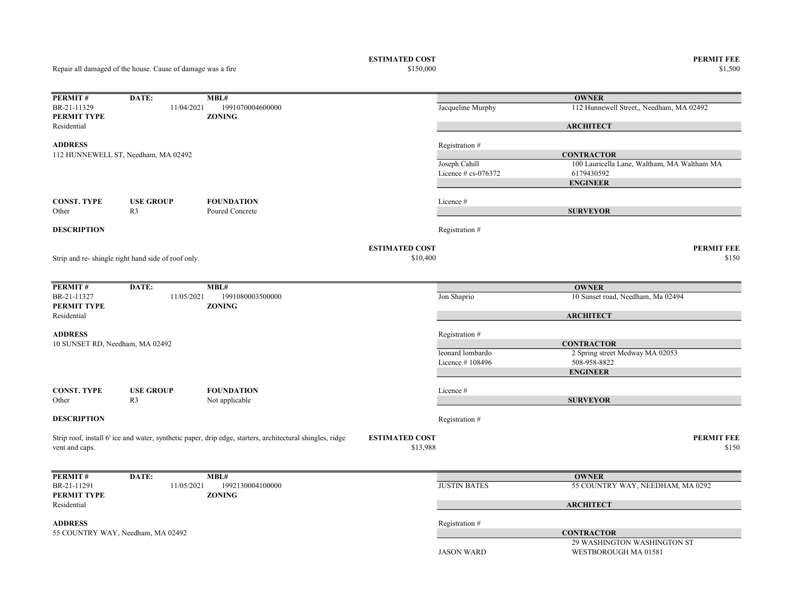Repair all damaged of the house. Cause of damage was a fire

ESTIMATED COST PERMIT FEE<br>\$150,000 \$1,500 \$1,500 \$1,500 \$1,500 \$1,500 \$1,500 \$1,500 \$1,500 \$1,500 \$1,500 \$1,500 \$1,500 \$1,500 \$1,500 \$1,500 \$1,500 \$1,500 \$1,500 \$1,500 \$1,500 \$1,500 \$1,500 \$1,500 \$1,500 \$1,500 \$1,500 \$1,50  $$1,500$   $$1,500$ 

| PERMIT#                         | DATE:                                              | MBL#                                                                                                      |                       |                        | <b>OWNER</b>                                |
|---------------------------------|----------------------------------------------------|-----------------------------------------------------------------------------------------------------------|-----------------------|------------------------|---------------------------------------------|
| BR-21-11329<br>PERMIT TYPE      | 11/04/2021                                         | 1991070004600000<br><b>ZONING</b>                                                                         |                       | Jacqueline Murphy      | 112 Hunnewell Street,, Needham, MA 02492    |
| Residential                     |                                                    |                                                                                                           |                       |                        | <b>ARCHITECT</b>                            |
| <b>ADDRESS</b>                  |                                                    |                                                                                                           |                       | Registration #         |                                             |
|                                 | 112 HUNNEWELL ST, Needham, MA 02492                |                                                                                                           |                       |                        | <b>CONTRACTOR</b>                           |
|                                 |                                                    |                                                                                                           |                       | Joseph Cahill          | 100 Lauricella Lane, Waltham, MA Waltham MA |
|                                 |                                                    |                                                                                                           |                       | Licence $# cs$ -076372 | 6179430592                                  |
|                                 |                                                    |                                                                                                           |                       |                        | <b>ENGINEER</b>                             |
| <b>CONST. TYPE</b>              | <b>USE GROUP</b>                                   | <b>FOUNDATION</b>                                                                                         |                       | Licence#               |                                             |
| Other                           | R <sub>3</sub>                                     | Poured Concrete                                                                                           |                       |                        | <b>SURVEYOR</b>                             |
| <b>DESCRIPTION</b>              |                                                    |                                                                                                           |                       | Registration #         |                                             |
|                                 |                                                    |                                                                                                           | <b>ESTIMATED COST</b> |                        | <b>PERMIT FEE</b>                           |
|                                 | Strip and re-shingle right hand side of roof only. |                                                                                                           | \$10,400              |                        | \$150                                       |
|                                 |                                                    |                                                                                                           |                       |                        |                                             |
| <b>PERMIT#</b>                  | DATE:                                              | MBL#                                                                                                      |                       |                        | <b>OWNER</b>                                |
| BR-21-11327                     | 11/05/2021                                         | 1991080003500000                                                                                          |                       | Jon Shaprio            | 10 Sunset road, Needham, Ma 02494           |
| PERMIT TYPE<br>Residential      |                                                    | <b>ZONING</b>                                                                                             |                       |                        | <b>ARCHITECT</b>                            |
| <b>ADDRESS</b>                  |                                                    |                                                                                                           |                       | Registration #         |                                             |
| 10 SUNSET RD, Needham, MA 02492 |                                                    |                                                                                                           |                       |                        | <b>CONTRACTOR</b>                           |
|                                 |                                                    |                                                                                                           |                       | leonard lombardo       | 2 Spring street Medway MA 02053             |
|                                 |                                                    |                                                                                                           |                       | Licence #108496        | 508-958-8822                                |
|                                 |                                                    |                                                                                                           |                       |                        | <b>ENGINEER</b>                             |
| <b>CONST. TYPE</b>              | <b>USE GROUP</b>                                   | <b>FOUNDATION</b>                                                                                         |                       | Licence#               |                                             |
| Other                           | R <sub>3</sub>                                     | Not applicable                                                                                            |                       |                        | <b>SURVEYOR</b>                             |
| <b>DESCRIPTION</b>              |                                                    |                                                                                                           |                       | Registration #         |                                             |
|                                 |                                                    | Strip roof, install 6' ice and water, synthetic paper, drip edge, starters, architectural shingles, ridge | <b>ESTIMATED COST</b> |                        | <b>PERMIT FEE</b>                           |
| vent and caps.                  |                                                    |                                                                                                           | \$13,988              |                        | \$150                                       |
|                                 |                                                    |                                                                                                           |                       |                        |                                             |
| PERMIT#                         | DATE:                                              | MBL#                                                                                                      |                       |                        | <b>OWNER</b>                                |
| BR-21-11291<br>PERMIT TYPE      | 11/05/2021                                         | 1992130004100000<br><b>ZONING</b>                                                                         |                       | <b>JUSTIN BATES</b>    | 55 COUNTRY WAY, NEEDHAM, MA 0292            |
| Residential                     |                                                    |                                                                                                           |                       |                        | <b>ARCHITECT</b>                            |
| <b>ADDRESS</b>                  |                                                    |                                                                                                           |                       | Registration #         |                                             |
|                                 | 55 COUNTRY WAY, Needham, MA 02492                  |                                                                                                           |                       |                        | <b>CONTRACTOR</b>                           |
|                                 |                                                    |                                                                                                           |                       |                        | 29 WASHINGTON WASHINGTON ST                 |
|                                 |                                                    |                                                                                                           |                       | <b>JASON WARD</b>      | WESTBOROUGH MA 01581                        |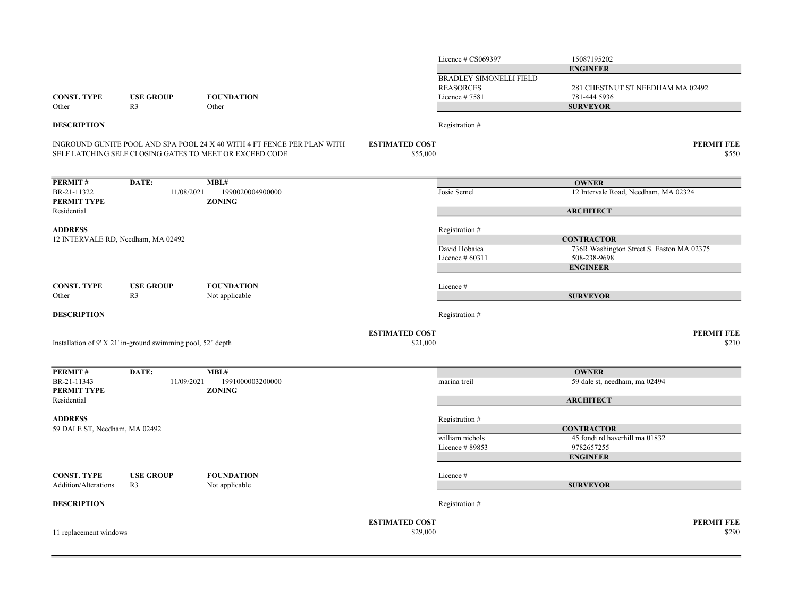|                                                   |                                                             |                                                                                                                                    |                                   | Licence # CS069397                                 | 15087195202                                               |                            |
|---------------------------------------------------|-------------------------------------------------------------|------------------------------------------------------------------------------------------------------------------------------------|-----------------------------------|----------------------------------------------------|-----------------------------------------------------------|----------------------------|
|                                                   |                                                             |                                                                                                                                    |                                   | <b>BRADLEY SIMONELLI FIELD</b><br><b>REASORCES</b> | <b>ENGINEER</b><br>281 CHESTNUT ST NEEDHAM MA 02492       |                            |
| <b>CONST. TYPE</b>                                | <b>USE GROUP</b>                                            | <b>FOUNDATION</b>                                                                                                                  |                                   | Licence #7581                                      | 781-444 5936                                              |                            |
| Other                                             | R <sub>3</sub>                                              | Other                                                                                                                              |                                   |                                                    | <b>SURVEYOR</b>                                           |                            |
| <b>DESCRIPTION</b>                                |                                                             |                                                                                                                                    |                                   | Registration #                                     |                                                           |                            |
|                                                   |                                                             | INGROUND GUNITE POOL AND SPA POOL 24 X 40 WITH 4 FT FENCE PER PLAN WITH<br>SELF LATCHING SELF CLOSING GATES TO MEET OR EXCEED CODE | <b>ESTIMATED COST</b><br>\$55,000 |                                                    |                                                           | <b>PERMIT FEE</b><br>\$550 |
| <b>PERMIT#</b>                                    | DATE:                                                       | MBL#                                                                                                                               |                                   |                                                    | <b>OWNER</b>                                              |                            |
| BR-21-11322<br>PERMIT TYPE                        | 11/08/2021                                                  | 1990020004900000<br><b>ZONING</b>                                                                                                  |                                   | Josie Semel                                        | 12 Intervale Road, Needham, MA 02324                      |                            |
| Residential                                       |                                                             |                                                                                                                                    |                                   |                                                    | <b>ARCHITECT</b>                                          |                            |
| <b>ADDRESS</b>                                    |                                                             |                                                                                                                                    |                                   | Registration #                                     |                                                           |                            |
| 12 INTERVALE RD, Needham, MA 02492                |                                                             |                                                                                                                                    |                                   |                                                    | <b>CONTRACTOR</b>                                         |                            |
|                                                   |                                                             |                                                                                                                                    |                                   | David Hobaica<br>Licence $#60311$                  | 736R Washington Street S. Easton MA 02375<br>508-238-9698 |                            |
|                                                   |                                                             |                                                                                                                                    |                                   |                                                    | <b>ENGINEER</b>                                           |                            |
| CONST. TYPE                                       | <b>USE GROUP</b>                                            | <b>FOUNDATION</b>                                                                                                                  |                                   | Licence #                                          |                                                           |                            |
| Other                                             | R <sub>3</sub>                                              | Not applicable                                                                                                                     |                                   |                                                    | <b>SURVEYOR</b>                                           |                            |
| <b>DESCRIPTION</b>                                |                                                             |                                                                                                                                    |                                   | Registration #                                     |                                                           |                            |
|                                                   |                                                             |                                                                                                                                    | <b>ESTIMATED COST</b>             |                                                    |                                                           | <b>PERMIT FEE</b>          |
|                                                   | Installation of 9' X 21' in-ground swimming pool, 52" depth |                                                                                                                                    | \$21,000                          |                                                    |                                                           | \$210                      |
| <b>PERMIT#</b>                                    | DATE:                                                       | MBL#                                                                                                                               |                                   |                                                    | <b>OWNER</b>                                              |                            |
| BR-21-11343<br>PERMIT TYPE                        | 11/09/2021                                                  | 1991000003200000<br><b>ZONING</b>                                                                                                  |                                   | marina treil                                       | 59 dale st, needham, ma 02494                             |                            |
| Residential                                       |                                                             |                                                                                                                                    |                                   |                                                    | <b>ARCHITECT</b>                                          |                            |
| <b>ADDRESS</b>                                    |                                                             |                                                                                                                                    |                                   | Registration #                                     |                                                           |                            |
| 59 DALE ST, Needham, MA 02492                     |                                                             |                                                                                                                                    |                                   |                                                    | <b>CONTRACTOR</b>                                         |                            |
|                                                   |                                                             |                                                                                                                                    |                                   | william nichols                                    | 45 fondi rd haverhill ma 01832                            |                            |
|                                                   |                                                             |                                                                                                                                    |                                   | Licence #89853                                     | 9782657255<br><b>ENGINEER</b>                             |                            |
|                                                   |                                                             |                                                                                                                                    |                                   |                                                    |                                                           |                            |
| <b>CONST. TYPE</b><br><b>Addition/Alterations</b> | <b>USE GROUP</b><br>R <sub>3</sub>                          | <b>FOUNDATION</b><br>Not applicable                                                                                                |                                   | Licence #                                          | <b>SURVEYOR</b>                                           |                            |
|                                                   |                                                             |                                                                                                                                    |                                   |                                                    |                                                           |                            |
| <b>DESCRIPTION</b>                                |                                                             |                                                                                                                                    |                                   | Registration #                                     |                                                           |                            |
|                                                   |                                                             |                                                                                                                                    | <b>ESTIMATED COST</b>             |                                                    |                                                           | <b>PERMIT FEE</b>          |
| 11 replacement windows                            |                                                             |                                                                                                                                    | \$29,000                          |                                                    |                                                           | \$290                      |
|                                                   |                                                             |                                                                                                                                    |                                   |                                                    |                                                           |                            |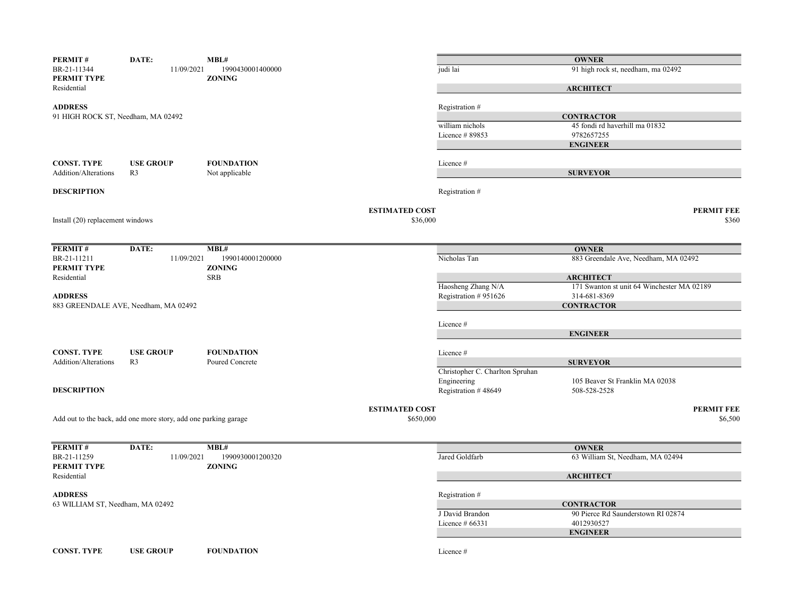| PERMIT#                            | DATE:                                                           | MBL#                              |                                   |                                 | <b>OWNER</b>                               |                            |
|------------------------------------|-----------------------------------------------------------------|-----------------------------------|-----------------------------------|---------------------------------|--------------------------------------------|----------------------------|
| BR-21-11344<br>PERMIT TYPE         | 11/09/2021                                                      | 1990430001400000<br><b>ZONING</b> |                                   | judi lai                        | 91 high rock st, needham, ma 02492         |                            |
| Residential                        |                                                                 |                                   |                                   |                                 | <b>ARCHITECT</b>                           |                            |
| <b>ADDRESS</b>                     |                                                                 |                                   |                                   | Registration #                  |                                            |                            |
| 91 HIGH ROCK ST, Needham, MA 02492 |                                                                 |                                   |                                   |                                 | <b>CONTRACTOR</b>                          |                            |
|                                    |                                                                 |                                   |                                   | william nichols                 | 45 fondi rd haverhill ma 01832             |                            |
|                                    |                                                                 |                                   |                                   | Licence #89853                  | 9782657255                                 |                            |
|                                    |                                                                 |                                   |                                   |                                 | <b>ENGINEER</b>                            |                            |
| <b>CONST. TYPE</b>                 | <b>USE GROUP</b>                                                | <b>FOUNDATION</b>                 |                                   | Licence #                       |                                            |                            |
| Addition/Alterations               | R <sub>3</sub>                                                  | Not applicable                    |                                   |                                 | <b>SURVEYOR</b>                            |                            |
| <b>DESCRIPTION</b>                 |                                                                 |                                   |                                   | Registration #                  |                                            |                            |
|                                    |                                                                 |                                   |                                   |                                 |                                            |                            |
| Install (20) replacement windows   |                                                                 |                                   | <b>ESTIMATED COST</b><br>\$36,000 |                                 |                                            | <b>PERMIT FEE</b><br>\$360 |
|                                    |                                                                 |                                   |                                   |                                 |                                            |                            |
|                                    |                                                                 |                                   |                                   |                                 |                                            |                            |
| PERMIT#                            | DATE:                                                           | MBL#                              |                                   |                                 | <b>OWNER</b>                               |                            |
| BR-21-11211                        | 11/09/2021                                                      | 1990140001200000                  |                                   | Nicholas Tan                    | 883 Greendale Ave, Needham, MA 02492       |                            |
| PERMIT TYPE<br>Residential         |                                                                 | <b>ZONING</b><br><b>SRB</b>       |                                   |                                 | <b>ARCHITECT</b>                           |                            |
|                                    |                                                                 |                                   |                                   | Haosheng Zhang N/A              | 171 Swanton st unit 64 Winchester MA 02189 |                            |
| <b>ADDRESS</b>                     |                                                                 |                                   |                                   | Registration #951626            | 314-681-8369                               |                            |
|                                    | 883 GREENDALE AVE, Needham, MA 02492                            |                                   |                                   |                                 | <b>CONTRACTOR</b>                          |                            |
|                                    |                                                                 |                                   |                                   |                                 |                                            |                            |
|                                    |                                                                 |                                   |                                   | Licence #                       |                                            |                            |
|                                    |                                                                 |                                   |                                   |                                 | <b>ENGINEER</b>                            |                            |
| <b>CONST. TYPE</b>                 | <b>USE GROUP</b>                                                | <b>FOUNDATION</b>                 |                                   | Licence #                       |                                            |                            |
| Addition/Alterations               | R <sub>3</sub>                                                  | Poured Concrete                   |                                   |                                 | <b>SURVEYOR</b>                            |                            |
|                                    |                                                                 |                                   |                                   | Christopher C. Charlton Spruhan |                                            |                            |
|                                    |                                                                 |                                   |                                   | Engineering                     | 105 Beaver St Franklin MA 02038            |                            |
| <b>DESCRIPTION</b>                 |                                                                 |                                   |                                   | Registration #48649             | 508-528-2528                               |                            |
|                                    |                                                                 |                                   |                                   |                                 |                                            |                            |
|                                    |                                                                 |                                   | <b>ESTIMATED COST</b>             |                                 |                                            | <b>PERMIT FEE</b>          |
|                                    | Add out to the back, add one more story, add one parking garage |                                   | \$650,000                         |                                 |                                            | \$6,500                    |
|                                    |                                                                 |                                   |                                   |                                 |                                            |                            |
| PERMIT#                            | DATE:                                                           | MBL#                              |                                   |                                 | <b>OWNER</b>                               |                            |
| BR-21-11259                        | 11/09/2021                                                      | 1990930001200320                  |                                   | Jared Goldfarb                  | 63 William St, Needham, MA 02494           |                            |
| PERMIT TYPE<br>Residential         |                                                                 | <b>ZONING</b>                     |                                   |                                 | <b>ARCHITECT</b>                           |                            |
|                                    |                                                                 |                                   |                                   |                                 |                                            |                            |
| <b>ADDRESS</b>                     |                                                                 |                                   |                                   | Registration #                  |                                            |                            |
| 63 WILLIAM ST, Needham, MA 02492   |                                                                 |                                   |                                   |                                 | <b>CONTRACTOR</b>                          |                            |
|                                    |                                                                 |                                   |                                   | J David Brandon                 | 90 Pierce Rd Saunderstown RI 02874         |                            |
|                                    |                                                                 |                                   |                                   | Licence $#66331$                | 4012930527                                 |                            |
|                                    |                                                                 |                                   |                                   |                                 | <b>ENGINEER</b>                            |                            |
| <b>CONST. TYPE</b>                 | <b>USE GROUP</b>                                                | <b>FOUNDATION</b>                 |                                   | Licence #                       |                                            |                            |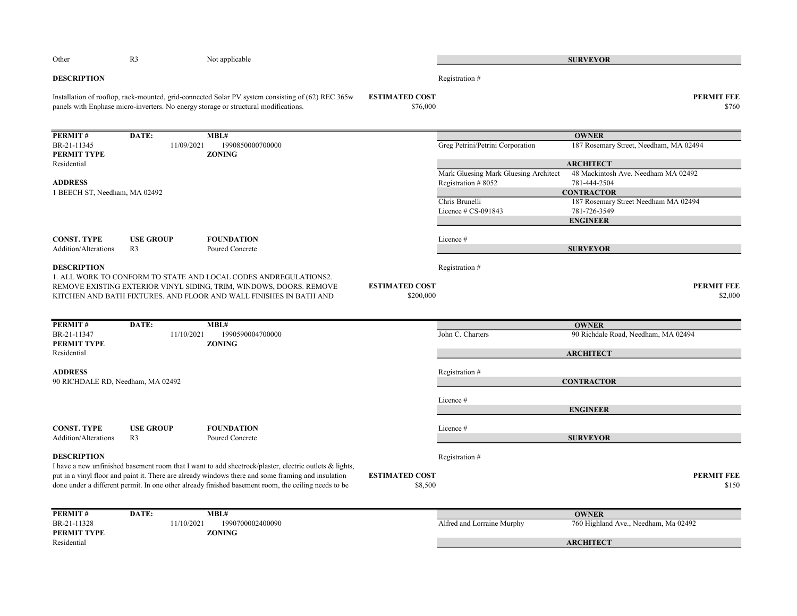| Other                                                                       | R <sub>3</sub>                     | Not applicable                                                                                                                                                                           |                                    |                                       | <b>SURVEYOR</b>                                      |
|-----------------------------------------------------------------------------|------------------------------------|------------------------------------------------------------------------------------------------------------------------------------------------------------------------------------------|------------------------------------|---------------------------------------|------------------------------------------------------|
| <b>DESCRIPTION</b>                                                          |                                    |                                                                                                                                                                                          |                                    | Registration #                        |                                                      |
|                                                                             |                                    | Installation of rooftop, rack-mounted, grid-connected Solar PV system consisting of (62) REC 365w<br>panels with Enphase micro-inverters. No energy storage or structural modifications. | <b>ESTIMATED COST</b><br>\$76,000  |                                       | <b>PERMIT FEE</b><br>\$760                           |
| PERMIT#                                                                     | DATE:                              | MBL#                                                                                                                                                                                     |                                    |                                       | <b>OWNER</b>                                         |
| BR-21-11345                                                                 | 11/09/2021                         | 1990850000700000                                                                                                                                                                         |                                    | Greg Petrini/Petrini Corporation      | 187 Rosemary Street, Needham, MA 02494               |
| PERMIT TYPE<br>Residential                                                  |                                    | <b>ZONING</b>                                                                                                                                                                            |                                    |                                       | <b>ARCHITECT</b>                                     |
|                                                                             |                                    |                                                                                                                                                                                          |                                    | Mark Gluesing Mark Gluesing Architect | 48 Mackintosh Ave. Needham MA 02492                  |
| <b>ADDRESS</b>                                                              |                                    |                                                                                                                                                                                          |                                    | Registration #8052                    | 781-444-2504                                         |
| 1 BEECH ST, Needham, MA 02492                                               |                                    |                                                                                                                                                                                          |                                    | Chris Brunelli                        | <b>CONTRACTOR</b>                                    |
|                                                                             |                                    |                                                                                                                                                                                          |                                    | Licence $# CS-091843$                 | 187 Rosemary Street Needham MA 02494<br>781-726-3549 |
|                                                                             |                                    |                                                                                                                                                                                          |                                    |                                       | <b>ENGINEER</b>                                      |
|                                                                             |                                    |                                                                                                                                                                                          |                                    |                                       |                                                      |
| <b>CONST. TYPE</b><br>Addition/Alterations                                  | <b>USE GROUP</b><br>R <sub>3</sub> | <b>FOUNDATION</b><br>Poured Concrete                                                                                                                                                     |                                    | Licence #                             | <b>SURVEYOR</b>                                      |
|                                                                             |                                    |                                                                                                                                                                                          |                                    |                                       |                                                      |
| <b>DESCRIPTION</b>                                                          |                                    |                                                                                                                                                                                          |                                    | Registration #                        |                                                      |
|                                                                             |                                    | 1. ALL WORK TO CONFORM TO STATE AND LOCAL CODES ANDREGULATIONS2.                                                                                                                         |                                    |                                       |                                                      |
|                                                                             |                                    | REMOVE EXISTING EXTERIOR VINYL SIDING, TRIM, WINDOWS, DOORS. REMOVE<br>KITCHEN AND BATH FIXTURES. AND FLOOR AND WALL FINISHES IN BATH AND                                                | <b>ESTIMATED COST</b><br>\$200,000 |                                       | <b>PERMIT FEE</b><br>\$2,000                         |
|                                                                             |                                    |                                                                                                                                                                                          |                                    |                                       |                                                      |
|                                                                             |                                    |                                                                                                                                                                                          |                                    |                                       |                                                      |
| PERMIT#                                                                     | DATE:                              | MBL#                                                                                                                                                                                     |                                    |                                       | <b>OWNER</b>                                         |
| BR-21-11347<br>PERMIT TYPE                                                  | 11/10/2021                         | 1990590004700000<br><b>ZONING</b>                                                                                                                                                        |                                    | John C. Charters                      | 90 Richdale Road, Needham, MA 02494                  |
| Residential                                                                 |                                    |                                                                                                                                                                                          |                                    |                                       | <b>ARCHITECT</b>                                     |
|                                                                             |                                    |                                                                                                                                                                                          |                                    |                                       |                                                      |
| <b>ADDRESS</b>                                                              |                                    |                                                                                                                                                                                          |                                    | Registration #                        |                                                      |
| 90 RICHDALE RD, Needham, MA 02492                                           |                                    |                                                                                                                                                                                          |                                    |                                       | <b>CONTRACTOR</b>                                    |
|                                                                             |                                    |                                                                                                                                                                                          |                                    | Licence #                             |                                                      |
|                                                                             |                                    |                                                                                                                                                                                          |                                    |                                       | <b>ENGINEER</b>                                      |
|                                                                             |                                    |                                                                                                                                                                                          |                                    |                                       |                                                      |
|                                                                             |                                    |                                                                                                                                                                                          |                                    |                                       |                                                      |
|                                                                             | <b>USE GROUP</b>                   | <b>FOUNDATION</b>                                                                                                                                                                        |                                    | Licence #                             |                                                      |
|                                                                             | R <sub>3</sub>                     | Poured Concrete                                                                                                                                                                          |                                    |                                       | <b>SURVEYOR</b>                                      |
|                                                                             |                                    |                                                                                                                                                                                          |                                    | Registration #                        |                                                      |
|                                                                             |                                    | I have a new unfinished basement room that I want to add sheetrock/plaster, electric outlets & lights,                                                                                   |                                    |                                       |                                                      |
|                                                                             |                                    | put in a vinyl floor and paint it. There are already windows there and some framing and insulation                                                                                       | <b>ESTIMATED COST</b>              |                                       |                                                      |
|                                                                             |                                    | done under a different permit. In one other already finished basement room, the ceiling needs to be                                                                                      | \$8,500                            |                                       |                                                      |
|                                                                             |                                    |                                                                                                                                                                                          |                                    |                                       |                                                      |
| <b>CONST. TYPE</b><br>Addition/Alterations<br><b>DESCRIPTION</b><br>PERMIT# | DATE:                              | MBL#                                                                                                                                                                                     |                                    |                                       | <b>OWNER</b>                                         |
|                                                                             | 11/10/2021                         | 1990700002400090                                                                                                                                                                         |                                    | Alfred and Lorraine Murphy            | 760 Highland Ave., Needham, Ma 02492                 |
| BR-21-11328<br>PERMIT TYPE<br>Residential                                   |                                    | <b>ZONING</b>                                                                                                                                                                            |                                    |                                       | <b>PERMIT FEE</b><br>\$150<br><b>ARCHITECT</b>       |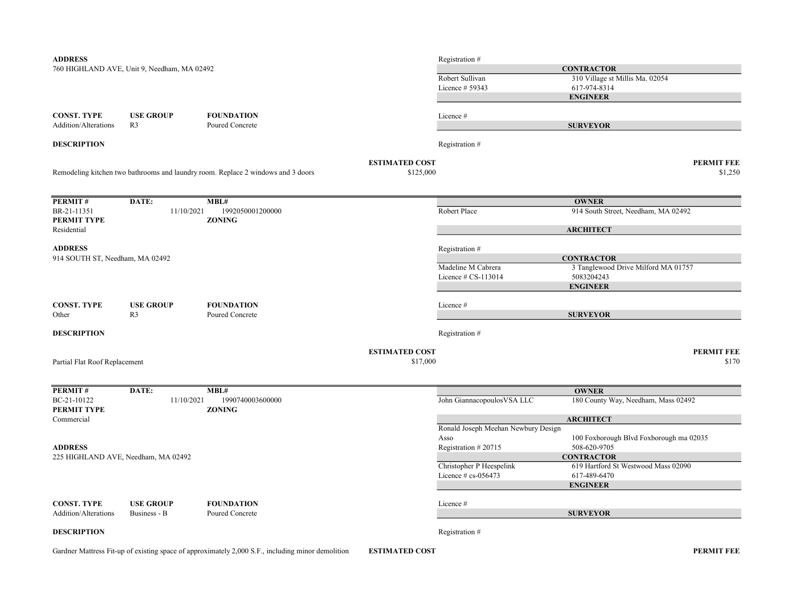| 760 HIGHLAND AVE, Unit 9, Needham, MA 02492<br><b>CONTRACTOR</b><br>Robert Sullivan<br>310 Village st Millis Ma. 02054<br>Licence # 59343<br>617-974-8314<br><b>ENGINEER</b><br><b>CONST. TYPE</b><br><b>USE GROUP</b><br><b>FOUNDATION</b><br>Licence #<br>R <sub>3</sub><br>Poured Concrete<br><b>SURVEYOR</b><br><b>DESCRIPTION</b><br>Registration #<br><b>ESTIMATED COST</b><br><b>PERMIT FEE</b><br>Remodeling kitchen two bathrooms and laundry room. Replace 2 windows and 3 doors<br>\$125,000<br>\$1,250<br>PERMIT#<br>DATE:<br>MBL#<br><b>OWNER</b><br>Robert Place<br>914 South Street, Needham, MA 02492<br>BR-21-11351<br>11/10/2021<br>1992050001200000<br><b>ZONING</b><br><b>ARCHITECT</b><br><b>ADDRESS</b><br>Registration #<br>914 SOUTH ST, Needham, MA 02492<br><b>CONTRACTOR</b><br>3 Tanglewood Drive Milford MA 01757<br>Madeline M Cabrera<br>5083204243<br>Licence $\#$ CS-113014<br><b>ENGINEER</b><br><b>FOUNDATION</b><br><b>CONST. TYPE</b><br><b>USE GROUP</b><br>Licence #<br>R <sub>3</sub><br><b>SURVEYOR</b><br>Poured Concrete<br><b>DESCRIPTION</b><br>Registration #<br><b>PERMIT FEE</b><br><b>ESTIMATED COST</b><br>\$17,000<br>\$170<br>Partial Flat Roof Replacement<br>PERMIT#<br>DATE:<br>MBL#<br><b>OWNER</b><br>180 County Way, Needham, Mass 02492<br>BC-21-10122<br>11/10/2021<br>1990740003600000<br>John Giannacopoulos VSA LLC<br><b>ZONING</b><br><b>ARCHITECT</b><br>Ronald Joseph Meehan Newbury Design<br>100 Foxborough Blvd Foxborough ma 02035<br>Asso<br><b>ADDRESS</b><br>Registration #20715<br>508-620-9705<br>225 HIGHLAND AVE, Needham, MA 02492<br><b>CONTRACTOR</b><br>Christopher P Heespelink<br>619 Hartford St Westwood Mass 02090<br>Licence $\#$ cs-056473<br>617-489-6470<br><b>ENGINEER</b> | <b>ADDRESS</b>              |  | Registration # |  |  |
|------------------------------------------------------------------------------------------------------------------------------------------------------------------------------------------------------------------------------------------------------------------------------------------------------------------------------------------------------------------------------------------------------------------------------------------------------------------------------------------------------------------------------------------------------------------------------------------------------------------------------------------------------------------------------------------------------------------------------------------------------------------------------------------------------------------------------------------------------------------------------------------------------------------------------------------------------------------------------------------------------------------------------------------------------------------------------------------------------------------------------------------------------------------------------------------------------------------------------------------------------------------------------------------------------------------------------------------------------------------------------------------------------------------------------------------------------------------------------------------------------------------------------------------------------------------------------------------------------------------------------------------------------------------------------------------------------------------------------------------------------------------------|-----------------------------|--|----------------|--|--|
|                                                                                                                                                                                                                                                                                                                                                                                                                                                                                                                                                                                                                                                                                                                                                                                                                                                                                                                                                                                                                                                                                                                                                                                                                                                                                                                                                                                                                                                                                                                                                                                                                                                                                                                                                                        |                             |  |                |  |  |
|                                                                                                                                                                                                                                                                                                                                                                                                                                                                                                                                                                                                                                                                                                                                                                                                                                                                                                                                                                                                                                                                                                                                                                                                                                                                                                                                                                                                                                                                                                                                                                                                                                                                                                                                                                        |                             |  |                |  |  |
|                                                                                                                                                                                                                                                                                                                                                                                                                                                                                                                                                                                                                                                                                                                                                                                                                                                                                                                                                                                                                                                                                                                                                                                                                                                                                                                                                                                                                                                                                                                                                                                                                                                                                                                                                                        |                             |  |                |  |  |
|                                                                                                                                                                                                                                                                                                                                                                                                                                                                                                                                                                                                                                                                                                                                                                                                                                                                                                                                                                                                                                                                                                                                                                                                                                                                                                                                                                                                                                                                                                                                                                                                                                                                                                                                                                        |                             |  |                |  |  |
|                                                                                                                                                                                                                                                                                                                                                                                                                                                                                                                                                                                                                                                                                                                                                                                                                                                                                                                                                                                                                                                                                                                                                                                                                                                                                                                                                                                                                                                                                                                                                                                                                                                                                                                                                                        |                             |  |                |  |  |
|                                                                                                                                                                                                                                                                                                                                                                                                                                                                                                                                                                                                                                                                                                                                                                                                                                                                                                                                                                                                                                                                                                                                                                                                                                                                                                                                                                                                                                                                                                                                                                                                                                                                                                                                                                        | <b>Addition/Alterations</b> |  |                |  |  |
|                                                                                                                                                                                                                                                                                                                                                                                                                                                                                                                                                                                                                                                                                                                                                                                                                                                                                                                                                                                                                                                                                                                                                                                                                                                                                                                                                                                                                                                                                                                                                                                                                                                                                                                                                                        |                             |  |                |  |  |
|                                                                                                                                                                                                                                                                                                                                                                                                                                                                                                                                                                                                                                                                                                                                                                                                                                                                                                                                                                                                                                                                                                                                                                                                                                                                                                                                                                                                                                                                                                                                                                                                                                                                                                                                                                        |                             |  |                |  |  |
|                                                                                                                                                                                                                                                                                                                                                                                                                                                                                                                                                                                                                                                                                                                                                                                                                                                                                                                                                                                                                                                                                                                                                                                                                                                                                                                                                                                                                                                                                                                                                                                                                                                                                                                                                                        |                             |  |                |  |  |
|                                                                                                                                                                                                                                                                                                                                                                                                                                                                                                                                                                                                                                                                                                                                                                                                                                                                                                                                                                                                                                                                                                                                                                                                                                                                                                                                                                                                                                                                                                                                                                                                                                                                                                                                                                        |                             |  |                |  |  |
|                                                                                                                                                                                                                                                                                                                                                                                                                                                                                                                                                                                                                                                                                                                                                                                                                                                                                                                                                                                                                                                                                                                                                                                                                                                                                                                                                                                                                                                                                                                                                                                                                                                                                                                                                                        |                             |  |                |  |  |
|                                                                                                                                                                                                                                                                                                                                                                                                                                                                                                                                                                                                                                                                                                                                                                                                                                                                                                                                                                                                                                                                                                                                                                                                                                                                                                                                                                                                                                                                                                                                                                                                                                                                                                                                                                        | PERMIT TYPE                 |  |                |  |  |
|                                                                                                                                                                                                                                                                                                                                                                                                                                                                                                                                                                                                                                                                                                                                                                                                                                                                                                                                                                                                                                                                                                                                                                                                                                                                                                                                                                                                                                                                                                                                                                                                                                                                                                                                                                        | Residential                 |  |                |  |  |
|                                                                                                                                                                                                                                                                                                                                                                                                                                                                                                                                                                                                                                                                                                                                                                                                                                                                                                                                                                                                                                                                                                                                                                                                                                                                                                                                                                                                                                                                                                                                                                                                                                                                                                                                                                        |                             |  |                |  |  |
|                                                                                                                                                                                                                                                                                                                                                                                                                                                                                                                                                                                                                                                                                                                                                                                                                                                                                                                                                                                                                                                                                                                                                                                                                                                                                                                                                                                                                                                                                                                                                                                                                                                                                                                                                                        |                             |  |                |  |  |
|                                                                                                                                                                                                                                                                                                                                                                                                                                                                                                                                                                                                                                                                                                                                                                                                                                                                                                                                                                                                                                                                                                                                                                                                                                                                                                                                                                                                                                                                                                                                                                                                                                                                                                                                                                        |                             |  |                |  |  |
|                                                                                                                                                                                                                                                                                                                                                                                                                                                                                                                                                                                                                                                                                                                                                                                                                                                                                                                                                                                                                                                                                                                                                                                                                                                                                                                                                                                                                                                                                                                                                                                                                                                                                                                                                                        |                             |  |                |  |  |
|                                                                                                                                                                                                                                                                                                                                                                                                                                                                                                                                                                                                                                                                                                                                                                                                                                                                                                                                                                                                                                                                                                                                                                                                                                                                                                                                                                                                                                                                                                                                                                                                                                                                                                                                                                        |                             |  |                |  |  |
|                                                                                                                                                                                                                                                                                                                                                                                                                                                                                                                                                                                                                                                                                                                                                                                                                                                                                                                                                                                                                                                                                                                                                                                                                                                                                                                                                                                                                                                                                                                                                                                                                                                                                                                                                                        |                             |  |                |  |  |
|                                                                                                                                                                                                                                                                                                                                                                                                                                                                                                                                                                                                                                                                                                                                                                                                                                                                                                                                                                                                                                                                                                                                                                                                                                                                                                                                                                                                                                                                                                                                                                                                                                                                                                                                                                        | Other                       |  |                |  |  |
|                                                                                                                                                                                                                                                                                                                                                                                                                                                                                                                                                                                                                                                                                                                                                                                                                                                                                                                                                                                                                                                                                                                                                                                                                                                                                                                                                                                                                                                                                                                                                                                                                                                                                                                                                                        |                             |  |                |  |  |
|                                                                                                                                                                                                                                                                                                                                                                                                                                                                                                                                                                                                                                                                                                                                                                                                                                                                                                                                                                                                                                                                                                                                                                                                                                                                                                                                                                                                                                                                                                                                                                                                                                                                                                                                                                        |                             |  |                |  |  |
|                                                                                                                                                                                                                                                                                                                                                                                                                                                                                                                                                                                                                                                                                                                                                                                                                                                                                                                                                                                                                                                                                                                                                                                                                                                                                                                                                                                                                                                                                                                                                                                                                                                                                                                                                                        |                             |  |                |  |  |
|                                                                                                                                                                                                                                                                                                                                                                                                                                                                                                                                                                                                                                                                                                                                                                                                                                                                                                                                                                                                                                                                                                                                                                                                                                                                                                                                                                                                                                                                                                                                                                                                                                                                                                                                                                        |                             |  |                |  |  |
|                                                                                                                                                                                                                                                                                                                                                                                                                                                                                                                                                                                                                                                                                                                                                                                                                                                                                                                                                                                                                                                                                                                                                                                                                                                                                                                                                                                                                                                                                                                                                                                                                                                                                                                                                                        |                             |  |                |  |  |
|                                                                                                                                                                                                                                                                                                                                                                                                                                                                                                                                                                                                                                                                                                                                                                                                                                                                                                                                                                                                                                                                                                                                                                                                                                                                                                                                                                                                                                                                                                                                                                                                                                                                                                                                                                        |                             |  |                |  |  |
|                                                                                                                                                                                                                                                                                                                                                                                                                                                                                                                                                                                                                                                                                                                                                                                                                                                                                                                                                                                                                                                                                                                                                                                                                                                                                                                                                                                                                                                                                                                                                                                                                                                                                                                                                                        | PERMIT TYPE                 |  |                |  |  |
|                                                                                                                                                                                                                                                                                                                                                                                                                                                                                                                                                                                                                                                                                                                                                                                                                                                                                                                                                                                                                                                                                                                                                                                                                                                                                                                                                                                                                                                                                                                                                                                                                                                                                                                                                                        | Commercial                  |  |                |  |  |
|                                                                                                                                                                                                                                                                                                                                                                                                                                                                                                                                                                                                                                                                                                                                                                                                                                                                                                                                                                                                                                                                                                                                                                                                                                                                                                                                                                                                                                                                                                                                                                                                                                                                                                                                                                        |                             |  |                |  |  |
|                                                                                                                                                                                                                                                                                                                                                                                                                                                                                                                                                                                                                                                                                                                                                                                                                                                                                                                                                                                                                                                                                                                                                                                                                                                                                                                                                                                                                                                                                                                                                                                                                                                                                                                                                                        |                             |  |                |  |  |
|                                                                                                                                                                                                                                                                                                                                                                                                                                                                                                                                                                                                                                                                                                                                                                                                                                                                                                                                                                                                                                                                                                                                                                                                                                                                                                                                                                                                                                                                                                                                                                                                                                                                                                                                                                        |                             |  |                |  |  |
|                                                                                                                                                                                                                                                                                                                                                                                                                                                                                                                                                                                                                                                                                                                                                                                                                                                                                                                                                                                                                                                                                                                                                                                                                                                                                                                                                                                                                                                                                                                                                                                                                                                                                                                                                                        |                             |  |                |  |  |
|                                                                                                                                                                                                                                                                                                                                                                                                                                                                                                                                                                                                                                                                                                                                                                                                                                                                                                                                                                                                                                                                                                                                                                                                                                                                                                                                                                                                                                                                                                                                                                                                                                                                                                                                                                        |                             |  |                |  |  |
|                                                                                                                                                                                                                                                                                                                                                                                                                                                                                                                                                                                                                                                                                                                                                                                                                                                                                                                                                                                                                                                                                                                                                                                                                                                                                                                                                                                                                                                                                                                                                                                                                                                                                                                                                                        |                             |  |                |  |  |
|                                                                                                                                                                                                                                                                                                                                                                                                                                                                                                                                                                                                                                                                                                                                                                                                                                                                                                                                                                                                                                                                                                                                                                                                                                                                                                                                                                                                                                                                                                                                                                                                                                                                                                                                                                        | <b>CONST. TYPE</b>          |  |                |  |  |
| <b>USE GROUP</b><br><b>FOUNDATION</b><br>Licence #<br>Business - B<br>Poured Concrete<br><b>SURVEYOR</b>                                                                                                                                                                                                                                                                                                                                                                                                                                                                                                                                                                                                                                                                                                                                                                                                                                                                                                                                                                                                                                                                                                                                                                                                                                                                                                                                                                                                                                                                                                                                                                                                                                                               | <b>Addition/Alterations</b> |  |                |  |  |
| Registration#                                                                                                                                                                                                                                                                                                                                                                                                                                                                                                                                                                                                                                                                                                                                                                                                                                                                                                                                                                                                                                                                                                                                                                                                                                                                                                                                                                                                                                                                                                                                                                                                                                                                                                                                                          | <b>DESCRIPTION</b>          |  |                |  |  |

Gardner Mattress Fit-up of existing space of approximately 2,000 S.F., including minor demolition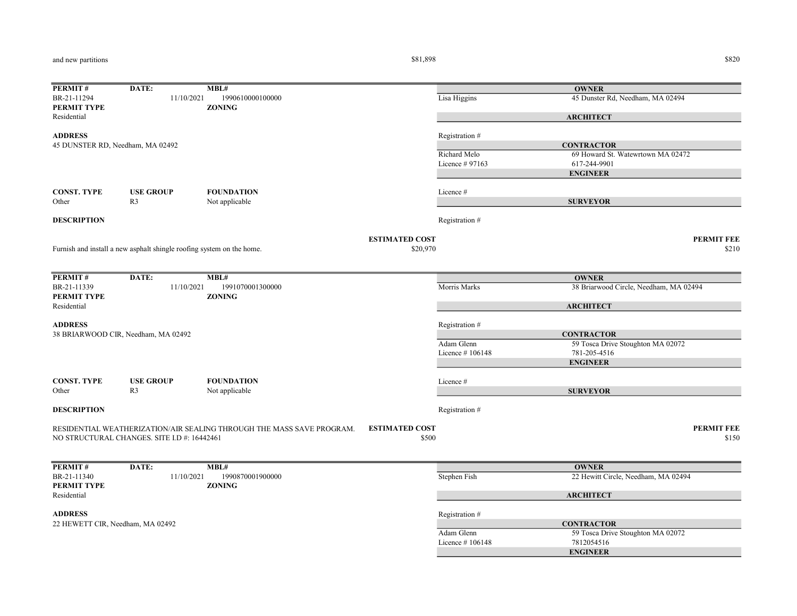and new partitions

 $$81,898$   $$820$ 

| PERMIT#                          | DATE:                                                                 | MBL#                                                                  |                       |                 | <b>OWNER</b>                           |
|----------------------------------|-----------------------------------------------------------------------|-----------------------------------------------------------------------|-----------------------|-----------------|----------------------------------------|
| BR-21-11294<br>PERMIT TYPE       | 11/10/2021                                                            | 1990610000100000<br><b>ZONING</b>                                     |                       | Lisa Higgins    | 45 Dunster Rd, Needham, MA 02494       |
| Residential                      |                                                                       |                                                                       |                       |                 | <b>ARCHITECT</b>                       |
| <b>ADDRESS</b>                   |                                                                       |                                                                       |                       | Registration #  |                                        |
| 45 DUNSTER RD, Needham, MA 02492 |                                                                       |                                                                       |                       |                 | <b>CONTRACTOR</b>                      |
|                                  |                                                                       |                                                                       |                       | Richard Melo    | 69 Howard St. Watewrtown MA 02472      |
|                                  |                                                                       |                                                                       |                       | Licence # 97163 | 617-244-9901                           |
|                                  |                                                                       |                                                                       |                       |                 | <b>ENGINEER</b>                        |
| <b>CONST. TYPE</b>               | <b>USE GROUP</b>                                                      | <b>FOUNDATION</b>                                                     |                       | Licence #       |                                        |
| Other                            | R <sub>3</sub>                                                        | Not applicable                                                        |                       |                 | <b>SURVEYOR</b>                        |
| <b>DESCRIPTION</b>               |                                                                       |                                                                       |                       | Registration #  |                                        |
|                                  |                                                                       |                                                                       | <b>ESTIMATED COST</b> |                 | <b>PERMIT FEE</b>                      |
|                                  | Furnish and install a new asphalt shingle roofing system on the home. |                                                                       | \$20,970              |                 | \$210                                  |
|                                  |                                                                       |                                                                       |                       |                 |                                        |
| PERMIT#                          | DATE:                                                                 | MBL#                                                                  |                       |                 | <b>OWNER</b>                           |
| BR-21-11339<br>PERMIT TYPE       | 11/10/2021                                                            | 1991070001300000<br><b>ZONING</b>                                     |                       | Morris Marks    | 38 Briarwood Circle, Needham, MA 02494 |
| Residential                      |                                                                       |                                                                       |                       |                 | <b>ARCHITECT</b>                       |
| <b>ADDRESS</b>                   |                                                                       |                                                                       |                       | Registration #  |                                        |
|                                  | 38 BRIARWOOD CIR, Needham, MA 02492                                   |                                                                       |                       |                 | <b>CONTRACTOR</b>                      |
|                                  |                                                                       |                                                                       |                       | Adam Glenn      | 59 Tosca Drive Stoughton MA 02072      |
|                                  |                                                                       |                                                                       |                       | Licence #106148 | 781-205-4516                           |
|                                  |                                                                       |                                                                       |                       |                 | <b>ENGINEER</b>                        |
| <b>CONST. TYPE</b>               | <b>USE GROUP</b>                                                      | <b>FOUNDATION</b>                                                     |                       | Licence #       |                                        |
| Other                            | R <sub>3</sub>                                                        | Not applicable                                                        |                       |                 | <b>SURVEYOR</b>                        |
| <b>DESCRIPTION</b>               |                                                                       |                                                                       |                       | Registration #  |                                        |
|                                  |                                                                       | RESIDENTIAL WEATHERIZATION/AIR SEALING THROUGH THE MASS SAVE PROGRAM. | <b>ESTIMATED COST</b> |                 | <b>PERMIT FEE</b>                      |
|                                  | NO STRUCTURAL CHANGES. SITE I.D #: 16442461                           |                                                                       | \$500                 |                 | \$150                                  |
|                                  |                                                                       |                                                                       |                       |                 |                                        |
| PERMIT#                          | DATE:                                                                 | MBL#                                                                  |                       |                 | <b>OWNER</b>                           |
| BR-21-11340<br>PERMIT TYPE       | 11/10/2021                                                            | 1990870001900000<br><b>ZONING</b>                                     |                       | Stephen Fish    | 22 Hewitt Circle, Needham, MA 02494    |
| Residential                      |                                                                       |                                                                       |                       |                 | <b>ARCHITECT</b>                       |
| <b>ADDRESS</b>                   |                                                                       |                                                                       |                       | Registration #  |                                        |
| 22 HEWETT CIR, Needham, MA 02492 |                                                                       |                                                                       |                       |                 | <b>CONTRACTOR</b>                      |
|                                  |                                                                       |                                                                       |                       | Adam Glenn      | 59 Tosca Drive Stoughton MA 02072      |
|                                  |                                                                       |                                                                       |                       | Licence #106148 | 7812054516                             |
|                                  |                                                                       |                                                                       |                       |                 | <b>ENGINEER</b>                        |
|                                  |                                                                       |                                                                       |                       |                 |                                        |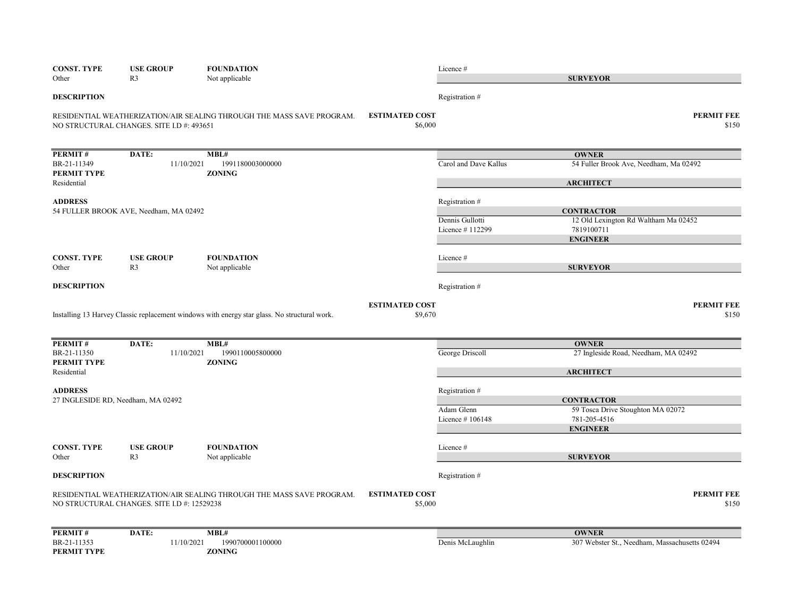| <b>CONST. TYPE</b><br>Other | <b>USE GROUP</b><br>R <sub>3</sub>          | <b>FOUNDATION</b><br>Not applicable                                                          |                                  | Licence #                     | <b>SURVEYOR</b>                                   |
|-----------------------------|---------------------------------------------|----------------------------------------------------------------------------------------------|----------------------------------|-------------------------------|---------------------------------------------------|
| <b>DESCRIPTION</b>          |                                             |                                                                                              |                                  | Registration #                |                                                   |
|                             | NO STRUCTURAL CHANGES. SITE I.D #: 493651   | RESIDENTIAL WEATHERIZATION/AIR SEALING THROUGH THE MASS SAVE PROGRAM.                        | <b>ESTIMATED COST</b><br>\$6,000 |                               | <b>PERMIT FEE</b><br>\$150                        |
| PERMIT#                     | DATE:                                       | MBL#                                                                                         |                                  |                               | <b>OWNER</b>                                      |
| BR-21-11349<br>PERMIT TYPE  | 11/10/2021                                  | 1991180003000000<br><b>ZONING</b>                                                            |                                  | Carol and Dave Kallus         | 54 Fuller Brook Ave, Needham, Ma 02492            |
| Residential                 |                                             |                                                                                              |                                  |                               | <b>ARCHITECT</b>                                  |
| <b>ADDRESS</b>              | 54 FULLER BROOK AVE, Needham, MA 02492      |                                                                                              |                                  | Registration #                | <b>CONTRACTOR</b>                                 |
|                             |                                             |                                                                                              |                                  | Dennis Gullotti               | 12 Old Lexington Rd Waltham Ma 02452              |
|                             |                                             |                                                                                              |                                  | Licence #112299               | 7819100711<br><b>ENGINEER</b>                     |
| <b>CONST. TYPE</b>          | <b>USE GROUP</b>                            | <b>FOUNDATION</b>                                                                            |                                  | Licence #                     |                                                   |
| Other                       | R <sub>3</sub>                              | Not applicable                                                                               |                                  |                               | <b>SURVEYOR</b>                                   |
| <b>DESCRIPTION</b>          |                                             |                                                                                              |                                  | Registration #                |                                                   |
|                             |                                             |                                                                                              | <b>ESTIMATED COST</b>            |                               | <b>PERMIT FEE</b>                                 |
|                             |                                             | Installing 13 Harvey Classic replacement windows with energy star glass. No structural work. | \$9,670                          |                               | \$150                                             |
| PERMIT#                     | DATE:                                       | MBL#                                                                                         |                                  |                               | <b>OWNER</b>                                      |
| BR-21-11350<br>PERMIT TYPE  | 11/10/2021                                  | 1990110005800000<br><b>ZONING</b>                                                            |                                  | George Driscoll               | 27 Ingleside Road, Needham, MA 02492              |
| Residential                 |                                             |                                                                                              |                                  |                               | <b>ARCHITECT</b>                                  |
| <b>ADDRESS</b>              |                                             |                                                                                              |                                  | Registration #                |                                                   |
|                             | 27 INGLESIDE RD, Needham, MA 02492          |                                                                                              |                                  |                               | <b>CONTRACTOR</b>                                 |
|                             |                                             |                                                                                              |                                  | Adam Glenn<br>Licence #106148 | 59 Tosca Drive Stoughton MA 02072<br>781-205-4516 |
|                             |                                             |                                                                                              |                                  |                               | <b>ENGINEER</b>                                   |
| <b>CONST. TYPE</b>          | <b>USE GROUP</b>                            | <b>FOUNDATION</b>                                                                            |                                  | Licence #                     |                                                   |
| Other                       | R <sub>3</sub>                              | Not applicable                                                                               |                                  |                               | <b>SURVEYOR</b>                                   |
| <b>DESCRIPTION</b>          |                                             |                                                                                              |                                  | Registration #                |                                                   |
|                             |                                             | RESIDENTIAL WEATHERIZATION/AIR SEALING THROUGH THE MASS SAVE PROGRAM.                        | <b>ESTIMATED COST</b>            |                               | <b>PERMIT FEE</b>                                 |
|                             | NO STRUCTURAL CHANGES. SITE I.D #: 12529238 |                                                                                              | \$5,000                          |                               | \$150                                             |
| PERMIT#                     | DATE:                                       | MBL#                                                                                         |                                  |                               | <b>OWNER</b>                                      |
| BR-21-11353                 | 11/10/2021                                  | 1990700001100000                                                                             |                                  | Denis McLaughlin              | 307 Webster St., Needham, Massachusetts 02494     |
| <b>PERMIT TYPE</b>          |                                             | <b>ZONING</b>                                                                                |                                  |                               |                                                   |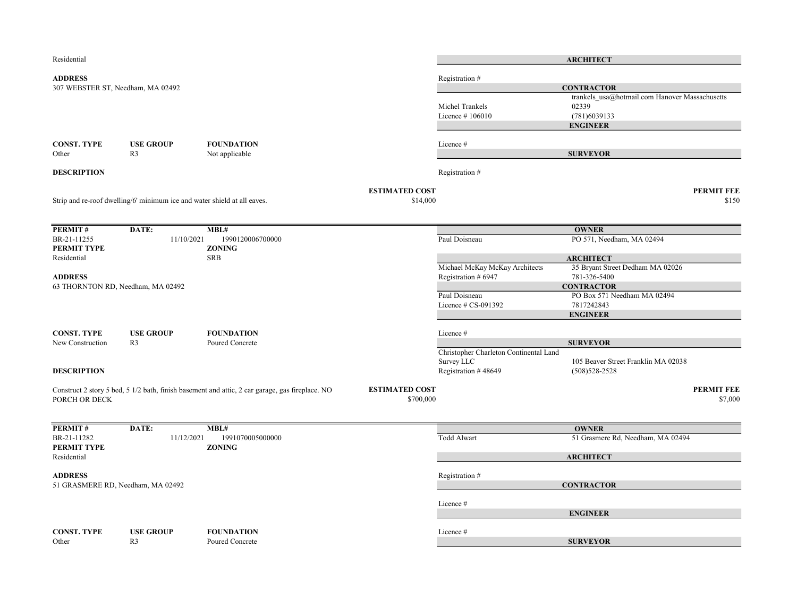| Residential                                         |                                                                          |                                                                                                 |                                    |                                        | <b>ARCHITECT</b>                                                             |                            |
|-----------------------------------------------------|--------------------------------------------------------------------------|-------------------------------------------------------------------------------------------------|------------------------------------|----------------------------------------|------------------------------------------------------------------------------|----------------------------|
| <b>ADDRESS</b><br>307 WEBSTER ST, Needham, MA 02492 |                                                                          |                                                                                                 |                                    | Registration #<br>Michel Trankels      | <b>CONTRACTOR</b><br>trankels usa@hotmail.com Hanover Massachusetts<br>02339 |                            |
|                                                     |                                                                          |                                                                                                 |                                    | Licence #106010                        | (781)6039133<br><b>ENGINEER</b>                                              |                            |
| <b>CONST. TYPE</b><br>Other                         | <b>USE GROUP</b><br>R <sub>3</sub>                                       | <b>FOUNDATION</b><br>Not applicable                                                             |                                    | Licence#                               | <b>SURVEYOR</b>                                                              |                            |
| <b>DESCRIPTION</b>                                  |                                                                          |                                                                                                 |                                    | Registration #                         |                                                                              |                            |
|                                                     | Strip and re-roof dwelling/6' minimum ice and water shield at all eaves. |                                                                                                 | <b>ESTIMATED COST</b><br>\$14,000  |                                        |                                                                              | <b>PERMIT FEE</b><br>\$150 |
| PERMIT#                                             | DATE:                                                                    | MBL#                                                                                            |                                    |                                        | <b>OWNER</b>                                                                 |                            |
| BR-21-11255<br>PERMIT TYPE                          | 11/10/2021                                                               | 1990120006700000<br><b>ZONING</b>                                                               |                                    | Paul Doisneau                          | PO 571, Needham, MA 02494                                                    |                            |
| Residential                                         |                                                                          | <b>SRB</b>                                                                                      |                                    | Michael McKay McKay Architects         | <b>ARCHITECT</b><br>35 Bryant Street Dedham MA 02026                         |                            |
| <b>ADDRESS</b>                                      |                                                                          |                                                                                                 |                                    | Registration # 6947                    | 781-326-5400                                                                 |                            |
| 63 THORNTON RD, Needham, MA 02492                   |                                                                          |                                                                                                 |                                    |                                        | <b>CONTRACTOR</b>                                                            |                            |
|                                                     |                                                                          |                                                                                                 |                                    | Paul Doisneau                          | PO Box 571 Needham MA 02494                                                  |                            |
|                                                     |                                                                          |                                                                                                 |                                    | Licence $# CS-091392$                  | 7817242843                                                                   |                            |
|                                                     |                                                                          |                                                                                                 |                                    |                                        | <b>ENGINEER</b>                                                              |                            |
|                                                     |                                                                          |                                                                                                 |                                    |                                        |                                                                              |                            |
| <b>CONST. TYPE</b><br>New Construction              | <b>USE GROUP</b><br>R <sub>3</sub>                                       | <b>FOUNDATION</b><br>Poured Concrete                                                            |                                    | Licence #                              | <b>SURVEYOR</b>                                                              |                            |
|                                                     |                                                                          |                                                                                                 |                                    | Christopher Charleton Continental Land |                                                                              |                            |
|                                                     |                                                                          |                                                                                                 |                                    | Survey LLC                             | 105 Beaver Street Franklin MA 02038                                          |                            |
| <b>DESCRIPTION</b>                                  |                                                                          |                                                                                                 |                                    | Registration #48649                    | $(508)528 - 2528$                                                            |                            |
| PORCH OR DECK                                       |                                                                          | Construct 2 story 5 bed, 5 1/2 bath, finish basement and attic, 2 car garage, gas fireplace. NO | <b>ESTIMATED COST</b><br>\$700,000 |                                        |                                                                              | PERMIT FEE<br>\$7,000      |
|                                                     |                                                                          | MBL#                                                                                            |                                    |                                        | <b>OWNER</b>                                                                 |                            |
| PERMIT#<br>BR-21-11282                              | DATE:<br>11/12/2021                                                      | 1991070005000000                                                                                |                                    | Todd Alwart                            | 51 Grasmere Rd, Needham, MA 02494                                            |                            |
| PERMIT TYPE<br>Residential                          |                                                                          | <b>ZONING</b>                                                                                   |                                    |                                        | <b>ARCHITECT</b>                                                             |                            |
|                                                     |                                                                          |                                                                                                 |                                    |                                        |                                                                              |                            |
| <b>ADDRESS</b><br>51 GRASMERE RD, Needham, MA 02492 |                                                                          |                                                                                                 |                                    | Registration #                         | <b>CONTRACTOR</b>                                                            |                            |
|                                                     |                                                                          |                                                                                                 |                                    |                                        |                                                                              |                            |
|                                                     |                                                                          |                                                                                                 |                                    | Licence#                               | <b>ENGINEER</b>                                                              |                            |
|                                                     |                                                                          |                                                                                                 |                                    |                                        |                                                                              |                            |
| <b>CONST. TYPE</b>                                  | <b>USE GROUP</b>                                                         | <b>FOUNDATION</b>                                                                               |                                    | Licence#                               |                                                                              |                            |
| Other                                               | R <sub>3</sub>                                                           | Poured Concrete                                                                                 |                                    |                                        | <b>SURVEYOR</b>                                                              |                            |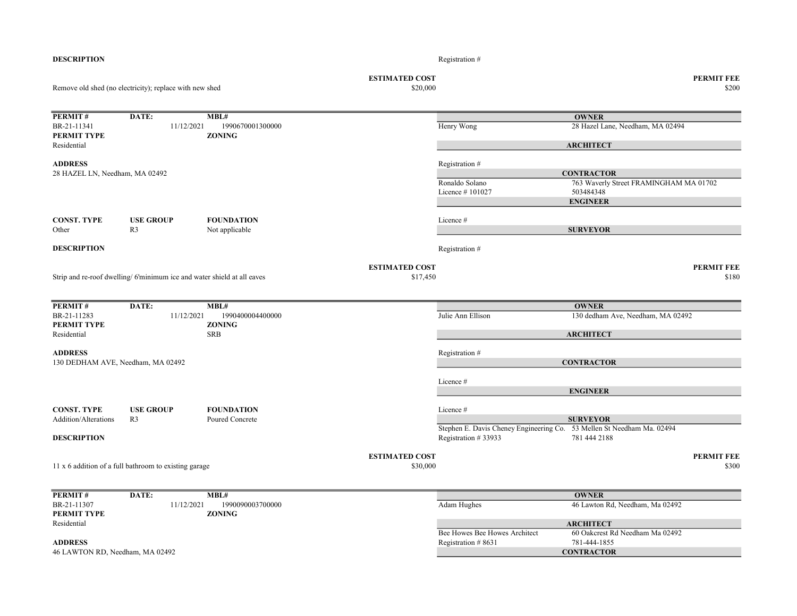| <b>DESCRIPTION</b>                               |                                                                        |                                           |                                   | Registration#                                                          |                                                 |                            |
|--------------------------------------------------|------------------------------------------------------------------------|-------------------------------------------|-----------------------------------|------------------------------------------------------------------------|-------------------------------------------------|----------------------------|
|                                                  | Remove old shed (no electricity); replace with new shed                |                                           | <b>ESTIMATED COST</b><br>\$20,000 |                                                                        |                                                 | <b>PERMIT FEE</b><br>\$200 |
| <b>PERMIT#</b>                                   | DATE:                                                                  | MBL#                                      |                                   |                                                                        | <b>OWNER</b>                                    |                            |
| BR-21-11341                                      | 11/12/2021                                                             | 1990670001300000                          |                                   | Henry Wong                                                             | 28 Hazel Lane, Needham, MA 02494                |                            |
| PERMIT TYPE<br>Residential                       |                                                                        | <b>ZONING</b>                             |                                   |                                                                        | <b>ARCHITECT</b>                                |                            |
|                                                  |                                                                        |                                           |                                   |                                                                        |                                                 |                            |
| <b>ADDRESS</b><br>28 HAZEL LN, Needham, MA 02492 |                                                                        |                                           |                                   | Registration #                                                         | <b>CONTRACTOR</b>                               |                            |
|                                                  |                                                                        |                                           |                                   | Ronaldo Solano                                                         | 763 Waverly Street FRAMINGHAM MA 01702          |                            |
|                                                  |                                                                        |                                           |                                   | Licence #101027                                                        | 503484348                                       |                            |
|                                                  |                                                                        |                                           |                                   |                                                                        | <b>ENGINEER</b>                                 |                            |
| <b>CONST. TYPE</b>                               | <b>USE GROUP</b>                                                       | <b>FOUNDATION</b>                         |                                   | Licence #                                                              |                                                 |                            |
| Other                                            | R <sub>3</sub>                                                         | Not applicable                            |                                   |                                                                        | <b>SURVEYOR</b>                                 |                            |
| <b>DESCRIPTION</b>                               |                                                                        |                                           |                                   | Registration #                                                         |                                                 |                            |
|                                                  | Strip and re-roof dwelling/6'minimum ice and water shield at all eaves |                                           | <b>ESTIMATED COST</b><br>\$17,450 |                                                                        |                                                 | <b>PERMIT FEE</b><br>\$180 |
| PERMIT#                                          | DATE:                                                                  | MBL#                                      |                                   |                                                                        | <b>OWNER</b>                                    |                            |
| BR-21-11283                                      | 11/12/2021                                                             | 1990400004400000                          |                                   | Julie Ann Ellison                                                      | 130 dedham Ave, Needham, MA 02492               |                            |
| PERMIT TYPE<br>Residential                       |                                                                        | <b>ZONING</b><br><b>SRB</b>               |                                   |                                                                        | <b>ARCHITECT</b>                                |                            |
| <b>ADDRESS</b>                                   |                                                                        |                                           |                                   |                                                                        |                                                 |                            |
| 130 DEDHAM AVE, Needham, MA 02492                |                                                                        |                                           |                                   | Registration #                                                         | <b>CONTRACTOR</b>                               |                            |
|                                                  |                                                                        |                                           |                                   |                                                                        |                                                 |                            |
|                                                  |                                                                        |                                           |                                   | Licence#                                                               |                                                 |                            |
|                                                  |                                                                        |                                           |                                   |                                                                        | <b>ENGINEER</b>                                 |                            |
| <b>CONST. TYPE</b>                               |                                                                        |                                           |                                   |                                                                        |                                                 |                            |
|                                                  |                                                                        | <b>FOUNDATION</b>                         |                                   | Licence #                                                              |                                                 |                            |
| Addition/Alterations                             | <b>USE GROUP</b><br>R <sub>3</sub>                                     | Poured Concrete                           |                                   |                                                                        | <b>SURVEYOR</b>                                 |                            |
|                                                  |                                                                        |                                           |                                   | Stephen E. Davis Cheney Engineering Co. 53 Mellen St Needham Ma. 02494 |                                                 |                            |
| <b>DESCRIPTION</b>                               |                                                                        |                                           |                                   | Registration #33933                                                    | 781 444 2188                                    |                            |
|                                                  | 11 x 6 addition of a full bathroom to existing garage                  |                                           | <b>ESTIMATED COST</b><br>\$30,000 |                                                                        |                                                 | <b>PERMIT FEE</b><br>\$300 |
|                                                  |                                                                        |                                           |                                   |                                                                        |                                                 |                            |
| PERMIT#<br>BR-21-11307<br>PERMIT TYPE            | DATE:<br>11/12/2021                                                    | MBL#<br>1990090003700000<br><b>ZONING</b> |                                   | Adam Hughes                                                            | <b>OWNER</b><br>46 Lawton Rd, Needham, Ma 02492 |                            |
| Residential                                      |                                                                        |                                           |                                   |                                                                        | <b>ARCHITECT</b>                                |                            |
| <b>ADDRESS</b>                                   |                                                                        |                                           |                                   | Bee Howes Bee Howes Architect<br>Registration #8631                    | 60 Oakcrest Rd Needham Ma 02492<br>781-444-1855 |                            |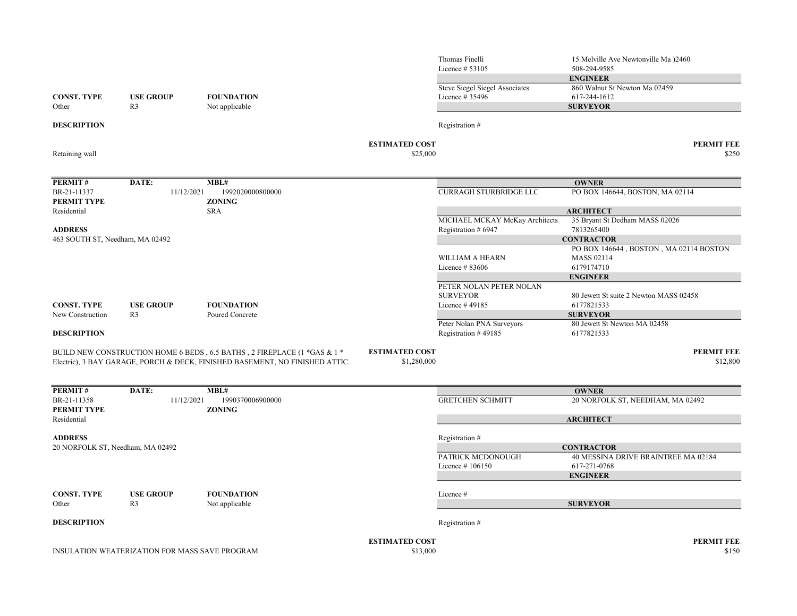|                                   |                                                |                                                                              |                       | Thomas Finelli<br>Licence $# 53105$   | 15 Melville Ave Newtonville Ma )2460<br>508-294-9585<br><b>ENGINEER</b> |
|-----------------------------------|------------------------------------------------|------------------------------------------------------------------------------|-----------------------|---------------------------------------|-------------------------------------------------------------------------|
|                                   |                                                |                                                                              |                       | <b>Steve Siegel Siegel Associates</b> | 860 Walnut St Newton Ma 02459                                           |
| <b>CONST. TYPE</b>                | <b>USE GROUP</b>                               | <b>FOUNDATION</b>                                                            |                       | Licence # 35496                       | 617-244-1612                                                            |
| Other                             | R <sub>3</sub>                                 | Not applicable                                                               |                       |                                       | <b>SURVEYOR</b>                                                         |
| <b>DESCRIPTION</b>                |                                                |                                                                              |                       | Registration #                        |                                                                         |
|                                   |                                                |                                                                              | <b>ESTIMATED COST</b> |                                       | <b>PERMIT FEE</b>                                                       |
| Retaining wall                    |                                                |                                                                              | \$25,000              |                                       | \$250                                                                   |
| PERMIT#                           | DATE:                                          | MBL#                                                                         |                       |                                       | <b>OWNER</b>                                                            |
| BR-21-11337                       | 11/12/2021                                     | 1992020000800000                                                             |                       | <b>CURRAGH STURBRIDGE LLC</b>         | PO BOX 146644, BOSTON, MA 02114                                         |
| <b>PERMIT TYPE</b>                |                                                | <b>ZONING</b>                                                                |                       |                                       |                                                                         |
| Residential                       |                                                | <b>SRA</b>                                                                   |                       |                                       | <b>ARCHITECT</b>                                                        |
|                                   |                                                |                                                                              |                       | MICHAEL MCKAY McKay Architects        | 35 Bryant St Dedham MASS 02026                                          |
| <b>ADDRESS</b>                    |                                                |                                                                              |                       | Registration # 6947                   | 7813265400                                                              |
| 463 SOUTH ST, Needham, MA 02492   |                                                |                                                                              |                       |                                       | <b>CONTRACTOR</b>                                                       |
|                                   |                                                |                                                                              |                       | <b>WILLIAM A HEARN</b>                | PO BOX 146644, BOSTON, MA 02114 BOSTON<br><b>MASS 02114</b>             |
|                                   |                                                |                                                                              |                       | Licence #83606                        | 6179174710                                                              |
|                                   |                                                |                                                                              |                       |                                       | <b>ENGINEER</b>                                                         |
|                                   |                                                |                                                                              |                       | PETER NOLAN PETER NOLAN               |                                                                         |
|                                   |                                                |                                                                              |                       | <b>SURVEYOR</b>                       | 80 Jewett St suite 2 Newton MASS 02458                                  |
| <b>CONST. TYPE</b>                | <b>USE GROUP</b>                               | <b>FOUNDATION</b>                                                            |                       | Licence #49185                        | 6177821533                                                              |
| New Construction                  | R <sub>3</sub>                                 | Poured Concrete                                                              |                       |                                       | <b>SURVEYOR</b>                                                         |
|                                   |                                                |                                                                              |                       | Peter Nolan PNA Surveyors             | 80 Jewett St Newton MA 02458                                            |
| <b>DESCRIPTION</b>                |                                                |                                                                              |                       | Registration #49185                   | 6177821533                                                              |
|                                   |                                                | BUILD NEW CONSTRUCTION HOME 6 BEDS, 6.5 BATHS, 2 FIREPLACE (1 *GAS & 1 *     | <b>ESTIMATED COST</b> |                                       | <b>PERMIT FEE</b>                                                       |
|                                   |                                                | Electric), 3 BAY GARAGE, PORCH & DECK, FINISHED BASEMENT, NO FINISHED ATTIC. | \$1,280,000           |                                       | \$12,800                                                                |
| PERMIT#                           | DATE:                                          | $\overline{\bf MBL}$ #                                                       |                       |                                       | <b>OWNER</b>                                                            |
| BR-21-11358                       | 11/12/2021                                     | 1990370006900000                                                             |                       | <b>GRETCHEN SCHMITT</b>               | 20 NORFOLK ST, NEEDHAM, MA 02492                                        |
| <b>PERMIT TYPE</b><br>Residential |                                                | <b>ZONING</b>                                                                |                       |                                       | <b>ARCHITECT</b>                                                        |
| <b>ADDRESS</b>                    |                                                |                                                                              |                       | Registration #                        |                                                                         |
| 20 NORFOLK ST, Needham, MA 02492  |                                                |                                                                              |                       |                                       | <b>CONTRACTOR</b>                                                       |
|                                   |                                                |                                                                              |                       | PATRICK MCDONOUGH                     | 40 MESSINA DRIVE BRAINTREE MA 02184                                     |
|                                   |                                                |                                                                              |                       | Licence #106150                       | 617-271-0768                                                            |
|                                   |                                                |                                                                              |                       |                                       | <b>ENGINEER</b>                                                         |
| <b>CONST. TYPE</b>                | <b>USE GROUP</b>                               | <b>FOUNDATION</b>                                                            |                       | Licence #                             |                                                                         |
| Other                             | R <sub>3</sub>                                 | Not applicable                                                               |                       |                                       | <b>SURVEYOR</b>                                                         |
| <b>DESCRIPTION</b>                |                                                |                                                                              |                       | Registration #                        |                                                                         |
|                                   |                                                |                                                                              | <b>ESTIMATED COST</b> |                                       | <b>PERMIT FEE</b>                                                       |
|                                   | INSULATION WEATERIZATION FOR MASS SAVE PROGRAM |                                                                              | \$13,000              |                                       | \$150                                                                   |
|                                   |                                                |                                                                              |                       |                                       |                                                                         |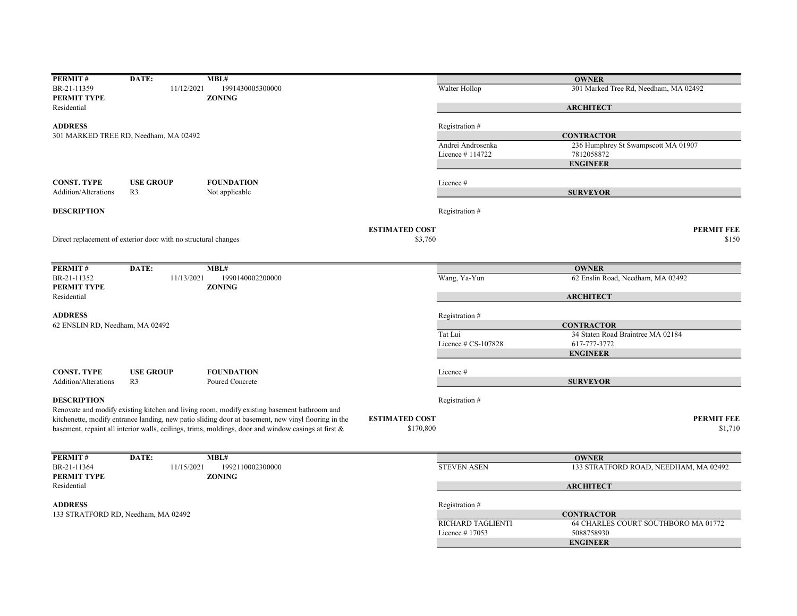| <b>PERMIT#</b>                  | DATE:                                                          | MBL#                                                                                                |                       |                          | <b>OWNER</b>                          |
|---------------------------------|----------------------------------------------------------------|-----------------------------------------------------------------------------------------------------|-----------------------|--------------------------|---------------------------------------|
| BR-21-11359                     | 11/12/2021                                                     | 1991430005300000                                                                                    |                       | Walter Hollop            | 301 Marked Tree Rd, Needham, MA 02492 |
| PERMIT TYPE                     |                                                                | <b>ZONING</b>                                                                                       |                       |                          |                                       |
| Residential                     |                                                                |                                                                                                     |                       |                          | <b>ARCHITECT</b>                      |
| <b>ADDRESS</b>                  |                                                                |                                                                                                     |                       | Registration #           |                                       |
|                                 |                                                                |                                                                                                     |                       |                          |                                       |
|                                 | 301 MARKED TREE RD, Needham, MA 02492                          |                                                                                                     |                       |                          | <b>CONTRACTOR</b>                     |
|                                 |                                                                |                                                                                                     |                       | Andrei Androsenka        | 236 Humphrey St Swampscott MA 01907   |
|                                 |                                                                |                                                                                                     |                       | Licence #114722          | 7812058872                            |
|                                 |                                                                |                                                                                                     |                       |                          | <b>ENGINEER</b>                       |
| <b>CONST. TYPE</b>              | <b>USE GROUP</b>                                               | <b>FOUNDATION</b>                                                                                   |                       | Licence #                |                                       |
| <b>Addition/Alterations</b>     | R <sub>3</sub>                                                 | Not applicable                                                                                      |                       |                          | <b>SURVEYOR</b>                       |
|                                 |                                                                |                                                                                                     |                       |                          |                                       |
| <b>DESCRIPTION</b>              |                                                                |                                                                                                     |                       | Registration#            |                                       |
|                                 |                                                                |                                                                                                     | <b>ESTIMATED COST</b> |                          | <b>PERMIT FEE</b>                     |
|                                 |                                                                |                                                                                                     | \$3,760               |                          | \$150                                 |
|                                 | Direct replacement of exterior door with no structural changes |                                                                                                     |                       |                          |                                       |
|                                 |                                                                |                                                                                                     |                       |                          |                                       |
| PERMIT#                         | DATE:                                                          | MBL#                                                                                                |                       |                          | <b>OWNER</b>                          |
| BR-21-11352                     | 11/13/2021                                                     | 1990140002200000                                                                                    |                       | Wang, Ya-Yun             | 62 Enslin Road, Needham, MA 02492     |
| PERMIT TYPE                     |                                                                | <b>ZONING</b>                                                                                       |                       |                          |                                       |
| Residential                     |                                                                |                                                                                                     |                       |                          | <b>ARCHITECT</b>                      |
|                                 |                                                                |                                                                                                     |                       |                          |                                       |
| <b>ADDRESS</b>                  |                                                                |                                                                                                     |                       | Registration #           |                                       |
| 62 ENSLIN RD, Needham, MA 02492 |                                                                |                                                                                                     |                       |                          | <b>CONTRACTOR</b>                     |
|                                 |                                                                |                                                                                                     |                       | Tat Lui                  | 34 Staten Road Braintree MA 02184     |
|                                 |                                                                |                                                                                                     |                       | Licence # CS-107828      | 617-777-3772                          |
|                                 |                                                                |                                                                                                     |                       |                          | <b>ENGINEER</b>                       |
| <b>CONST. TYPE</b>              | <b>USE GROUP</b>                                               | <b>FOUNDATION</b>                                                                                   |                       | Licence #                |                                       |
| <b>Addition/Alterations</b>     | R <sub>3</sub>                                                 | Poured Concrete                                                                                     |                       |                          | <b>SURVEYOR</b>                       |
|                                 |                                                                |                                                                                                     |                       |                          |                                       |
| <b>DESCRIPTION</b>              |                                                                |                                                                                                     |                       | Registration #           |                                       |
|                                 |                                                                | Renovate and modify existing kitchen and living room, modify existing basement bathroom and         |                       |                          |                                       |
|                                 |                                                                | kitchenette, modify entrance landing, new patio sliding door at basement, new vinyl flooring in the | <b>ESTIMATED COST</b> |                          | <b>PERMIT FEE</b>                     |
|                                 |                                                                | basement, repaint all interior walls, ceilings, trims, moldings, door and window casings at first & | \$170,800             |                          | \$1,710                               |
|                                 |                                                                |                                                                                                     |                       |                          |                                       |
|                                 |                                                                |                                                                                                     |                       |                          |                                       |
| PERMIT#                         | DATE:                                                          | MBL#                                                                                                |                       |                          | <b>OWNER</b>                          |
| BR-21-11364                     | 11/15/2021                                                     | 1992110002300000                                                                                    |                       | <b>STEVEN ASEN</b>       | 133 STRATFORD ROAD, NEEDHAM, MA 02492 |
| PERMIT TYPE                     |                                                                | <b>ZONING</b>                                                                                       |                       |                          |                                       |
| Residential                     |                                                                |                                                                                                     |                       |                          | <b>ARCHITECT</b>                      |
|                                 |                                                                |                                                                                                     |                       |                          |                                       |
| <b>ADDRESS</b>                  |                                                                |                                                                                                     |                       | Registration #           |                                       |
|                                 | 133 STRATFORD RD, Needham, MA 02492                            |                                                                                                     |                       |                          | <b>CONTRACTOR</b>                     |
|                                 |                                                                |                                                                                                     |                       | <b>RICHARD TAGLIENTI</b> | 64 CHARLES COURT SOUTHBORO MA 01772   |
|                                 |                                                                |                                                                                                     |                       | Licence #17053           | 5088758930                            |
|                                 |                                                                |                                                                                                     |                       |                          | <b>ENGINEER</b>                       |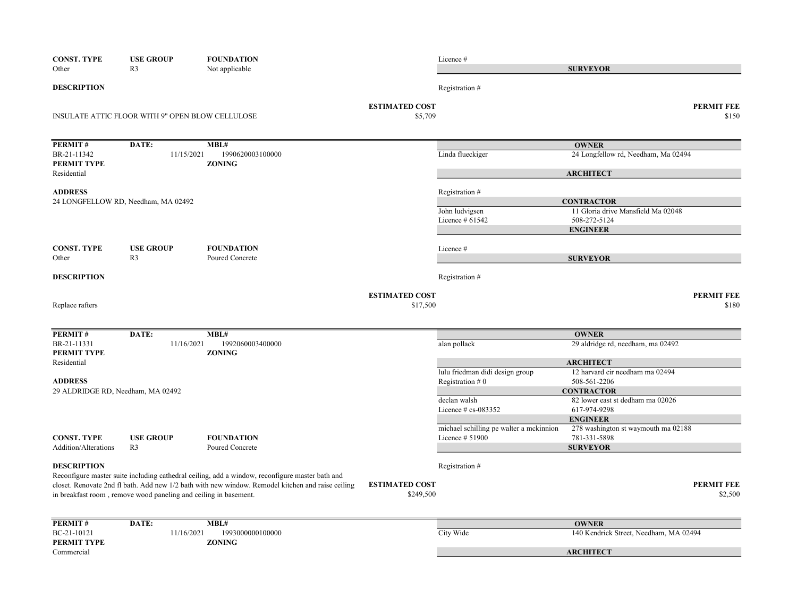| <b>CONST. TYPE</b>                | <b>USE GROUP</b>                                                 | <b>FOUNDATION</b>                                                                                 |                                  | Licence #                               |                                                       |                            |
|-----------------------------------|------------------------------------------------------------------|---------------------------------------------------------------------------------------------------|----------------------------------|-----------------------------------------|-------------------------------------------------------|----------------------------|
| Other                             | R <sub>3</sub>                                                   | Not applicable                                                                                    |                                  |                                         | <b>SURVEYOR</b>                                       |                            |
| <b>DESCRIPTION</b>                |                                                                  |                                                                                                   |                                  | Registration #                          |                                                       |                            |
|                                   | INSULATE ATTIC FLOOR WITH 9" OPEN BLOW CELLULOSE                 |                                                                                                   | <b>ESTIMATED COST</b><br>\$5,709 |                                         |                                                       | <b>PERMIT FEE</b><br>\$150 |
|                                   |                                                                  |                                                                                                   |                                  |                                         |                                                       |                            |
| PERMIT#                           | DATE:                                                            | MBL#                                                                                              |                                  |                                         | <b>OWNER</b>                                          |                            |
| BR-21-11342<br>PERMIT TYPE        | 11/15/2021                                                       | 1990620003100000<br><b>ZONING</b>                                                                 |                                  | Linda flueckiger                        | 24 Longfellow rd, Needham, Ma 02494                   |                            |
| Residential                       |                                                                  |                                                                                                   |                                  |                                         | <b>ARCHITECT</b>                                      |                            |
| <b>ADDRESS</b>                    |                                                                  |                                                                                                   |                                  | Registration #                          |                                                       |                            |
|                                   | 24 LONGFELLOW RD, Needham, MA 02492                              |                                                                                                   |                                  |                                         | <b>CONTRACTOR</b>                                     |                            |
|                                   |                                                                  |                                                                                                   |                                  | John ludvigsen                          | 11 Gloria drive Mansfield Ma 02048                    |                            |
|                                   |                                                                  |                                                                                                   |                                  | Licence $#61542$                        | 508-272-5124<br><b>ENGINEER</b>                       |                            |
|                                   |                                                                  |                                                                                                   |                                  |                                         |                                                       |                            |
| <b>CONST. TYPE</b>                | <b>USE GROUP</b>                                                 | <b>FOUNDATION</b>                                                                                 |                                  | Licence #                               |                                                       |                            |
| Other                             | R <sub>3</sub>                                                   | Poured Concrete                                                                                   |                                  |                                         | <b>SURVEYOR</b>                                       |                            |
| <b>DESCRIPTION</b>                |                                                                  |                                                                                                   |                                  | Registration #                          |                                                       |                            |
|                                   |                                                                  |                                                                                                   | <b>ESTIMATED COST</b>            |                                         |                                                       | <b>PERMIT FEE</b>          |
| Replace rafters                   |                                                                  |                                                                                                   | \$17,500                         |                                         |                                                       | \$180                      |
|                                   |                                                                  |                                                                                                   |                                  |                                         |                                                       |                            |
| PERMIT#<br>BR-21-11331            | DATE:<br>11/16/2021                                              | MBL#<br>1992060003400000                                                                          |                                  | alan pollack                            | <b>OWNER</b><br>29 aldridge rd, needham, ma 02492     |                            |
| PERMIT TYPE                       |                                                                  | <b>ZONING</b>                                                                                     |                                  |                                         |                                                       |                            |
| Residential                       |                                                                  |                                                                                                   |                                  |                                         | <b>ARCHITECT</b>                                      |                            |
|                                   |                                                                  |                                                                                                   |                                  | lulu friedman didi design group         | 12 harvard cir needham ma 02494                       |                            |
| <b>ADDRESS</b>                    |                                                                  |                                                                                                   |                                  | Registration $#0$                       | 508-561-2206                                          |                            |
| 29 ALDRIDGE RD, Needham, MA 02492 |                                                                  |                                                                                                   |                                  | declan walsh                            | <b>CONTRACTOR</b><br>82 lower east st dedham ma 02026 |                            |
|                                   |                                                                  |                                                                                                   |                                  | Licence # cs-083352                     | 617-974-9298                                          |                            |
|                                   |                                                                  |                                                                                                   |                                  |                                         | <b>ENGINEER</b>                                       |                            |
|                                   |                                                                  |                                                                                                   |                                  | michael schilling pe walter a mckinnion | 278 washington st waymouth ma 02188                   |                            |
| <b>CONST. TYPE</b>                | <b>USE GROUP</b>                                                 | <b>FOUNDATION</b>                                                                                 |                                  | Licence # 51900                         | 781-331-5898                                          |                            |
| Addition/Alterations              | R <sub>3</sub>                                                   | Poured Concrete                                                                                   |                                  |                                         | <b>SURVEYOR</b>                                       |                            |
| <b>DESCRIPTION</b>                |                                                                  |                                                                                                   |                                  | Registration #                          |                                                       |                            |
|                                   |                                                                  | Reconfigure master suite including cathedral ceiling, add a window, reconfigure master bath and   |                                  |                                         |                                                       |                            |
|                                   |                                                                  | closet. Renovate 2nd fl bath. Add new 1/2 bath with new window. Remodel kitchen and raise ceiling | <b>ESTIMATED COST</b>            |                                         |                                                       | <b>PERMIT FEE</b>          |
|                                   | in breakfast room, remove wood paneling and ceiling in basement. |                                                                                                   | \$249,500                        |                                         |                                                       | \$2,500                    |
| PERMIT#                           | DATE:                                                            | MBL#                                                                                              |                                  |                                         | <b>OWNER</b>                                          |                            |
| BC-21-10121                       | 11/16/2021                                                       | 1993000000100000                                                                                  |                                  | City Wide                               | 140 Kendrick Street, Needham, MA 02494                |                            |
| PERMIT TYPE                       |                                                                  | <b>ZONING</b>                                                                                     |                                  |                                         |                                                       |                            |
| Commercial                        |                                                                  |                                                                                                   |                                  |                                         | <b>ARCHITECT</b>                                      |                            |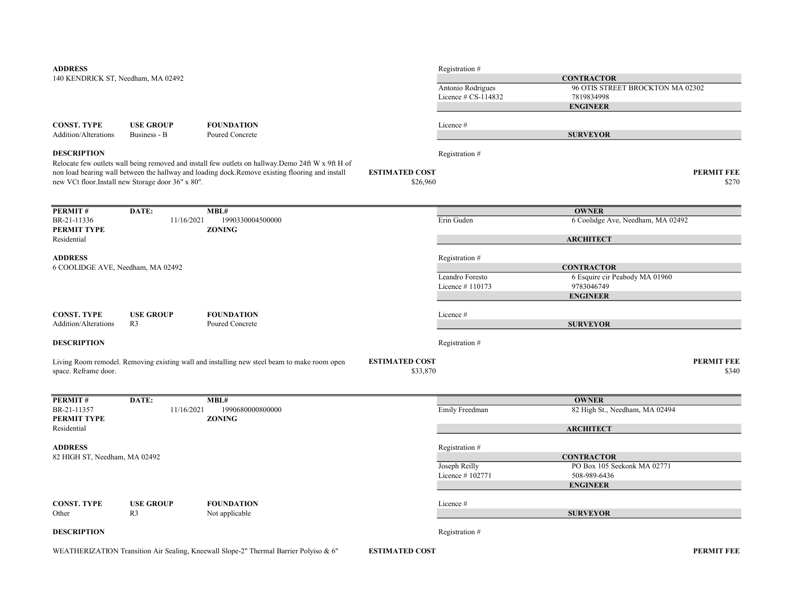| <b>ADDRESS</b>                     |                                                   |                                                                                                    |                                   | Registration #      |                                   |                            |
|------------------------------------|---------------------------------------------------|----------------------------------------------------------------------------------------------------|-----------------------------------|---------------------|-----------------------------------|----------------------------|
| 140 KENDRICK ST, Needham, MA 02492 |                                                   |                                                                                                    |                                   |                     | <b>CONTRACTOR</b>                 |                            |
|                                    |                                                   |                                                                                                    |                                   | Antonio Rodrigues   | 96 OTIS STREET BROCKTON MA 02302  |                            |
|                                    |                                                   |                                                                                                    |                                   | Licence # CS-114832 | 7819834998                        |                            |
|                                    |                                                   |                                                                                                    |                                   |                     | <b>ENGINEER</b>                   |                            |
|                                    |                                                   |                                                                                                    |                                   |                     |                                   |                            |
| <b>CONST. TYPE</b>                 | <b>USE GROUP</b>                                  | <b>FOUNDATION</b>                                                                                  |                                   | Licence#            |                                   |                            |
| Addition/Alterations               | Business - B                                      | Poured Concrete                                                                                    |                                   |                     | <b>SURVEYOR</b>                   |                            |
| <b>DESCRIPTION</b>                 |                                                   |                                                                                                    |                                   | Registration #      |                                   |                            |
|                                    |                                                   | Relocate few outlets wall being removed and install few outlets on hallway. Demo 24ft W x 9ft H of |                                   |                     |                                   |                            |
|                                    |                                                   | non load bearing wall between the hallway and loading dock.Remove existing flooring and install    | <b>ESTIMATED COST</b>             |                     |                                   | <b>PERMIT FEE</b>          |
|                                    | new VCt floor.Install new Storage door 36" x 80". |                                                                                                    | \$26,960                          |                     |                                   | \$270                      |
|                                    |                                                   |                                                                                                    |                                   |                     |                                   |                            |
|                                    |                                                   |                                                                                                    |                                   |                     |                                   |                            |
| PERMIT#                            | DATE:                                             | MBL#                                                                                               |                                   |                     | <b>OWNER</b>                      |                            |
| BR-21-11336<br>PERMIT TYPE         | 11/16/2021                                        | 1990330004500000<br><b>ZONING</b>                                                                  |                                   | Erin Guden          | 6 Coolidge Ave, Needham, MA 02492 |                            |
| Residential                        |                                                   |                                                                                                    |                                   |                     | <b>ARCHITECT</b>                  |                            |
|                                    |                                                   |                                                                                                    |                                   |                     |                                   |                            |
| <b>ADDRESS</b>                     |                                                   |                                                                                                    |                                   | Registration #      |                                   |                            |
| 6 COOLIDGE AVE, Needham, MA 02492  |                                                   |                                                                                                    |                                   |                     | <b>CONTRACTOR</b>                 |                            |
|                                    |                                                   |                                                                                                    |                                   | Leandro Foresto     | 6 Esquire cir Peabody MA 01960    |                            |
|                                    |                                                   |                                                                                                    |                                   | Licence #110173     | 9783046749                        |                            |
|                                    |                                                   |                                                                                                    |                                   |                     | <b>ENGINEER</b>                   |                            |
| <b>CONST. TYPE</b>                 | <b>USE GROUP</b>                                  | <b>FOUNDATION</b>                                                                                  |                                   | Licence#            |                                   |                            |
| <b>Addition/Alterations</b>        | R <sub>3</sub>                                    | Poured Concrete                                                                                    |                                   |                     | <b>SURVEYOR</b>                   |                            |
|                                    |                                                   |                                                                                                    |                                   |                     |                                   |                            |
| <b>DESCRIPTION</b>                 |                                                   |                                                                                                    |                                   | Registration #      |                                   |                            |
|                                    |                                                   |                                                                                                    |                                   |                     |                                   |                            |
| space. Reframe door.               |                                                   | Living Room remodel. Removing existing wall and installing new steel beam to make room open        | <b>ESTIMATED COST</b><br>\$33,870 |                     |                                   | <b>PERMIT FEE</b><br>\$340 |
|                                    |                                                   |                                                                                                    |                                   |                     |                                   |                            |
|                                    |                                                   |                                                                                                    |                                   |                     |                                   |                            |
| PERMIT#                            | DATE:                                             | MBL#                                                                                               |                                   |                     | <b>OWNER</b>                      |                            |
| BR-21-11357                        | 11/16/2021                                        | 1990680000800000                                                                                   |                                   | Emily Freedman      | 82 High St., Needham, MA 02494    |                            |
| PERMIT TYPE                        |                                                   | <b>ZONING</b>                                                                                      |                                   |                     |                                   |                            |
| Residential                        |                                                   |                                                                                                    |                                   |                     | <b>ARCHITECT</b>                  |                            |
| <b>ADDRESS</b>                     |                                                   |                                                                                                    |                                   | Registration #      |                                   |                            |
| 82 HIGH ST, Needham, MA 02492      |                                                   |                                                                                                    |                                   |                     | <b>CONTRACTOR</b>                 |                            |
|                                    |                                                   |                                                                                                    |                                   | Joseph Reilly       | PO Box 105 Seekonk MA 02771       |                            |
|                                    |                                                   |                                                                                                    |                                   | Licence #102771     | 508-989-6436                      |                            |
|                                    |                                                   |                                                                                                    |                                   |                     | <b>ENGINEER</b>                   |                            |
| <b>CONST. TYPE</b>                 | <b>USE GROUP</b>                                  | <b>FOUNDATION</b>                                                                                  |                                   |                     |                                   |                            |
| Other                              | R <sub>3</sub>                                    | Not applicable                                                                                     |                                   | Licence#            | <b>SURVEYOR</b>                   |                            |
|                                    |                                                   |                                                                                                    |                                   |                     |                                   |                            |
| <b>DESCRIPTION</b>                 |                                                   |                                                                                                    |                                   | Registration #      |                                   |                            |
|                                    |                                                   |                                                                                                    |                                   |                     |                                   |                            |

WEATHERIZATION Transition Air Sealing, Kneewall Slope-2" Thermal Barrier Polyiso & 6"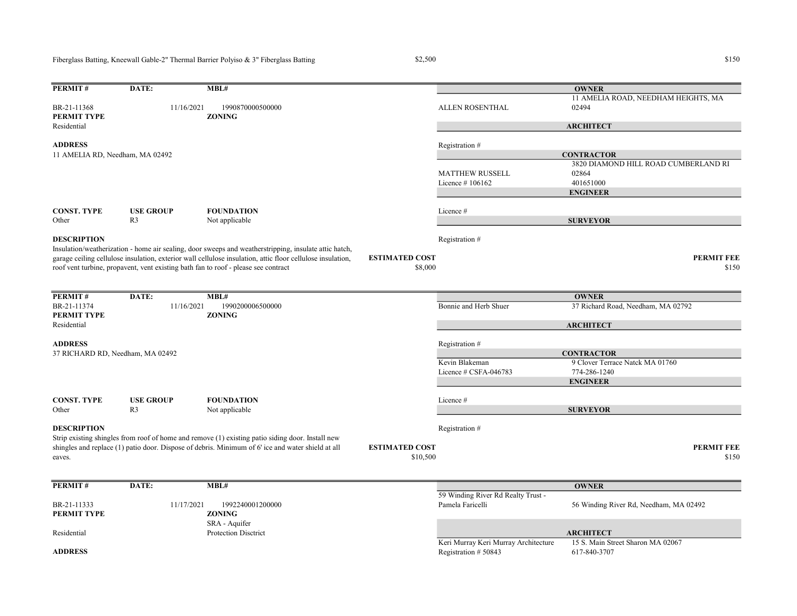Fiberglass Batting, Kneewall Gable-2" Thermal Barrier Polyiso & 3" Fiberglass Batting

Residential

11 AMELIA RD, Needham, MA 02492

## $$150$   $$150$

MATTHEW RUSSELL

Licence # 106162 401651000

PERMIT# DATE: MBL# BR-21-11368 11/16/2021 1990870000500000 ALLEN ROSENTHAL PERMIT TYPE ZONING ADDRESS Registration #

CONST. TYPE USE GROUP FOUNDATION Licence #<br>Other R3 Not applicable Not applicable **DESCRIPTION** Registration # Insulation/weatherization - home air sealing, door sweeps and weatherstripping, insulate attic hatch,

garage ceiling cellulose insulation, exterior wall cellulose insulation, attic floor cellulose insulation, roof vent turbine, propavent, vent existing bath fan to roof - please see contract

| <b>PERMIT#</b>                   | DATE:            | MBL#                                                                                              |                                   |                          | <b>OWNER</b>                       |                            |
|----------------------------------|------------------|---------------------------------------------------------------------------------------------------|-----------------------------------|--------------------------|------------------------------------|----------------------------|
| BR-21-11374<br>PERMIT TYPE       | 11/16/2021       | 1990200006500000<br><b>ZONING</b>                                                                 |                                   | Bonnie and Herb Shuer    | 37 Richard Road, Needham, MA 02792 |                            |
| Residential                      |                  |                                                                                                   |                                   |                          | <b>ARCHITECT</b>                   |                            |
| <b>ADDRESS</b>                   |                  |                                                                                                   |                                   | Registration #           |                                    |                            |
| 37 RICHARD RD, Needham, MA 02492 |                  |                                                                                                   |                                   |                          | <b>CONTRACTOR</b>                  |                            |
|                                  |                  |                                                                                                   |                                   | Kevin Blakeman           | 9 Clover Terrace Natck MA 01760    |                            |
|                                  |                  |                                                                                                   |                                   | Licence $\#$ CSFA-046783 | 774-286-1240                       |                            |
|                                  |                  |                                                                                                   |                                   |                          | <b>ENGINEER</b>                    |                            |
| CONST. TYPE                      | <b>USE GROUP</b> | <b>FOUNDATION</b>                                                                                 |                                   | Licence #                |                                    |                            |
| Other                            | R <sub>3</sub>   | Not applicable                                                                                    |                                   |                          | <b>SURVEYOR</b>                    |                            |
| <b>DESCRIPTION</b>               |                  | Strip existing shingles from roof of home and remove (1) existing patio siding door. Install new  |                                   | Registration #           |                                    |                            |
| eaves.                           |                  | shingles and replace (1) patio door. Dispose of debris. Minimum of 6' ice and water shield at all | <b>ESTIMATED COST</b><br>\$10,500 |                          |                                    | <b>PERMIT FEE</b><br>\$150 |
|                                  |                  |                                                                                                   |                                   |                          |                                    |                            |

| PERMIT#        | DATE:      | MBL#                        |                                      | <b>OWNER</b>                           |
|----------------|------------|-----------------------------|--------------------------------------|----------------------------------------|
|                |            |                             | 59 Winding River Rd Realty Trust -   |                                        |
| BR-21-11333    | 11/17/2021 | 1992240001200000            | Pamela Faricelli                     | 56 Winding River Rd, Needham, MA 02492 |
| PERMIT TYPE    |            | <b>ZONING</b>               |                                      |                                        |
|                |            | SRA - Aquifer               |                                      |                                        |
| Residential    |            | <b>Protection Disctrict</b> |                                      | <b>ARCHITECT</b>                       |
|                |            |                             | Keri Murray Keri Murray Architecture | 15 S. Main Street Sharon MA 02067      |
| <b>ADDRESS</b> |            |                             | Registration $# 50843$               | 617-840-3707                           |

11 AMELIA ROAD, NEEDHAM HEIGHTS, MA

3820 DIAMOND HILL ROAD CUMBERLAND RI

02494

**OWNER** 

**ARCHITECT** 

**CONTRACTOR** 

ENGINEER

SURVEYOR

02864

 $$8,000$   $$150$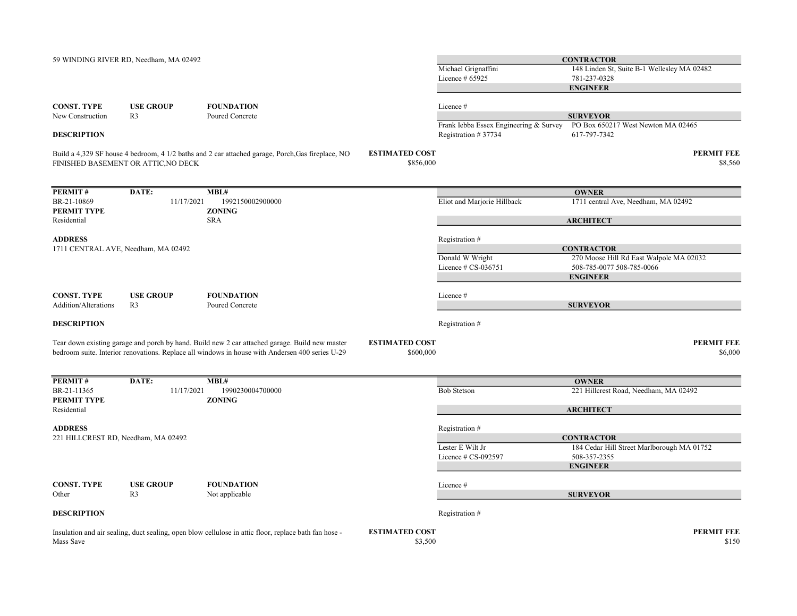| 59 WINDING RIVER RD, Needham, MA 02492                                                             |                                                                                                                                                                                                   |                                    | Michael Grignaffini<br>Licence # 65925                                     | <b>CONTRACTOR</b><br>148 Linden St, Suite B-1 Wellesley MA 02482<br>781-237-0328<br><b>ENGINEER</b>          |
|----------------------------------------------------------------------------------------------------|---------------------------------------------------------------------------------------------------------------------------------------------------------------------------------------------------|------------------------------------|----------------------------------------------------------------------------|--------------------------------------------------------------------------------------------------------------|
| <b>CONST. TYPE</b><br><b>USE GROUP</b><br>New Construction<br>R <sub>3</sub><br><b>DESCRIPTION</b> | <b>FOUNDATION</b><br>Poured Concrete                                                                                                                                                              |                                    | Licence #<br>Frank Iebba Essex Engineering & Survey<br>Registration #37734 | <b>SURVEYOR</b><br>PO Box 650217 West Newton MA 02465<br>617-797-7342                                        |
| FINISHED BASEMENT OR ATTIC, NO DECK                                                                | Build a 4,329 SF house 4 bedroom, 4 1/2 baths and 2 car attached garage, Porch, Gas fireplace, NO                                                                                                 | <b>ESTIMATED COST</b><br>\$856,000 |                                                                            | <b>PERMIT FEE</b><br>\$8,560                                                                                 |
| PERMIT#<br>DATE:<br>BR-21-10869<br>11/17/2021<br>PERMIT TYPE<br>Residential                        | MBL#<br>1992150002900000<br><b>ZONING</b><br><b>SRA</b>                                                                                                                                           |                                    | Eliot and Marjorie Hillback                                                | <b>OWNER</b><br>1711 central Ave, Needham, MA 02492<br><b>ARCHITECT</b>                                      |
| <b>ADDRESS</b><br>1711 CENTRAL AVE, Needham, MA 02492                                              |                                                                                                                                                                                                   |                                    | Registration #<br>Donald W Wright<br>Licence $# CS-036751$                 | <b>CONTRACTOR</b><br>270 Moose Hill Rd East Walpole MA 02032<br>508-785-0077 508-785-0066<br><b>ENGINEER</b> |
| <b>CONST. TYPE</b><br><b>USE GROUP</b><br>Addition/Alterations<br>R <sub>3</sub>                   | <b>FOUNDATION</b><br>Poured Concrete                                                                                                                                                              |                                    | Licence #                                                                  | <b>SURVEYOR</b>                                                                                              |
| <b>DESCRIPTION</b>                                                                                 | Tear down existing garage and porch by hand. Build new 2 car attached garage. Build new master<br>bedroom suite. Interior renovations. Replace all windows in house with Andersen 400 series U-29 | <b>ESTIMATED COST</b><br>\$600,000 | Registration #                                                             | <b>PERMIT FEE</b><br>\$6,000                                                                                 |
| PERMIT#<br>DATE:<br>BR-21-11365<br>11/17/2021<br>PERMIT TYPE<br>Residential                        | MBL#<br>1990230004700000<br><b>ZONING</b>                                                                                                                                                         |                                    | <b>Bob Stetson</b>                                                         | <b>OWNER</b><br>221 Hillcrest Road, Needham, MA 02492<br><b>ARCHITECT</b>                                    |
| <b>ADDRESS</b><br>221 HILLCREST RD, Needham, MA 02492                                              |                                                                                                                                                                                                   |                                    | Registration #<br>Lester E Wilt Jr<br>Licence # CS-092597                  | <b>CONTRACTOR</b><br>184 Cedar Hill Street Marlborough MA 01752<br>508-357-2355<br><b>ENGINEER</b>           |
| <b>CONST. TYPE</b><br><b>USE GROUP</b><br>R <sub>3</sub><br>Other                                  | <b>FOUNDATION</b><br>Not applicable                                                                                                                                                               |                                    | Licence #                                                                  | <b>SURVEYOR</b>                                                                                              |
| <b>DESCRIPTION</b><br>Mass Save                                                                    | Insulation and air sealing, duct sealing, open blow cellulose in attic floor, replace bath fan hose -                                                                                             | <b>ESTIMATED COST</b><br>\$3,500   | Registration #                                                             | <b>PERMIT FEE</b><br>\$150                                                                                   |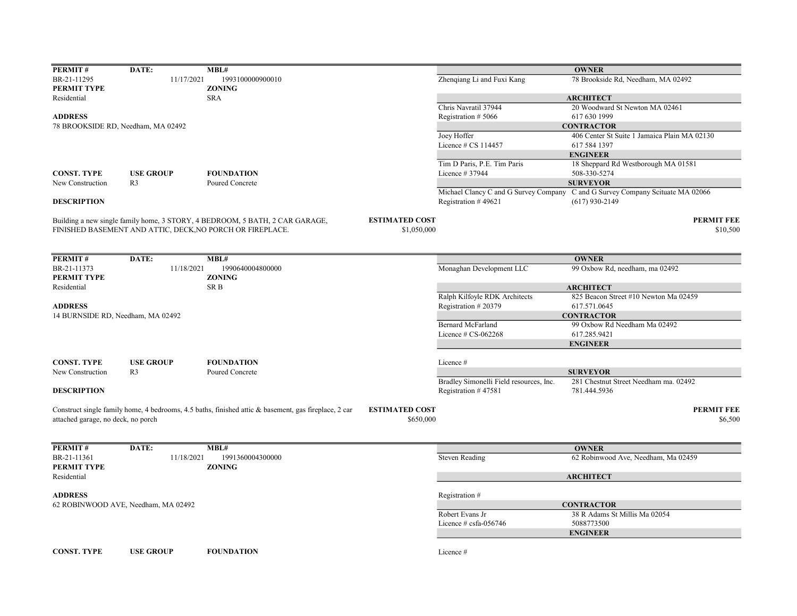| PERMIT#                            | DATE:                               | MBL#                                                                                                 |                       |                                         | <b>OWNER</b>                                                                                       |
|------------------------------------|-------------------------------------|------------------------------------------------------------------------------------------------------|-----------------------|-----------------------------------------|----------------------------------------------------------------------------------------------------|
| BR-21-11295                        | 11/17/2021                          | 1993100000900010                                                                                     |                       | Zhenqiang Li and Fuxi Kang              | 78 Brookside Rd, Needham, MA 02492                                                                 |
| PERMIT TYPE                        |                                     | <b>ZONING</b>                                                                                        |                       |                                         |                                                                                                    |
| Residential                        |                                     | <b>SRA</b>                                                                                           |                       |                                         | <b>ARCHITECT</b>                                                                                   |
|                                    |                                     |                                                                                                      |                       | Chris Navratil 37944                    | 20 Woodward St Newton MA 02461                                                                     |
| <b>ADDRESS</b>                     |                                     |                                                                                                      |                       | Registration #5066                      | 617 630 1999                                                                                       |
|                                    | 78 BROOKSIDE RD, Needham, MA 02492  |                                                                                                      |                       |                                         | <b>CONTRACTOR</b>                                                                                  |
|                                    |                                     |                                                                                                      |                       | Joey Hoffer                             | 406 Center St Suite 1 Jamaica Plain MA 02130                                                       |
|                                    |                                     |                                                                                                      |                       | Licence # CS 114457                     | 617 584 1397                                                                                       |
|                                    |                                     |                                                                                                      |                       |                                         | <b>ENGINEER</b>                                                                                    |
|                                    |                                     |                                                                                                      |                       | Tim D Paris, P.E. Tim Paris             | 18 Sheppard Rd Westborough MA 01581                                                                |
| <b>CONST. TYPE</b>                 | <b>USE GROUP</b>                    | <b>FOUNDATION</b>                                                                                    |                       | Licence # 37944                         | 508-330-5274                                                                                       |
| New Construction                   | R <sub>3</sub>                      | Poured Concrete                                                                                      |                       |                                         | <b>SURVEYOR</b>                                                                                    |
| <b>DESCRIPTION</b>                 |                                     |                                                                                                      |                       | Registration #49621                     | Michael Clancy C and G Survey Company C and G Survey Company Scituate MA 02066<br>$(617)$ 930-2149 |
|                                    |                                     | Building a new single family home, 3 STORY, 4 BEDROOM, 5 BATH, 2 CAR GARAGE,                         | <b>ESTIMATED COST</b> |                                         | <b>PERMIT FEE</b>                                                                                  |
|                                    |                                     | FINISHED BASEMENT AND ATTIC, DECK, NO PORCH OR FIREPLACE.                                            | \$1,050,000           |                                         | \$10,500                                                                                           |
| PERMIT#                            | DATE:                               | MBL#                                                                                                 |                       |                                         | <b>OWNER</b>                                                                                       |
| BR-21-11373                        | 11/18/2021                          | 1990640004800000                                                                                     |                       | Monaghan Development LLC                | 99 Oxbow Rd, needham, ma 02492                                                                     |
| PERMIT TYPE                        |                                     | <b>ZONING</b>                                                                                        |                       |                                         |                                                                                                    |
| Residential                        |                                     | SR <sub>B</sub>                                                                                      |                       |                                         | <b>ARCHITECT</b>                                                                                   |
|                                    |                                     |                                                                                                      |                       | Ralph Kilfoyle RDK Architects           | 825 Beacon Street #10 Newton Ma 02459                                                              |
| <b>ADDRESS</b>                     |                                     |                                                                                                      |                       | Registration #20379                     | 617.571.0645                                                                                       |
| 14 BURNSIDE RD, Needham, MA 02492  |                                     |                                                                                                      |                       |                                         | <b>CONTRACTOR</b>                                                                                  |
|                                    |                                     |                                                                                                      |                       | <b>Bernard McFarland</b>                | 99 Oxbow Rd Needham Ma 02492                                                                       |
|                                    |                                     |                                                                                                      |                       | Licence $# CS-062268$                   | 617.285.9421                                                                                       |
|                                    |                                     |                                                                                                      |                       |                                         | <b>ENGINEER</b>                                                                                    |
|                                    |                                     |                                                                                                      |                       |                                         |                                                                                                    |
| <b>CONST. TYPE</b>                 | <b>USE GROUP</b>                    | <b>FOUNDATION</b>                                                                                    |                       | Licence#                                |                                                                                                    |
| New Construction                   | R <sub>3</sub>                      | Poured Concrete                                                                                      |                       |                                         | <b>SURVEYOR</b>                                                                                    |
|                                    |                                     |                                                                                                      |                       | Bradley Simonelli Field resources, Inc. | 281 Chestnut Street Needham ma. 02492                                                              |
| <b>DESCRIPTION</b>                 |                                     |                                                                                                      |                       | Registration #47581                     | 781.444.5936                                                                                       |
|                                    |                                     | Construct single family home, 4 bedrooms, 4.5 baths, finished attic & basement, gas fireplace, 2 car | <b>ESTIMATED COST</b> |                                         | <b>PERMIT FEE</b>                                                                                  |
| attached garage, no deck, no porch |                                     |                                                                                                      | \$650,000             |                                         | \$6,500                                                                                            |
|                                    |                                     |                                                                                                      |                       |                                         |                                                                                                    |
| PERMIT#                            | DATE:                               | MBL#                                                                                                 |                       |                                         | <b>OWNER</b>                                                                                       |
| BR-21-11361<br>PERMIT TYPE         | 11/18/2021                          | 1991360004300000<br><b>ZONING</b>                                                                    |                       | <b>Steven Reading</b>                   | 62 Robinwood Ave, Needham, Ma 02459                                                                |
| Residential                        |                                     |                                                                                                      |                       |                                         | <b>ARCHITECT</b>                                                                                   |
| <b>ADDRESS</b>                     |                                     |                                                                                                      |                       | Registration #                          |                                                                                                    |
|                                    | 62 ROBINWOOD AVE, Needham, MA 02492 |                                                                                                      |                       |                                         | <b>CONTRACTOR</b>                                                                                  |
|                                    |                                     |                                                                                                      |                       | Robert Evans Jr                         | 38 R Adams St Millis Ma 02054                                                                      |
|                                    |                                     |                                                                                                      |                       | Licence # csfa-056746                   | 5088773500                                                                                         |
|                                    |                                     |                                                                                                      |                       |                                         | <b>ENGINEER</b>                                                                                    |
|                                    |                                     |                                                                                                      |                       |                                         |                                                                                                    |
| <b>CONST. TYPE</b>                 | <b>USE GROUP</b>                    | <b>FOUNDATION</b>                                                                                    |                       | Licence #                               |                                                                                                    |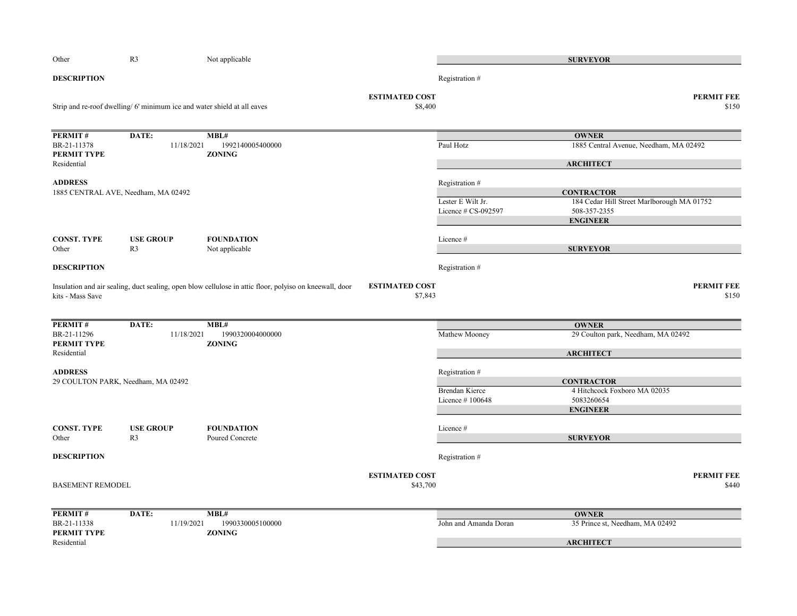| Other                       | R <sub>3</sub>                                                          | Not applicable                                                                                          |                                   |                       | <b>SURVEYOR</b>                            |                            |
|-----------------------------|-------------------------------------------------------------------------|---------------------------------------------------------------------------------------------------------|-----------------------------------|-----------------------|--------------------------------------------|----------------------------|
| <b>DESCRIPTION</b>          |                                                                         |                                                                                                         |                                   | Registration #        |                                            |                            |
|                             | Strip and re-roof dwelling/6' minimum ice and water shield at all eaves |                                                                                                         | <b>ESTIMATED COST</b><br>\$8,400  |                       |                                            | <b>PERMIT FEE</b><br>\$150 |
| PERMIT#                     | DATE:                                                                   | MBL#                                                                                                    |                                   |                       | <b>OWNER</b>                               |                            |
| BR-21-11378<br>PERMIT TYPE  | 11/18/2021                                                              | 1992140005400000<br><b>ZONING</b>                                                                       |                                   | Paul Hotz             | 1885 Central Avenue, Needham, MA 02492     |                            |
| Residential                 |                                                                         |                                                                                                         |                                   |                       | <b>ARCHITECT</b>                           |                            |
| <b>ADDRESS</b>              | 1885 CENTRAL AVE, Needham, MA 02492                                     |                                                                                                         |                                   | Registration #        | <b>CONTRACTOR</b>                          |                            |
|                             |                                                                         |                                                                                                         |                                   | Lester E Wilt Jr.     | 184 Cedar Hill Street Marlborough MA 01752 |                            |
|                             |                                                                         |                                                                                                         |                                   | Licence # CS-092597   | 508-357-2355<br><b>ENGINEER</b>            |                            |
| <b>CONST. TYPE</b>          | <b>USE GROUP</b>                                                        | <b>FOUNDATION</b>                                                                                       |                                   | Licence#              |                                            |                            |
| Other                       | R <sub>3</sub>                                                          | Not applicable                                                                                          |                                   |                       | <b>SURVEYOR</b>                            |                            |
| <b>DESCRIPTION</b>          |                                                                         |                                                                                                         |                                   | Registration #        |                                            |                            |
| kits - Mass Save            |                                                                         | Insulation and air sealing, duct sealing, open blow cellulose in attic floor, polyiso on kneewall, door | <b>ESTIMATED COST</b><br>\$7,843  |                       |                                            | <b>PERMIT FEE</b><br>\$150 |
| PERMIT#                     | DATE:                                                                   | MBL#                                                                                                    |                                   |                       | <b>OWNER</b>                               |                            |
| BR-21-11296<br>PERMIT TYPE  | 11/18/2021                                                              | 1990320004000000<br><b>ZONING</b>                                                                       |                                   | Mathew Mooney         | 29 Coulton park, Needham, MA 02492         |                            |
| Residential                 |                                                                         |                                                                                                         |                                   |                       | <b>ARCHITECT</b>                           |                            |
| <b>ADDRESS</b>              | 29 COULTON PARK, Needham, MA 02492                                      |                                                                                                         |                                   | Registration #        | <b>CONTRACTOR</b>                          |                            |
|                             |                                                                         |                                                                                                         |                                   | Brendan Kierce        | 4 Hitchcock Foxboro MA 02035               |                            |
|                             |                                                                         |                                                                                                         |                                   | Licence #100648       | 5083260654                                 |                            |
|                             |                                                                         |                                                                                                         |                                   |                       | <b>ENGINEER</b>                            |                            |
| <b>CONST. TYPE</b><br>Other | <b>USE GROUP</b><br>R <sub>3</sub>                                      | <b>FOUNDATION</b><br>Poured Concrete                                                                    |                                   | Licence#              | <b>SURVEYOR</b>                            |                            |
| <b>DESCRIPTION</b>          |                                                                         |                                                                                                         |                                   | Registration #        |                                            |                            |
| <b>BASEMENT REMODEL</b>     |                                                                         |                                                                                                         | <b>ESTIMATED COST</b><br>\$43,700 |                       |                                            | <b>PERMIT FEE</b><br>\$440 |
| PERMIT#                     | DATE:                                                                   | MBL#                                                                                                    |                                   |                       | <b>OWNER</b>                               |                            |
| BR-21-11338<br>PERMIT TYPE  | 11/19/2021                                                              | 1990330005100000<br><b>ZONING</b>                                                                       |                                   | John and Amanda Doran | 35 Prince st, Needham, MA 02492            |                            |
| Residential                 |                                                                         |                                                                                                         |                                   |                       | <b>ARCHITECT</b>                           |                            |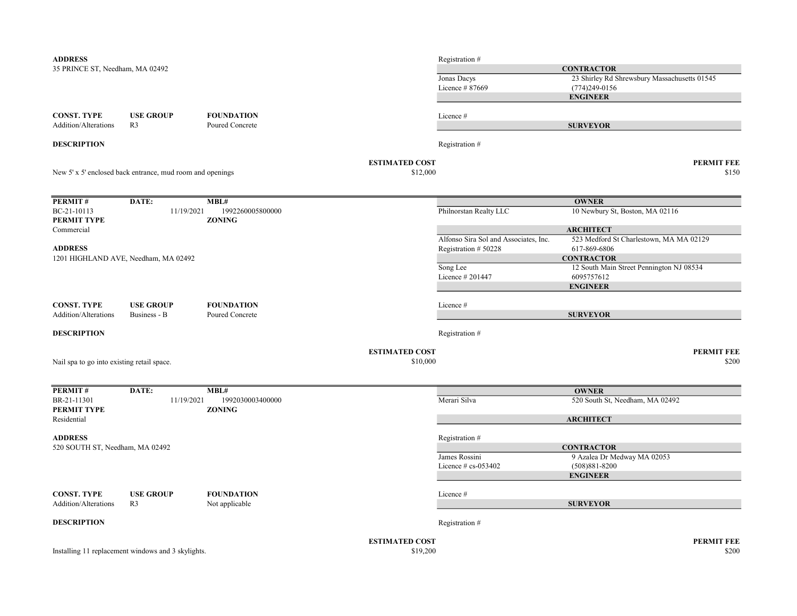| <b>ADDRESS</b>                             |                                                           |                                   |                       | Registration #                        |                                              |                   |
|--------------------------------------------|-----------------------------------------------------------|-----------------------------------|-----------------------|---------------------------------------|----------------------------------------------|-------------------|
| 35 PRINCE ST, Needham, MA 02492            |                                                           |                                   |                       |                                       | <b>CONTRACTOR</b>                            |                   |
|                                            |                                                           |                                   |                       | Jonas Dacys                           | 23 Shirley Rd Shrewsbury Massachusetts 01545 |                   |
|                                            |                                                           |                                   |                       | Licence #87669                        | $(774)249-0156$                              |                   |
|                                            |                                                           |                                   |                       |                                       | <b>ENGINEER</b>                              |                   |
| <b>CONST. TYPE</b>                         | <b>USE GROUP</b>                                          | <b>FOUNDATION</b>                 |                       | Licence #                             |                                              |                   |
| Addition/Alterations                       | R <sub>3</sub>                                            | Poured Concrete                   |                       |                                       | <b>SURVEYOR</b>                              |                   |
| <b>DESCRIPTION</b>                         |                                                           |                                   |                       | Registration #                        |                                              |                   |
|                                            |                                                           |                                   | <b>ESTIMATED COST</b> |                                       |                                              | <b>PERMIT FEE</b> |
|                                            | New 5' x 5' enclosed back entrance, mud room and openings |                                   | \$12,000              |                                       |                                              | \$150             |
| PERMIT#                                    | DATE:                                                     | MBL#                              |                       |                                       | <b>OWNER</b>                                 |                   |
| BC-21-10113<br>PERMIT TYPE                 | 11/19/2021                                                | 1992260005800000<br><b>ZONING</b> |                       | Philnorstan Realty LLC                | 10 Newbury St, Boston, MA 02116              |                   |
| Commercial                                 |                                                           |                                   |                       |                                       | <b>ARCHITECT</b>                             |                   |
|                                            |                                                           |                                   |                       | Alfonso Sira Sol and Associates, Inc. | 523 Medford St Charlestown, MA MA 02129      |                   |
| <b>ADDRESS</b>                             |                                                           |                                   |                       | Registration #50228                   | 617-869-6806                                 |                   |
|                                            | 1201 HIGHLAND AVE, Needham, MA 02492                      |                                   |                       |                                       | <b>CONTRACTOR</b>                            |                   |
|                                            |                                                           |                                   |                       | Song Lee                              | 12 South Main Street Pennington NJ 08534     |                   |
|                                            |                                                           |                                   |                       | Licence # 201447                      | 6095757612<br><b>ENGINEER</b>                |                   |
|                                            |                                                           |                                   |                       |                                       |                                              |                   |
| <b>CONST. TYPE</b>                         | <b>USE GROUP</b>                                          | <b>FOUNDATION</b>                 |                       | Licence #                             |                                              |                   |
| Addition/Alterations                       | Business - B                                              | Poured Concrete                   |                       |                                       | <b>SURVEYOR</b>                              |                   |
| <b>DESCRIPTION</b>                         |                                                           |                                   |                       | Registration #                        |                                              |                   |
|                                            |                                                           |                                   | <b>ESTIMATED COST</b> |                                       |                                              | <b>PERMIT FEE</b> |
| Nail spa to go into existing retail space. |                                                           |                                   | \$10,000              |                                       |                                              | \$200             |
| PERMIT#                                    | DATE:                                                     | MBL#                              |                       |                                       | <b>OWNER</b>                                 |                   |
| BR-21-11301<br>PERMIT TYPE                 | 11/19/2021                                                | 1992030003400000<br><b>ZONING</b> |                       | Merari Silva                          | 520 South St, Needham, MA 02492              |                   |
| Residential                                |                                                           |                                   |                       |                                       | <b>ARCHITECT</b>                             |                   |
| <b>ADDRESS</b>                             |                                                           |                                   |                       | Registration #                        |                                              |                   |
| 520 SOUTH ST, Needham, MA 02492            |                                                           |                                   |                       |                                       | <b>CONTRACTOR</b>                            |                   |
|                                            |                                                           |                                   |                       | James Rossini                         | 9 Azalea Dr Medway MA 02053                  |                   |
|                                            |                                                           |                                   |                       | Licence $# cs$ -053402                | $(508)881 - 8200$                            |                   |
|                                            |                                                           |                                   |                       |                                       | <b>ENGINEER</b>                              |                   |
| <b>CONST. TYPE</b>                         | <b>USE GROUP</b>                                          | <b>FOUNDATION</b>                 |                       | Licence #                             |                                              |                   |
| Addition/Alterations                       | R <sub>3</sub>                                            | Not applicable                    |                       |                                       | <b>SURVEYOR</b>                              |                   |
| <b>DESCRIPTION</b>                         |                                                           |                                   |                       | Registration #                        |                                              |                   |
|                                            |                                                           |                                   | <b>ESTIMATED COST</b> |                                       |                                              | <b>PERMIT FEE</b> |
|                                            | Installing 11 replacement windows and 3 skylights.        |                                   | \$19,200              |                                       |                                              | \$200             |
|                                            |                                                           |                                   |                       |                                       |                                              |                   |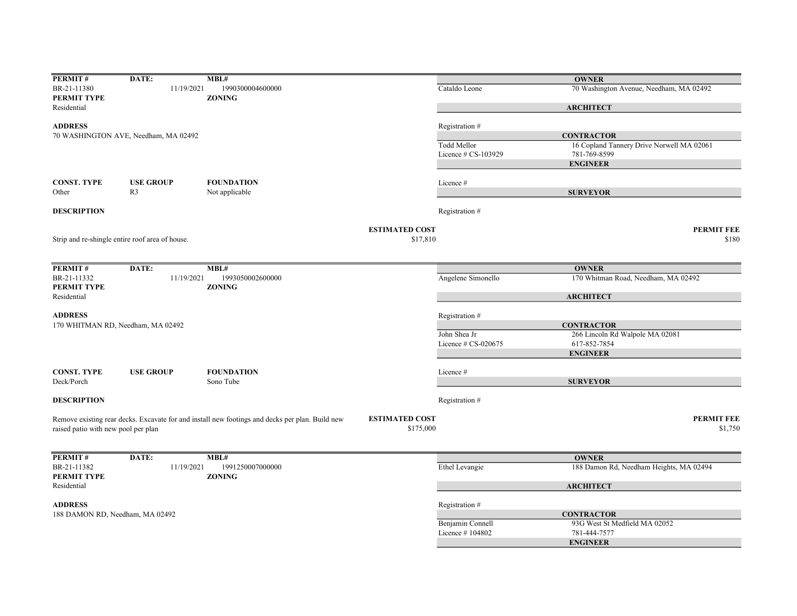| PERMIT#                             | DATE:                                           | MBL#                                                                                            |                       |                     | <b>OWNER</b>                              |
|-------------------------------------|-------------------------------------------------|-------------------------------------------------------------------------------------------------|-----------------------|---------------------|-------------------------------------------|
| BR-21-11380                         | 11/19/2021                                      | 1990300004600000                                                                                |                       | Cataldo Leone       | 70 Washington Avenue, Needham, MA 02492   |
| PERMIT TYPE                         |                                                 | <b>ZONING</b>                                                                                   |                       |                     |                                           |
| Residential                         |                                                 |                                                                                                 |                       |                     | <b>ARCHITECT</b>                          |
|                                     |                                                 |                                                                                                 |                       |                     |                                           |
| <b>ADDRESS</b>                      |                                                 |                                                                                                 |                       | Registration #      |                                           |
|                                     | 70 WASHINGTON AVE, Needham, MA 02492            |                                                                                                 |                       |                     | <b>CONTRACTOR</b>                         |
|                                     |                                                 |                                                                                                 |                       | Todd Mellor         | 16 Copland Tannery Drive Norwell MA 02061 |
|                                     |                                                 |                                                                                                 |                       | Licence # CS-103929 | 781-769-8599                              |
|                                     |                                                 |                                                                                                 |                       |                     | <b>ENGINEER</b>                           |
|                                     |                                                 |                                                                                                 |                       |                     |                                           |
| <b>CONST. TYPE</b>                  | <b>USE GROUP</b>                                | <b>FOUNDATION</b>                                                                               |                       | Licence #           |                                           |
| Other                               | R <sub>3</sub>                                  | Not applicable                                                                                  |                       |                     | <b>SURVEYOR</b>                           |
| <b>DESCRIPTION</b>                  |                                                 |                                                                                                 |                       | Registration #      |                                           |
|                                     |                                                 |                                                                                                 |                       |                     |                                           |
|                                     |                                                 |                                                                                                 | <b>ESTIMATED COST</b> |                     | <b>PERMIT FEE</b>                         |
|                                     | Strip and re-shingle entire roof area of house. |                                                                                                 | \$17,810              |                     | \$180                                     |
|                                     |                                                 |                                                                                                 |                       |                     |                                           |
|                                     |                                                 |                                                                                                 |                       |                     |                                           |
| PERMIT#                             | DATE:                                           | MBL#                                                                                            |                       |                     | <b>OWNER</b>                              |
| BR-21-11332<br>PERMIT TYPE          | 11/19/2021                                      | 1993050002600000<br><b>ZONING</b>                                                               |                       | Angelene Simonello  | 170 Whitman Road, Needham, MA 02492       |
| Residential                         |                                                 |                                                                                                 |                       |                     | <b>ARCHITECT</b>                          |
|                                     |                                                 |                                                                                                 |                       |                     |                                           |
| <b>ADDRESS</b>                      |                                                 |                                                                                                 |                       | Registration #      |                                           |
| 170 WHITMAN RD, Needham, MA 02492   |                                                 |                                                                                                 |                       |                     | <b>CONTRACTOR</b>                         |
|                                     |                                                 |                                                                                                 |                       | John Shea Jr        | 266 Lincoln Rd Walpole MA 02081           |
|                                     |                                                 |                                                                                                 |                       | Licence # CS-020675 | 617-852-7854                              |
|                                     |                                                 |                                                                                                 |                       |                     | <b>ENGINEER</b>                           |
|                                     |                                                 |                                                                                                 |                       |                     |                                           |
| <b>CONST. TYPE</b>                  | <b>USE GROUP</b>                                | <b>FOUNDATION</b>                                                                               |                       | Licence #           |                                           |
| Deck/Porch                          |                                                 | Sono Tube                                                                                       |                       |                     | <b>SURVEYOR</b>                           |
| <b>DESCRIPTION</b>                  |                                                 |                                                                                                 |                       | Registration #      |                                           |
|                                     |                                                 |                                                                                                 |                       |                     |                                           |
|                                     |                                                 | Remove existing rear decks. Excavate for and install new footings and decks per plan. Build new | <b>ESTIMATED COST</b> |                     | <b>PERMIT FEE</b>                         |
| raised patio with new pool per plan |                                                 |                                                                                                 | \$175,000             |                     | \$1,750                                   |
|                                     |                                                 |                                                                                                 |                       |                     |                                           |
| PERMIT#                             | DATE:                                           | MBL#                                                                                            |                       |                     | <b>OWNER</b>                              |
| BR-21-11382                         | 11/19/2021                                      | 1991250007000000                                                                                |                       | Ethel Levangie      | 188 Damon Rd, Needham Heights, MA 02494   |
|                                     |                                                 |                                                                                                 |                       |                     |                                           |
| PERMIT TYPE                         |                                                 | <b>ZONING</b>                                                                                   |                       |                     |                                           |
| Residential                         |                                                 |                                                                                                 |                       |                     | <b>ARCHITECT</b>                          |
| <b>ADDRESS</b>                      |                                                 |                                                                                                 |                       | Registration #      |                                           |
| 188 DAMON RD, Needham, MA 02492     |                                                 |                                                                                                 |                       |                     | <b>CONTRACTOR</b>                         |
|                                     |                                                 |                                                                                                 |                       | Benjamin Connell    | 93G West St Medfield MA 02052             |
|                                     |                                                 |                                                                                                 |                       | Licence #104802     | 781-444-7577                              |
|                                     |                                                 |                                                                                                 |                       |                     | <b>ENGINEER</b>                           |
|                                     |                                                 |                                                                                                 |                       |                     |                                           |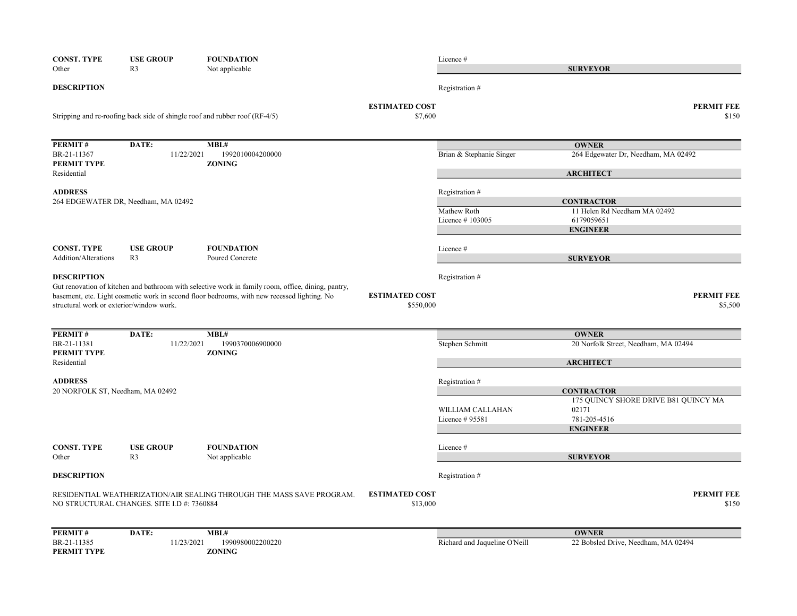| <b>CONST. TYPE</b>                       | <b>USE GROUP</b>                           | <b>FOUNDATION</b>                                                                                  |                                    | Licence #                           |                                                               |
|------------------------------------------|--------------------------------------------|----------------------------------------------------------------------------------------------------|------------------------------------|-------------------------------------|---------------------------------------------------------------|
| Other                                    | R <sub>3</sub>                             | Not applicable                                                                                     |                                    |                                     | <b>SURVEYOR</b>                                               |
| <b>DESCRIPTION</b>                       |                                            |                                                                                                    |                                    | Registration #                      |                                                               |
|                                          |                                            | Stripping and re-roofing back side of shingle roof and rubber roof (RF-4/5)                        | <b>ESTIMATED COST</b><br>\$7,600   |                                     | <b>PERMIT FEE</b><br>\$150                                    |
| PERMIT#                                  | DATE:                                      | MBL#                                                                                               |                                    |                                     | <b>OWNER</b>                                                  |
| BR-21-11367<br>PERMIT TYPE               | 11/22/2021                                 | 1992010004200000<br><b>ZONING</b>                                                                  |                                    | Brian & Stephanie Singer            | 264 Edgewater Dr, Needham, MA 02492                           |
| Residential                              |                                            |                                                                                                    |                                    |                                     | <b>ARCHITECT</b>                                              |
| <b>ADDRESS</b>                           | 264 EDGEWATER DR, Needham, MA 02492        |                                                                                                    |                                    | Registration #                      | <b>CONTRACTOR</b>                                             |
|                                          |                                            |                                                                                                    |                                    | Mathew Roth                         | 11 Helen Rd Needham MA 02492                                  |
|                                          |                                            |                                                                                                    |                                    | Licence #103005                     | 6179059651                                                    |
|                                          |                                            |                                                                                                    |                                    |                                     | <b>ENGINEER</b>                                               |
| <b>CONST. TYPE</b>                       | <b>USE GROUP</b>                           | <b>FOUNDATION</b>                                                                                  |                                    | Licence #                           |                                                               |
| Addition/Alterations                     | R <sub>3</sub>                             | Poured Concrete                                                                                    |                                    |                                     | <b>SURVEYOR</b>                                               |
| <b>DESCRIPTION</b>                       |                                            | Gut renovation of kitchen and bathroom with selective work in family room, office, dining, pantry, |                                    | Registration #                      |                                                               |
| structural work or exterior/window work. |                                            | basement, etc. Light cosmetic work in second floor bedrooms, with new recessed lighting. No        | <b>ESTIMATED COST</b><br>\$550,000 |                                     | <b>PERMIT FEE</b><br>\$5,500                                  |
|                                          |                                            |                                                                                                    |                                    |                                     |                                                               |
| PERMIT#                                  | DATE:                                      | MBL#                                                                                               |                                    |                                     | <b>OWNER</b>                                                  |
| BR-21-11381<br>PERMIT TYPE               | 11/22/2021                                 | 1990370006900000<br><b>ZONING</b>                                                                  |                                    | Stephen Schmitt                     | 20 Norfolk Street, Needham, MA 02494                          |
| Residential                              |                                            |                                                                                                    |                                    |                                     | <b>ARCHITECT</b>                                              |
| <b>ADDRESS</b>                           |                                            |                                                                                                    |                                    | Registration #                      |                                                               |
| 20 NORFOLK ST, Needham, MA 02492         |                                            |                                                                                                    |                                    |                                     | <b>CONTRACTOR</b>                                             |
|                                          |                                            |                                                                                                    |                                    | WILLIAM CALLAHAN<br>Licence # 95581 | 175 QUINCY SHORE DRIVE B81 QUINCY MA<br>02171<br>781-205-4516 |
|                                          |                                            |                                                                                                    |                                    |                                     | <b>ENGINEER</b>                                               |
| <b>CONST. TYPE</b>                       | <b>USE GROUP</b>                           | <b>FOUNDATION</b>                                                                                  |                                    | Licence #                           |                                                               |
| Other                                    | R3                                         | Not applicable                                                                                     |                                    |                                     | <b>SURVEYOR</b>                                               |
| <b>DESCRIPTION</b>                       |                                            |                                                                                                    |                                    | Registration #                      |                                                               |
|                                          | NO STRUCTURAL CHANGES. SITE I.D #: 7360884 | RESIDENTIAL WEATHERIZATION/AIR SEALING THROUGH THE MASS SAVE PROGRAM.                              | <b>ESTIMATED COST</b><br>\$13,000  |                                     | <b>PERMIT FEE</b><br>\$150                                    |
| PERMIT#                                  | DATE:                                      | MBL#                                                                                               |                                    |                                     | <b>OWNER</b>                                                  |
| BR-21-11385<br>PERMIT TYPE               | 11/23/2021                                 | 1990980002200220<br><b>ZONING</b>                                                                  |                                    | Richard and Jaqueline O'Neill       | 22 Bobsled Drive, Needham, MA 02494                           |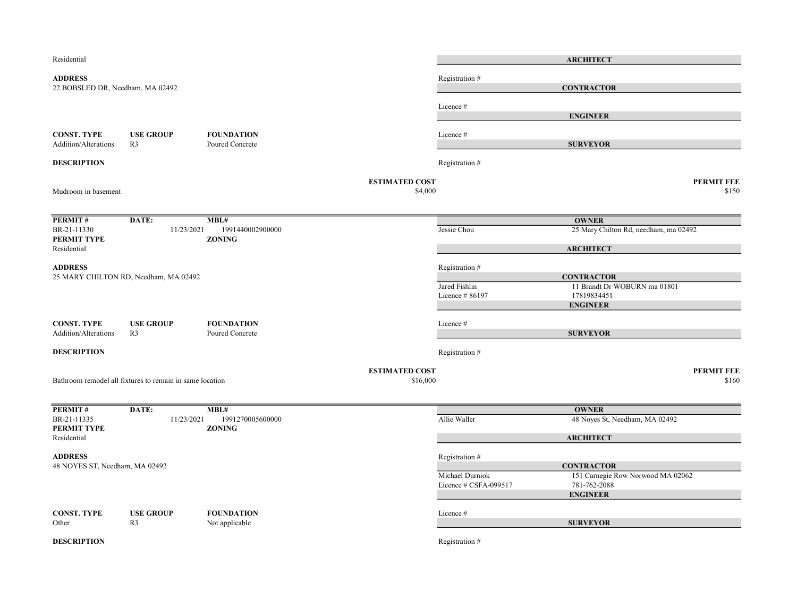| Residential                                       |                                                          |                                      |                       |                       | <b>ARCHITECT</b>                      |                   |
|---------------------------------------------------|----------------------------------------------------------|--------------------------------------|-----------------------|-----------------------|---------------------------------------|-------------------|
| <b>ADDRESS</b>                                    |                                                          |                                      |                       | Registration #        |                                       |                   |
| 22 BOBSLED DR, Needham, MA 02492                  |                                                          |                                      |                       |                       | <b>CONTRACTOR</b>                     |                   |
|                                                   |                                                          |                                      |                       | Licence #             |                                       |                   |
|                                                   |                                                          |                                      |                       |                       | <b>ENGINEER</b>                       |                   |
|                                                   |                                                          |                                      |                       |                       |                                       |                   |
| <b>CONST. TYPE</b><br><b>Addition/Alterations</b> | <b>USE GROUP</b><br>R <sub>3</sub>                       | <b>FOUNDATION</b><br>Poured Concrete |                       | Licence #             | <b>SURVEYOR</b>                       |                   |
|                                                   |                                                          |                                      |                       |                       |                                       |                   |
| <b>DESCRIPTION</b>                                |                                                          |                                      |                       | Registration #        |                                       |                   |
|                                                   |                                                          |                                      | <b>ESTIMATED COST</b> |                       | <b>PERMIT FEE</b>                     |                   |
| Mudroom in basement                               |                                                          |                                      | \$4,000               |                       |                                       | \$150             |
|                                                   |                                                          |                                      |                       |                       |                                       |                   |
| PERMIT#                                           | DATE:                                                    | MBL#                                 |                       |                       | <b>OWNER</b>                          |                   |
| BR-21-11330                                       | 11/23/2021                                               | 1991440002900000                     |                       | Jessie Chou           | 25 Mary Chilton Rd, needham, ma 02492 |                   |
| PERMIT TYPE<br>Residential                        |                                                          | <b>ZONING</b>                        |                       |                       | <b>ARCHITECT</b>                      |                   |
|                                                   |                                                          |                                      |                       |                       |                                       |                   |
| <b>ADDRESS</b>                                    | 25 MARY CHILTON RD, Needham, MA 02492                    |                                      |                       | Registration #        | <b>CONTRACTOR</b>                     |                   |
|                                                   |                                                          |                                      |                       | Jared Fishlin         | 11 Brandt Dr WOBURN ma 01801          |                   |
|                                                   |                                                          |                                      |                       | Licence #86197        | 17819834451                           |                   |
|                                                   |                                                          |                                      |                       |                       | <b>ENGINEER</b>                       |                   |
| <b>CONST. TYPE</b>                                | <b>USE GROUP</b>                                         | <b>FOUNDATION</b>                    |                       | Licence #             |                                       |                   |
| Addition/Alterations                              | R <sub>3</sub>                                           | Poured Concrete                      |                       |                       | <b>SURVEYOR</b>                       |                   |
| <b>DESCRIPTION</b>                                |                                                          |                                      |                       | Registration #        |                                       |                   |
|                                                   |                                                          |                                      |                       |                       |                                       |                   |
|                                                   |                                                          |                                      | <b>ESTIMATED COST</b> |                       |                                       | <b>PERMIT FEE</b> |
|                                                   | Bathroom remodel all fixtures to remain in same location |                                      | \$16,000              |                       |                                       | \$160             |
|                                                   |                                                          |                                      |                       |                       |                                       |                   |
| PERMIT#                                           | DATE:                                                    | MBL#                                 |                       |                       | <b>OWNER</b>                          |                   |
| BR-21-11335<br>PERMIT TYPE                        | 11/23/2021                                               | 1991270005600000<br><b>ZONING</b>    |                       | Allie Waller          | 48 Noyes St, Needham, MA 02492        |                   |
| Residential                                       |                                                          |                                      |                       |                       | <b>ARCHITECT</b>                      |                   |
|                                                   |                                                          |                                      |                       |                       |                                       |                   |
| <b>ADDRESS</b><br>48 NOYES ST, Needham, MA 02492  |                                                          |                                      |                       | Registration #        | <b>CONTRACTOR</b>                     |                   |
|                                                   |                                                          |                                      |                       | Michael Durniok       | 151 Carnegie Row Norwood MA 02062     |                   |
|                                                   |                                                          |                                      |                       | Licence # CSFA-099517 | 781-762-2088                          |                   |
|                                                   |                                                          |                                      |                       |                       | <b>ENGINEER</b>                       |                   |
| <b>CONST. TYPE</b>                                | <b>USE GROUP</b>                                         | <b>FOUNDATION</b>                    |                       | Licence #             |                                       |                   |
| Other                                             | R <sub>3</sub>                                           | Not applicable                       |                       |                       | <b>SURVEYOR</b>                       |                   |
| <b>DESCRIPTION</b>                                |                                                          |                                      |                       |                       |                                       |                   |
|                                                   |                                                          |                                      |                       | Registration #        |                                       |                   |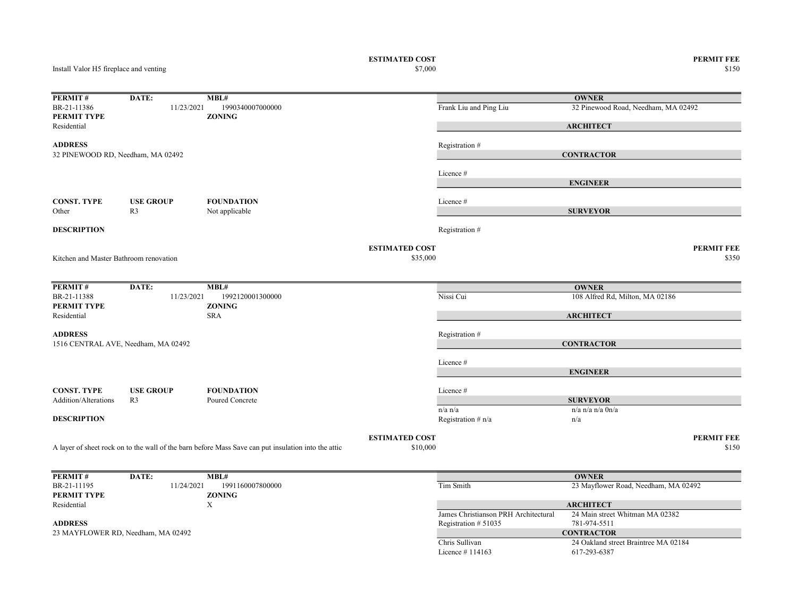ESTIMATED COST PERMIT FEE<br>  $$7,000$  8150

Install Valor H5 fireplace and venting

 $$150$   $$150$ 

| PERMIT#                                | DATE:                               | MBL#                                                                                                |                       |                                      | <b>OWNER</b>                                        |                   |
|----------------------------------------|-------------------------------------|-----------------------------------------------------------------------------------------------------|-----------------------|--------------------------------------|-----------------------------------------------------|-------------------|
| BR-21-11386<br><b>PERMIT TYPE</b>      | 11/23/2021                          | 1990340007000000<br><b>ZONING</b>                                                                   |                       | Frank Liu and Ping Liu               | 32 Pinewood Road, Needham, MA 02492                 |                   |
| Residential                            |                                     |                                                                                                     |                       |                                      | <b>ARCHITECT</b>                                    |                   |
| <b>ADDRESS</b>                         |                                     |                                                                                                     |                       | Registration #                       |                                                     |                   |
| 32 PINEWOOD RD, Needham, MA 02492      |                                     |                                                                                                     |                       |                                      | <b>CONTRACTOR</b>                                   |                   |
|                                        |                                     |                                                                                                     |                       | Licence #                            |                                                     |                   |
|                                        |                                     |                                                                                                     |                       |                                      | <b>ENGINEER</b>                                     |                   |
|                                        |                                     | <b>FOUNDATION</b>                                                                                   |                       |                                      |                                                     |                   |
| <b>CONST. TYPE</b><br>Other            | <b>USE GROUP</b><br>R <sub>3</sub>  | Not applicable                                                                                      |                       | Licence#                             | <b>SURVEYOR</b>                                     |                   |
|                                        |                                     |                                                                                                     |                       |                                      |                                                     |                   |
| <b>DESCRIPTION</b>                     |                                     |                                                                                                     |                       | Registration #                       |                                                     |                   |
|                                        |                                     |                                                                                                     | <b>ESTIMATED COST</b> |                                      |                                                     | <b>PERMIT FEE</b> |
| Kitchen and Master Bathroom renovation |                                     |                                                                                                     | \$35,000              |                                      |                                                     | \$350             |
|                                        |                                     |                                                                                                     |                       |                                      |                                                     |                   |
| PERMIT#                                | DATE:                               | MBL#                                                                                                |                       |                                      | <b>OWNER</b>                                        |                   |
| BR-21-11388                            | 11/23/2021                          | 1992120001300000                                                                                    |                       | Nissi Cui                            | 108 Alfred Rd, Milton, MA 02186                     |                   |
| <b>PERMIT TYPE</b><br>Residential      |                                     | <b>ZONING</b><br><b>SRA</b>                                                                         |                       |                                      | <b>ARCHITECT</b>                                    |                   |
|                                        |                                     |                                                                                                     |                       |                                      |                                                     |                   |
| <b>ADDRESS</b>                         |                                     |                                                                                                     |                       | Registration #                       |                                                     |                   |
|                                        | 1516 CENTRAL AVE, Needham, MA 02492 |                                                                                                     |                       |                                      | <b>CONTRACTOR</b>                                   |                   |
|                                        |                                     |                                                                                                     |                       | Licence#                             |                                                     |                   |
|                                        |                                     |                                                                                                     |                       |                                      | <b>ENGINEER</b>                                     |                   |
| <b>CONST. TYPE</b>                     | <b>USE GROUP</b>                    | <b>FOUNDATION</b>                                                                                   |                       | Licence #                            |                                                     |                   |
| <b>Addition/Alterations</b>            | R <sub>3</sub>                      | Poured Concrete                                                                                     |                       |                                      | <b>SURVEYOR</b>                                     |                   |
|                                        |                                     |                                                                                                     |                       | $n/a$ $n/a$                          | $n/a$ n/a $n/a$ $0n/a$                              |                   |
| <b>DESCRIPTION</b>                     |                                     |                                                                                                     |                       | Registration # n/a                   | n/a                                                 |                   |
|                                        |                                     |                                                                                                     | <b>ESTIMATED COST</b> |                                      |                                                     | <b>PERMIT FEE</b> |
|                                        |                                     | A layer of sheet rock on to the wall of the barn before Mass Save can put insulation into the attic | \$10,000              |                                      |                                                     | \$150             |
|                                        |                                     |                                                                                                     |                       |                                      |                                                     |                   |
| PERMIT#                                | DATE:                               | MBL#                                                                                                |                       |                                      | <b>OWNER</b>                                        |                   |
| BR-21-11195                            | 11/24/2021                          | 1991160007800000                                                                                    |                       | Tim Smith                            | 23 Mayflower Road, Needham, MA 02492                |                   |
| <b>PERMIT TYPE</b>                     |                                     | <b>ZONING</b>                                                                                       |                       |                                      |                                                     |                   |
| Residential                            |                                     | X                                                                                                   |                       | James Christianson PRH Architectural | <b>ARCHITECT</b><br>24 Main street Whitman MA 02382 |                   |
| <b>ADDRESS</b>                         |                                     |                                                                                                     |                       | Registration # 51035                 | 781-974-5511                                        |                   |
|                                        | 23 MAYFLOWER RD, Needham, MA 02492  |                                                                                                     |                       |                                      | <b>CONTRACTOR</b>                                   |                   |
|                                        |                                     |                                                                                                     |                       | Chris Sullivan                       | 24 Oakland street Braintree MA 02184                |                   |
|                                        |                                     |                                                                                                     |                       | Licence $\#$ 114163                  | 617-293-6387                                        |                   |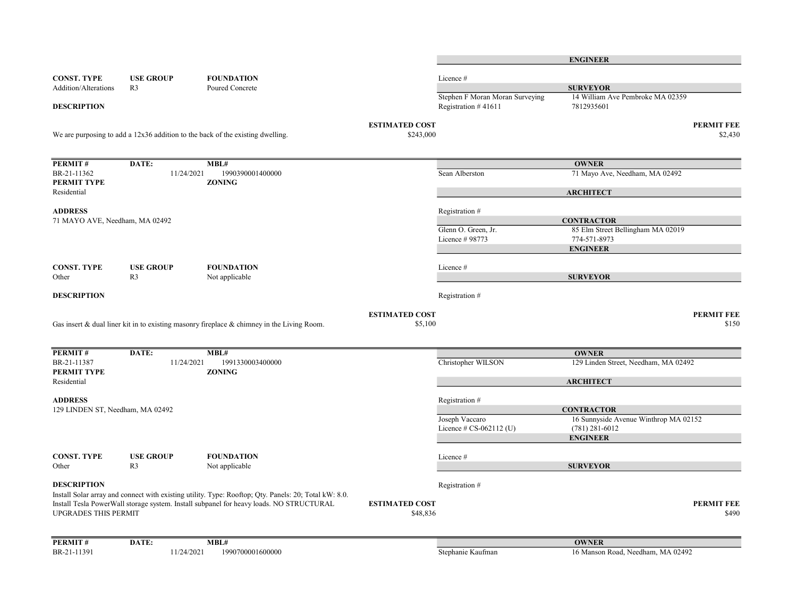|                                                                                                                                                                                                                                 |                  |                                                                                            |                                   |                                                        | <b>ENGINEER</b>                                |                            |
|---------------------------------------------------------------------------------------------------------------------------------------------------------------------------------------------------------------------------------|------------------|--------------------------------------------------------------------------------------------|-----------------------------------|--------------------------------------------------------|------------------------------------------------|----------------------------|
| <b>CONST. TYPE</b>                                                                                                                                                                                                              | <b>USE GROUP</b> | <b>FOUNDATION</b>                                                                          |                                   | Licence #                                              |                                                |                            |
| Addition/Alterations                                                                                                                                                                                                            | R <sub>3</sub>   | Poured Concrete                                                                            |                                   |                                                        | <b>SURVEYOR</b>                                |                            |
| <b>DESCRIPTION</b>                                                                                                                                                                                                              |                  |                                                                                            |                                   | Stephen F Moran Moran Surveying<br>Registration #41611 | 14 William Ave Pembroke MA 02359<br>7812935601 |                            |
|                                                                                                                                                                                                                                 |                  |                                                                                            | <b>ESTIMATED COST</b>             |                                                        |                                                | <b>PERMIT FEE</b>          |
|                                                                                                                                                                                                                                 |                  | We are purposing to add a $12x36$ addition to the back of the existing dwelling.           | \$243,000                         |                                                        |                                                | \$2,430                    |
| PERMIT#                                                                                                                                                                                                                         | DATE:            | MBL#                                                                                       |                                   |                                                        | <b>OWNER</b>                                   |                            |
| BR-21-11362<br>PERMIT TYPE                                                                                                                                                                                                      | 11/24/2021       | 1990390001400000<br><b>ZONING</b>                                                          |                                   | Sean Alberston                                         | 71 Mayo Ave, Needham, MA 02492                 |                            |
| Residential                                                                                                                                                                                                                     |                  |                                                                                            |                                   |                                                        | <b>ARCHITECT</b>                               |                            |
| <b>ADDRESS</b><br>71 MAYO AVE, Needham, MA 02492                                                                                                                                                                                |                  |                                                                                            |                                   | Registration #                                         | <b>CONTRACTOR</b>                              |                            |
|                                                                                                                                                                                                                                 |                  |                                                                                            |                                   | Glenn O. Green, Jr.                                    | 85 Elm Street Bellingham MA 02019              |                            |
|                                                                                                                                                                                                                                 |                  |                                                                                            |                                   | Licence # 98773                                        | 774-571-8973                                   |                            |
|                                                                                                                                                                                                                                 |                  |                                                                                            |                                   |                                                        | <b>ENGINEER</b>                                |                            |
| <b>CONST. TYPE</b>                                                                                                                                                                                                              | <b>USE GROUP</b> | <b>FOUNDATION</b>                                                                          |                                   | Licence #                                              |                                                |                            |
| Other                                                                                                                                                                                                                           | R <sub>3</sub>   | Not applicable                                                                             |                                   |                                                        | <b>SURVEYOR</b>                                |                            |
| <b>DESCRIPTION</b>                                                                                                                                                                                                              |                  |                                                                                            |                                   | Registration #                                         |                                                |                            |
|                                                                                                                                                                                                                                 |                  | Gas insert & dual liner kit in to existing masonry fireplace & chimney in the Living Room. | <b>ESTIMATED COST</b><br>\$5,100  |                                                        |                                                | <b>PERMIT FEE</b><br>\$150 |
| PERMIT#                                                                                                                                                                                                                         | DATE:            | MBL#                                                                                       |                                   |                                                        | <b>OWNER</b>                                   |                            |
| BR-21-11387<br>PERMIT TYPE                                                                                                                                                                                                      | 11/24/2021       | 1991330003400000<br><b>ZONING</b>                                                          |                                   | Christopher WILSON                                     | 129 Linden Street, Needham, MA 02492           |                            |
| Residential                                                                                                                                                                                                                     |                  |                                                                                            |                                   |                                                        | <b>ARCHITECT</b>                               |                            |
| <b>ADDRESS</b>                                                                                                                                                                                                                  |                  |                                                                                            |                                   | Registration #                                         |                                                |                            |
| 129 LINDEN ST, Needham, MA 02492                                                                                                                                                                                                |                  |                                                                                            |                                   |                                                        | <b>CONTRACTOR</b>                              |                            |
|                                                                                                                                                                                                                                 |                  |                                                                                            |                                   | Joseph Vaccaro                                         | 16 Sunnyside Avenue Winthrop MA 02152          |                            |
|                                                                                                                                                                                                                                 |                  |                                                                                            |                                   | Licence $\#$ CS-062112 (U)                             | $(781) 281 - 6012$<br><b>ENGINEER</b>          |                            |
| <b>CONST. TYPE</b>                                                                                                                                                                                                              | <b>USE GROUP</b> | <b>FOUNDATION</b>                                                                          |                                   | Licence#                                               |                                                |                            |
| Other                                                                                                                                                                                                                           | R <sub>3</sub>   | Not applicable                                                                             |                                   |                                                        | <b>SURVEYOR</b>                                |                            |
| <b>DESCRIPTION</b>                                                                                                                                                                                                              |                  |                                                                                            |                                   | Registration #                                         |                                                |                            |
| Install Solar array and connect with existing utility. Type: Rooftop; Qty. Panels: 20; Total kW: 8.0.<br>Install Tesla PowerWall storage system. Install subpanel for heavy loads. NO STRUCTURAL<br><b>UPGRADES THIS PERMIT</b> |                  |                                                                                            | <b>ESTIMATED COST</b><br>\$48,836 |                                                        |                                                | <b>PERMIT FEE</b><br>\$490 |
|                                                                                                                                                                                                                                 |                  |                                                                                            |                                   |                                                        |                                                |                            |
| PERMIT#                                                                                                                                                                                                                         | DATE:            | MBL#                                                                                       |                                   |                                                        | <b>OWNER</b>                                   |                            |
| BR-21-11391                                                                                                                                                                                                                     | 11/24/2021       | 1990700001600000                                                                           |                                   | Stephanie Kaufman                                      | 16 Manson Road, Needham, MA 02492              |                            |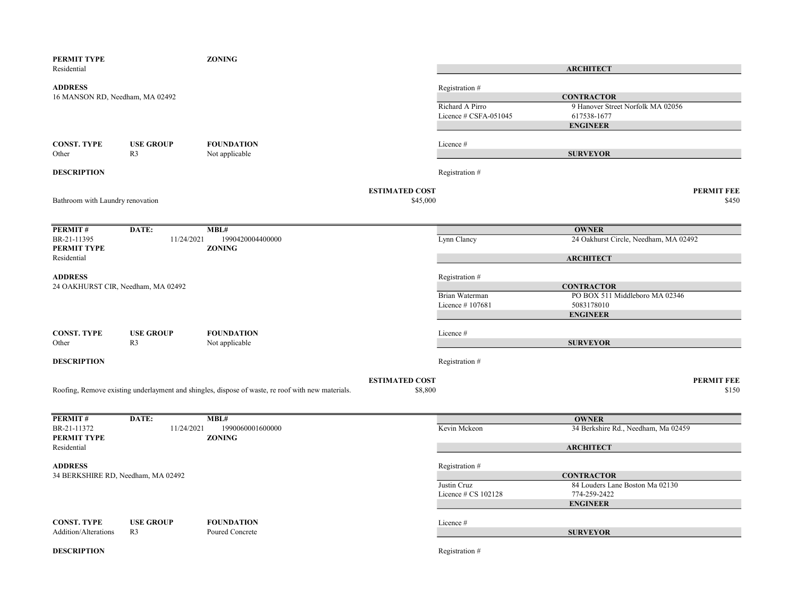| PERMIT TYPE<br>Residential         |                                    | <b>ZONING</b>                                                                                     |                       |                       |                                       |                   |
|------------------------------------|------------------------------------|---------------------------------------------------------------------------------------------------|-----------------------|-----------------------|---------------------------------------|-------------------|
|                                    |                                    |                                                                                                   |                       |                       | <b>ARCHITECT</b>                      |                   |
| <b>ADDRESS</b>                     |                                    |                                                                                                   |                       | Registration #        |                                       |                   |
| 16 MANSON RD, Needham, MA 02492    |                                    |                                                                                                   |                       |                       | <b>CONTRACTOR</b>                     |                   |
|                                    |                                    |                                                                                                   |                       | Richard A Pirro       | 9 Hanover Street Norfolk MA 02056     |                   |
|                                    |                                    |                                                                                                   |                       | Licence # CSFA-051045 | 617538-1677                           |                   |
|                                    |                                    |                                                                                                   |                       |                       | <b>ENGINEER</b>                       |                   |
| <b>CONST. TYPE</b>                 | <b>USE GROUP</b>                   | <b>FOUNDATION</b>                                                                                 |                       | Licence#              |                                       |                   |
| Other                              | R <sub>3</sub>                     | Not applicable                                                                                    |                       |                       | <b>SURVEYOR</b>                       |                   |
|                                    |                                    |                                                                                                   |                       |                       |                                       |                   |
| <b>DESCRIPTION</b>                 |                                    |                                                                                                   |                       | Registration #        |                                       |                   |
|                                    |                                    |                                                                                                   | <b>ESTIMATED COST</b> |                       |                                       | <b>PERMIT FEE</b> |
| Bathroom with Laundry renovation   |                                    |                                                                                                   | \$45,000              |                       |                                       | \$450             |
|                                    |                                    |                                                                                                   |                       |                       |                                       |                   |
|                                    |                                    |                                                                                                   |                       |                       |                                       |                   |
| PERMIT#                            | DATE:                              | MBL#                                                                                              |                       |                       | <b>OWNER</b>                          |                   |
| BR-21-11395<br>PERMIT TYPE         | 11/24/2021                         | 1990420004400000<br><b>ZONING</b>                                                                 |                       | Lynn Clancy           | 24 Oakhurst Circle, Needham, MA 02492 |                   |
| Residential                        |                                    |                                                                                                   |                       |                       | <b>ARCHITECT</b>                      |                   |
|                                    |                                    |                                                                                                   |                       |                       |                                       |                   |
| <b>ADDRESS</b>                     |                                    |                                                                                                   |                       | Registration #        |                                       |                   |
| 24 OAKHURST CIR, Needham, MA 02492 |                                    |                                                                                                   |                       |                       | <b>CONTRACTOR</b>                     |                   |
|                                    |                                    |                                                                                                   |                       | Brian Waterman        | PO BOX 511 Middleboro MA 02346        |                   |
|                                    |                                    |                                                                                                   |                       | Licence #107681       | 5083178010                            |                   |
|                                    |                                    |                                                                                                   |                       |                       | <b>ENGINEER</b>                       |                   |
|                                    |                                    |                                                                                                   |                       |                       |                                       |                   |
| <b>CONST. TYPE</b><br>Other        | <b>USE GROUP</b><br>R <sub>3</sub> | <b>FOUNDATION</b><br>Not applicable                                                               |                       | Licence #             | <b>SURVEYOR</b>                       |                   |
|                                    |                                    |                                                                                                   |                       |                       |                                       |                   |
| <b>DESCRIPTION</b>                 |                                    |                                                                                                   |                       | Registration #        |                                       |                   |
|                                    |                                    |                                                                                                   | <b>ESTIMATED COST</b> |                       |                                       | <b>PERMIT FEE</b> |
|                                    |                                    | Roofing, Remove existing underlayment and shingles, dispose of waste, re roof with new materials. | \$8,800               |                       |                                       | \$150             |
|                                    |                                    |                                                                                                   |                       |                       |                                       |                   |
| PERMIT#                            | DATE:                              | MBL#                                                                                              |                       |                       | <b>OWNER</b>                          |                   |
| BR-21-11372                        | 11/24/2021                         | 1990060001600000                                                                                  |                       | Kevin Mckeon          | 34 Berkshire Rd., Needham, Ma 02459   |                   |
| PERMIT TYPE                        |                                    | <b>ZONING</b>                                                                                     |                       |                       |                                       |                   |
| Residential                        |                                    |                                                                                                   |                       |                       | <b>ARCHITECT</b>                      |                   |
| <b>ADDRESS</b>                     |                                    |                                                                                                   |                       | Registration #        |                                       |                   |
| 34 BERKSHIRE RD, Needham, MA 02492 |                                    |                                                                                                   |                       |                       | <b>CONTRACTOR</b>                     |                   |
|                                    |                                    |                                                                                                   |                       | Justin Cruz           | 84 Louders Lane Boston Ma 02130       |                   |
|                                    |                                    |                                                                                                   |                       | Licence # CS 102128   | 774-259-2422                          |                   |
|                                    |                                    |                                                                                                   |                       |                       | <b>ENGINEER</b>                       |                   |
| <b>CONST. TYPE</b>                 | <b>USE GROUP</b>                   | <b>FOUNDATION</b>                                                                                 |                       | Licence#              |                                       |                   |
| <b>Addition/Alterations</b>        | R <sub>3</sub>                     | Poured Concrete                                                                                   |                       |                       | <b>SURVEYOR</b>                       |                   |
|                                    |                                    |                                                                                                   |                       |                       |                                       |                   |
| <b>DESCRIPTION</b>                 |                                    |                                                                                                   |                       | Registration #        |                                       |                   |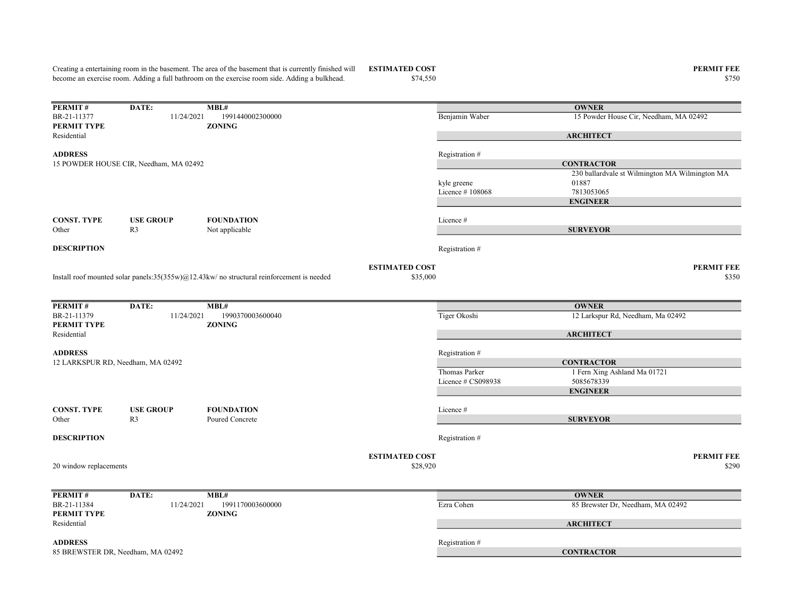Creating a entertaining room in the basement. The area of the basement that is currently finished will become an exercise room. Adding a full bathroom on the exercise room side. Adding a bulkhead.

**PERMIT #** DATE: MBL#<br>BR-21-11377 11/24/2021 1991440002300000 11/24/2021 1991440002300000 Benjamin Waber 15 Powder House Cir, Needham, MA 02492 PERMIT TYPE ZONING Residential ADDRESS Registration # kyle greene 230 ballardvale st Wilmington MA Wilmington MA 01887 Licence # 108068 7813053065 CONST. TYPE USE GROUP FOUNDATION Licence # Other R3 Not applicable **DESCRIPTION** Registration  $#$ ESTIMATED COST PERMIT FEE  $$35,000$   $$350$ **PERMIT #** DATE: MBL#<br>BR-21-11379  $11/24/2021$  19 BR-21-11379 11/24/2021 1990370003600040 Tiger Okoshi 12 Larkspur Rd, Needham, Ma 02492 PERMIT TYPE ZONING Residential ADDRESS Registration # Thomas Parker 1 Fern Xing Ashland Ma 01721 Licence # CS098938 5085678339 CONST. TYPE USE GROUP FOUNDATION Licence # Install roof mounted solar panels:35(355w)@12.43kw/ no structural reinforcement is needed **OWNER ARCHITECT CONTRACTOR** ENGINEER **SURVEYOR** 12 LARKSPUR RD, Needham, MA 02492 **OWNER ARCHITECT CONTRACTOR** ENGINEER **SURVEYOR** 15 POWDER HOUSE CIR, Needham, MA 02492

Other R3 Poured Concrete

**DESCRIPTION** Registration #

20 window replacements

ESTIMATED COST PERMIT FEE

 $$28,920$   $$290$ 

| PERMIT#                           | DATE:      | MBL#             |                | <b>OWNER</b>                      |
|-----------------------------------|------------|------------------|----------------|-----------------------------------|
| BR-21-11384                       | 11/24/2021 | 1991170003600000 | Ezra Cohen     | 85 Brewster Dr, Needham, MA 02492 |
| <b>PERMIT TYPE</b>                |            | <b>ZONING</b>    |                |                                   |
| Residential                       |            |                  |                | <b>ARCHITECT</b>                  |
|                                   |            |                  |                |                                   |
| <b>ADDRESS</b>                    |            |                  | Registration # |                                   |
| 85 BREWSTER DR, Needham, MA 02492 |            |                  |                | <b>CONTRACTOR</b>                 |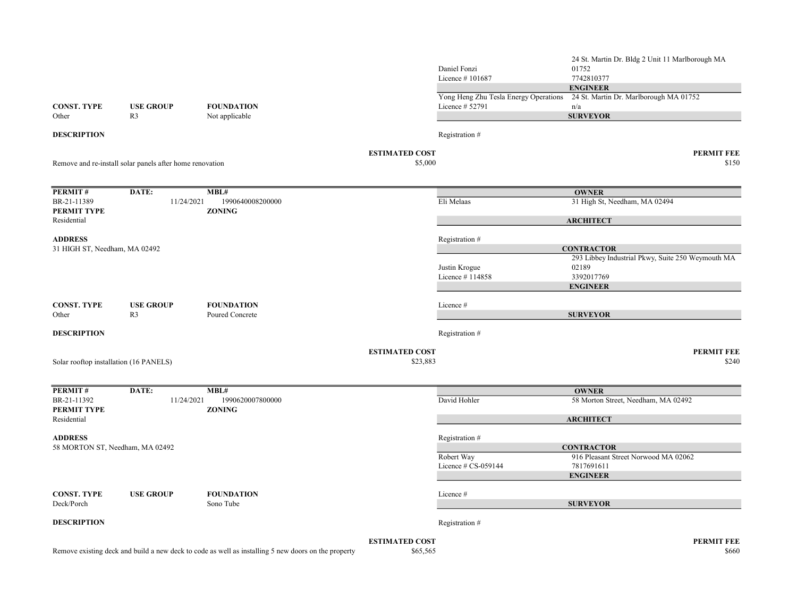|                                        |                                                          |                                                                                                     |                       | Daniel Fonzi<br>Licence #101687                          | 24 St. Martin Dr. Bldg 2 Unit 11 Marlborough MA<br>01752<br>7742810377<br><b>ENGINEER</b> |
|----------------------------------------|----------------------------------------------------------|-----------------------------------------------------------------------------------------------------|-----------------------|----------------------------------------------------------|-------------------------------------------------------------------------------------------|
| <b>CONST. TYPE</b>                     | <b>USE GROUP</b>                                         | <b>FOUNDATION</b>                                                                                   |                       | Yong Heng Zhu Tesla Energy Operations<br>Licence # 52791 | 24 St. Martin Dr. Marlborough MA 01752<br>n/a                                             |
| Other                                  | R <sub>3</sub>                                           | Not applicable                                                                                      |                       |                                                          | <b>SURVEYOR</b>                                                                           |
| <b>DESCRIPTION</b>                     |                                                          |                                                                                                     |                       | Registration #                                           |                                                                                           |
|                                        |                                                          |                                                                                                     | <b>ESTIMATED COST</b> |                                                          | PERMIT FEE                                                                                |
|                                        | Remove and re-install solar panels after home renovation |                                                                                                     | \$5,000               |                                                          | \$150                                                                                     |
| PERMIT#                                | DATE:                                                    | MBL#                                                                                                |                       |                                                          | <b>OWNER</b>                                                                              |
| BR-21-11389<br>PERMIT TYPE             | 11/24/2021                                               | 1990640008200000<br><b>ZONING</b>                                                                   |                       | Eli Melaas                                               | 31 High St, Needham, MA 02494                                                             |
| Residential                            |                                                          |                                                                                                     |                       |                                                          | <b>ARCHITECT</b>                                                                          |
| <b>ADDRESS</b>                         |                                                          |                                                                                                     |                       | Registration #                                           |                                                                                           |
| 31 HIGH ST, Needham, MA 02492          |                                                          |                                                                                                     |                       |                                                          | <b>CONTRACTOR</b><br>293 Libbey Industrial Pkwy, Suite 250 Weymouth MA                    |
|                                        |                                                          |                                                                                                     |                       | Justin Krogue                                            | 02189                                                                                     |
|                                        |                                                          |                                                                                                     |                       | Licence #114858                                          | 3392017769                                                                                |
|                                        |                                                          |                                                                                                     |                       |                                                          | <b>ENGINEER</b>                                                                           |
| <b>CONST. TYPE</b><br>Other            | <b>USE GROUP</b><br>R <sub>3</sub>                       | <b>FOUNDATION</b><br>Poured Concrete                                                                |                       | Licence #                                                | <b>SURVEYOR</b>                                                                           |
| <b>DESCRIPTION</b>                     |                                                          |                                                                                                     |                       | Registration #                                           |                                                                                           |
|                                        |                                                          |                                                                                                     | <b>ESTIMATED COST</b> |                                                          | <b>PERMIT FEE</b>                                                                         |
| Solar rooftop installation (16 PANELS) |                                                          |                                                                                                     | \$23,883              |                                                          | \$240                                                                                     |
| PERMIT#                                | DATE:                                                    | MBL#                                                                                                |                       |                                                          | <b>OWNER</b>                                                                              |
| BR-21-11392<br><b>PERMIT TYPE</b>      | 11/24/2021                                               | 1990620007800000<br><b>ZONING</b>                                                                   |                       | David Hohler                                             | 58 Morton Street, Needham, MA 02492                                                       |
| Residential                            |                                                          |                                                                                                     |                       |                                                          | <b>ARCHITECT</b>                                                                          |
| <b>ADDRESS</b>                         |                                                          |                                                                                                     |                       | Registration #                                           |                                                                                           |
| 58 MORTON ST, Needham, MA 02492        |                                                          |                                                                                                     |                       |                                                          | <b>CONTRACTOR</b>                                                                         |
|                                        |                                                          |                                                                                                     |                       | Robert Way<br>Licence # CS-059144                        | 916 Pleasant Street Norwood MA 02062<br>7817691611                                        |
|                                        |                                                          |                                                                                                     |                       |                                                          | <b>ENGINEER</b>                                                                           |
| <b>CONST. TYPE</b>                     | <b>USE GROUP</b>                                         | <b>FOUNDATION</b>                                                                                   |                       | Licence#                                                 |                                                                                           |
| Deck/Porch                             |                                                          | Sono Tube                                                                                           |                       |                                                          | <b>SURVEYOR</b>                                                                           |
| <b>DESCRIPTION</b>                     |                                                          |                                                                                                     |                       | Registration #                                           |                                                                                           |
|                                        |                                                          |                                                                                                     | <b>ESTIMATED COST</b> |                                                          | <b>PERMIT FEE</b>                                                                         |
|                                        |                                                          | Remove existing deck and build a new deck to code as well as installing 5 new doors on the property | \$65,565              |                                                          | \$660                                                                                     |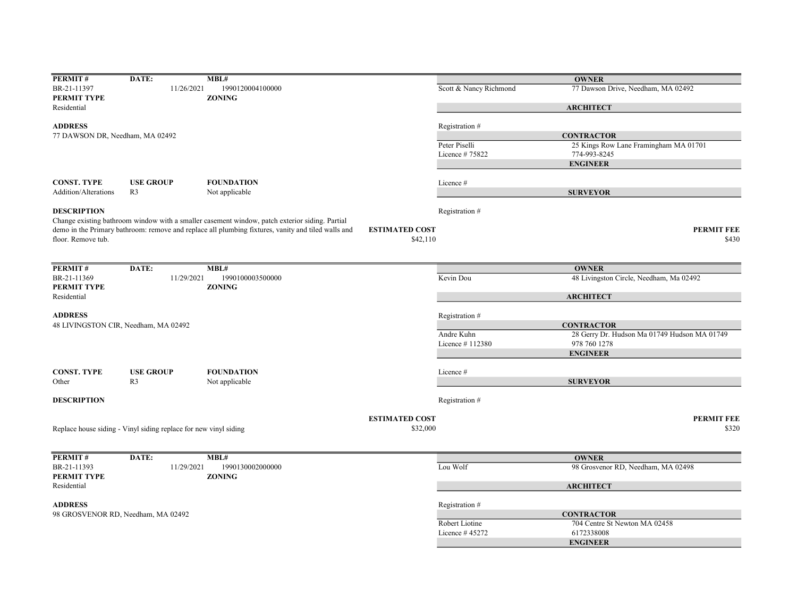| PERMIT#                            | DATE:                                                            | MBL#                                                                                               |                       |                        | <b>OWNER</b>                                 |
|------------------------------------|------------------------------------------------------------------|----------------------------------------------------------------------------------------------------|-----------------------|------------------------|----------------------------------------------|
| BR-21-11397                        | 11/26/2021                                                       | 1990120004100000                                                                                   |                       | Scott & Nancy Richmond | 77 Dawson Drive, Needham, MA 02492           |
| <b>PERMIT TYPE</b>                 |                                                                  | <b>ZONING</b>                                                                                      |                       |                        |                                              |
| Residential                        |                                                                  |                                                                                                    |                       |                        | <b>ARCHITECT</b>                             |
|                                    |                                                                  |                                                                                                    |                       |                        |                                              |
| <b>ADDRESS</b>                     |                                                                  |                                                                                                    |                       | Registration #         |                                              |
|                                    |                                                                  |                                                                                                    |                       |                        |                                              |
| 77 DAWSON DR, Needham, MA 02492    |                                                                  |                                                                                                    |                       |                        | <b>CONTRACTOR</b>                            |
|                                    |                                                                  |                                                                                                    |                       | Peter Piselli          | 25 Kings Row Lane Framingham MA 01701        |
|                                    |                                                                  |                                                                                                    |                       | Licence #75822         | 774-993-8245                                 |
|                                    |                                                                  |                                                                                                    |                       |                        | <b>ENGINEER</b>                              |
|                                    |                                                                  |                                                                                                    |                       |                        |                                              |
| <b>CONST. TYPE</b>                 | <b>USE GROUP</b>                                                 | <b>FOUNDATION</b>                                                                                  |                       | Licence #              |                                              |
| Addition/Alterations               | R <sub>3</sub>                                                   | Not applicable                                                                                     |                       |                        | <b>SURVEYOR</b>                              |
|                                    |                                                                  |                                                                                                    |                       |                        |                                              |
| <b>DESCRIPTION</b>                 |                                                                  |                                                                                                    |                       | Registration #         |                                              |
|                                    |                                                                  | Change existing bathroom window with a smaller casement window, patch exterior siding. Partial     |                       |                        |                                              |
|                                    |                                                                  | demo in the Primary bathroom: remove and replace all plumbing fixtures, vanity and tiled walls and | <b>ESTIMATED COST</b> |                        | <b>PERMIT FEE</b>                            |
| floor. Remove tub.                 |                                                                  |                                                                                                    | \$42,110              |                        | \$430                                        |
|                                    |                                                                  |                                                                                                    |                       |                        |                                              |
|                                    |                                                                  |                                                                                                    |                       |                        |                                              |
| PERMIT#                            | DATE:                                                            | MBL#                                                                                               |                       |                        | <b>OWNER</b>                                 |
| BR-21-11369                        | 11/29/2021                                                       | 1990100003500000                                                                                   |                       | Kevin Dou              | 48 Livingston Circle, Needham, Ma 02492      |
| <b>PERMIT TYPE</b>                 |                                                                  | <b>ZONING</b>                                                                                      |                       |                        |                                              |
|                                    |                                                                  |                                                                                                    |                       |                        | <b>ARCHITECT</b>                             |
| Residential                        |                                                                  |                                                                                                    |                       |                        |                                              |
|                                    |                                                                  |                                                                                                    |                       |                        |                                              |
| <b>ADDRESS</b>                     |                                                                  |                                                                                                    |                       | Registration #         |                                              |
|                                    | 48 LIVINGSTON CIR, Needham, MA 02492                             |                                                                                                    |                       |                        | <b>CONTRACTOR</b>                            |
|                                    |                                                                  |                                                                                                    |                       | Andre Kuhn             | 28 Gerry Dr. Hudson Ma 01749 Hudson MA 01749 |
|                                    |                                                                  |                                                                                                    |                       | Licence #112380        | 978 760 1278                                 |
|                                    |                                                                  |                                                                                                    |                       |                        | <b>ENGINEER</b>                              |
|                                    |                                                                  |                                                                                                    |                       |                        |                                              |
| <b>CONST. TYPE</b>                 | <b>USE GROUP</b>                                                 | <b>FOUNDATION</b>                                                                                  |                       | Licence #              |                                              |
| Other                              | R <sub>3</sub>                                                   | Not applicable                                                                                     |                       |                        | <b>SURVEYOR</b>                              |
|                                    |                                                                  |                                                                                                    |                       |                        |                                              |
| <b>DESCRIPTION</b>                 |                                                                  |                                                                                                    |                       | Registration #         |                                              |
|                                    |                                                                  |                                                                                                    |                       |                        |                                              |
|                                    |                                                                  |                                                                                                    | <b>ESTIMATED COST</b> |                        | <b>PERMIT FEE</b>                            |
|                                    | Replace house siding - Vinyl siding replace for new vinyl siding |                                                                                                    | \$32,000              |                        | \$320                                        |
|                                    |                                                                  |                                                                                                    |                       |                        |                                              |
|                                    |                                                                  |                                                                                                    |                       |                        |                                              |
|                                    |                                                                  |                                                                                                    |                       |                        |                                              |
| PERMIT#                            | DATE:                                                            | MBL#                                                                                               |                       |                        | <b>OWNER</b>                                 |
| BR-21-11393                        | 11/29/2021                                                       | 1990130002000000                                                                                   |                       | Lou Wolf               | 98 Grosvenor RD, Needham, MA 02498           |
| PERMIT TYPE                        |                                                                  | <b>ZONING</b>                                                                                      |                       |                        |                                              |
| Residential                        |                                                                  |                                                                                                    |                       |                        | <b>ARCHITECT</b>                             |
|                                    |                                                                  |                                                                                                    |                       |                        |                                              |
| <b>ADDRESS</b>                     |                                                                  |                                                                                                    |                       | Registration #         |                                              |
| 98 GROSVENOR RD, Needham, MA 02492 |                                                                  |                                                                                                    |                       |                        | <b>CONTRACTOR</b>                            |
|                                    |                                                                  |                                                                                                    |                       | Robert Liotine         | 704 Centre St Newton MA 02458                |
|                                    |                                                                  |                                                                                                    |                       | Licence $#45272$       | 6172338008                                   |
|                                    |                                                                  |                                                                                                    |                       |                        | <b>ENGINEER</b>                              |
|                                    |                                                                  |                                                                                                    |                       |                        |                                              |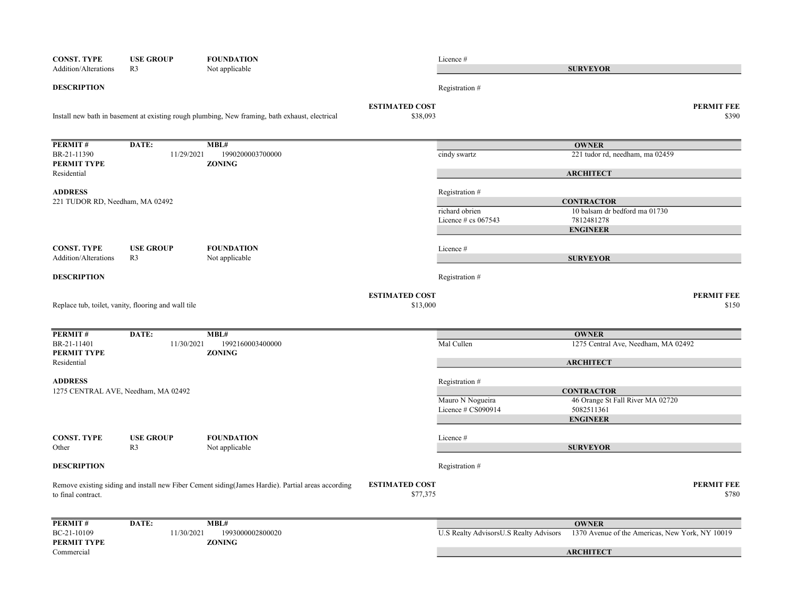| <b>CONST. TYPE</b>                        | <b>USE GROUP</b>                                    | <b>FOUNDATION</b>                                                                                 |                                   | Licence #                                |                                                         |                            |
|-------------------------------------------|-----------------------------------------------------|---------------------------------------------------------------------------------------------------|-----------------------------------|------------------------------------------|---------------------------------------------------------|----------------------------|
| <b>Addition/Alterations</b>               | R <sub>3</sub>                                      | Not applicable                                                                                    |                                   |                                          | <b>SURVEYOR</b>                                         |                            |
| <b>DESCRIPTION</b>                        |                                                     |                                                                                                   |                                   | Registration #                           |                                                         |                            |
|                                           |                                                     | Install new bath in basement at existing rough plumbing, New framing, bath exhaust, electrical    | <b>ESTIMATED COST</b><br>\$38,093 |                                          |                                                         | <b>PERMIT FEE</b><br>\$390 |
| PERMIT#                                   | DATE:                                               | MBL#                                                                                              |                                   |                                          | <b>OWNER</b>                                            |                            |
| BR-21-11390<br>PERMIT TYPE                | 11/29/2021                                          | 1990200003700000<br><b>ZONING</b>                                                                 |                                   | cindy swartz                             | 221 tudor rd, needham, ma 02459                         |                            |
| Residential                               |                                                     |                                                                                                   |                                   |                                          | <b>ARCHITECT</b>                                        |                            |
| <b>ADDRESS</b>                            |                                                     |                                                                                                   |                                   | Registration #                           |                                                         |                            |
| 221 TUDOR RD, Needham, MA 02492           |                                                     |                                                                                                   |                                   |                                          | <b>CONTRACTOR</b>                                       |                            |
|                                           |                                                     |                                                                                                   |                                   | richard obrien<br>Licence $\#$ cs 067543 | 10 balsam dr bedford ma 01730<br>7812481278             |                            |
|                                           |                                                     |                                                                                                   |                                   |                                          | <b>ENGINEER</b>                                         |                            |
| <b>CONST. TYPE</b>                        | <b>USE GROUP</b>                                    | <b>FOUNDATION</b>                                                                                 |                                   | Licence #                                |                                                         |                            |
| <b>Addition/Alterations</b>               | R <sub>3</sub>                                      | Not applicable                                                                                    |                                   |                                          | <b>SURVEYOR</b>                                         |                            |
| <b>DESCRIPTION</b>                        |                                                     |                                                                                                   |                                   | Registration #                           |                                                         |                            |
|                                           |                                                     |                                                                                                   | <b>ESTIMATED COST</b>             |                                          |                                                         | <b>PERMIT FEE</b>          |
|                                           | Replace tub, toilet, vanity, flooring and wall tile |                                                                                                   | \$13,000                          |                                          |                                                         | \$150                      |
|                                           |                                                     |                                                                                                   |                                   |                                          |                                                         |                            |
| PERMIT#                                   | DATE:                                               | MBL#                                                                                              |                                   |                                          | <b>OWNER</b>                                            |                            |
| BR-21-11401<br>PERMIT TYPE<br>Residential | 11/30/2021                                          | 1992160003400000<br><b>ZONING</b>                                                                 |                                   | Mal Cullen                               | 1275 Central Ave, Needham, MA 02492<br><b>ARCHITECT</b> |                            |
|                                           |                                                     |                                                                                                   |                                   |                                          |                                                         |                            |
| <b>ADDRESS</b>                            |                                                     |                                                                                                   |                                   | Registration #                           |                                                         |                            |
| 1275 CENTRAL AVE, Needham, MA 02492       |                                                     |                                                                                                   |                                   | Mauro N Nogueira                         | <b>CONTRACTOR</b>                                       |                            |
|                                           |                                                     |                                                                                                   |                                   | Licence # CS090914                       | 46 Orange St Fall River MA 02720<br>5082511361          |                            |
|                                           |                                                     |                                                                                                   |                                   |                                          | <b>ENGINEER</b>                                         |                            |
| <b>CONST. TYPE</b>                        | <b>USE GROUP</b>                                    | <b>FOUNDATION</b>                                                                                 |                                   | Licence #                                |                                                         |                            |
| Other                                     | R <sub>3</sub>                                      | Not applicable                                                                                    |                                   |                                          | <b>SURVEYOR</b>                                         |                            |
| <b>DESCRIPTION</b>                        |                                                     |                                                                                                   |                                   | Registration #                           |                                                         |                            |
| to final contract.                        |                                                     | Remove existing siding and install new Fiber Cement siding(James Hardie). Partial areas according | <b>ESTIMATED COST</b><br>\$77,375 |                                          |                                                         | <b>PERMIT FEE</b><br>\$780 |
|                                           |                                                     |                                                                                                   |                                   |                                          |                                                         |                            |
| PERMIT#                                   | DATE:                                               | MBL#                                                                                              |                                   |                                          | <b>OWNER</b>                                            |                            |
| BC-21-10109                               | 11/30/2021                                          | 1993000002800020                                                                                  |                                   | U.S Realty AdvisorsU.S Realty Advisors   | 1370 Avenue of the Americas, New York, NY 10019         |                            |
| PERMIT TYPE<br>Commercial                 |                                                     | <b>ZONING</b>                                                                                     |                                   |                                          | <b>ARCHITECT</b>                                        |                            |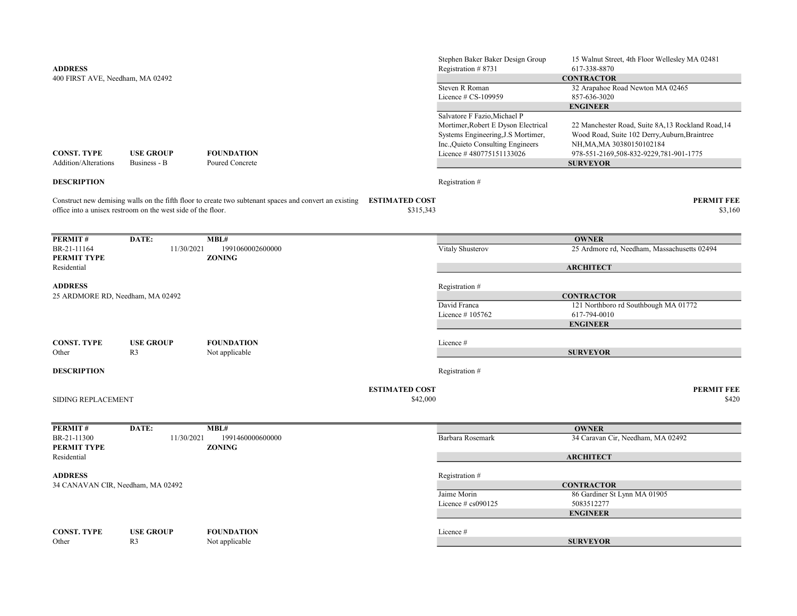| <b>ADDRESS</b>                                      |                                                              |                                                                                                        |                                    | Stephen Baker Baker Design Group<br>Registration #8731                                                                                     | 15 Walnut Street, 4th Floor Wellesley MA 02481<br>617-338-8870                                                                                                                              |
|-----------------------------------------------------|--------------------------------------------------------------|--------------------------------------------------------------------------------------------------------|------------------------------------|--------------------------------------------------------------------------------------------------------------------------------------------|---------------------------------------------------------------------------------------------------------------------------------------------------------------------------------------------|
| 400 FIRST AVE, Needham, MA 02492                    |                                                              |                                                                                                        |                                    | Steven R Roman<br>Licence $\#$ CS-109959                                                                                                   | <b>CONTRACTOR</b><br>32 Arapahoe Road Newton MA 02465<br>857-636-3020                                                                                                                       |
|                                                     |                                                              |                                                                                                        |                                    | Salvatore F Fazio, Michael P                                                                                                               | <b>ENGINEER</b>                                                                                                                                                                             |
| <b>CONST. TYPE</b><br>Addition/Alterations          | <b>USE GROUP</b><br>Business - B                             | <b>FOUNDATION</b><br>Poured Concrete                                                                   |                                    | Mortimer, Robert E Dyson Electrical<br>Systems Engineering, J.S Mortimer,<br>Inc., Quieto Consulting Engineers<br>Licence #480775151133026 | 22 Manchester Road, Suite 8A,13 Rockland Road,14<br>Wood Road, Suite 102 Derry, Auburn, Braintree<br>NH, MA, MA 30380150102184<br>978-551-2169,508-832-9229,781-901-1775<br><b>SURVEYOR</b> |
| <b>DESCRIPTION</b>                                  |                                                              |                                                                                                        |                                    | Registration #                                                                                                                             |                                                                                                                                                                                             |
|                                                     | office into a unisex restroom on the west side of the floor. | Construct new demising walls on the fifth floor to create two subtenant spaces and convert an existing | <b>ESTIMATED COST</b><br>\$315,343 |                                                                                                                                            | <b>PERMIT FEE</b><br>\$3,160                                                                                                                                                                |
| <b>PERMIT#</b>                                      | DATE:                                                        | MBL#                                                                                                   |                                    |                                                                                                                                            | <b>OWNER</b>                                                                                                                                                                                |
| BR-21-11164<br>PERMIT TYPE                          | 11/30/2021                                                   | 1991060002600000<br><b>ZONING</b>                                                                      |                                    | Vitaly Shusterov                                                                                                                           | 25 Ardmore rd, Needham, Massachusetts 02494                                                                                                                                                 |
| Residential                                         |                                                              |                                                                                                        |                                    |                                                                                                                                            | <b>ARCHITECT</b>                                                                                                                                                                            |
| <b>ADDRESS</b><br>25 ARDMORE RD, Needham, MA 02492  |                                                              |                                                                                                        |                                    | Registration #                                                                                                                             | <b>CONTRACTOR</b>                                                                                                                                                                           |
|                                                     |                                                              |                                                                                                        |                                    | David Franca<br>Licence #105762                                                                                                            | 121 Northboro rd Southbough MA 01772<br>617-794-0010<br><b>ENGINEER</b>                                                                                                                     |
| <b>CONST. TYPE</b><br>Other                         | <b>USE GROUP</b><br>R <sub>3</sub>                           | <b>FOUNDATION</b><br>Not applicable                                                                    |                                    | Licence#                                                                                                                                   | <b>SURVEYOR</b>                                                                                                                                                                             |
| <b>DESCRIPTION</b>                                  |                                                              |                                                                                                        |                                    | Registration #                                                                                                                             |                                                                                                                                                                                             |
| <b>SIDING REPLACEMENT</b>                           |                                                              |                                                                                                        | <b>ESTIMATED COST</b><br>\$42,000  |                                                                                                                                            | <b>PERMIT FEE</b><br>\$420                                                                                                                                                                  |
| PERMIT#                                             | DATE:                                                        | MBL#                                                                                                   |                                    |                                                                                                                                            | <b>OWNER</b>                                                                                                                                                                                |
| BR-21-11300<br>PERMIT TYPE                          | 11/30/2021                                                   | 1991460000600000<br><b>ZONING</b>                                                                      |                                    | Barbara Rosemark                                                                                                                           | 34 Caravan Cir, Needham, MA 02492                                                                                                                                                           |
| Residential                                         |                                                              |                                                                                                        |                                    |                                                                                                                                            | <b>ARCHITECT</b>                                                                                                                                                                            |
| <b>ADDRESS</b><br>34 CANAVAN CIR, Needham, MA 02492 |                                                              |                                                                                                        |                                    | Registration #                                                                                                                             | <b>CONTRACTOR</b>                                                                                                                                                                           |
|                                                     |                                                              |                                                                                                        |                                    | Jaime Morin<br>Licence $# \cos 090125$                                                                                                     | 86 Gardiner St Lynn MA 01905<br>5083512277<br><b>ENGINEER</b>                                                                                                                               |
| <b>CONST. TYPE</b>                                  | <b>USE GROUP</b>                                             | <b>FOUNDATION</b>                                                                                      |                                    | Licence #                                                                                                                                  |                                                                                                                                                                                             |
| Other                                               | R <sub>3</sub>                                               | Not applicable                                                                                         |                                    |                                                                                                                                            | <b>SURVEYOR</b>                                                                                                                                                                             |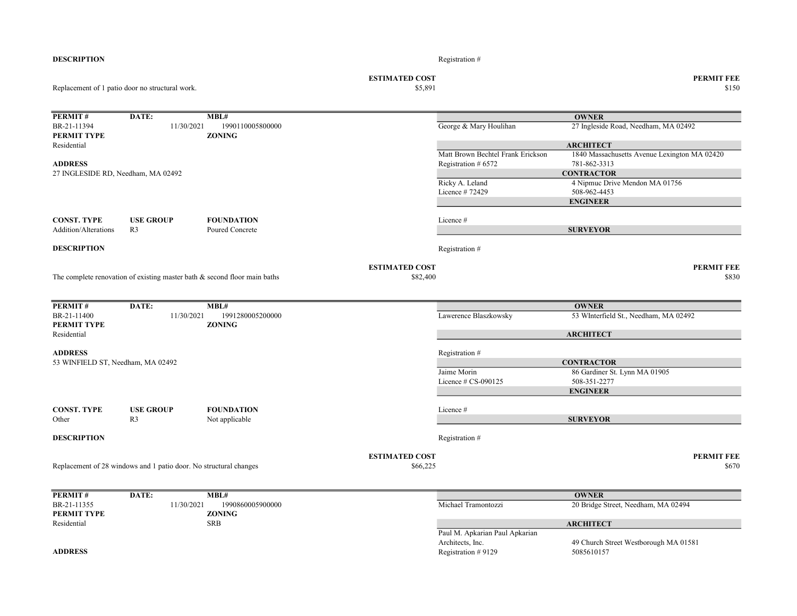| BR-21-11394<br><b>PERMIT TYPE</b><br>Residential | 11/30/2021                                                                   | 1990110005800000<br><b>ZONING</b> |                                   | George & Mary Houlihan                                   | 27 Ingleside Road, Needham, MA 02492<br><b>ARCHITECT</b>            |
|--------------------------------------------------|------------------------------------------------------------------------------|-----------------------------------|-----------------------------------|----------------------------------------------------------|---------------------------------------------------------------------|
| <b>ADDRESS</b>                                   |                                                                              |                                   |                                   | Matt Brown Bechtel Frank Erickson<br>Registration # 6572 | 1840 Massachusetts Avenue Lexington MA 02420<br>781-862-3313        |
| 27 INGLESIDE RD, Needham, MA 02492               |                                                                              |                                   |                                   | Ricky A. Leland<br>Licence #72429                        | <b>CONTRACTOR</b><br>4 Nipmuc Drive Mendon MA 01756<br>508-962-4453 |
|                                                  |                                                                              |                                   |                                   |                                                          | <b>ENGINEER</b>                                                     |
| <b>CONST. TYPE</b>                               | <b>USE GROUP</b>                                                             | <b>FOUNDATION</b>                 |                                   | Licence #                                                |                                                                     |
| <b>Addition/Alterations</b>                      | R <sub>3</sub>                                                               | Poured Concrete                   |                                   |                                                          | <b>SURVEYOR</b>                                                     |
| <b>DESCRIPTION</b>                               |                                                                              |                                   |                                   | Registration #                                           |                                                                     |
|                                                  | The complete renovation of existing master bath $\&$ second floor main baths |                                   | <b>ESTIMATED COST</b><br>\$82,400 |                                                          | <b>PERMIT FEE</b><br>\$830                                          |
| <b>PERMIT#</b>                                   | DATE:                                                                        | MBL#                              |                                   |                                                          | <b>OWNER</b>                                                        |
| BR-21-11400<br><b>PERMIT TYPE</b>                | 11/30/2021                                                                   | 1991280005200000<br><b>ZONING</b> |                                   | Lawerence Blaszkowsky                                    | 53 WInterfield St., Needham, MA 02492                               |
| Residential                                      |                                                                              |                                   |                                   |                                                          | <b>ARCHITECT</b>                                                    |
| <b>ADDRESS</b>                                   |                                                                              |                                   |                                   | Registration #                                           |                                                                     |
| 53 WINFIELD ST, Needham, MA 02492                |                                                                              |                                   |                                   | Jaime Morin                                              | <b>CONTRACTOR</b><br>86 Gardiner St. Lynn MA 01905                  |
|                                                  |                                                                              |                                   |                                   | Licence $# CS-090125$                                    | 508-351-2277                                                        |
|                                                  |                                                                              |                                   |                                   |                                                          | <b>ENGINEER</b>                                                     |
| CONST. TYPE                                      | <b>USE GROUP</b>                                                             | <b>FOUNDATION</b>                 |                                   | Licence #                                                |                                                                     |
| Other                                            | R <sub>3</sub>                                                               | Not applicable                    |                                   |                                                          | <b>SURVEYOR</b>                                                     |
| <b>DESCRIPTION</b>                               |                                                                              |                                   |                                   | Registration #                                           |                                                                     |
|                                                  | Replacement of 28 windows and 1 patio door. No structural changes            |                                   | <b>ESTIMATED COST</b><br>\$66,225 |                                                          | <b>PERMIT FEE</b><br>\$670                                          |
|                                                  |                                                                              |                                   |                                   |                                                          |                                                                     |
| <b>PERMIT#</b>                                   | DATE:                                                                        | MBL#                              |                                   |                                                          | <b>OWNER</b>                                                        |
| BR-21-11355<br><b>PERMIT TYPE</b>                | 11/30/2021                                                                   | 1990860005900000<br><b>ZONING</b> |                                   | Michael Tramontozzi                                      | 20 Bridge Street, Needham, MA 02494                                 |
| Residential                                      |                                                                              | <b>SRB</b>                        |                                   |                                                          | <b>ARCHITECT</b>                                                    |

DESCRIPTION Registration #

Replacement of 1 patio door no structural work.

**PERMIT # DATE: MBL#** 

ESTIMATED COST PERMIT FEE<br>  $$5,891$  8150  $$150$   $$150$ 

**OWNER** 

Paul M. Apkarian Paul Apkarian Architects, Inc. 49 Church Street Westborough MA 01581<br>Registration #9129 5085610157  $ADDRESS$  Registration # 9129 ARCHITECT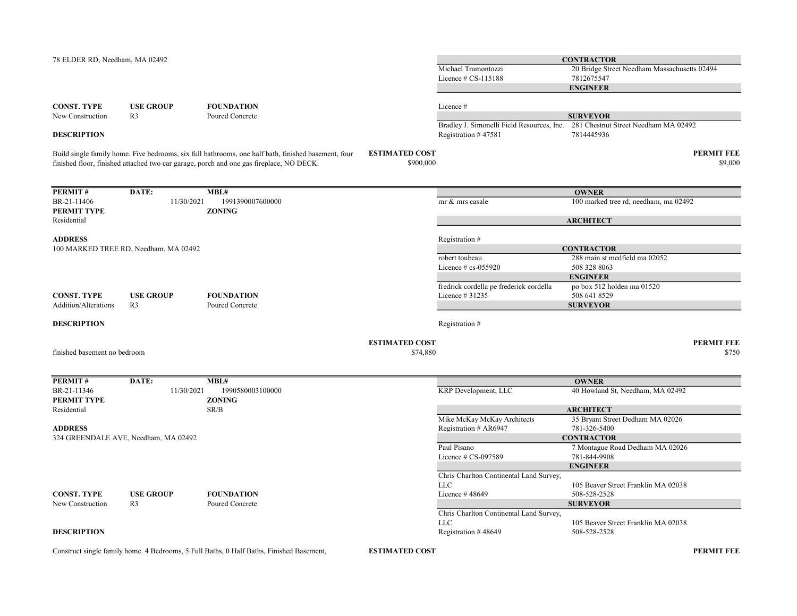| 78 ELDER RD, Needham, MA 02492 |                                       |                                                                                                                                                                                                |                                    | Michael Tramontozzi                                   | <b>CONTRACTOR</b><br>20 Bridge Street Needham Massachusetts 02494 |                              |
|--------------------------------|---------------------------------------|------------------------------------------------------------------------------------------------------------------------------------------------------------------------------------------------|------------------------------------|-------------------------------------------------------|-------------------------------------------------------------------|------------------------------|
|                                |                                       |                                                                                                                                                                                                |                                    | Licence $\#$ CS-115188                                | 7812675547                                                        |                              |
|                                |                                       |                                                                                                                                                                                                |                                    |                                                       | <b>ENGINEER</b>                                                   |                              |
|                                |                                       |                                                                                                                                                                                                |                                    |                                                       |                                                                   |                              |
| <b>CONST. TYPE</b>             | <b>USE GROUP</b>                      | <b>FOUNDATION</b>                                                                                                                                                                              |                                    | Licence#                                              |                                                                   |                              |
| New Construction               | R <sub>3</sub>                        | Poured Concrete                                                                                                                                                                                |                                    |                                                       | <b>SURVEYOR</b>                                                   |                              |
|                                |                                       |                                                                                                                                                                                                |                                    | Bradley J. Simonelli Field Resources, Inc.            | 281 Chestnut Street Needham MA 02492                              |                              |
| <b>DESCRIPTION</b>             |                                       |                                                                                                                                                                                                |                                    | Registration #47581                                   | 7814445936                                                        |                              |
|                                |                                       |                                                                                                                                                                                                |                                    |                                                       |                                                                   |                              |
|                                |                                       | Build single family home. Five bedrooms, six full bathrooms, one half bath, finished basement, four<br>finished floor, finished attached two car garage, porch and one gas fireplace, NO DECK. | <b>ESTIMATED COST</b><br>\$900,000 |                                                       |                                                                   | <b>PERMIT FEE</b><br>\$9,000 |
| PERMIT#                        | DATE:                                 | MBL#                                                                                                                                                                                           |                                    |                                                       | <b>OWNER</b>                                                      |                              |
| BR-21-11406                    | 11/30/2021                            | 1991390007600000                                                                                                                                                                               |                                    | mr & mrs casale                                       | 100 marked tree rd, needham, ma 02492                             |                              |
| PERMIT TYPE                    |                                       | <b>ZONING</b>                                                                                                                                                                                  |                                    |                                                       |                                                                   |                              |
| Residential                    |                                       |                                                                                                                                                                                                |                                    |                                                       | <b>ARCHITECT</b>                                                  |                              |
|                                |                                       |                                                                                                                                                                                                |                                    |                                                       |                                                                   |                              |
| <b>ADDRESS</b>                 |                                       |                                                                                                                                                                                                |                                    | Registration #                                        |                                                                   |                              |
|                                | 100 MARKED TREE RD, Needham, MA 02492 |                                                                                                                                                                                                |                                    |                                                       | <b>CONTRACTOR</b>                                                 |                              |
|                                |                                       |                                                                                                                                                                                                |                                    | robert toubeau                                        | 288 main st medfield ma 02052                                     |                              |
|                                |                                       |                                                                                                                                                                                                |                                    | Licence $# cs$ -055920                                | 508 328 8063                                                      |                              |
|                                |                                       |                                                                                                                                                                                                |                                    |                                                       | <b>ENGINEER</b>                                                   |                              |
|                                |                                       |                                                                                                                                                                                                |                                    | fredrick cordella pe frederick cordella               | po box 512 holden ma 01520                                        |                              |
| <b>CONST. TYPE</b>             | <b>USE GROUP</b>                      | <b>FOUNDATION</b>                                                                                                                                                                              |                                    | Licence # 31235                                       | 508 641 8529                                                      |                              |
| Addition/Alterations           | R <sub>3</sub>                        | Poured Concrete                                                                                                                                                                                |                                    |                                                       | <b>SURVEYOR</b>                                                   |                              |
| <b>DESCRIPTION</b>             |                                       |                                                                                                                                                                                                |                                    | Registration #                                        |                                                                   |                              |
|                                |                                       |                                                                                                                                                                                                |                                    |                                                       |                                                                   |                              |
|                                |                                       |                                                                                                                                                                                                | <b>ESTIMATED COST</b>              |                                                       |                                                                   | <b>PERMIT FEE</b>            |
| finished basement no bedroom   |                                       |                                                                                                                                                                                                | \$74,880                           |                                                       |                                                                   | \$750                        |
|                                |                                       |                                                                                                                                                                                                |                                    |                                                       |                                                                   |                              |
|                                |                                       |                                                                                                                                                                                                |                                    |                                                       |                                                                   |                              |
| PERMIT#                        | DATE:                                 | MBL#                                                                                                                                                                                           |                                    |                                                       | <b>OWNER</b>                                                      |                              |
| BR-21-11346                    | 11/30/2021                            | 1990580003100000                                                                                                                                                                               |                                    | <b>KRP</b> Development, LLC                           | 40 Howland St, Needham, MA 02492                                  |                              |
| PERMIT TYPE                    |                                       | <b>ZONING</b>                                                                                                                                                                                  |                                    |                                                       |                                                                   |                              |
| Residential                    |                                       | SR/B                                                                                                                                                                                           |                                    |                                                       | <b>ARCHITECT</b>                                                  |                              |
|                                |                                       |                                                                                                                                                                                                |                                    | Mike McKay McKay Architects                           | 35 Bryant Street Dedham MA 02026                                  |                              |
| <b>ADDRESS</b>                 |                                       |                                                                                                                                                                                                |                                    | Registration # AR6947                                 | 781-326-5400                                                      |                              |
|                                | 324 GREENDALE AVE, Needham, MA 02492  |                                                                                                                                                                                                |                                    |                                                       | <b>CONTRACTOR</b>                                                 |                              |
|                                |                                       |                                                                                                                                                                                                |                                    | Paul Pisano                                           | 7 Montague Road Dedham MA 02026                                   |                              |
|                                |                                       |                                                                                                                                                                                                |                                    | Licence $# CS-097589$                                 | 781-844-9908                                                      |                              |
|                                |                                       |                                                                                                                                                                                                |                                    |                                                       | <b>ENGINEER</b>                                                   |                              |
|                                |                                       |                                                                                                                                                                                                |                                    | Chris Charlton Continental Land Survey,               |                                                                   |                              |
| <b>CONST. TYPE</b>             |                                       | <b>FOUNDATION</b>                                                                                                                                                                              |                                    | <b>LLC</b>                                            | 105 Beaver Street Franklin MA 02038                               |                              |
|                                | <b>USE GROUP</b>                      |                                                                                                                                                                                                |                                    | Licence #48649                                        | 508-528-2528                                                      |                              |
| New Construction               | R <sub>3</sub>                        | Poured Concrete                                                                                                                                                                                |                                    |                                                       | <b>SURVEYOR</b>                                                   |                              |
|                                |                                       |                                                                                                                                                                                                |                                    | Chris Charlton Continental Land Survey,<br><b>LLC</b> | 105 Beaver Street Franklin MA 02038                               |                              |
| <b>DESCRIPTION</b>             |                                       |                                                                                                                                                                                                |                                    | Registration #48649                                   | 508-528-2528                                                      |                              |
|                                |                                       |                                                                                                                                                                                                |                                    |                                                       |                                                                   |                              |

Construct single family home. 4 Bedrooms, 5 Full Baths, 0 Half Baths, Finished Basement,

ESTIMATED COST PERMIT FEE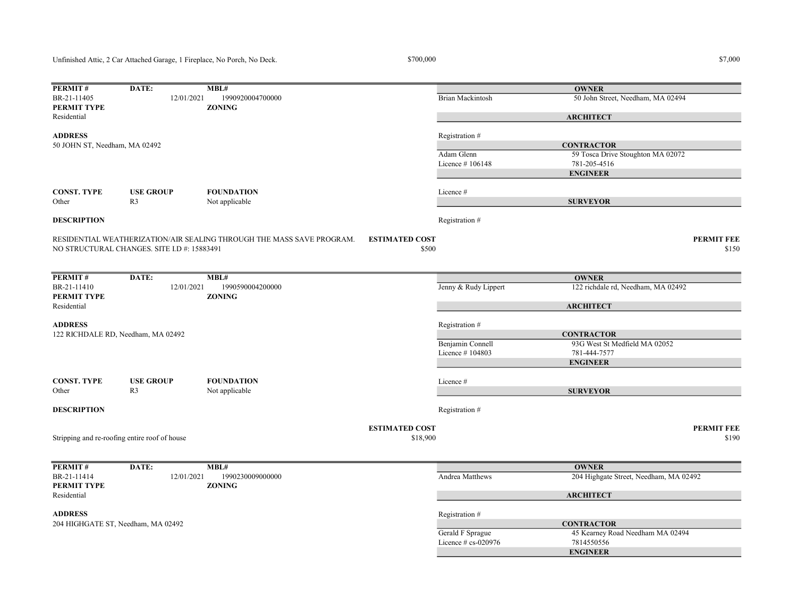Unfinished Attic, 2 Car Attached Garage, 1 Fireplace, No Porch, No Deck.

 $$7,000$   $$7,000$ 

| PERMIT#                       | DATE:                                         | MBL#                                                                  |                                   |                      | <b>OWNER</b>                           |                            |
|-------------------------------|-----------------------------------------------|-----------------------------------------------------------------------|-----------------------------------|----------------------|----------------------------------------|----------------------------|
| BR-21-11405                   | 12/01/2021                                    | 1990920004700000                                                      |                                   | Brian Mackintosh     | 50 John Street, Needham, MA 02494      |                            |
| <b>PERMIT TYPE</b>            |                                               | <b>ZONING</b>                                                         |                                   |                      |                                        |                            |
| Residential                   |                                               |                                                                       |                                   |                      | <b>ARCHITECT</b>                       |                            |
|                               |                                               |                                                                       |                                   |                      |                                        |                            |
| <b>ADDRESS</b>                |                                               |                                                                       |                                   | Registration #       |                                        |                            |
| 50 JOHN ST, Needham, MA 02492 |                                               |                                                                       |                                   |                      | <b>CONTRACTOR</b>                      |                            |
|                               |                                               |                                                                       |                                   | Adam Glenn           | 59 Tosca Drive Stoughton MA 02072      |                            |
|                               |                                               |                                                                       |                                   | Licence #106148      | 781-205-4516                           |                            |
|                               |                                               |                                                                       |                                   |                      | <b>ENGINEER</b>                        |                            |
|                               |                                               |                                                                       |                                   |                      |                                        |                            |
| <b>CONST. TYPE</b>            | <b>USE GROUP</b>                              | <b>FOUNDATION</b>                                                     |                                   | Licence #            |                                        |                            |
| Other                         | R <sub>3</sub>                                | Not applicable                                                        |                                   |                      | <b>SURVEYOR</b>                        |                            |
|                               |                                               |                                                                       |                                   |                      |                                        |                            |
| <b>DESCRIPTION</b>            |                                               |                                                                       |                                   | Registration #       |                                        |                            |
|                               |                                               |                                                                       |                                   |                      |                                        |                            |
|                               |                                               | RESIDENTIAL WEATHERIZATION/AIR SEALING THROUGH THE MASS SAVE PROGRAM. | <b>ESTIMATED COST</b>             |                      |                                        | <b>PERMIT FEE</b>          |
|                               | NO STRUCTURAL CHANGES. SITE I.D #: 15883491   |                                                                       | \$500                             |                      |                                        | \$150                      |
|                               |                                               |                                                                       |                                   |                      |                                        |                            |
| PERMIT#                       | DATE:                                         | MBL#                                                                  |                                   |                      | <b>OWNER</b>                           |                            |
| BR-21-11410                   | 12/01/2021                                    | 1990590004200000                                                      |                                   | Jenny & Rudy Lippert | 122 richdale rd, Needham, MA 02492     |                            |
| <b>PERMIT TYPE</b>            |                                               | <b>ZONING</b>                                                         |                                   |                      |                                        |                            |
| Residential                   |                                               |                                                                       |                                   |                      | <b>ARCHITECT</b>                       |                            |
|                               |                                               |                                                                       |                                   |                      |                                        |                            |
| <b>ADDRESS</b>                |                                               |                                                                       |                                   | Registration #       |                                        |                            |
|                               | 122 RICHDALE RD, Needham, MA 02492            |                                                                       |                                   |                      | <b>CONTRACTOR</b>                      |                            |
|                               |                                               |                                                                       |                                   | Benjamin Connell     | 93G West St Medfield MA 02052          |                            |
|                               |                                               |                                                                       |                                   | Licence #104803      | 781-444-7577                           |                            |
|                               |                                               |                                                                       |                                   |                      | <b>ENGINEER</b>                        |                            |
|                               |                                               |                                                                       |                                   |                      |                                        |                            |
| <b>CONST. TYPE</b>            | <b>USE GROUP</b>                              | <b>FOUNDATION</b>                                                     |                                   | Licence #            |                                        |                            |
| Other                         | R <sub>3</sub>                                | Not applicable                                                        |                                   |                      | <b>SURVEYOR</b>                        |                            |
|                               |                                               |                                                                       |                                   |                      |                                        |                            |
| <b>DESCRIPTION</b>            |                                               |                                                                       |                                   | Registration #       |                                        |                            |
|                               |                                               |                                                                       |                                   |                      |                                        |                            |
|                               |                                               |                                                                       | <b>ESTIMATED COST</b><br>\$18,900 |                      |                                        | <b>PERMIT FEE</b><br>\$190 |
|                               | Stripping and re-roofing entire roof of house |                                                                       |                                   |                      |                                        |                            |
|                               |                                               |                                                                       |                                   |                      |                                        |                            |
| PERMIT#                       | DATE:                                         | MBL#                                                                  |                                   |                      | <b>OWNER</b>                           |                            |
| BR-21-11414                   | 12/01/2021                                    | 1990230009000000                                                      |                                   | Andrea Matthews      | 204 Highgate Street, Needham, MA 02492 |                            |
| <b>PERMIT TYPE</b>            |                                               | <b>ZONING</b>                                                         |                                   |                      |                                        |                            |
| Residential                   |                                               |                                                                       |                                   |                      | <b>ARCHITECT</b>                       |                            |
|                               |                                               |                                                                       |                                   |                      |                                        |                            |
| <b>ADDRESS</b>                |                                               |                                                                       |                                   | Registration #       |                                        |                            |
|                               | 204 HIGHGATE ST, Needham, MA 02492            |                                                                       |                                   |                      | <b>CONTRACTOR</b>                      |                            |
|                               |                                               |                                                                       |                                   | Gerald F Sprague     | 45 Kearney Road Needham MA 02494       |                            |
|                               |                                               |                                                                       |                                   | Licence # cs-020976  | 7814550556                             |                            |
|                               |                                               |                                                                       |                                   |                      | <b>ENGINEER</b>                        |                            |
|                               |                                               |                                                                       |                                   |                      |                                        |                            |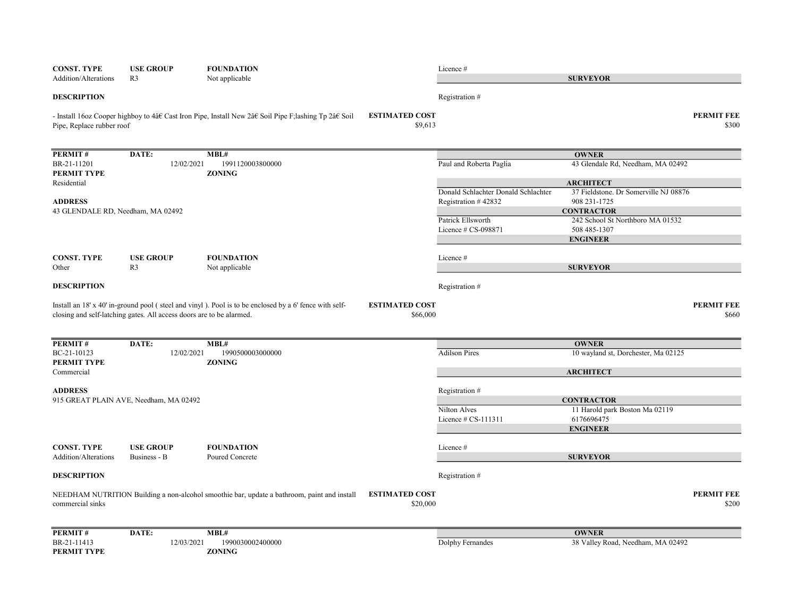| <b>CONST. TYPE</b><br>Addition/Alterations        | <b>USE GROUP</b><br>R <sub>3</sub>                                   | <b>FOUNDATION</b><br>Not applicable                                                                                                 | Licence#                                                   | <b>SURVEYOR</b>                                       |                            |
|---------------------------------------------------|----------------------------------------------------------------------|-------------------------------------------------------------------------------------------------------------------------------------|------------------------------------------------------------|-------------------------------------------------------|----------------------------|
| <b>DESCRIPTION</b>                                |                                                                      |                                                                                                                                     | Registration #                                             |                                                       |                            |
| Pipe, Replace rubber roof                         |                                                                      | <b>ESTIMATED COST</b><br>- Install 160z Cooper highboy to 4†Cast Iron Pipe, Install New 2†Soil Pipe F;lashing Tp 2†Soil             | \$9,613                                                    |                                                       | <b>PERMIT FEE</b><br>\$300 |
| PERMIT#                                           | DATE:                                                                | MBL#                                                                                                                                |                                                            | <b>OWNER</b>                                          |                            |
| BR-21-11201<br>PERMIT TYPE                        | 12/02/2021                                                           | 1991120003800000<br><b>ZONING</b>                                                                                                   | Paul and Roberta Paglia                                    | 43 Glendale Rd, Needham, MA 02492                     |                            |
| Residential                                       |                                                                      |                                                                                                                                     |                                                            | <b>ARCHITECT</b>                                      |                            |
| <b>ADDRESS</b>                                    |                                                                      |                                                                                                                                     | Donald Schlachter Donald Schlachter<br>Registration #42832 | 37 Fieldstone. Dr Somerville NJ 08876<br>908 231-1725 |                            |
| 43 GLENDALE RD, Needham, MA 02492                 |                                                                      |                                                                                                                                     |                                                            | <b>CONTRACTOR</b>                                     |                            |
|                                                   |                                                                      |                                                                                                                                     | Patrick Ellsworth                                          | 242 School St Northboro MA 01532                      |                            |
|                                                   |                                                                      |                                                                                                                                     | Licence # CS-098871                                        | 508 485-1307                                          |                            |
|                                                   |                                                                      |                                                                                                                                     |                                                            | <b>ENGINEER</b>                                       |                            |
| <b>CONST. TYPE</b>                                | <b>USE GROUP</b>                                                     | <b>FOUNDATION</b>                                                                                                                   | Licence #                                                  |                                                       |                            |
| Other                                             | R <sub>3</sub>                                                       | Not applicable                                                                                                                      |                                                            | <b>SURVEYOR</b>                                       |                            |
| <b>DESCRIPTION</b>                                |                                                                      |                                                                                                                                     | Registration #                                             |                                                       |                            |
|                                                   | closing and self-latching gates. All access doors are to be alarmed. | <b>ESTIMATED COST</b><br>Install an $18'$ x $40'$ in-ground pool (steel and vinyl). Pool is to be enclosed by a 6' fence with self- | \$66,000                                                   |                                                       | <b>PERMIT FEE</b><br>\$660 |
| PERMIT#                                           | DATE:                                                                | MBL#                                                                                                                                |                                                            | <b>OWNER</b>                                          |                            |
| BC-21-10123<br>PERMIT TYPE                        | 12/02/2021                                                           | 1990500003000000<br><b>ZONING</b>                                                                                                   | <b>Adilson Pires</b>                                       | 10 wayland st, Dorchester, Ma 02125                   |                            |
| Commercial                                        |                                                                      |                                                                                                                                     |                                                            | <b>ARCHITECT</b>                                      |                            |
| <b>ADDRESS</b>                                    |                                                                      |                                                                                                                                     | Registration #                                             |                                                       |                            |
|                                                   | 915 GREAT PLAIN AVE, Needham, MA 02492                               |                                                                                                                                     |                                                            | <b>CONTRACTOR</b>                                     |                            |
|                                                   |                                                                      |                                                                                                                                     | Nilton Alves                                               | 11 Harold park Boston Ma 02119                        |                            |
|                                                   |                                                                      |                                                                                                                                     | Licence # CS-111311                                        | 6176696475                                            |                            |
|                                                   |                                                                      |                                                                                                                                     |                                                            | <b>ENGINEER</b>                                       |                            |
| <b>CONST. TYPE</b><br><b>Addition/Alterations</b> | <b>USE GROUP</b><br>Business - B                                     | <b>FOUNDATION</b><br>Poured Concrete                                                                                                | Licence #                                                  | <b>SURVEYOR</b>                                       |                            |
|                                                   |                                                                      |                                                                                                                                     |                                                            |                                                       |                            |
| <b>DESCRIPTION</b>                                |                                                                      |                                                                                                                                     | Registration #                                             |                                                       |                            |
| commercial sinks                                  |                                                                      | <b>ESTIMATED COST</b><br>NEEDHAM NUTRITION Building a non-alcohol smoothie bar, update a bathroom, paint and install                | \$20,000                                                   |                                                       | <b>PERMIT FEE</b><br>\$200 |
| PERMIT#                                           | DATE:                                                                | MBL#                                                                                                                                |                                                            | <b>OWNER</b>                                          |                            |
| BR-21-11413<br>PERMIT TYPE                        | 12/03/2021                                                           | 1990030002400000<br><b>ZONING</b>                                                                                                   | Dolphy Fernandes                                           | 38 Valley Road, Needham, MA 02492                     |                            |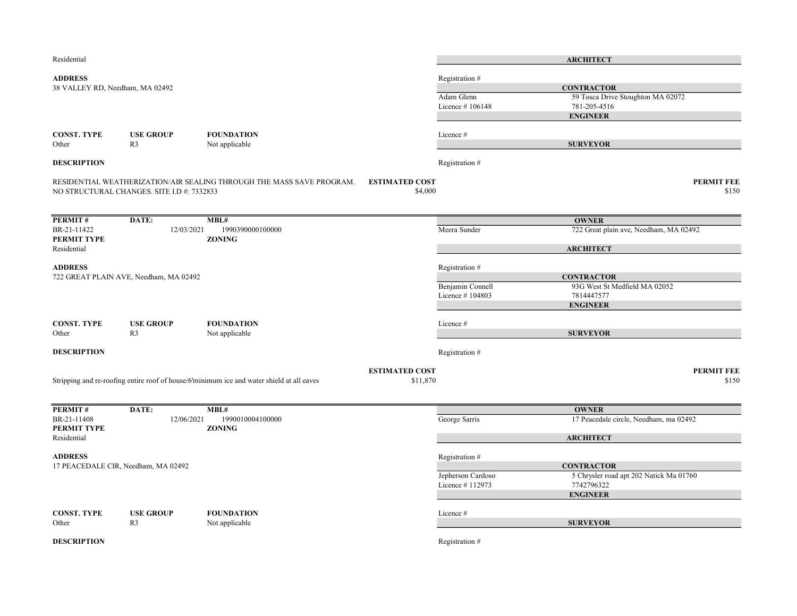| Residential                     |                                            |                                                                                           |                                  |                                      | <b>ARCHITECT</b>                                      |
|---------------------------------|--------------------------------------------|-------------------------------------------------------------------------------------------|----------------------------------|--------------------------------------|-------------------------------------------------------|
| <b>ADDRESS</b>                  |                                            |                                                                                           |                                  | Registration #                       |                                                       |
| 38 VALLEY RD, Needham, MA 02492 |                                            |                                                                                           |                                  |                                      | <b>CONTRACTOR</b>                                     |
|                                 |                                            |                                                                                           |                                  | Adam Glenn                           | 59 Tosca Drive Stoughton MA 02072                     |
|                                 |                                            |                                                                                           |                                  | Licence #106148                      | 781-205-4516                                          |
|                                 |                                            |                                                                                           |                                  |                                      | <b>ENGINEER</b>                                       |
|                                 |                                            |                                                                                           |                                  |                                      |                                                       |
| <b>CONST. TYPE</b><br>Other     | <b>USE GROUP</b><br>R <sub>3</sub>         | <b>FOUNDATION</b>                                                                         |                                  | Licence #                            | <b>SURVEYOR</b>                                       |
|                                 |                                            | Not applicable                                                                            |                                  |                                      |                                                       |
| <b>DESCRIPTION</b>              |                                            |                                                                                           |                                  | Registration #                       |                                                       |
|                                 | NO STRUCTURAL CHANGES. SITE I.D #: 7332833 | RESIDENTIAL WEATHERIZATION/AIR SEALING THROUGH THE MASS SAVE PROGRAM.                     | <b>ESTIMATED COST</b><br>\$4,000 |                                      | <b>PERMIT FEE</b><br>\$150                            |
|                                 |                                            |                                                                                           |                                  |                                      |                                                       |
| PERMIT#                         | DATE:                                      | MBL#                                                                                      |                                  |                                      | <b>OWNER</b>                                          |
| BR-21-11422<br>PERMIT TYPE      | 12/03/2021                                 | 1990390000100000<br><b>ZONING</b>                                                         |                                  | Meera Sunder                         | 722 Great plain ave, Needham, MA 02492                |
| Residential                     |                                            |                                                                                           |                                  |                                      | <b>ARCHITECT</b>                                      |
| <b>ADDRESS</b>                  |                                            |                                                                                           |                                  | Registration #                       |                                                       |
|                                 | 722 GREAT PLAIN AVE, Needham, MA 02492     |                                                                                           |                                  |                                      | <b>CONTRACTOR</b>                                     |
|                                 |                                            |                                                                                           |                                  | Benjamin Connell                     | 93G West St Medfield MA 02052                         |
|                                 |                                            |                                                                                           |                                  | Licence #104803                      | 7814447577                                            |
|                                 |                                            |                                                                                           |                                  |                                      | <b>ENGINEER</b>                                       |
| <b>CONST. TYPE</b>              | <b>USE GROUP</b>                           | <b>FOUNDATION</b>                                                                         |                                  | Licence #                            |                                                       |
| Other                           | R <sub>3</sub>                             | Not applicable                                                                            |                                  |                                      | <b>SURVEYOR</b>                                       |
| <b>DESCRIPTION</b>              |                                            |                                                                                           |                                  | Registration #                       |                                                       |
|                                 |                                            |                                                                                           | <b>ESTIMATED COST</b>            |                                      | <b>PERMIT FEE</b>                                     |
|                                 |                                            | Stripping and re-roofing entire roof of house/6'minimum ice and water shield at all eaves | \$11,870                         |                                      | \$150                                                 |
|                                 |                                            |                                                                                           |                                  |                                      |                                                       |
| PERMIT#                         | DATE:                                      | MBL#                                                                                      |                                  |                                      | <b>OWNER</b>                                          |
| BR-21-11408<br>PERMIT TYPE      | 12/06/2021                                 | 1990010004100000<br><b>ZONING</b>                                                         |                                  | George Sarris                        | 17 Peacedale circle, Needham, ma 02492                |
| Residential                     |                                            |                                                                                           |                                  |                                      | <b>ARCHITECT</b>                                      |
|                                 |                                            |                                                                                           |                                  |                                      |                                                       |
| <b>ADDRESS</b>                  |                                            |                                                                                           |                                  | Registration #                       |                                                       |
|                                 | 17 PEACEDALE CIR, Needham, MA 02492        |                                                                                           |                                  |                                      | <b>CONTRACTOR</b>                                     |
|                                 |                                            |                                                                                           |                                  | Jepherson Cardoso<br>Licence #112973 | 5 Chrysler road apt 202 Natick Ma 01760<br>7742796322 |
|                                 |                                            |                                                                                           |                                  |                                      | <b>ENGINEER</b>                                       |
|                                 |                                            |                                                                                           |                                  |                                      |                                                       |
| <b>CONST. TYPE</b>              | <b>USE GROUP</b>                           | <b>FOUNDATION</b>                                                                         |                                  | Licence #                            |                                                       |
| Other                           | R <sub>3</sub>                             | Not applicable                                                                            |                                  |                                      | <b>SURVEYOR</b>                                       |
| <b>DESCRIPTION</b>              |                                            |                                                                                           |                                  | Registration #                       |                                                       |
|                                 |                                            |                                                                                           |                                  |                                      |                                                       |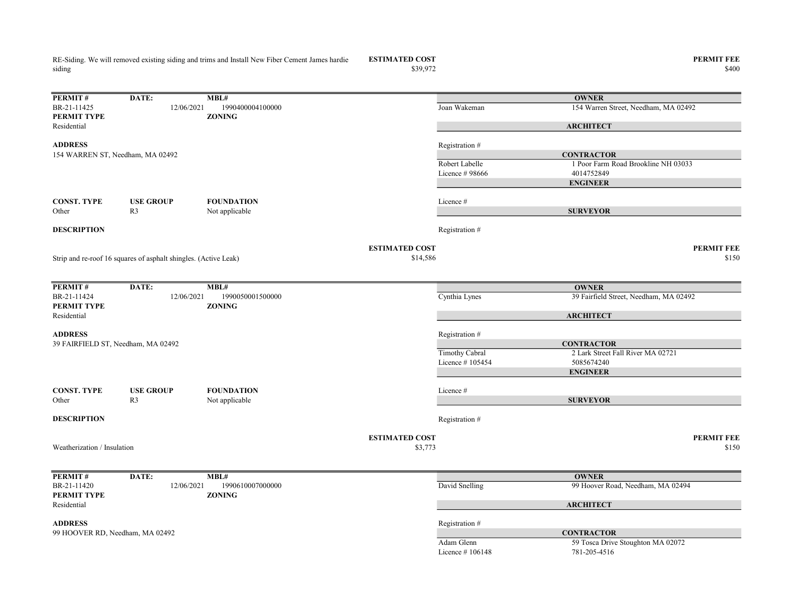RE-Siding. We will removed existing siding and trims and Install New Fiber Cement James hardie siding

ESTIMATED COST PERMIT FEE<br>  $$39,972$  \$400

 $$39,972$   $$400$ 

| PERMIT#                            | DATE:                                                           | MBL#                              |                       |                     | <b>OWNER</b>                                      |
|------------------------------------|-----------------------------------------------------------------|-----------------------------------|-----------------------|---------------------|---------------------------------------------------|
| BR-21-11425<br>PERMIT TYPE         | 12/06/2021                                                      | 1990400004100000<br><b>ZONING</b> |                       | Joan Wakeman        | 154 Warren Street, Needham, MA 02492              |
| Residential                        |                                                                 |                                   |                       |                     | <b>ARCHITECT</b>                                  |
| <b>ADDRESS</b>                     |                                                                 |                                   |                       | Registration#       |                                                   |
| 154 WARREN ST, Needham, MA 02492   |                                                                 |                                   |                       |                     | <b>CONTRACTOR</b>                                 |
|                                    |                                                                 |                                   |                       | Robert Labelle      | 1 Poor Farm Road Brookline NH 03033               |
|                                    |                                                                 |                                   |                       | Licence #98666      | 4014752849                                        |
|                                    |                                                                 |                                   |                       |                     | <b>ENGINEER</b>                                   |
| <b>CONST. TYPE</b>                 | <b>USE GROUP</b>                                                | <b>FOUNDATION</b>                 |                       | Licence#            |                                                   |
| Other                              | R <sub>3</sub>                                                  | Not applicable                    |                       |                     | <b>SURVEYOR</b>                                   |
| <b>DESCRIPTION</b>                 |                                                                 |                                   |                       | Registration #      |                                                   |
|                                    |                                                                 |                                   | <b>ESTIMATED COST</b> |                     | <b>PERMIT FEE</b>                                 |
|                                    | Strip and re-roof 16 squares of asphalt shingles. (Active Leak) |                                   | \$14,586              |                     | \$150                                             |
|                                    |                                                                 |                                   |                       |                     |                                                   |
| <b>PERMIT#</b>                     | DATE:                                                           | MBL#                              |                       |                     | <b>OWNER</b>                                      |
| BR-21-11424<br>PERMIT TYPE         | 12/06/2021                                                      | 1990050001500000<br><b>ZONING</b> |                       | Cynthia Lynes       | 39 Fairfield Street, Needham, MA 02492            |
| Residential                        |                                                                 |                                   |                       |                     | <b>ARCHITECT</b>                                  |
| <b>ADDRESS</b>                     |                                                                 |                                   |                       | Registration #      |                                                   |
| 39 FAIRFIELD ST, Needham, MA 02492 |                                                                 |                                   |                       |                     | <b>CONTRACTOR</b>                                 |
|                                    |                                                                 |                                   |                       | Timothy Cabral      | 2 Lark Street Fall River MA 02721                 |
|                                    |                                                                 |                                   |                       | Licence #105454     | 5085674240                                        |
|                                    |                                                                 |                                   |                       |                     | <b>ENGINEER</b>                                   |
| <b>CONST. TYPE</b>                 | <b>USE GROUP</b>                                                | <b>FOUNDATION</b>                 |                       | Licence #           |                                                   |
| Other                              | R <sub>3</sub>                                                  | Not applicable                    |                       |                     | <b>SURVEYOR</b>                                   |
| <b>DESCRIPTION</b>                 |                                                                 |                                   |                       | Registration #      |                                                   |
|                                    |                                                                 |                                   | <b>ESTIMATED COST</b> |                     | <b>PERMIT FEE</b>                                 |
| Weatherization / Insulation        |                                                                 |                                   | \$3,773               |                     | \$150                                             |
|                                    |                                                                 |                                   |                       |                     |                                                   |
| <b>PERMIT#</b>                     | DATE:                                                           | MBL#                              |                       |                     | <b>OWNER</b>                                      |
| BR-21-11420                        | 12/06/2021                                                      | 1990610007000000                  |                       | David Snelling      | 99 Hoover Road, Needham, MA 02494                 |
| PERMIT TYPE<br>Residential         |                                                                 | <b>ZONING</b>                     |                       |                     | <b>ARCHITECT</b>                                  |
|                                    |                                                                 |                                   |                       |                     |                                                   |
| <b>ADDRESS</b>                     |                                                                 |                                   |                       | Registration #      |                                                   |
| 99 HOOVER RD, Needham, MA 02492    |                                                                 |                                   |                       | Adam Glenn          | <b>CONTRACTOR</b>                                 |
|                                    |                                                                 |                                   |                       | Licence $\#$ 106148 | 59 Tosca Drive Stoughton MA 02072<br>781-205-4516 |
|                                    |                                                                 |                                   |                       |                     |                                                   |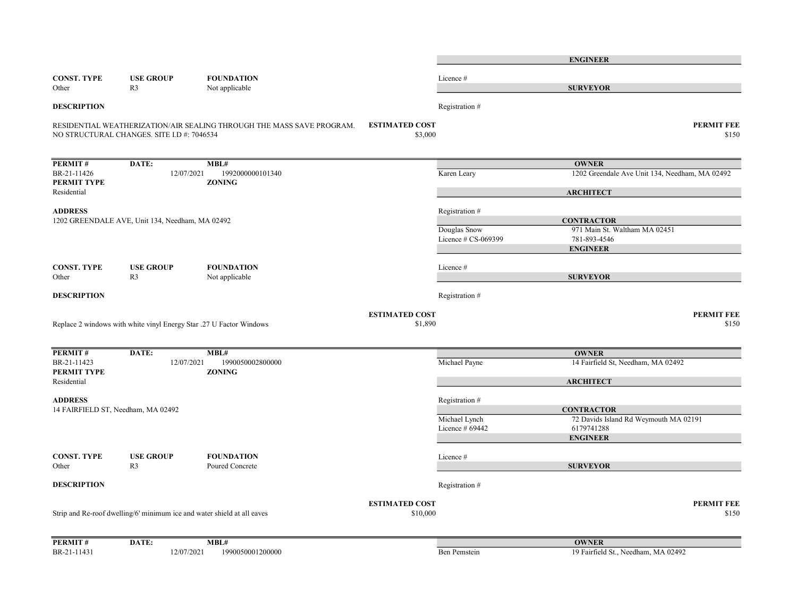|                                                      |                                                 |                                                                         |                                   |                                | <b>ENGINEER</b>                                    |       |
|------------------------------------------------------|-------------------------------------------------|-------------------------------------------------------------------------|-----------------------------------|--------------------------------|----------------------------------------------------|-------|
| <b>CONST. TYPE</b>                                   | <b>USE GROUP</b>                                | <b>FOUNDATION</b>                                                       |                                   | Licence #                      |                                                    |       |
| Other                                                | R <sub>3</sub>                                  | Not applicable                                                          |                                   |                                | <b>SURVEYOR</b>                                    |       |
| <b>DESCRIPTION</b>                                   |                                                 |                                                                         |                                   | Registration #                 |                                                    |       |
|                                                      | NO STRUCTURAL CHANGES. SITE I.D #: 7046534      | RESIDENTIAL WEATHERIZATION/AIR SEALING THROUGH THE MASS SAVE PROGRAM.   | <b>ESTIMATED COST</b><br>\$3,000  |                                | <b>PERMIT FEE</b>                                  | \$150 |
| <b>PERMIT#</b>                                       | DATE:                                           | MBL#                                                                    |                                   |                                | <b>OWNER</b>                                       |       |
| BR-21-11426<br>PERMIT TYPE                           | 12/07/2021                                      | 1992000000101340<br><b>ZONING</b>                                       |                                   | Karen Leary                    | 1202 Greendale Ave Unit 134, Needham, MA 02492     |       |
| Residential                                          |                                                 |                                                                         |                                   |                                | <b>ARCHITECT</b>                                   |       |
| <b>ADDRESS</b>                                       | 1202 GREENDALE AVE, Unit 134, Needham, MA 02492 |                                                                         |                                   | Registration #<br>Douglas Snow | <b>CONTRACTOR</b><br>971 Main St. Waltham MA 02451 |       |
|                                                      |                                                 |                                                                         |                                   | Licence # CS-069399            | 781-893-4546<br><b>ENGINEER</b>                    |       |
| CONST. TYPE<br>Other                                 | <b>USE GROUP</b><br>R <sub>3</sub>              | <b>FOUNDATION</b><br>Not applicable                                     |                                   | Licence#                       | <b>SURVEYOR</b>                                    |       |
| <b>DESCRIPTION</b>                                   |                                                 |                                                                         |                                   | Registration #                 |                                                    |       |
|                                                      |                                                 |                                                                         | <b>ESTIMATED COST</b>             |                                | <b>PERMIT FEE</b>                                  |       |
|                                                      |                                                 | Replace 2 windows with white vinyl Energy Star .27 U Factor Windows     | \$1,890                           |                                |                                                    | \$150 |
| <b>PERMIT#</b>                                       | DATE:                                           | MBL#                                                                    |                                   |                                | <b>OWNER</b>                                       |       |
| BR-21-11423<br>PERMIT TYPE                           | 12/07/2021                                      | 1990050002800000<br><b>ZONING</b>                                       |                                   | Michael Payne                  | 14 Fairfield St, Needham, MA 02492                 |       |
| Residential                                          |                                                 |                                                                         |                                   |                                | <b>ARCHITECT</b>                                   |       |
| <b>ADDRESS</b><br>14 FAIRFIELD ST, Needham, MA 02492 |                                                 |                                                                         |                                   | Registration #                 | <b>CONTRACTOR</b>                                  |       |
|                                                      |                                                 |                                                                         |                                   | Michael Lynch                  | 72 Davids Island Rd Weymouth MA 02191              |       |
|                                                      |                                                 |                                                                         |                                   | Licence # 69442                | 6179741288<br><b>ENGINEER</b>                      |       |
| CONST. TYPE                                          | <b>USE GROUP</b>                                | <b>FOUNDATION</b>                                                       |                                   | Licence#                       |                                                    |       |
| Other                                                | R <sub>3</sub>                                  | Poured Concrete                                                         |                                   |                                | <b>SURVEYOR</b>                                    |       |
| <b>DESCRIPTION</b>                                   |                                                 |                                                                         |                                   | Registration #                 |                                                    |       |
|                                                      |                                                 | Strip and Re-roof dwelling/6' minimum ice and water shield at all eaves | <b>ESTIMATED COST</b><br>\$10,000 |                                | <b>PERMIT FEE</b>                                  | \$150 |
| <b>PERMIT#</b>                                       | DATE:                                           | MBL#                                                                    |                                   |                                | <b>OWNER</b>                                       |       |
| BR-21-11431                                          | 12/07/2021                                      | 1990050001200000                                                        |                                   | Ben Pemstein                   | 19 Fairfield St., Needham, MA 02492                |       |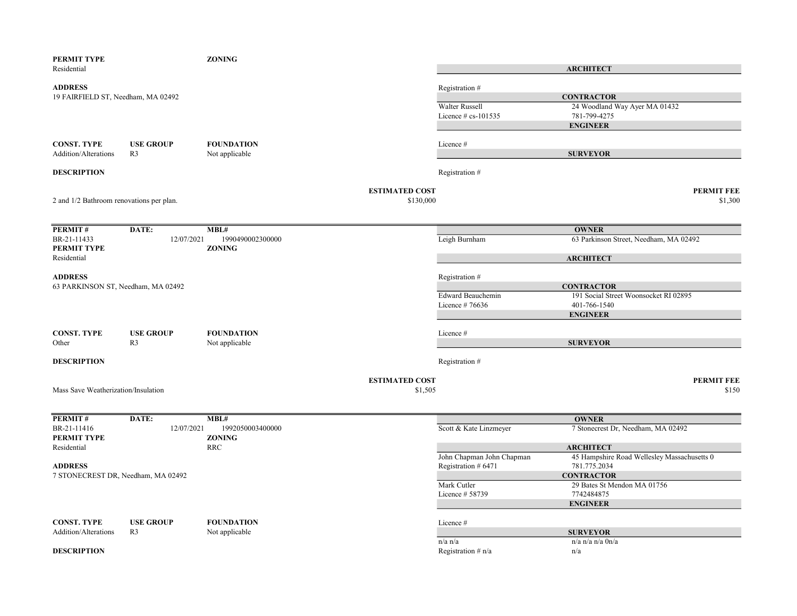| PERMIT TYPE<br>Residential                           |                                    | <b>ZONING</b>                             |                                                           | <b>ARCHITECT</b>                                                                  |
|------------------------------------------------------|------------------------------------|-------------------------------------------|-----------------------------------------------------------|-----------------------------------------------------------------------------------|
| <b>ADDRESS</b><br>19 FAIRFIELD ST, Needham, MA 02492 |                                    |                                           | Registration #<br>Walter Russell<br>Licence $# cs-101535$ | <b>CONTRACTOR</b><br>24 Woodland Way Ayer MA 01432<br>781-799-4275                |
|                                                      |                                    |                                           |                                                           | <b>ENGINEER</b>                                                                   |
| <b>CONST. TYPE</b><br>Addition/Alterations           | <b>USE GROUP</b><br>R <sub>3</sub> | <b>FOUNDATION</b><br>Not applicable       | Licence #                                                 | <b>SURVEYOR</b>                                                                   |
| <b>DESCRIPTION</b>                                   |                                    |                                           | Registration #                                            |                                                                                   |
| 2 and 1/2 Bathroom renovations per plan.             |                                    | <b>ESTIMATED COST</b><br>\$130,000        |                                                           | <b>PERMIT FEE</b><br>\$1,300                                                      |
|                                                      |                                    |                                           |                                                           |                                                                                   |
| PERMIT#<br>BR-21-11433<br>PERMIT TYPE                | DATE:<br>12/07/2021                | MBL#<br>1990490002300000<br><b>ZONING</b> | Leigh Burnham                                             | <b>OWNER</b><br>63 Parkinson Street, Needham, MA 02492                            |
| Residential                                          |                                    |                                           |                                                           | <b>ARCHITECT</b>                                                                  |
| <b>ADDRESS</b><br>63 PARKINSON ST, Needham, MA 02492 |                                    |                                           | Registration #                                            | <b>CONTRACTOR</b>                                                                 |
|                                                      |                                    |                                           | Edward Beauchemin<br>Licence # $76636$                    | 191 Social Street Woonsocket RI 02895<br>401-766-1540<br><b>ENGINEER</b>          |
| <b>CONST. TYPE</b><br>Other                          | <b>USE GROUP</b><br>R <sub>3</sub> | <b>FOUNDATION</b><br>Not applicable       | Licence #                                                 | <b>SURVEYOR</b>                                                                   |
| <b>DESCRIPTION</b>                                   |                                    |                                           | Registration #                                            |                                                                                   |
| Mass Save Weatherization/Insulation                  |                                    | <b>ESTIMATED COST</b><br>\$1,505          |                                                           | <b>PERMIT FEE</b><br>\$150                                                        |
| PERMIT#                                              | DATE:                              | MBL#                                      |                                                           | <b>OWNER</b>                                                                      |
| BR-21-11416<br>PERMIT TYPE                           | 12/07/2021                         | 1992050003400000<br><b>ZONING</b>         | Scott & Kate Linzmeyer                                    | 7 Stonecrest Dr, Needham, MA 02492                                                |
| Residential<br><b>ADDRESS</b>                        |                                    | <b>RRC</b>                                | John Chapman John Chapman<br>Registration # 6471          | <b>ARCHITECT</b><br>45 Hampshire Road Wellesley Massachusetts 0<br>781.775.2034   |
| 7 STONECREST DR, Needham, MA 02492                   |                                    |                                           | Mark Cutler<br>Licence # 58739                            | <b>CONTRACTOR</b><br>29 Bates St Mendon MA 01756<br>7742484875<br><b>ENGINEER</b> |
| <b>CONST. TYPE</b><br>Addition/Alterations           | <b>USE GROUP</b><br>R <sub>3</sub> | <b>FOUNDATION</b><br>Not applicable       | Licence #                                                 | <b>SURVEYOR</b>                                                                   |
| <b>DESCRIPTION</b>                                   |                                    |                                           | $n/a$ $n/a$<br>Registration $# n/a$                       | $n/a$ n/a $n/a$ $0n/a$<br>n/a                                                     |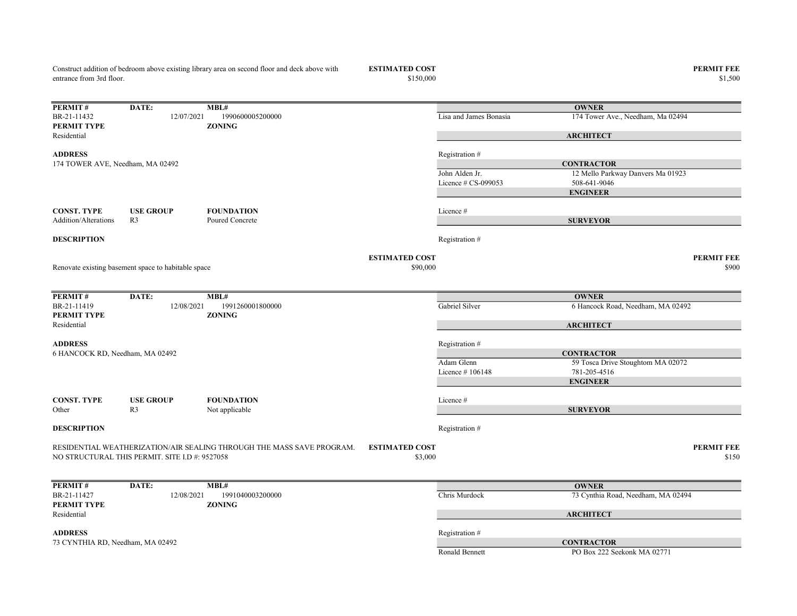Construct addition of bedroom above existing library area on second floor and deck above with entrance from 3rd floor.

ESTIMATED COST PERMIT FEE<br>\$150,000 \$1,500 \$1,500 \$1,500 \$1,500 \$1,500 \$1,500 \$1,500 \$1,500 \$1,500 \$1,500 \$1,500 \$1,500 \$1,500 \$1,500 \$1,500 \$1,500 \$1,500 \$1,500 \$1,500 \$1,500 \$1,500 \$1,500 \$1,500 \$1,500 \$1,500 \$1,500 \$1,50

 $$1,500$   $$1,500$ 

| PERMIT#                          | DATE:                                               | MBL#                                                                  |                       |                        | <b>OWNER</b>                       |
|----------------------------------|-----------------------------------------------------|-----------------------------------------------------------------------|-----------------------|------------------------|------------------------------------|
| BR-21-11432                      | 12/07/2021                                          | 1990600005200000                                                      |                       | Lisa and James Bonasia | 174 Tower Ave., Needham, Ma 02494  |
| PERMIT TYPE                      |                                                     | <b>ZONING</b>                                                         |                       |                        |                                    |
| Residential                      |                                                     |                                                                       |                       |                        | <b>ARCHITECT</b>                   |
| <b>ADDRESS</b>                   |                                                     |                                                                       |                       | Registration #         |                                    |
| 174 TOWER AVE, Needham, MA 02492 |                                                     |                                                                       |                       |                        | <b>CONTRACTOR</b>                  |
|                                  |                                                     |                                                                       |                       | John Alden Jr.         | 12 Mello Parkway Danvers Ma 01923  |
|                                  |                                                     |                                                                       |                       | Licence $# CS-099053$  | 508-641-9046                       |
|                                  |                                                     |                                                                       |                       |                        | <b>ENGINEER</b>                    |
|                                  |                                                     |                                                                       |                       |                        |                                    |
| <b>CONST. TYPE</b>               | <b>USE GROUP</b>                                    | <b>FOUNDATION</b>                                                     |                       | Licence #              |                                    |
| <b>Addition/Alterations</b>      | R <sub>3</sub>                                      | Poured Concrete                                                       |                       |                        | <b>SURVEYOR</b>                    |
|                                  |                                                     |                                                                       |                       |                        |                                    |
| <b>DESCRIPTION</b>               |                                                     |                                                                       |                       | Registration #         |                                    |
|                                  |                                                     |                                                                       | <b>ESTIMATED COST</b> |                        | <b>PERMIT FEE</b>                  |
|                                  | Renovate existing basement space to habitable space |                                                                       | \$90,000              |                        | \$900                              |
|                                  |                                                     |                                                                       |                       |                        |                                    |
|                                  |                                                     |                                                                       |                       |                        |                                    |
| PERMIT#                          | DATE:                                               | MBL#                                                                  |                       |                        | <b>OWNER</b>                       |
| BR-21-11419                      | 12/08/2021                                          | 1991260001800000                                                      |                       | Gabriel Silver         | 6 Hancock Road, Needham, MA 02492  |
| PERMIT TYPE                      |                                                     | <b>ZONING</b>                                                         |                       |                        |                                    |
| Residential                      |                                                     |                                                                       |                       |                        | <b>ARCHITECT</b>                   |
|                                  |                                                     |                                                                       |                       |                        |                                    |
| <b>ADDRESS</b>                   |                                                     |                                                                       |                       | Registration #         |                                    |
| 6 HANCOCK RD, Needham, MA 02492  |                                                     |                                                                       |                       |                        | <b>CONTRACTOR</b>                  |
|                                  |                                                     |                                                                       |                       | Adam Glenn             | 59 Tosca Drive Stoughtom MA 02072  |
|                                  |                                                     |                                                                       |                       | Licence $#106148$      | 781-205-4516                       |
|                                  |                                                     |                                                                       |                       |                        | <b>ENGINEER</b>                    |
| <b>CONST. TYPE</b>               | <b>USE GROUP</b>                                    | <b>FOUNDATION</b>                                                     |                       | Licence #              |                                    |
| Other                            | R <sub>3</sub>                                      | Not applicable                                                        |                       |                        | <b>SURVEYOR</b>                    |
|                                  |                                                     |                                                                       |                       |                        |                                    |
| <b>DESCRIPTION</b>               |                                                     |                                                                       |                       | Registration #         |                                    |
|                                  |                                                     |                                                                       |                       |                        |                                    |
|                                  |                                                     | RESIDENTIAL WEATHERIZATION/AIR SEALING THROUGH THE MASS SAVE PROGRAM. | <b>ESTIMATED COST</b> |                        | <b>PERMIT FEE</b>                  |
|                                  | NO STRUCTURAL THIS PERMIT. SITE I.D #: 9527058      |                                                                       | \$3,000               |                        | \$150                              |
|                                  |                                                     |                                                                       |                       |                        |                                    |
| PERMIT#                          | DATE:                                               | MBL#                                                                  |                       |                        | <b>OWNER</b>                       |
| BR-21-11427                      | 12/08/2021                                          | 1991040003200000                                                      |                       | Chris Murdock          | 73 Cynthia Road, Needham, MA 02494 |
| PERMIT TYPE                      |                                                     | <b>ZONING</b>                                                         |                       |                        |                                    |
| Residential                      |                                                     |                                                                       |                       |                        | <b>ARCHITECT</b>                   |
|                                  |                                                     |                                                                       |                       |                        |                                    |
| <b>ADDRESS</b>                   |                                                     |                                                                       |                       | Registration #         |                                    |
| 73 CYNTHIA RD, Needham, MA 02492 |                                                     |                                                                       |                       |                        | <b>CONTRACTOR</b>                  |
|                                  |                                                     |                                                                       |                       | Ronald Bennett         | PO Box 222 Seekonk MA 02771        |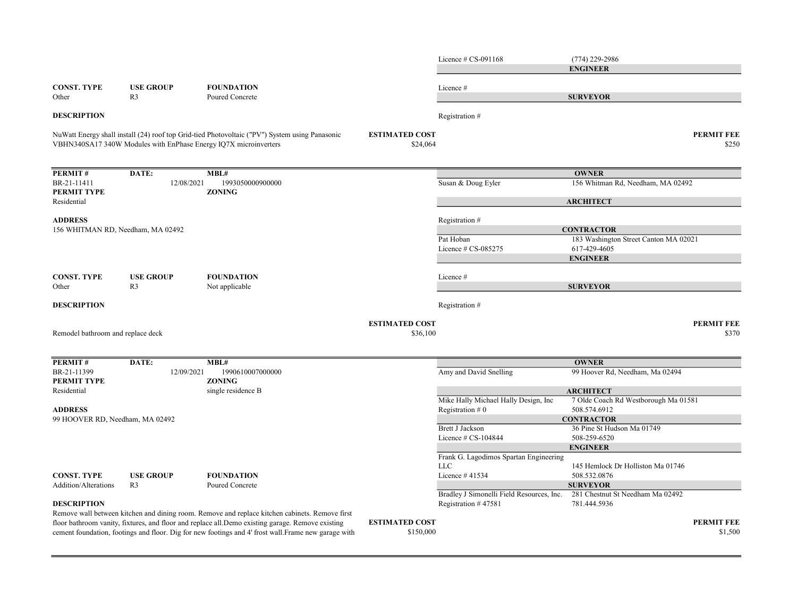|                                   |                  |                                                                                                                                                                                                                                                                                                             |                                    | Licence $\#$ CS-091168                                    | $(774)$ 229-2986<br><b>ENGINEER</b>                        |
|-----------------------------------|------------------|-------------------------------------------------------------------------------------------------------------------------------------------------------------------------------------------------------------------------------------------------------------------------------------------------------------|------------------------------------|-----------------------------------------------------------|------------------------------------------------------------|
| <b>CONST. TYPE</b>                | <b>USE GROUP</b> | <b>FOUNDATION</b>                                                                                                                                                                                                                                                                                           |                                    | Licence #                                                 |                                                            |
| Other                             | R <sub>3</sub>   | Poured Concrete                                                                                                                                                                                                                                                                                             |                                    |                                                           | <b>SURVEYOR</b>                                            |
| <b>DESCRIPTION</b>                |                  |                                                                                                                                                                                                                                                                                                             |                                    | Registration #                                            |                                                            |
|                                   |                  | NuWatt Energy shall install (24) roof top Grid-tied Photovoltaic ("PV") System using Panasonic<br>VBHN340SA17 340W Modules with EnPhase Energy IQ7X microinverters                                                                                                                                          | <b>ESTIMATED COST</b><br>\$24,064  |                                                           | <b>PERMIT FEE</b><br>\$250                                 |
| PERMIT#                           | DATE:            | MBL#                                                                                                                                                                                                                                                                                                        |                                    |                                                           | <b>OWNER</b>                                               |
| BR-21-11411<br>PERMIT TYPE        | 12/08/2021       | 1993050000900000<br><b>ZONING</b>                                                                                                                                                                                                                                                                           |                                    | Susan & Doug Eyler                                        | 156 Whitman Rd, Needham, MA 02492                          |
| Residential                       |                  |                                                                                                                                                                                                                                                                                                             |                                    |                                                           | <b>ARCHITECT</b>                                           |
| <b>ADDRESS</b>                    |                  |                                                                                                                                                                                                                                                                                                             |                                    | Registration #                                            |                                                            |
| 156 WHITMAN RD, Needham, MA 02492 |                  |                                                                                                                                                                                                                                                                                                             |                                    | Pat Hoban                                                 | <b>CONTRACTOR</b><br>183 Washington Street Canton MA 02021 |
|                                   |                  |                                                                                                                                                                                                                                                                                                             |                                    | Licence $# CS-085275$                                     | 617-429-4605                                               |
|                                   |                  |                                                                                                                                                                                                                                                                                                             |                                    |                                                           | <b>ENGINEER</b>                                            |
| <b>CONST. TYPE</b>                | <b>USE GROUP</b> | <b>FOUNDATION</b>                                                                                                                                                                                                                                                                                           |                                    | Licence #                                                 |                                                            |
| Other                             | R3               | Not applicable                                                                                                                                                                                                                                                                                              |                                    |                                                           | <b>SURVEYOR</b>                                            |
| <b>DESCRIPTION</b>                |                  |                                                                                                                                                                                                                                                                                                             |                                    | Registration #                                            |                                                            |
| Remodel bathroom and replace deck |                  |                                                                                                                                                                                                                                                                                                             | <b>ESTIMATED COST</b><br>\$36,100  |                                                           | <b>PERMIT FEE</b><br>\$370                                 |
| PERMIT#                           | DATE:            | MBL#                                                                                                                                                                                                                                                                                                        |                                    |                                                           | <b>OWNER</b>                                               |
| BR-21-11399<br>PERMIT TYPE        | 12/09/2021       | 1990610007000000<br><b>ZONING</b>                                                                                                                                                                                                                                                                           |                                    | Amy and David Snelling                                    | 99 Hoover Rd, Needham, Ma 02494                            |
| Residential                       |                  | single residence B                                                                                                                                                                                                                                                                                          |                                    |                                                           | <b>ARCHITECT</b>                                           |
| <b>ADDRESS</b>                    |                  |                                                                                                                                                                                                                                                                                                             |                                    | Mike Hally Michael Hally Design, Inc<br>Registration $#0$ | 7 Olde Coach Rd Westborough Ma 01581<br>508.574.6912       |
| 99 HOOVER RD, Needham, MA 02492   |                  |                                                                                                                                                                                                                                                                                                             |                                    |                                                           | <b>CONTRACTOR</b>                                          |
|                                   |                  |                                                                                                                                                                                                                                                                                                             |                                    | <b>Brett J Jackson</b><br>Licence $\#$ CS-104844          | 36 Pine St Hudson Ma 01749<br>508-259-6520                 |
|                                   |                  |                                                                                                                                                                                                                                                                                                             |                                    |                                                           | <b>ENGINEER</b>                                            |
|                                   |                  |                                                                                                                                                                                                                                                                                                             |                                    | Frank G. Lagodimos Spartan Engineering<br><b>LLC</b>      | 145 Hemlock Dr Holliston Ma 01746                          |
| <b>CONST. TYPE</b>                | <b>USE GROUP</b> | <b>FOUNDATION</b>                                                                                                                                                                                                                                                                                           |                                    | Licence #41534                                            | 508.532.0876                                               |
| <b>Addition/Alterations</b>       | R <sub>3</sub>   | Poured Concrete                                                                                                                                                                                                                                                                                             |                                    |                                                           | <b>SURVEYOR</b>                                            |
|                                   |                  |                                                                                                                                                                                                                                                                                                             |                                    | Bradley J Simonelli Field Resources, Inc.                 | 281 Chestnut St Needham Ma 02492                           |
| <b>DESCRIPTION</b>                |                  |                                                                                                                                                                                                                                                                                                             |                                    | Registration #47581                                       | 781.444.5936                                               |
|                                   |                  | Remove wall between kitchen and dining room. Remove and replace kitchen cabinets. Remove first<br>floor bathroom vanity, fixtures, and floor and replace all. Demo existing garage. Remove existing<br>cement foundation, footings and floor. Dig for new footings and 4' frost wall. Frame new garage with | <b>ESTIMATED COST</b><br>\$150,000 |                                                           | <b>PERMIT FEE</b><br>\$1,500                               |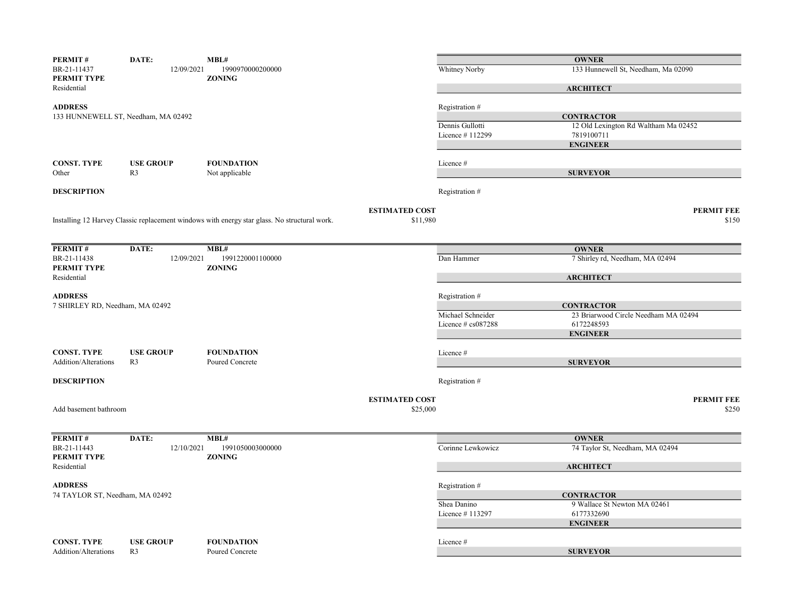| PERMIT#                                           | DATE:                               | MBL#                                                                                         |                       |                       | <b>OWNER</b>                                    |                   |
|---------------------------------------------------|-------------------------------------|----------------------------------------------------------------------------------------------|-----------------------|-----------------------|-------------------------------------------------|-------------------|
| BR-21-11437<br>PERMIT TYPE                        | 12/09/2021                          | 1990970000200000<br><b>ZONING</b>                                                            |                       | Whitney Norby         | 133 Hunnewell St, Needham, Ma 02090             |                   |
| Residential                                       |                                     |                                                                                              |                       |                       | <b>ARCHITECT</b>                                |                   |
| <b>ADDRESS</b>                                    |                                     |                                                                                              |                       | Registration #        |                                                 |                   |
|                                                   | 133 HUNNEWELL ST, Needham, MA 02492 |                                                                                              |                       |                       | <b>CONTRACTOR</b>                               |                   |
|                                                   |                                     |                                                                                              |                       | Dennis Gullotti       | 12 Old Lexington Rd Waltham Ma 02452            |                   |
|                                                   |                                     |                                                                                              |                       | Licence #112299       | 7819100711                                      |                   |
|                                                   |                                     |                                                                                              |                       |                       | <b>ENGINEER</b>                                 |                   |
|                                                   |                                     |                                                                                              |                       |                       |                                                 |                   |
| <b>CONST. TYPE</b><br>Other                       | <b>USE GROUP</b><br>R <sub>3</sub>  | <b>FOUNDATION</b><br>Not applicable                                                          |                       | Licence #             | <b>SURVEYOR</b>                                 |                   |
|                                                   |                                     |                                                                                              |                       |                       |                                                 |                   |
| <b>DESCRIPTION</b>                                |                                     |                                                                                              |                       | Registration #        |                                                 |                   |
|                                                   |                                     |                                                                                              | <b>ESTIMATED COST</b> |                       |                                                 | <b>PERMIT FEE</b> |
|                                                   |                                     | Installing 12 Harvey Classic replacement windows with energy star glass. No structural work. | \$11,980              |                       |                                                 | \$150             |
| PERMIT#                                           | DATE:                               | MBL#                                                                                         |                       |                       | <b>OWNER</b>                                    |                   |
| BR-21-11438                                       | 12/09/2021                          | 1991220001100000                                                                             |                       | Dan Hammer            | 7 Shirley rd, Needham, MA 02494                 |                   |
| PERMIT TYPE                                       |                                     | <b>ZONING</b>                                                                                |                       |                       |                                                 |                   |
| Residential                                       |                                     |                                                                                              |                       |                       | <b>ARCHITECT</b>                                |                   |
|                                                   |                                     |                                                                                              |                       |                       |                                                 |                   |
| <b>ADDRESS</b><br>7 SHIRLEY RD, Needham, MA 02492 |                                     |                                                                                              |                       | Registration #        | <b>CONTRACTOR</b>                               |                   |
|                                                   |                                     |                                                                                              |                       | Michael Schneider     | 23 Briarwood Circle Needham MA 02494            |                   |
|                                                   |                                     |                                                                                              |                       | Licence $\#$ cs087288 | 6172248593                                      |                   |
|                                                   |                                     |                                                                                              |                       |                       | <b>ENGINEER</b>                                 |                   |
|                                                   |                                     |                                                                                              |                       |                       |                                                 |                   |
| <b>CONST. TYPE</b>                                | <b>USE GROUP</b>                    | <b>FOUNDATION</b>                                                                            |                       | Licence #             |                                                 |                   |
| Addition/Alterations                              | R <sub>3</sub>                      | Poured Concrete                                                                              |                       |                       | <b>SURVEYOR</b>                                 |                   |
| <b>DESCRIPTION</b>                                |                                     |                                                                                              |                       | Registration #        |                                                 |                   |
|                                                   |                                     |                                                                                              | <b>ESTIMATED COST</b> |                       |                                                 | <b>PERMIT FEE</b> |
| Add basement bathroom                             |                                     |                                                                                              | \$25,000              |                       |                                                 | \$250             |
|                                                   |                                     |                                                                                              |                       |                       |                                                 |                   |
| PERMIT#<br>BR-21-11443                            | DATE:<br>12/10/2021                 | MBL#<br>1991050003000000                                                                     |                       | Corinne Lewkowicz     | <b>OWNER</b><br>74 Taylor St, Needham, MA 02494 |                   |
| PERMIT TYPE                                       |                                     | <b>ZONING</b>                                                                                |                       |                       |                                                 |                   |
| Residential                                       |                                     |                                                                                              |                       |                       | <b>ARCHITECT</b>                                |                   |
| <b>ADDRESS</b>                                    |                                     |                                                                                              |                       | Registration #        |                                                 |                   |
| 74 TAYLOR ST, Needham, MA 02492                   |                                     |                                                                                              |                       |                       | <b>CONTRACTOR</b>                               |                   |
|                                                   |                                     |                                                                                              |                       | Shea Danino           | 9 Wallace St Newton MA 02461                    |                   |
|                                                   |                                     |                                                                                              |                       | Licence #113297       | 6177332690                                      |                   |
|                                                   |                                     |                                                                                              |                       |                       | <b>ENGINEER</b>                                 |                   |
| <b>CONST. TYPE</b>                                | <b>USE GROUP</b>                    | <b>FOUNDATION</b>                                                                            |                       | Licence #             |                                                 |                   |
| Addition/Alterations                              | R <sub>3</sub>                      | Poured Concrete                                                                              |                       |                       | <b>SURVEYOR</b>                                 |                   |
|                                                   |                                     |                                                                                              |                       |                       |                                                 |                   |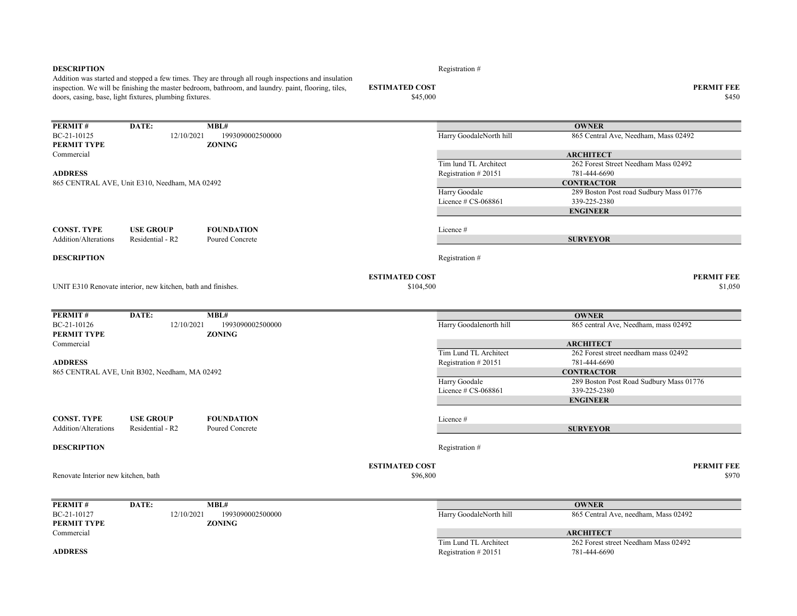|                                     | doors, casing, base, light fixtures, plumbing fixtures.      | Addition was started and stopped a few times. They are through all rough inspections and insulation<br>inspection. We will be finishing the master bedroom, bathroom, and laundry. paint, flooring, tiles, | <b>ESTIMATED COST</b><br>\$45,000 |                         | <b>PERMIT FEE</b><br>\$450              |
|-------------------------------------|--------------------------------------------------------------|------------------------------------------------------------------------------------------------------------------------------------------------------------------------------------------------------------|-----------------------------------|-------------------------|-----------------------------------------|
| <b>PERMIT#</b>                      | DATE:                                                        | MBL#                                                                                                                                                                                                       |                                   |                         | <b>OWNER</b>                            |
| BC-21-10125<br>PERMIT TYPE          | 12/10/2021                                                   | 1993090002500000<br><b>ZONING</b>                                                                                                                                                                          |                                   | Harry GoodaleNorth hill | 865 Central Ave, Needham, Mass 02492    |
| Commercial                          |                                                              |                                                                                                                                                                                                            |                                   |                         | <b>ARCHITECT</b>                        |
|                                     |                                                              |                                                                                                                                                                                                            |                                   | Tim lund TL Architect   | 262 Forest Street Needham Mass 02492    |
| <b>ADDRESS</b>                      |                                                              |                                                                                                                                                                                                            |                                   | Registration #20151     | 781-444-6690                            |
|                                     | 865 CENTRAL AVE, Unit E310, Needham, MA 02492                |                                                                                                                                                                                                            |                                   |                         | <b>CONTRACTOR</b>                       |
|                                     |                                                              |                                                                                                                                                                                                            |                                   | Harry Goodale           | 289 Boston Post road Sudbury Mass 01776 |
|                                     |                                                              |                                                                                                                                                                                                            |                                   | Licence $\#$ CS-068861  | 339-225-2380                            |
|                                     |                                                              |                                                                                                                                                                                                            |                                   |                         | <b>ENGINEER</b>                         |
| <b>CONST. TYPE</b>                  | <b>USE GROUP</b>                                             | <b>FOUNDATION</b>                                                                                                                                                                                          |                                   | Licence #               |                                         |
| <b>Addition/Alterations</b>         | Residential - R2                                             | Poured Concrete                                                                                                                                                                                            |                                   |                         | <b>SURVEYOR</b>                         |
| <b>DESCRIPTION</b>                  |                                                              |                                                                                                                                                                                                            |                                   | Registration#           |                                         |
|                                     |                                                              |                                                                                                                                                                                                            | <b>ESTIMATED COST</b>             |                         | <b>PERMIT FEE</b>                       |
|                                     | UNIT E310 Renovate interior, new kitchen, bath and finishes. |                                                                                                                                                                                                            | \$104,500                         |                         | \$1,050                                 |
| <b>PERMIT#</b>                      | DATE:                                                        | MBL#                                                                                                                                                                                                       |                                   |                         | <b>OWNER</b>                            |
| BC-21-10126<br>PERMIT TYPE          | 12/10/2021                                                   | 1993090002500000<br><b>ZONING</b>                                                                                                                                                                          |                                   | Harry Goodalenorth hill | 865 central Ave, Needham, mass 02492    |
| Commercial                          |                                                              |                                                                                                                                                                                                            |                                   |                         | <b>ARCHITECT</b>                        |
|                                     |                                                              |                                                                                                                                                                                                            |                                   | Tim Lund TL Architect   | 262 Forest street needham mass 02492    |
| <b>ADDRESS</b>                      |                                                              |                                                                                                                                                                                                            |                                   | Registration #20151     | 781-444-6690                            |
|                                     | 865 CENTRAL AVE, Unit B302, Needham, MA 02492                |                                                                                                                                                                                                            |                                   |                         | <b>CONTRACTOR</b>                       |
|                                     |                                                              |                                                                                                                                                                                                            |                                   | Harry Goodale           | 289 Boston Post Road Sudbury Mass 01776 |
|                                     |                                                              |                                                                                                                                                                                                            |                                   | Licence $\#$ CS-068861  | 339-225-2380                            |
|                                     |                                                              |                                                                                                                                                                                                            |                                   |                         | <b>ENGINEER</b>                         |
| <b>CONST. TYPE</b>                  | <b>USE GROUP</b>                                             | <b>FOUNDATION</b>                                                                                                                                                                                          |                                   | Licence #               |                                         |
| <b>Addition/Alterations</b>         | Residential - R2                                             | Poured Concrete                                                                                                                                                                                            |                                   |                         | <b>SURVEYOR</b>                         |
|                                     |                                                              |                                                                                                                                                                                                            |                                   |                         |                                         |
| <b>DESCRIPTION</b>                  |                                                              |                                                                                                                                                                                                            |                                   | Registration #          |                                         |
|                                     |                                                              |                                                                                                                                                                                                            | <b>ESTIMATED COST</b>             |                         | <b>PERMIT FEE</b>                       |
| Renovate Interior new kitchen, bath |                                                              |                                                                                                                                                                                                            | \$96,800                          |                         | \$970                                   |
| <b>PERMIT#</b>                      | DATE:                                                        | MBL#                                                                                                                                                                                                       |                                   |                         | <b>OWNER</b>                            |
| BC-21-10127<br>PERMIT TYPE          | 12/10/2021                                                   | 1993090002500000<br><b>ZONING</b>                                                                                                                                                                          |                                   | Harry GoodaleNorth hill | 865 Central Ave, needham, Mass 02492    |
| Commercial                          |                                                              |                                                                                                                                                                                                            |                                   |                         | <b>ARCHITECT</b>                        |
|                                     |                                                              |                                                                                                                                                                                                            |                                   | Tim Lund TL Architect   | 262 Forest street Needham Mass 02492    |
| <b>ADDRESS</b>                      |                                                              |                                                                                                                                                                                                            |                                   | Registration #20151     | 781-444-6690                            |

**DESCRIPTION** Registration  $#$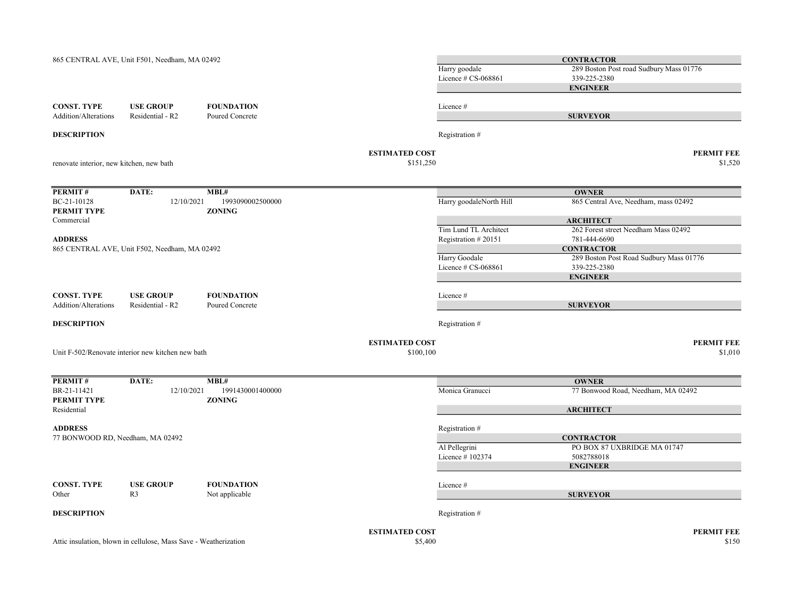|                                                    | 865 CENTRAL AVE, Unit F501, Needham, MA 02492                    |                                      |                                    | Harry goodale<br>Licence # CS-068861         | <b>CONTRACTOR</b><br>289 Boston Post road Sudbury Mass 01776<br>339-225-2380<br><b>ENGINEER</b> |
|----------------------------------------------------|------------------------------------------------------------------|--------------------------------------|------------------------------------|----------------------------------------------|-------------------------------------------------------------------------------------------------|
| <b>CONST. TYPE</b><br>Addition/Alterations         | <b>USE GROUP</b><br>Residential - R2                             | <b>FOUNDATION</b><br>Poured Concrete |                                    | Licence #                                    | <b>SURVEYOR</b>                                                                                 |
| <b>DESCRIPTION</b>                                 |                                                                  |                                      |                                    | Registration #                               |                                                                                                 |
| renovate interior, new kitchen, new bath           |                                                                  |                                      | <b>ESTIMATED COST</b><br>\$151,250 |                                              | <b>PERMIT FEE</b><br>\$1,520                                                                    |
| PERMIT#                                            | DATE:                                                            | MBL#                                 |                                    |                                              | <b>OWNER</b>                                                                                    |
| BC-21-10128<br>PERMIT TYPE                         | 12/10/2021                                                       | 1993090002500000<br><b>ZONING</b>    |                                    | Harry goodaleNorth Hill                      | 865 Central Ave, Needham, mass 02492                                                            |
| Commercial                                         |                                                                  |                                      |                                    |                                              | <b>ARCHITECT</b>                                                                                |
| <b>ADDRESS</b>                                     |                                                                  |                                      |                                    | Tim Lund TL Architect<br>Registration #20151 | 262 Forest street Needham Mass 02492<br>781-444-6690                                            |
|                                                    | 865 CENTRAL AVE, Unit F502, Needham, MA 02492                    |                                      |                                    |                                              | <b>CONTRACTOR</b>                                                                               |
|                                                    |                                                                  |                                      |                                    | Harry Goodale                                | 289 Boston Post Road Sudbury Mass 01776                                                         |
|                                                    |                                                                  |                                      |                                    | Licence # CS-068861                          | 339-225-2380<br><b>ENGINEER</b>                                                                 |
|                                                    |                                                                  |                                      |                                    |                                              |                                                                                                 |
| <b>CONST. TYPE</b><br>Addition/Alterations         | <b>USE GROUP</b><br>Residential - R2                             | <b>FOUNDATION</b><br>Poured Concrete |                                    | Licence #                                    | <b>SURVEYOR</b>                                                                                 |
|                                                    |                                                                  |                                      |                                    |                                              |                                                                                                 |
| <b>DESCRIPTION</b>                                 |                                                                  |                                      |                                    | Registration #                               |                                                                                                 |
|                                                    | Unit F-502/Renovate interior new kitchen new bath                |                                      | <b>ESTIMATED COST</b><br>\$100,100 |                                              | <b>PERMIT FEE</b><br>\$1,010                                                                    |
| PERMIT#                                            | DATE:                                                            | MBL#                                 |                                    |                                              | <b>OWNER</b>                                                                                    |
| BR-21-11421                                        | 12/10/2021                                                       | 1991430001400000                     |                                    | Monica Granucci                              | 77 Bonwood Road, Needham, MA 02492                                                              |
| PERMIT TYPE<br>Residential                         |                                                                  | <b>ZONING</b>                        |                                    |                                              | <b>ARCHITECT</b>                                                                                |
| <b>ADDRESS</b><br>77 BONWOOD RD, Needham, MA 02492 |                                                                  |                                      |                                    | Registration #                               | <b>CONTRACTOR</b>                                                                               |
|                                                    |                                                                  |                                      |                                    | Al Pellegrini                                | PO BOX 87 UXBRIDGE MA 01747                                                                     |
|                                                    |                                                                  |                                      |                                    | Licence #102374                              | 5082788018                                                                                      |
|                                                    |                                                                  |                                      |                                    |                                              | <b>ENGINEER</b>                                                                                 |
| <b>CONST. TYPE</b>                                 | <b>USE GROUP</b>                                                 | <b>FOUNDATION</b>                    |                                    | Licence #                                    |                                                                                                 |
| Other                                              | R <sub>3</sub>                                                   | Not applicable                       |                                    |                                              | <b>SURVEYOR</b>                                                                                 |
| <b>DESCRIPTION</b>                                 |                                                                  |                                      |                                    | Registration #                               |                                                                                                 |
|                                                    |                                                                  |                                      | <b>ESTIMATED COST</b>              |                                              | <b>PERMIT FEE</b>                                                                               |
|                                                    | Attic insulation, blown in cellulose, Mass Save - Weatherization |                                      | \$5,400                            |                                              | \$150                                                                                           |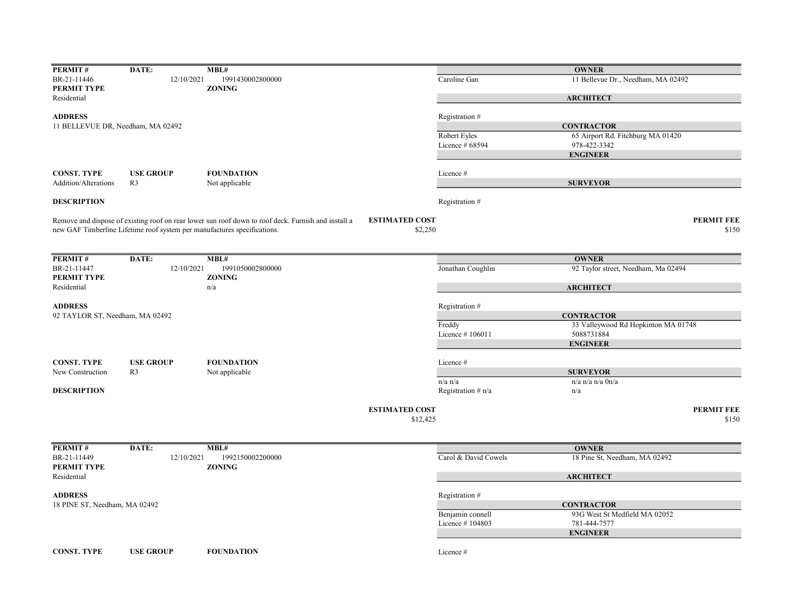| PERMIT#                           | DATE:                                                                    | MBL#                                                                                                |                       |                      | <b>OWNER</b>                        |                   |
|-----------------------------------|--------------------------------------------------------------------------|-----------------------------------------------------------------------------------------------------|-----------------------|----------------------|-------------------------------------|-------------------|
| BR-21-11446                       | 12/10/2021                                                               | 1991430002800000                                                                                    |                       | Caroline Gan         | 11 Bellevue Dr., Needham, MA 02492  |                   |
| PERMIT TYPE                       |                                                                          | <b>ZONING</b>                                                                                       |                       |                      |                                     |                   |
| Residential                       |                                                                          |                                                                                                     |                       |                      | <b>ARCHITECT</b>                    |                   |
| <b>ADDRESS</b>                    |                                                                          |                                                                                                     |                       | Registration#        |                                     |                   |
| 11 BELLEVUE DR, Needham, MA 02492 |                                                                          |                                                                                                     |                       |                      | <b>CONTRACTOR</b>                   |                   |
|                                   |                                                                          |                                                                                                     |                       | Robert Eyles         | 65 Airport Rd. Fitchburg MA 01420   |                   |
|                                   |                                                                          |                                                                                                     |                       | Licence $#68594$     | 978-422-3342                        |                   |
|                                   |                                                                          |                                                                                                     |                       |                      | <b>ENGINEER</b>                     |                   |
|                                   |                                                                          |                                                                                                     |                       |                      |                                     |                   |
| <b>CONST. TYPE</b>                | <b>USE GROUP</b>                                                         | <b>FOUNDATION</b>                                                                                   |                       | Licence #            |                                     |                   |
| Addition/Alterations              | R <sub>3</sub>                                                           | Not applicable                                                                                      |                       |                      | <b>SURVEYOR</b>                     |                   |
| <b>DESCRIPTION</b>                |                                                                          |                                                                                                     |                       | Registration #       |                                     |                   |
|                                   |                                                                          | Remove and dispose of existing roof on rear lower sun roof down to roof deck. Furnish and install a | <b>ESTIMATED COST</b> |                      |                                     | <b>PERMIT FEE</b> |
|                                   | new GAF Timberline Lifetime roof system per manufactures specifications. |                                                                                                     | \$2,250               |                      |                                     | \$150             |
|                                   |                                                                          |                                                                                                     |                       |                      |                                     |                   |
| <b>PERMIT#</b>                    | DATE:                                                                    | MBL#                                                                                                |                       |                      | <b>OWNER</b>                        |                   |
| BR-21-11447                       | 12/10/2021                                                               | 1991050002800000                                                                                    |                       | Jonathan Coughlin    | 92 Taylor street, Needham, Ma 02494 |                   |
| PERMIT TYPE                       |                                                                          | <b>ZONING</b>                                                                                       |                       |                      |                                     |                   |
| Residential                       |                                                                          | n/a                                                                                                 |                       |                      | <b>ARCHITECT</b>                    |                   |
| <b>ADDRESS</b>                    |                                                                          |                                                                                                     |                       |                      |                                     |                   |
| 92 TAYLOR ST, Needham, MA 02492   |                                                                          |                                                                                                     |                       | Registration#        | <b>CONTRACTOR</b>                   |                   |
|                                   |                                                                          |                                                                                                     |                       | Freddy               | 33 Valleywood Rd Hopkinton MA 01748 |                   |
|                                   |                                                                          |                                                                                                     |                       | Licence #106011      | 5088731884                          |                   |
|                                   |                                                                          |                                                                                                     |                       |                      | <b>ENGINEER</b>                     |                   |
|                                   |                                                                          |                                                                                                     |                       |                      |                                     |                   |
| <b>CONST. TYPE</b>                | <b>USE GROUP</b>                                                         | <b>FOUNDATION</b>                                                                                   |                       | Licence #            |                                     |                   |
| New Construction                  | R <sub>3</sub>                                                           | Not applicable                                                                                      |                       |                      | <b>SURVEYOR</b>                     |                   |
|                                   |                                                                          |                                                                                                     |                       | $n/a$ $n/a$          | $n/a$ n/a $n/a$ $0n/a$              |                   |
| <b>DESCRIPTION</b>                |                                                                          |                                                                                                     |                       | Registration $# n/a$ | n/a                                 |                   |
|                                   |                                                                          |                                                                                                     | <b>ESTIMATED COST</b> |                      |                                     | <b>PERMIT FEE</b> |
|                                   |                                                                          |                                                                                                     | \$12,425              |                      |                                     | \$150             |
|                                   |                                                                          |                                                                                                     |                       |                      |                                     |                   |
| PERMIT#                           | DATE:                                                                    | MBL#                                                                                                |                       |                      | <b>OWNER</b>                        |                   |
| BR-21-11449                       | 12/10/2021                                                               | 1992150002200000                                                                                    |                       | Carol & David Cowels | 18 Pine St, Needham, MA 02492       |                   |
| PERMIT TYPE                       |                                                                          | <b>ZONING</b>                                                                                       |                       |                      |                                     |                   |
| Residential                       |                                                                          |                                                                                                     |                       |                      | <b>ARCHITECT</b>                    |                   |
| <b>ADDRESS</b>                    |                                                                          |                                                                                                     |                       | Registration #       |                                     |                   |
| 18 PINE ST, Needham, MA 02492     |                                                                          |                                                                                                     |                       |                      | <b>CONTRACTOR</b>                   |                   |
|                                   |                                                                          |                                                                                                     |                       | Benjamin connell     | 93G West St Medfield MA 02052       |                   |
|                                   |                                                                          |                                                                                                     |                       | Licence #104803      | 781-444-7577                        |                   |
|                                   |                                                                          |                                                                                                     |                       |                      | <b>ENGINEER</b>                     |                   |
|                                   |                                                                          |                                                                                                     |                       |                      |                                     |                   |
| <b>CONST. TYPE</b>                | <b>USE GROUP</b>                                                         | <b>FOUNDATION</b>                                                                                   |                       | Licence #            |                                     |                   |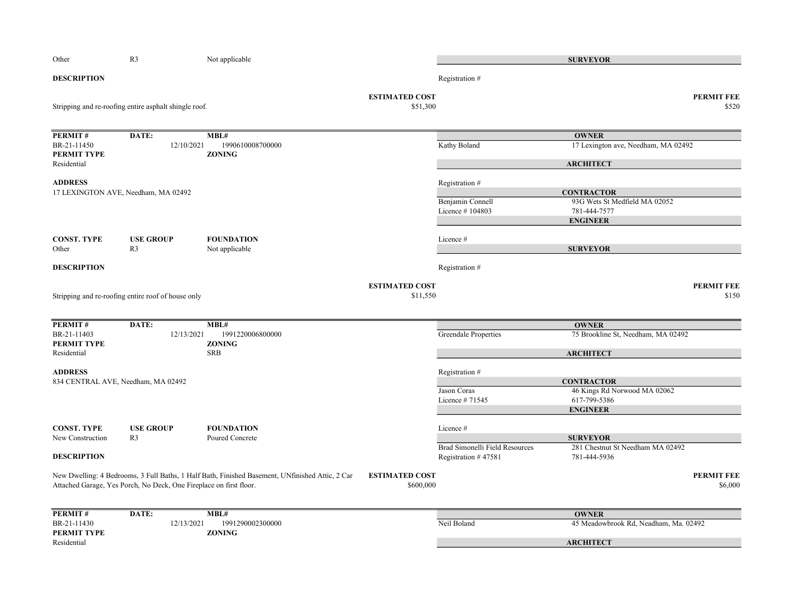| Other                                  | R <sub>3</sub>                                                     | Not applicable                                                                                  |                                    |                                                       | <b>SURVEYOR</b>                                  |                              |
|----------------------------------------|--------------------------------------------------------------------|-------------------------------------------------------------------------------------------------|------------------------------------|-------------------------------------------------------|--------------------------------------------------|------------------------------|
| <b>DESCRIPTION</b>                     |                                                                    |                                                                                                 |                                    | Registration #                                        |                                                  |                              |
|                                        | Stripping and re-roofing entire asphalt shingle roof.              |                                                                                                 | <b>ESTIMATED COST</b><br>\$51,300  |                                                       |                                                  | <b>PERMIT FEE</b><br>\$520   |
| PERMIT#                                | DATE:                                                              | MBL#                                                                                            |                                    |                                                       | <b>OWNER</b>                                     |                              |
| BR-21-11450<br>PERMIT TYPE             | 12/10/2021                                                         | 1990610008700000<br><b>ZONING</b>                                                               |                                    | Kathy Boland                                          | 17 Lexington ave, Needham, MA 02492              |                              |
| Residential                            |                                                                    |                                                                                                 |                                    |                                                       | <b>ARCHITECT</b>                                 |                              |
| <b>ADDRESS</b>                         | 17 LEXINGTON AVE, Needham, MA 02492                                |                                                                                                 |                                    | Registration #                                        | <b>CONTRACTOR</b>                                |                              |
|                                        |                                                                    |                                                                                                 |                                    | Benjamin Connell                                      | 93G Wets St Medfield MA 02052                    |                              |
|                                        |                                                                    |                                                                                                 |                                    | Licence #104803                                       | 781-444-7577<br><b>ENGINEER</b>                  |                              |
| <b>CONST. TYPE</b>                     | <b>USE GROUP</b>                                                   | <b>FOUNDATION</b>                                                                               |                                    | Licence#                                              |                                                  |                              |
| Other                                  | R <sub>3</sub>                                                     | Not applicable                                                                                  |                                    |                                                       | <b>SURVEYOR</b>                                  |                              |
| <b>DESCRIPTION</b>                     |                                                                    |                                                                                                 |                                    | Registration #                                        |                                                  |                              |
|                                        |                                                                    |                                                                                                 | <b>ESTIMATED COST</b>              |                                                       |                                                  | <b>PERMIT FEE</b>            |
|                                        | Stripping and re-roofing entire roof of house only                 |                                                                                                 | \$11,550                           |                                                       |                                                  | \$150                        |
| PERMIT#                                | DATE:                                                              | MBL#                                                                                            |                                    |                                                       | <b>OWNER</b>                                     |                              |
| BR-21-11403<br>PERMIT TYPE             | 12/13/2021                                                         | 1991220006800000<br><b>ZONING</b>                                                               |                                    | <b>Greendale Properties</b>                           | 75 Brookline St, Needham, MA 02492               |                              |
| Residential                            |                                                                    | <b>SRB</b>                                                                                      |                                    |                                                       | <b>ARCHITECT</b>                                 |                              |
| <b>ADDRESS</b>                         | 834 CENTRAL AVE, Needham, MA 02492                                 |                                                                                                 |                                    | Registration #                                        | <b>CONTRACTOR</b>                                |                              |
|                                        |                                                                    |                                                                                                 |                                    | Jason Coras                                           | 46 Kings Rd Norwood MA 02062                     |                              |
|                                        |                                                                    |                                                                                                 |                                    | Licence #71545                                        | 617-799-5386<br><b>ENGINEER</b>                  |                              |
| <b>CONST. TYPE</b><br>New Construction | <b>USE GROUP</b><br>R <sub>3</sub>                                 | <b>FOUNDATION</b><br>Poured Concrete                                                            |                                    | Licence#                                              | <b>SURVEYOR</b>                                  |                              |
| <b>DESCRIPTION</b>                     |                                                                    |                                                                                                 |                                    | Brad Simonelli Field Resources<br>Registration #47581 | 281 Chestnut St Needham MA 02492<br>781-444-5936 |                              |
|                                        | Attached Garage, Yes Porch, No Deck, One Fireplace on first floor. | New Dwelling: 4 Bedrooms, 3 Full Baths, 1 Half Bath, Finished Basement, UNfinished Attic, 2 Car | <b>ESTIMATED COST</b><br>\$600,000 |                                                       |                                                  | <b>PERMIT FEE</b><br>\$6,000 |
| PERMIT#                                | DATE:                                                              | MBL#                                                                                            |                                    |                                                       | <b>OWNER</b>                                     |                              |
| BR-21-11430<br>PERMIT TYPE             | 12/13/2021                                                         | 1991290002300000<br><b>ZONING</b>                                                               |                                    | Neil Boland                                           | 45 Meadowbrook Rd, Neadham, Ma. 02492            |                              |
| Residential                            |                                                                    |                                                                                                 |                                    |                                                       | <b>ARCHITECT</b>                                 |                              |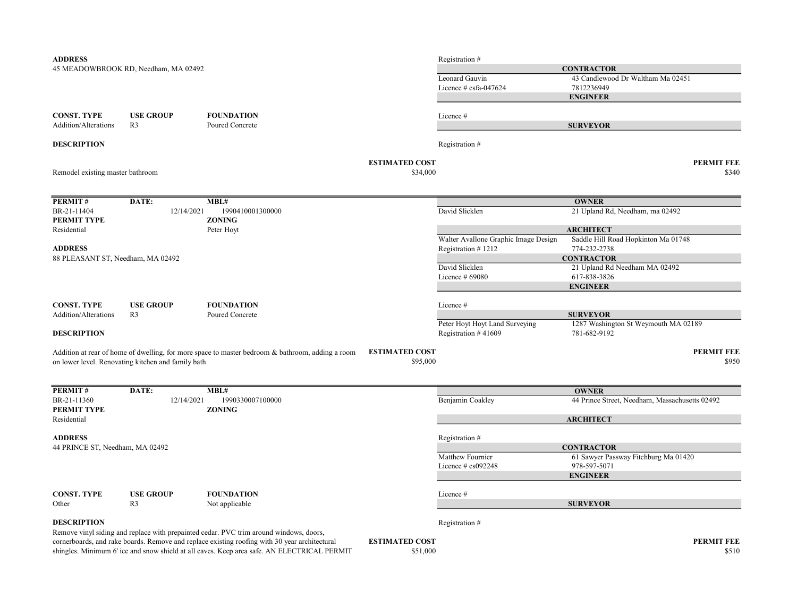| <b>ADDRESS</b>                                    |                                                    |                                                                                                  |                       | Registration #                       |                                                |
|---------------------------------------------------|----------------------------------------------------|--------------------------------------------------------------------------------------------------|-----------------------|--------------------------------------|------------------------------------------------|
|                                                   | 45 MEADOWBROOK RD, Needham, MA 02492               |                                                                                                  |                       |                                      | <b>CONTRACTOR</b>                              |
|                                                   |                                                    |                                                                                                  |                       | Leonard Gauvin                       | 43 Candlewood Dr Waltham Ma 02451              |
|                                                   |                                                    |                                                                                                  |                       | Licence $\#$ csfa-047624             | 7812236949                                     |
|                                                   |                                                    |                                                                                                  |                       |                                      | <b>ENGINEER</b>                                |
|                                                   |                                                    |                                                                                                  |                       |                                      |                                                |
| <b>CONST. TYPE</b>                                | <b>USE GROUP</b>                                   | <b>FOUNDATION</b>                                                                                |                       | Licence #                            |                                                |
| <b>Addition/Alterations</b>                       | R <sub>3</sub>                                     | Poured Concrete                                                                                  |                       |                                      | <b>SURVEYOR</b>                                |
| <b>DESCRIPTION</b>                                |                                                    |                                                                                                  |                       | Registration #                       |                                                |
|                                                   |                                                    |                                                                                                  | <b>ESTIMATED COST</b> |                                      | PERMIT FEE                                     |
| Remodel existing master bathroom                  |                                                    |                                                                                                  | \$34,000              |                                      | \$340                                          |
|                                                   |                                                    |                                                                                                  |                       |                                      |                                                |
| PERMIT#                                           | DATE:                                              | MBL#                                                                                             |                       |                                      | <b>OWNER</b>                                   |
| BR-21-11404                                       | 12/14/2021                                         | 1990410001300000                                                                                 |                       | David Slicklen                       | 21 Upland Rd, Needham, ma 02492                |
| PERMIT TYPE                                       |                                                    | <b>ZONING</b>                                                                                    |                       |                                      |                                                |
| Residential                                       |                                                    | Peter Hoyt                                                                                       |                       |                                      | <b>ARCHITECT</b>                               |
|                                                   |                                                    |                                                                                                  |                       | Walter Avallone Graphic Image Design | Saddle Hill Road Hopkinton Ma 01748            |
| <b>ADDRESS</b>                                    |                                                    |                                                                                                  |                       | Registration #1212                   | 774-232-2738                                   |
| 88 PLEASANT ST, Needham, MA 02492                 |                                                    |                                                                                                  |                       |                                      | <b>CONTRACTOR</b>                              |
|                                                   |                                                    |                                                                                                  |                       | David Slicklen                       | 21 Upland Rd Needham MA 02492                  |
|                                                   |                                                    |                                                                                                  |                       | Licence $#69080$                     | 617-838-3826                                   |
|                                                   |                                                    |                                                                                                  |                       |                                      | <b>ENGINEER</b>                                |
|                                                   |                                                    |                                                                                                  |                       |                                      |                                                |
| <b>CONST. TYPE</b><br><b>Addition/Alterations</b> | <b>USE GROUP</b><br>R <sub>3</sub>                 | <b>FOUNDATION</b><br>Poured Concrete                                                             |                       | Licence #                            | <b>SURVEYOR</b>                                |
|                                                   |                                                    |                                                                                                  |                       | Peter Hoyt Hoyt Land Surveying       | 1287 Washington St Weymouth MA 02189           |
| <b>DESCRIPTION</b>                                |                                                    |                                                                                                  |                       | Registration $#41609$                | 781-682-9192                                   |
|                                                   |                                                    |                                                                                                  |                       |                                      |                                                |
|                                                   |                                                    | Addition at rear of home of dwelling, for more space to master bedroom & bathroom, adding a room | <b>ESTIMATED COST</b> |                                      | <b>PERMIT FEE</b>                              |
|                                                   | on lower level. Renovating kitchen and family bath |                                                                                                  | \$95,000              |                                      | \$950                                          |
|                                                   |                                                    |                                                                                                  |                       |                                      |                                                |
| PERMIT#                                           | DATE:                                              | MBL#                                                                                             |                       |                                      | <b>OWNER</b>                                   |
| BR-21-11360<br>PERMIT TYPE                        | 12/14/2021                                         | 1990330007100000<br><b>ZONING</b>                                                                |                       | Benjamin Coakley                     | 44 Prince Street, Needham, Massachusetts 02492 |
| Residential                                       |                                                    |                                                                                                  |                       |                                      | <b>ARCHITECT</b>                               |
|                                                   |                                                    |                                                                                                  |                       |                                      |                                                |
| <b>ADDRESS</b>                                    |                                                    |                                                                                                  |                       | Registration #                       |                                                |
| 44 PRINCE ST, Needham, MA 02492                   |                                                    |                                                                                                  |                       |                                      | <b>CONTRACTOR</b>                              |
|                                                   |                                                    |                                                                                                  |                       | Matthew Fournier                     | 61 Sawyer Passway Fitchburg Ma 01420           |
|                                                   |                                                    |                                                                                                  |                       | Licence $#$ cs092248                 | 978-597-5071                                   |
|                                                   |                                                    |                                                                                                  |                       |                                      | <b>ENGINEER</b>                                |
| <b>CONST. TYPE</b>                                | <b>USE GROUP</b>                                   | <b>FOUNDATION</b>                                                                                |                       | Licence #                            |                                                |
| Other                                             | R <sub>3</sub>                                     | Not applicable                                                                                   |                       |                                      | <b>SURVEYOR</b>                                |
|                                                   |                                                    |                                                                                                  |                       |                                      |                                                |
| <b>DESCRIPTION</b>                                |                                                    |                                                                                                  |                       | Registration #                       |                                                |
|                                                   |                                                    | Remove vinyl siding and replace with prepainted cedar. PVC trim around windows, doors,           |                       |                                      |                                                |
|                                                   |                                                    | cornerboards, and rake boards. Remove and replace existing roofing with 30 year architectural    | <b>ESTIMATED COST</b> |                                      | <b>PERMIT FEE</b>                              |
|                                                   |                                                    | shingles. Minimum 6' ice and snow shield at all eaves. Keep area safe. AN ELECTRICAL PERMIT      | \$51,000              |                                      | \$510                                          |
|                                                   |                                                    |                                                                                                  |                       |                                      |                                                |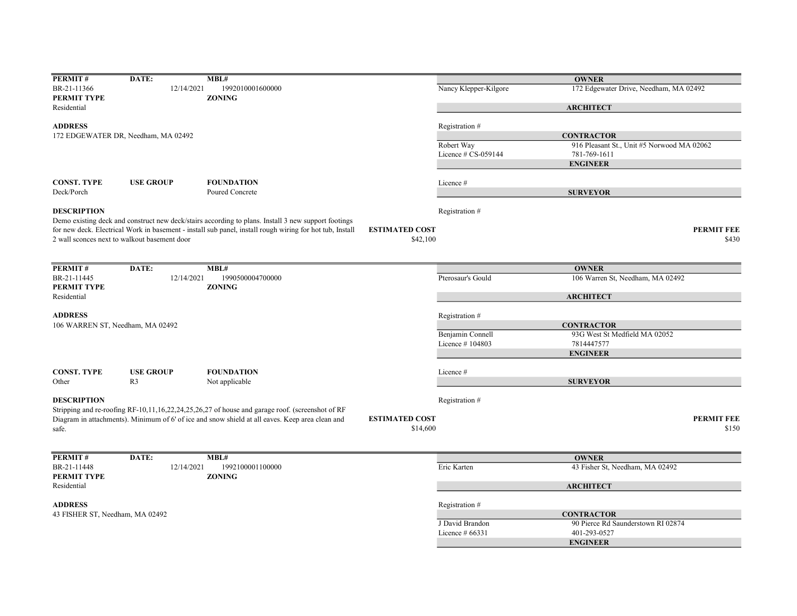| PERMIT#                          | DATE:                                        | MBL#                                                                                                                              |                       | <b>OWNER</b>                               |
|----------------------------------|----------------------------------------------|-----------------------------------------------------------------------------------------------------------------------------------|-----------------------|--------------------------------------------|
| BR-21-11366                      | 12/14/2021                                   | 1992010001600000                                                                                                                  | Nancy Klepper-Kilgore | 172 Edgewater Drive, Needham, MA 02492     |
|                                  |                                              |                                                                                                                                   |                       |                                            |
| PERMIT TYPE                      |                                              | <b>ZONING</b>                                                                                                                     |                       |                                            |
| Residential                      |                                              |                                                                                                                                   |                       | <b>ARCHITECT</b>                           |
| <b>ADDRESS</b>                   |                                              |                                                                                                                                   |                       |                                            |
|                                  |                                              |                                                                                                                                   | Registration #        |                                            |
|                                  | 172 EDGEWATER DR, Needham, MA 02492          |                                                                                                                                   |                       | <b>CONTRACTOR</b>                          |
|                                  |                                              |                                                                                                                                   | Robert Way            | 916 Pleasant St., Unit #5 Norwood MA 02062 |
|                                  |                                              |                                                                                                                                   | Licence $# CS-059144$ | 781-769-1611                               |
|                                  |                                              |                                                                                                                                   |                       | <b>ENGINEER</b>                            |
|                                  |                                              |                                                                                                                                   |                       |                                            |
| <b>CONST. TYPE</b>               | <b>USE GROUP</b>                             | <b>FOUNDATION</b>                                                                                                                 | Licence #             |                                            |
| Deck/Porch                       |                                              | Poured Concrete                                                                                                                   |                       | <b>SURVEYOR</b>                            |
|                                  |                                              |                                                                                                                                   |                       |                                            |
| <b>DESCRIPTION</b>               |                                              |                                                                                                                                   | Registration #        |                                            |
|                                  |                                              | Demo existing deck and construct new deck/stairs according to plans. Install 3 new support footings                               |                       |                                            |
|                                  |                                              | for new deck. Electrical Work in basement - install sub panel, install rough wiring for hot tub, Install<br><b>ESTIMATED COST</b> |                       | <b>PERMIT FEE</b>                          |
|                                  | 2 wall sconces next to walkout basement door | \$42,100                                                                                                                          |                       | \$430                                      |
|                                  |                                              |                                                                                                                                   |                       |                                            |
|                                  |                                              |                                                                                                                                   |                       |                                            |
| PERMIT#                          | DATE:                                        | MBL#                                                                                                                              |                       | <b>OWNER</b>                               |
| BR-21-11445                      | 12/14/2021                                   | 1990500004700000                                                                                                                  | Pterosaur's Gould     | 106 Warren St, Needham, MA 02492           |
| PERMIT TYPE                      |                                              | <b>ZONING</b>                                                                                                                     |                       |                                            |
| Residential                      |                                              |                                                                                                                                   |                       | <b>ARCHITECT</b>                           |
|                                  |                                              |                                                                                                                                   |                       |                                            |
| <b>ADDRESS</b>                   |                                              |                                                                                                                                   |                       |                                            |
|                                  |                                              |                                                                                                                                   | Registration #        |                                            |
| 106 WARREN ST, Needham, MA 02492 |                                              |                                                                                                                                   |                       | <b>CONTRACTOR</b>                          |
|                                  |                                              |                                                                                                                                   | Benjamin Connell      | 93G West St Medfield MA 02052              |
|                                  |                                              |                                                                                                                                   | Licence #104803       | 7814447577                                 |
|                                  |                                              |                                                                                                                                   |                       | <b>ENGINEER</b>                            |
|                                  |                                              |                                                                                                                                   |                       |                                            |
| <b>CONST. TYPE</b>               | <b>USE GROUP</b>                             | <b>FOUNDATION</b>                                                                                                                 | Licence #             |                                            |
| Other                            | R <sub>3</sub>                               | Not applicable                                                                                                                    |                       | <b>SURVEYOR</b>                            |
|                                  |                                              |                                                                                                                                   |                       |                                            |
| <b>DESCRIPTION</b>               |                                              |                                                                                                                                   | Registration #        |                                            |
|                                  |                                              | Stripping and re-roofing RF-10,11,16,22,24,25,26,27 of house and garage roof. (screenshot of RF                                   |                       |                                            |
|                                  |                                              | Diagram in attachments). Minimum of 6' of ice and snow shield at all eaves. Keep area clean and<br><b>ESTIMATED COST</b>          |                       | <b>PERMIT FEE</b>                          |
| safe.                            |                                              | \$14,600                                                                                                                          |                       | \$150                                      |
|                                  |                                              |                                                                                                                                   |                       |                                            |
|                                  |                                              |                                                                                                                                   |                       |                                            |
| PERMIT#                          | DATE:                                        | MBL#                                                                                                                              |                       | <b>OWNER</b>                               |
| BR-21-11448                      | 12/14/2021                                   | 1992100001100000                                                                                                                  | Eric Karten           | 43 Fisher St, Needham, MA 02492            |
| <b>PERMIT TYPE</b>               |                                              | <b>ZONING</b>                                                                                                                     |                       |                                            |
|                                  |                                              |                                                                                                                                   |                       |                                            |
| Residential                      |                                              |                                                                                                                                   |                       | <b>ARCHITECT</b>                           |
|                                  |                                              |                                                                                                                                   |                       |                                            |
| <b>ADDRESS</b>                   |                                              |                                                                                                                                   | Registration #        |                                            |
| 43 FISHER ST, Needham, MA 02492  |                                              |                                                                                                                                   |                       | <b>CONTRACTOR</b>                          |
|                                  |                                              |                                                                                                                                   | J David Brandon       | 90 Pierce Rd Saunderstown RI 02874         |
|                                  |                                              |                                                                                                                                   | Licence $#66331$      | 401-293-0527                               |
|                                  |                                              |                                                                                                                                   |                       | <b>ENGINEER</b>                            |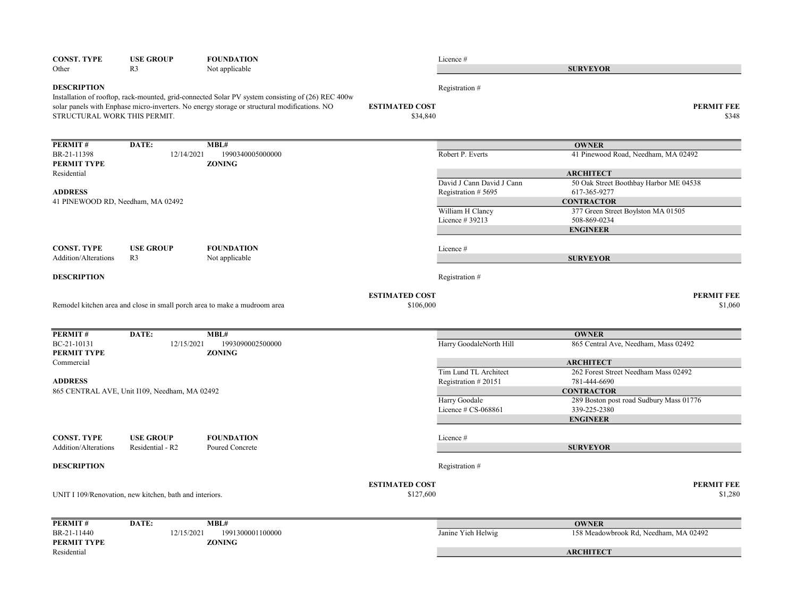| <b>CONST. TYPE</b>                                  | <b>USE GROUP</b>                                        | <b>FOUNDATION</b>                                                                                                                                                                                 |                                    | Licence #                 |                                                              |
|-----------------------------------------------------|---------------------------------------------------------|---------------------------------------------------------------------------------------------------------------------------------------------------------------------------------------------------|------------------------------------|---------------------------|--------------------------------------------------------------|
| Other                                               | R <sub>3</sub>                                          | Not applicable                                                                                                                                                                                    |                                    |                           | <b>SURVEYOR</b>                                              |
| <b>DESCRIPTION</b><br>STRUCTURAL WORK THIS PERMIT.  |                                                         | Installation of rooftop, rack-mounted, grid-connected Solar PV system consisting of (26) REC 400w<br>solar panels with Enphase micro-inverters. No energy storage or structural modifications. NO | <b>ESTIMATED COST</b><br>\$34,840  | Registration #            | <b>PERMIT FEE</b><br>\$348                                   |
| PERMIT#                                             | DATE:                                                   | MBL#                                                                                                                                                                                              |                                    |                           | <b>OWNER</b>                                                 |
| BR-21-11398<br>PERMIT TYPE                          | 12/14/2021                                              | 1990340005000000<br><b>ZONING</b>                                                                                                                                                                 |                                    | Robert P. Everts          | 41 Pinewood Road, Needham, MA 02492                          |
| Residential                                         |                                                         |                                                                                                                                                                                                   |                                    | David J Cann David J Cann | <b>ARCHITECT</b><br>50 Oak Street Boothbay Harbor ME 04538   |
| <b>ADDRESS</b><br>41 PINEWOOD RD, Needham, MA 02492 |                                                         |                                                                                                                                                                                                   |                                    | Registration #5695        | 617-365-9277<br><b>CONTRACTOR</b>                            |
|                                                     |                                                         |                                                                                                                                                                                                   |                                    | William H Clancy          | 377 Green Street Boylston MA 01505                           |
|                                                     |                                                         |                                                                                                                                                                                                   |                                    | Licence # 39213           | 508-869-0234                                                 |
|                                                     |                                                         |                                                                                                                                                                                                   |                                    |                           | <b>ENGINEER</b>                                              |
| <b>CONST. TYPE</b>                                  | <b>USE GROUP</b>                                        | <b>FOUNDATION</b>                                                                                                                                                                                 |                                    | Licence#                  |                                                              |
| Addition/Alterations                                | R <sub>3</sub>                                          | Not applicable                                                                                                                                                                                    |                                    |                           | <b>SURVEYOR</b>                                              |
| <b>DESCRIPTION</b>                                  |                                                         |                                                                                                                                                                                                   |                                    | Registration #            |                                                              |
|                                                     |                                                         | Remodel kitchen area and close in small porch area to make a mudroom area                                                                                                                         | <b>ESTIMATED COST</b><br>\$106,000 |                           | <b>PERMIT FEE</b><br>\$1,060                                 |
| PERMIT#                                             | DATE:                                                   | MBL#                                                                                                                                                                                              |                                    |                           | <b>OWNER</b>                                                 |
| BC-21-10131<br>PERMIT TYPE                          | 12/15/2021                                              | 1993090002500000<br><b>ZONING</b>                                                                                                                                                                 |                                    | Harry GoodaleNorth Hill   | 865 Central Ave, Needham, Mass 02492                         |
| Commercial                                          |                                                         |                                                                                                                                                                                                   |                                    | Tim Lund TL Architect     | <b>ARCHITECT</b><br>262 Forest Street Needham Mass 02492     |
| <b>ADDRESS</b>                                      |                                                         |                                                                                                                                                                                                   |                                    | Registration #20151       | 781-444-6690                                                 |
|                                                     | 865 CENTRAL AVE, Unit I109, Needham, MA 02492           |                                                                                                                                                                                                   |                                    | Harry Goodale             | <b>CONTRACTOR</b><br>289 Boston post road Sudbury Mass 01776 |
|                                                     |                                                         |                                                                                                                                                                                                   |                                    | Licence # CS-068861       | 339-225-2380                                                 |
|                                                     |                                                         |                                                                                                                                                                                                   |                                    |                           | <b>ENGINEER</b>                                              |
| <b>CONST. TYPE</b>                                  | <b>USE GROUP</b>                                        | <b>FOUNDATION</b>                                                                                                                                                                                 |                                    | Licence #                 |                                                              |
| Addition/Alterations                                | Residential - R2                                        | Poured Concrete                                                                                                                                                                                   |                                    |                           | <b>SURVEYOR</b>                                              |
| <b>DESCRIPTION</b>                                  |                                                         |                                                                                                                                                                                                   |                                    | Registration #            |                                                              |
|                                                     | UNIT I 109/Renovation, new kitchen, bath and interiors. |                                                                                                                                                                                                   | <b>ESTIMATED COST</b><br>\$127,600 |                           | <b>PERMIT FEE</b><br>\$1,280                                 |
| PERMIT#                                             | DATE:                                                   | MBL#                                                                                                                                                                                              |                                    |                           | <b>OWNER</b>                                                 |
| BR-21-11440<br>PERMIT TYPE                          | 12/15/2021                                              | 1991300001100000<br><b>ZONING</b>                                                                                                                                                                 |                                    | Janine Yieh Helwig        | 158 Meadowbrook Rd, Needham, MA 02492                        |
| Residential                                         |                                                         |                                                                                                                                                                                                   |                                    |                           | <b>ARCHITECT</b>                                             |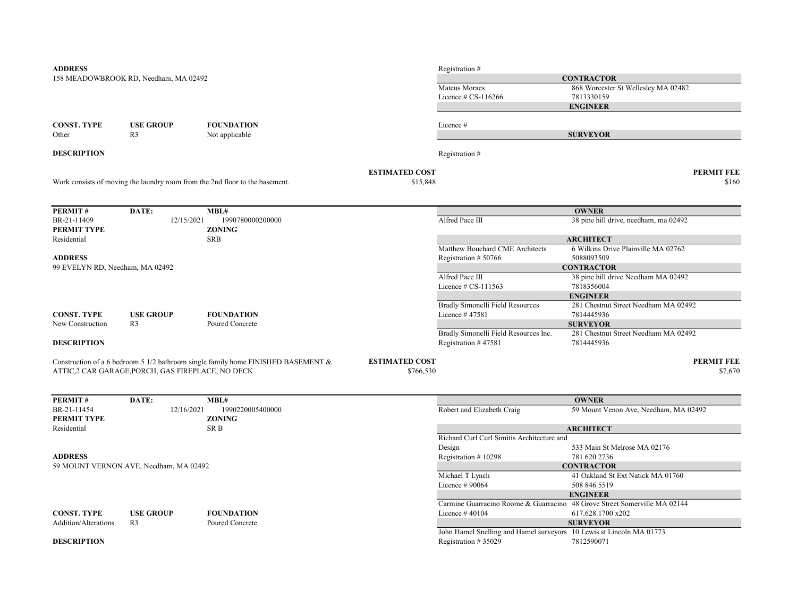| <b>ADDRESS</b>                  |                                                   |                                                                                      |                       | Registration #                                                            |                                       |
|---------------------------------|---------------------------------------------------|--------------------------------------------------------------------------------------|-----------------------|---------------------------------------------------------------------------|---------------------------------------|
|                                 | 158 MEADOWBROOK RD, Needham, MA 02492             |                                                                                      |                       |                                                                           | <b>CONTRACTOR</b>                     |
|                                 |                                                   |                                                                                      |                       | Mateus Moraes                                                             | 868 Worcester St Wellesley MA 02482   |
|                                 |                                                   |                                                                                      |                       | Licence $# CS-116266$                                                     | 7813330159                            |
|                                 |                                                   |                                                                                      |                       |                                                                           | <b>ENGINEER</b>                       |
|                                 |                                                   |                                                                                      |                       |                                                                           |                                       |
| <b>CONST. TYPE</b><br>Other     | <b>USE GROUP</b><br>R <sub>3</sub>                | <b>FOUNDATION</b><br>Not applicable                                                  |                       | Licence#                                                                  | <b>SURVEYOR</b>                       |
|                                 |                                                   |                                                                                      |                       |                                                                           |                                       |
| <b>DESCRIPTION</b>              |                                                   |                                                                                      |                       | Registration #                                                            |                                       |
|                                 |                                                   |                                                                                      | <b>ESTIMATED COST</b> |                                                                           | <b>PERMIT FEE</b>                     |
|                                 |                                                   | Work consists of moving the laundry room from the 2nd floor to the basement.         | \$15,848              |                                                                           | \$160                                 |
| PERMIT#                         | DATE:                                             | MBL#                                                                                 |                       |                                                                           | <b>OWNER</b>                          |
| BR-21-11409                     | 12/15/2021                                        | 1990780000200000                                                                     |                       | Alfred Pace III                                                           | 38 pine hill drive, needham, ma 02492 |
| PERMIT TYPE                     |                                                   | <b>ZONING</b>                                                                        |                       |                                                                           |                                       |
| Residential                     |                                                   | <b>SRB</b>                                                                           |                       |                                                                           | <b>ARCHITECT</b>                      |
|                                 |                                                   |                                                                                      |                       | Matthew Bouchard CME Architects                                           | 6 Wilkins Drive Plainville MA 02762   |
| <b>ADDRESS</b>                  |                                                   |                                                                                      |                       | Registration #50766                                                       | 5088093509                            |
| 99 EVELYN RD, Needham, MA 02492 |                                                   |                                                                                      |                       |                                                                           | <b>CONTRACTOR</b>                     |
|                                 |                                                   |                                                                                      |                       | Alfred Pace III                                                           | 38 pine hill drive Needham MA 02492   |
|                                 |                                                   |                                                                                      |                       | Licence $# CS-111563$                                                     | 7818356004                            |
|                                 |                                                   |                                                                                      |                       |                                                                           | <b>ENGINEER</b>                       |
|                                 |                                                   |                                                                                      |                       | Bradly Simonelli Field Resources                                          | 281 Chestnut Street Needham MA 02492  |
| <b>CONST. TYPE</b>              | <b>USE GROUP</b>                                  | <b>FOUNDATION</b>                                                                    |                       | Licence #47581                                                            | 7814445936                            |
| New Construction                | R <sub>3</sub>                                    | Poured Concrete                                                                      |                       |                                                                           | <b>SURVEYOR</b>                       |
|                                 |                                                   |                                                                                      |                       | Bradly Simonelli Field Resources Inc.                                     | 281 Chestnut Street Needham MA 02492  |
| <b>DESCRIPTION</b>              |                                                   |                                                                                      |                       | Registration #47581                                                       | 7814445936                            |
|                                 |                                                   | Construction of a 6 bedroom 5 1/2 bathroom single family home FINISHED BASEMENT $\&$ | <b>ESTIMATED COST</b> |                                                                           | <b>PERMIT FEE</b>                     |
|                                 | ATTIC,2 CAR GARAGE, PORCH, GAS FIREPLACE, NO DECK |                                                                                      | \$766,530             |                                                                           | \$7,670                               |
|                                 |                                                   |                                                                                      |                       |                                                                           |                                       |
| PERMIT#                         | DATE:                                             | MBL#                                                                                 |                       |                                                                           | <b>OWNER</b>                          |
| BR-21-11454<br>PERMIT TYPE      | 12/16/2021                                        | 1990220005400000<br><b>ZONING</b>                                                    |                       | Robert and Elizabeth Craig                                                | 59 Mount Venon Ave, Needham, MA 02492 |
| Residential                     |                                                   | SR B                                                                                 |                       |                                                                           | <b>ARCHITECT</b>                      |
|                                 |                                                   |                                                                                      |                       | Richard Curl Curl Simitis Architecture and                                |                                       |
|                                 |                                                   |                                                                                      |                       | Design                                                                    | 533 Main St Melrose MA 02176          |
| <b>ADDRESS</b>                  |                                                   |                                                                                      |                       | Registration #10298                                                       | 781 620 2736                          |
|                                 | 59 MOUNT VERNON AVE, Needham, MA 02492            |                                                                                      |                       |                                                                           | <b>CONTRACTOR</b>                     |
|                                 |                                                   |                                                                                      |                       | Michael T Lynch                                                           | 41 Oakland St Ext Natick MA 01760     |
|                                 |                                                   |                                                                                      |                       | Licence $#90064$                                                          | 508 846 5519                          |
|                                 |                                                   |                                                                                      |                       |                                                                           | <b>ENGINEER</b>                       |
|                                 |                                                   |                                                                                      |                       | Carmine Guarracino Roome & Guarracino 48 Grove Street Somerville MA 02144 |                                       |
| <b>CONST. TYPE</b>              | <b>USE GROUP</b>                                  | <b>FOUNDATION</b>                                                                    |                       | Licence $#40104$                                                          | 617.628.1700 x202                     |
| Addition/Alterations            | R <sub>3</sub>                                    | Poured Concrete                                                                      |                       |                                                                           | <b>SURVEYOR</b>                       |
|                                 |                                                   |                                                                                      |                       | John Hamel Snelling and Hamel surveyors 10 Lewis st Lincoln MA 01773      |                                       |
| <b>DESCRIPTION</b>              |                                                   |                                                                                      |                       | Registration #35029                                                       | 7812590071                            |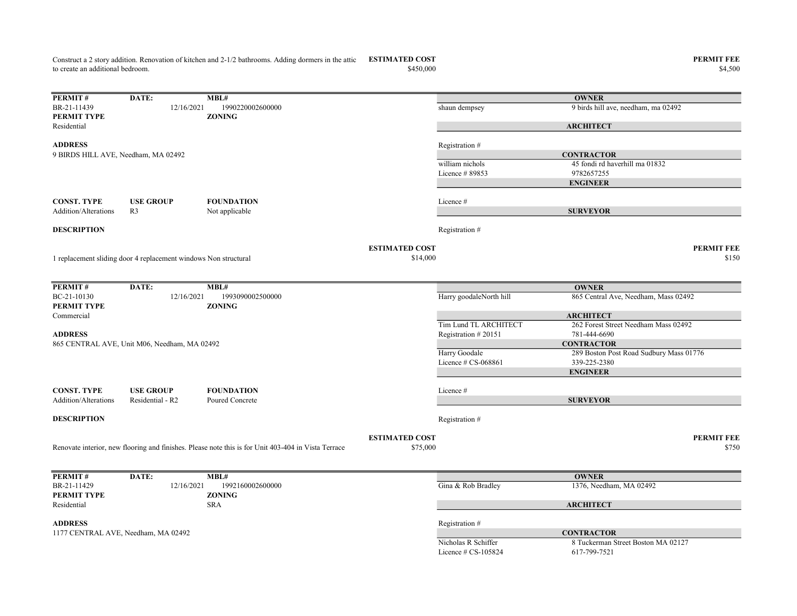Construct a 2 story addition. Renovation of kitchen and 2-1/2 bathrooms. Adding dormers in the attic ESTIMATED COST PERMIT FEE to create an additional bedroom.

PERMIT # DATE: MBL# BR-21-11439 12/16/2021 1990220002600000 shaun dempsey 9 birds hill ave, needham, ma 02492 PERMIT TYPE ZONING Residential ADDRESS Registration # william nichols 45 fondi rd haverhill ma 01832 Licence # 89853 9782657255 **OWNER ARCHITECT CONTRACTOR** 9 BIRDS HILL AVE, Needham, MA 02492

| CONST. TYPE          | <b>USE GROUP</b> | <b>FOUNDATION</b> | Licence # |
|----------------------|------------------|-------------------|-----------|
| Addition/Alterations |                  | Not applicable    |           |

1 replacement sliding door 4 replacement windows Non structural

**DESCRIPTION** Registration #

ESTIMATED COST

| ) COST   | PERMIT FEE |
|----------|------------|
| \$14,000 | \$150      |

| PERMIT#                     | DATE:                                        | MBL#                                                                                                |                       |                         | <b>OWNER</b>                            |       |
|-----------------------------|----------------------------------------------|-----------------------------------------------------------------------------------------------------|-----------------------|-------------------------|-----------------------------------------|-------|
| BC-21-10130                 | 12/16/2021                                   | 1993090002500000                                                                                    |                       | Harry goodaleNorth hill | 865 Central Ave, Needham, Mass 02492    |       |
| PERMIT TYPE                 |                                              | <b>ZONING</b>                                                                                       |                       |                         |                                         |       |
| Commercial                  |                                              |                                                                                                     |                       |                         | <b>ARCHITECT</b>                        |       |
|                             |                                              |                                                                                                     |                       | Tim Lund TL ARCHITECT   | 262 Forest Street Needham Mass 02492    |       |
| <b>ADDRESS</b>              |                                              |                                                                                                     |                       | Registration #20151     | 781-444-6690                            |       |
|                             | 865 CENTRAL AVE, Unit M06, Needham, MA 02492 |                                                                                                     |                       |                         | <b>CONTRACTOR</b>                       |       |
|                             |                                              |                                                                                                     |                       | Harry Goodale           | 289 Boston Post Road Sudbury Mass 01776 |       |
|                             |                                              |                                                                                                     |                       | Licence $\#$ CS-068861  | 339-225-2380                            |       |
|                             |                                              |                                                                                                     |                       |                         | <b>ENGINEER</b>                         |       |
|                             |                                              |                                                                                                     |                       |                         |                                         |       |
| <b>CONST. TYPE</b>          | <b>USE GROUP</b>                             | <b>FOUNDATION</b>                                                                                   |                       | Licence #               |                                         |       |
| <b>Addition/Alterations</b> | Residential - R2                             | Poured Concrete                                                                                     |                       |                         | <b>SURVEYOR</b>                         |       |
|                             |                                              |                                                                                                     |                       |                         |                                         |       |
| <b>DESCRIPTION</b>          |                                              |                                                                                                     |                       | Registration #          |                                         |       |
|                             |                                              |                                                                                                     |                       |                         |                                         |       |
|                             |                                              |                                                                                                     | <b>ESTIMATED COST</b> |                         | <b>PERMIT FEE</b>                       |       |
|                             |                                              | Renovate interior, new flooring and finishes. Please note this is for Unit 403-404 in Vista Terrace | \$75,000              |                         |                                         | \$750 |
|                             |                                              |                                                                                                     |                       |                         |                                         |       |
|                             |                                              |                                                                                                     |                       |                         |                                         |       |
| PERMIT#                     | DATE:                                        | MBL#                                                                                                |                       |                         | <b>OWNER</b>                            |       |
| BR-21-11429                 | 12/16/2021                                   | 1992160002600000                                                                                    |                       | Gina & Rob Bradley      | 1376, Needham, MA 02492                 |       |
| PERMIT TYPE                 |                                              | <b>ZONING</b>                                                                                       |                       |                         |                                         |       |
| Residential                 |                                              | <b>SRA</b>                                                                                          |                       |                         | <b>ARCHITECT</b>                        |       |

1177 CENTRAL AVE, Needham, MA 02492 CONTRACTOR

ENGINEER

SURVEYOR

ADDRESS Registration #

Licence # CS-105824 617-799-7521

Nicholas R Schiffer 8 Tuckerman Street Boston MA 02127

 $\$4,500$   $\$4,500$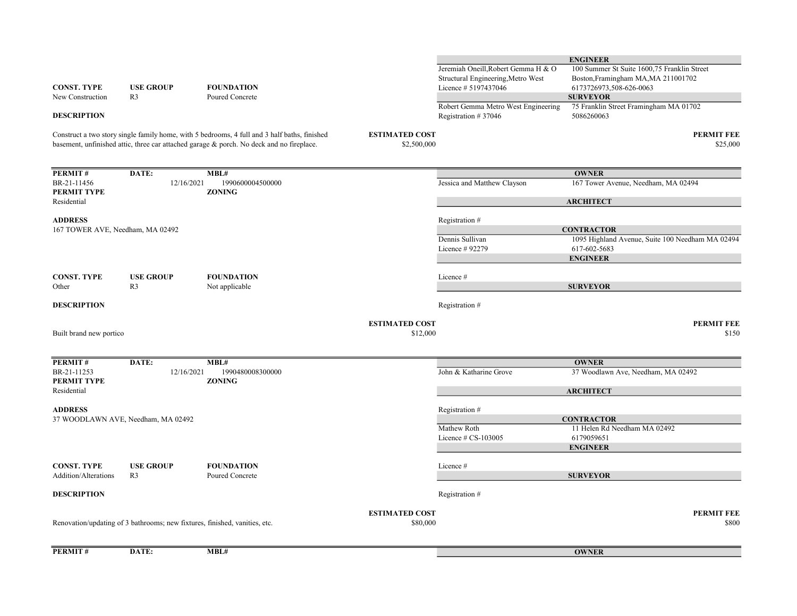| <b>CONST. TYPE</b><br>New Construction               | <b>USE GROUP</b><br>R3                                                     | <b>FOUNDATION</b><br>Poured Concrete                                                                                                                                                     |                                      | Structural Engineering, Metro West<br>Licence # 5197437046<br>Robert Gemma Metro West Engineering | Boston, Framingham MA, MA 211001702<br>6173726973,508-626-0063<br><b>SURVEYOR</b><br>75 Franklin Street Framingham MA 01702 |
|------------------------------------------------------|----------------------------------------------------------------------------|------------------------------------------------------------------------------------------------------------------------------------------------------------------------------------------|--------------------------------------|---------------------------------------------------------------------------------------------------|-----------------------------------------------------------------------------------------------------------------------------|
| <b>DESCRIPTION</b>                                   |                                                                            | Construct a two story single family home, with 5 bedrooms, 4 full and 3 half baths, finished<br>basement, unfinished attic, three car attached garage & porch. No deck and no fireplace. | <b>ESTIMATED COST</b><br>\$2,500,000 | Registration #37046                                                                               | 5086260063<br><b>PERMIT FEE</b><br>\$25,000                                                                                 |
| PERMIT#                                              | DATE:                                                                      | MBL#                                                                                                                                                                                     |                                      |                                                                                                   | <b>OWNER</b>                                                                                                                |
| BR-21-11456<br>PERMIT TYPE                           | 12/16/2021                                                                 | 1990600004500000<br><b>ZONING</b>                                                                                                                                                        |                                      | Jessica and Matthew Clayson                                                                       | 167 Tower Avenue, Needham, MA 02494                                                                                         |
| Residential<br><b>ADDRESS</b>                        |                                                                            |                                                                                                                                                                                          |                                      | Registration #                                                                                    | <b>ARCHITECT</b><br><b>CONTRACTOR</b>                                                                                       |
| 167 TOWER AVE, Needham, MA 02492                     |                                                                            |                                                                                                                                                                                          |                                      | Dennis Sullivan<br>Licence # 92279                                                                | 1095 Highland Avenue, Suite 100 Needham MA 02494<br>617-602-5683<br><b>ENGINEER</b>                                         |
| <b>CONST. TYPE</b><br>Other                          | <b>USE GROUP</b><br>R <sub>3</sub>                                         | <b>FOUNDATION</b><br>Not applicable                                                                                                                                                      |                                      | Licence #                                                                                         | <b>SURVEYOR</b>                                                                                                             |
| <b>DESCRIPTION</b>                                   |                                                                            |                                                                                                                                                                                          |                                      | Registration #                                                                                    |                                                                                                                             |
| Built brand new portico                              |                                                                            |                                                                                                                                                                                          | <b>ESTIMATED COST</b><br>\$12,000    |                                                                                                   | <b>PERMIT FEE</b><br>\$150                                                                                                  |
| PERMIT#<br>BR-21-11253<br>PERMIT TYPE<br>Residential | DATE:<br>12/16/2021                                                        | MBL#<br>1990480008300000<br><b>ZONING</b>                                                                                                                                                |                                      | John & Katharine Grove                                                                            | <b>OWNER</b><br>37 Woodlawn Ave, Needham, MA 02492<br><b>ARCHITECT</b>                                                      |
| <b>ADDRESS</b>                                       | 37 WOODLAWN AVE, Needham, MA 02492                                         |                                                                                                                                                                                          |                                      | Registration #<br>Mathew Roth<br>Licence $\#$ CS-103005                                           | <b>CONTRACTOR</b><br>11 Helen Rd Needham MA 02492<br>6179059651<br><b>ENGINEER</b>                                          |
| <b>CONST. TYPE</b><br>Addition/Alterations           | <b>USE GROUP</b><br>R <sub>3</sub>                                         | <b>FOUNDATION</b><br>Poured Concrete                                                                                                                                                     |                                      | Licence#                                                                                          | <b>SURVEYOR</b>                                                                                                             |
| <b>DESCRIPTION</b>                                   |                                                                            |                                                                                                                                                                                          |                                      | Registration #                                                                                    |                                                                                                                             |
|                                                      | Renovation/updating of 3 bathrooms; new fixtures, finished, vanities, etc. |                                                                                                                                                                                          | <b>ESTIMATED COST</b><br>\$80,000    |                                                                                                   | <b>PERMIT FEE</b><br>\$800                                                                                                  |

PERMIT# DATE: MBL#

Jeremiah Oneill,Robert Gemma H & O

100 Summer St Suite 1600,75 Franklin Street

ENGINEER

**OWNER**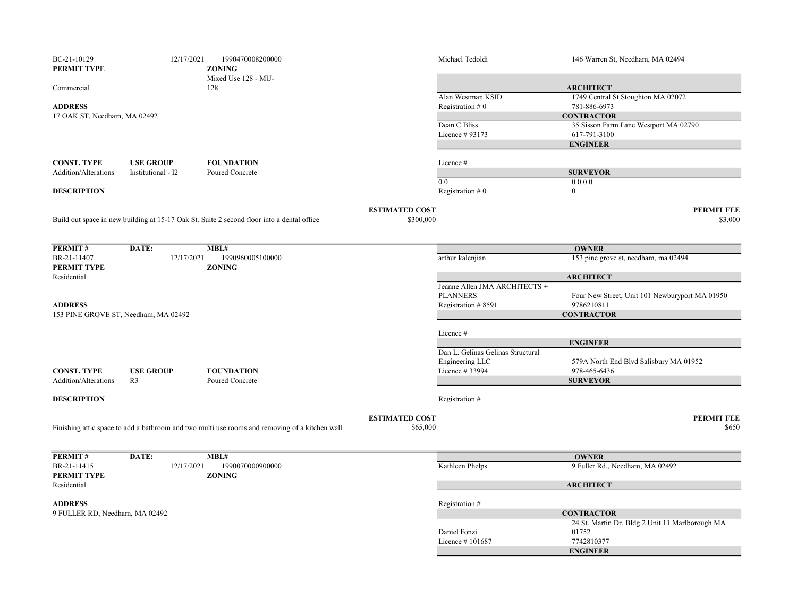| BC-21-10129<br>PERMIT TYPE     | 12/17/2021                           | 1990470008200000<br><b>ZONING</b>                                                              |                                    | Michael Tedoldi                        | 146 Warren St, Needham, MA 02494                      |
|--------------------------------|--------------------------------------|------------------------------------------------------------------------------------------------|------------------------------------|----------------------------------------|-------------------------------------------------------|
| Commercial                     |                                      | Mixed Use 128 - MU-<br>128                                                                     |                                    |                                        | <b>ARCHITECT</b>                                      |
| <b>ADDRESS</b>                 |                                      |                                                                                                |                                    | Alan Westman KSID<br>Registration $#0$ | 1749 Central St Stoughton MA 02072<br>781-886-6973    |
| 17 OAK ST, Needham, MA 02492   |                                      |                                                                                                |                                    |                                        | <b>CONTRACTOR</b>                                     |
|                                |                                      |                                                                                                |                                    | Dean C Bliss<br>Licence # 93173        | 35 Sisson Farm Lane Westport MA 02790<br>617-791-3100 |
|                                |                                      |                                                                                                |                                    |                                        | <b>ENGINEER</b>                                       |
| <b>CONST. TYPE</b>             | <b>USE GROUP</b>                     | <b>FOUNDATION</b>                                                                              |                                    | Licence #                              |                                                       |
| Addition/Alterations           | Institutional - I2                   | Poured Concrete                                                                                |                                    |                                        | <b>SURVEYOR</b>                                       |
| <b>DESCRIPTION</b>             |                                      |                                                                                                |                                    | 0 <sub>0</sub><br>Registration $#0$    | 0000<br>$\theta$                                      |
|                                |                                      | Build out space in new building at 15-17 Oak St. Suite 2 second floor into a dental office     | <b>ESTIMATED COST</b><br>\$300,000 |                                        | <b>PERMIT FEE</b><br>\$3,000                          |
|                                |                                      |                                                                                                |                                    |                                        |                                                       |
| PERMIT#                        | DATE:                                | MBL#                                                                                           |                                    |                                        | <b>OWNER</b>                                          |
| BR-21-11407                    | 12/17/2021                           | 1990960005100000                                                                               |                                    | arthur kalenjian                       | 153 pine grove st, needham, ma 02494                  |
| PERMIT TYPE<br>Residential     |                                      | <b>ZONING</b>                                                                                  |                                    |                                        | <b>ARCHITECT</b>                                      |
|                                |                                      |                                                                                                |                                    | Jeanne Allen JMA ARCHITECTS +          |                                                       |
|                                |                                      |                                                                                                |                                    | <b>PLANNERS</b>                        | Four New Street, Unit 101 Newburyport MA 01950        |
| <b>ADDRESS</b>                 |                                      |                                                                                                |                                    | Registration #8591                     | 9786210811                                            |
|                                | 153 PINE GROVE ST, Needham, MA 02492 |                                                                                                |                                    |                                        | <b>CONTRACTOR</b>                                     |
|                                |                                      |                                                                                                |                                    | Licence #                              |                                                       |
|                                |                                      |                                                                                                |                                    |                                        | <b>ENGINEER</b>                                       |
|                                |                                      |                                                                                                |                                    | Dan L. Gelinas Gelinas Structural      |                                                       |
|                                |                                      |                                                                                                |                                    | Engineering LLC                        | 579A North End Blvd Salisbury MA 01952                |
| <b>CONST. TYPE</b>             | <b>USE GROUP</b>                     | <b>FOUNDATION</b>                                                                              |                                    | Licence # 33994                        | 978-465-6436                                          |
| Addition/Alterations           | R <sub>3</sub>                       | Poured Concrete                                                                                |                                    |                                        | <b>SURVEYOR</b>                                       |
| <b>DESCRIPTION</b>             |                                      |                                                                                                |                                    | Registration #                         |                                                       |
|                                |                                      |                                                                                                | <b>ESTIMATED COST</b>              |                                        | <b>PERMIT FEE</b>                                     |
|                                |                                      | Finishing attic space to add a bathroom and two multi use rooms and removing of a kitchen wall | \$65,000                           |                                        | \$650                                                 |
|                                |                                      |                                                                                                |                                    |                                        |                                                       |
| PERMIT#                        | DATE:                                | MBL#                                                                                           |                                    |                                        | <b>OWNER</b>                                          |
| BR-21-11415<br>PERMIT TYPE     | 12/17/2021                           | 1990070000900000<br><b>ZONING</b>                                                              |                                    | Kathleen Phelps                        | 9 Fuller Rd., Needham, MA 02492                       |
| Residential                    |                                      |                                                                                                |                                    |                                        | <b>ARCHITECT</b>                                      |
| <b>ADDRESS</b>                 |                                      |                                                                                                |                                    | Registration #                         |                                                       |
| 9 FULLER RD, Needham, MA 02492 |                                      |                                                                                                |                                    |                                        | <b>CONTRACTOR</b>                                     |
|                                |                                      |                                                                                                |                                    |                                        | 24 St. Martin Dr. Bldg 2 Unit 11 Marlborough MA       |
|                                |                                      |                                                                                                |                                    | Daniel Fonzi<br>Licence #101687        | 01752<br>7742810377                                   |
|                                |                                      |                                                                                                |                                    |                                        | <b>ENGINEER</b>                                       |
|                                |                                      |                                                                                                |                                    |                                        |                                                       |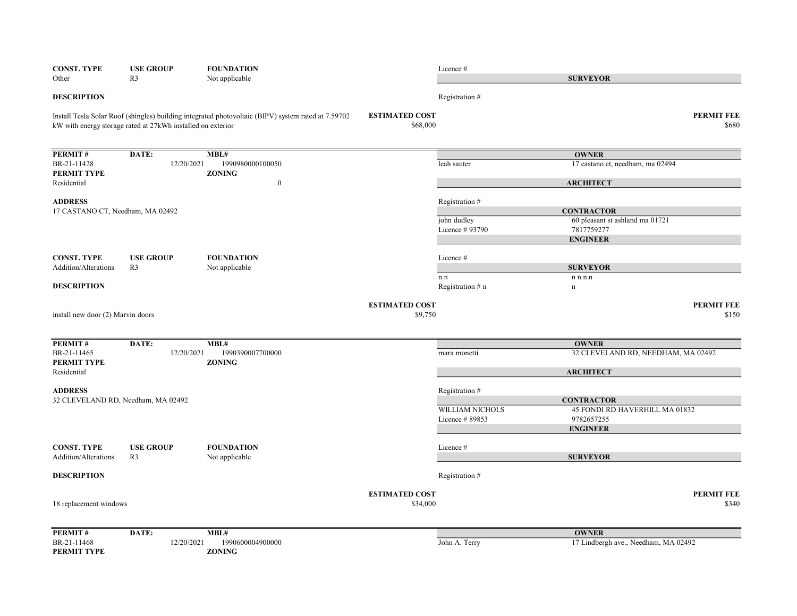| <b>CONST. TYPE</b><br>Other        | <b>USE GROUP</b><br>R <sub>3</sub>                          | <b>FOUNDATION</b><br>Not applicable                                                                 |                                   | Licence#                       | <b>SURVEYOR</b>                                     |
|------------------------------------|-------------------------------------------------------------|-----------------------------------------------------------------------------------------------------|-----------------------------------|--------------------------------|-----------------------------------------------------|
| <b>DESCRIPTION</b>                 |                                                             |                                                                                                     |                                   | Registration #                 |                                                     |
|                                    | kW with energy storage rated at 27kWh installed on exterior | Install Tesla Solar Roof (shingles) building integrated photovoltaic (BIPV) system rated at 7.59702 | <b>ESTIMATED COST</b><br>\$68,000 |                                | <b>PERMIT FEE</b><br>\$680                          |
| <b>PERMIT#</b>                     | DATE:                                                       | MBL#                                                                                                |                                   |                                | <b>OWNER</b>                                        |
| BR-21-11428                        | 12/20/2021                                                  | 1990980000100050                                                                                    |                                   | leah sauter                    | 17 castano ct, needham, ma 02494                    |
| PERMIT TYPE<br>Residential         |                                                             | <b>ZONING</b><br>$\boldsymbol{0}$                                                                   |                                   |                                | <b>ARCHITECT</b>                                    |
| <b>ADDRESS</b>                     |                                                             |                                                                                                     |                                   | Registration #                 |                                                     |
| 17 CASTANO CT, Needham, MA 02492   |                                                             |                                                                                                     |                                   |                                | <b>CONTRACTOR</b>                                   |
|                                    |                                                             |                                                                                                     |                                   | john dudley<br>Licence # 93790 | 60 pleasant st ashland ma 01721<br>7817759277       |
|                                    |                                                             |                                                                                                     |                                   |                                | <b>ENGINEER</b>                                     |
| <b>CONST. TYPE</b>                 | <b>USE GROUP</b>                                            | <b>FOUNDATION</b>                                                                                   |                                   | Licence #                      |                                                     |
| Addition/Alterations               | R <sub>3</sub>                                              | Not applicable                                                                                      |                                   |                                | <b>SURVEYOR</b>                                     |
|                                    |                                                             |                                                                                                     |                                   | $\mathbf n$ n                  | n n n                                               |
| <b>DESCRIPTION</b>                 |                                                             |                                                                                                     |                                   | Registration # n               | $\mathbf n$                                         |
| install new door (2) Marvin doors  |                                                             |                                                                                                     | <b>ESTIMATED COST</b><br>\$9,750  |                                | <b>PERMIT FEE</b><br>\$150                          |
| PERMIT#                            | DATE:                                                       | MBL#                                                                                                |                                   |                                | <b>OWNER</b>                                        |
| BR-21-11465<br>PERMIT TYPE         | 12/20/2021                                                  | 1990390007700000<br><b>ZONING</b>                                                                   |                                   | mara monetti                   | 32 CLEVELAND RD, NEEDHAM, MA 02492                  |
| Residential                        |                                                             |                                                                                                     |                                   |                                | <b>ARCHITECT</b>                                    |
| <b>ADDRESS</b>                     |                                                             |                                                                                                     |                                   | Registration #                 |                                                     |
| 32 CLEVELAND RD, Needham, MA 02492 |                                                             |                                                                                                     |                                   | <b>WILLIAM NICHOLS</b>         | <b>CONTRACTOR</b><br>45 FONDI RD HAVERHILL MA 01832 |
|                                    |                                                             |                                                                                                     |                                   | Licence #89853                 | 9782657255                                          |
|                                    |                                                             |                                                                                                     |                                   |                                | <b>ENGINEER</b>                                     |
| <b>CONST. TYPE</b>                 | <b>USE GROUP</b>                                            | <b>FOUNDATION</b>                                                                                   |                                   | Licence#                       |                                                     |
| <b>Addition/Alterations</b>        | R <sub>3</sub>                                              | Not applicable                                                                                      |                                   |                                | <b>SURVEYOR</b>                                     |
| <b>DESCRIPTION</b>                 |                                                             |                                                                                                     |                                   | Registration #                 |                                                     |
|                                    |                                                             |                                                                                                     | <b>ESTIMATED COST</b>             |                                | <b>PERMIT FEE</b>                                   |
| 18 replacement windows             |                                                             |                                                                                                     | \$34,000                          |                                | \$340                                               |
| PERMIT#                            | DATE:                                                       | MBL#                                                                                                |                                   |                                | <b>OWNER</b>                                        |
| BR-21-11468<br>PERMIT TYPE         | 12/20/2021                                                  | 1990600004900000<br><b>ZONING</b>                                                                   |                                   | John A. Terry                  | 17 Lindbergh ave., Needham, MA 02492                |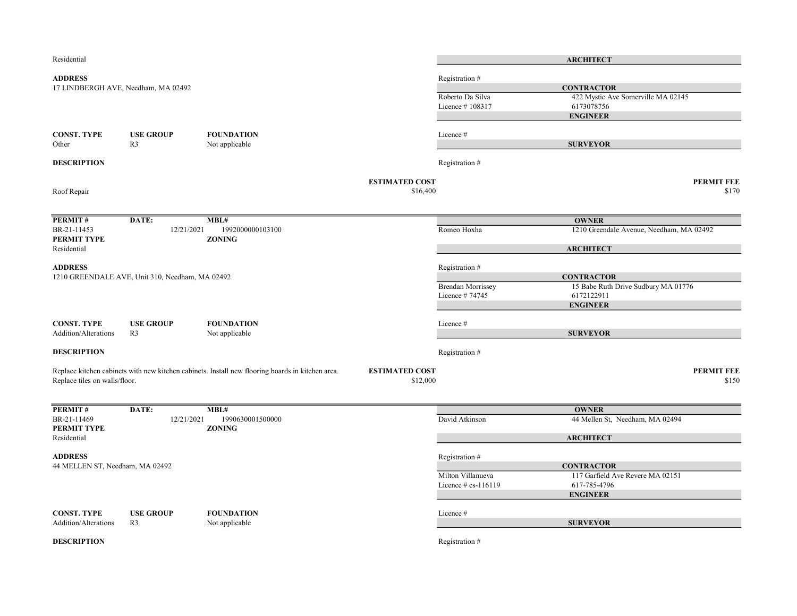| Residential                     |                                                 |                                                                                                  |                       |                          | <b>ARCHITECT</b>                         |
|---------------------------------|-------------------------------------------------|--------------------------------------------------------------------------------------------------|-----------------------|--------------------------|------------------------------------------|
| <b>ADDRESS</b>                  |                                                 |                                                                                                  |                       | Registration #           |                                          |
|                                 | 17 LINDBERGH AVE, Needham, MA 02492             |                                                                                                  |                       |                          | <b>CONTRACTOR</b>                        |
|                                 |                                                 |                                                                                                  |                       | Roberto Da Silva         | 422 Mystic Ave Somerville MA 02145       |
|                                 |                                                 |                                                                                                  |                       | Licence #108317          | 6173078756                               |
|                                 |                                                 |                                                                                                  |                       |                          | <b>ENGINEER</b>                          |
|                                 |                                                 |                                                                                                  |                       |                          |                                          |
| <b>CONST. TYPE</b>              | <b>USE GROUP</b>                                | <b>FOUNDATION</b>                                                                                |                       | Licence #                |                                          |
| Other                           | R <sub>3</sub>                                  | Not applicable                                                                                   |                       |                          | <b>SURVEYOR</b>                          |
| <b>DESCRIPTION</b>              |                                                 |                                                                                                  |                       | Registration #           |                                          |
|                                 |                                                 |                                                                                                  | <b>ESTIMATED COST</b> |                          | <b>PERMIT FEE</b>                        |
| Roof Repair                     |                                                 |                                                                                                  | \$16,400              |                          | \$170                                    |
| PERMIT#                         | DATE:                                           | MBL#                                                                                             |                       |                          | <b>OWNER</b>                             |
| BR-21-11453                     | 12/21/2021                                      | 1992000000103100                                                                                 |                       | Romeo Hoxha              | 1210 Greendale Avenue, Needham, MA 02492 |
| PERMIT TYPE                     |                                                 | <b>ZONING</b>                                                                                    |                       |                          |                                          |
| Residential                     |                                                 |                                                                                                  |                       |                          | <b>ARCHITECT</b>                         |
| <b>ADDRESS</b>                  |                                                 |                                                                                                  |                       | Registration #           |                                          |
|                                 | 1210 GREENDALE AVE, Unit 310, Needham, MA 02492 |                                                                                                  |                       |                          | <b>CONTRACTOR</b>                        |
|                                 |                                                 |                                                                                                  |                       | <b>Brendan Morrissey</b> | 15 Babe Ruth Drive Sudbury MA 01776      |
|                                 |                                                 |                                                                                                  |                       | Licence #74745           | 6172122911                               |
|                                 |                                                 |                                                                                                  |                       |                          | <b>ENGINEER</b>                          |
|                                 |                                                 |                                                                                                  |                       |                          |                                          |
| <b>CONST. TYPE</b>              | <b>USE GROUP</b>                                | <b>FOUNDATION</b>                                                                                |                       | Licence #                |                                          |
| Addition/Alterations            | R <sub>3</sub>                                  | Not applicable                                                                                   |                       |                          | <b>SURVEYOR</b>                          |
| <b>DESCRIPTION</b>              |                                                 |                                                                                                  |                       | Registration #           |                                          |
|                                 |                                                 | Replace kitchen cabinets with new kitchen cabinets. Install new flooring boards in kitchen area. | <b>ESTIMATED COST</b> |                          | <b>PERMIT FEE</b>                        |
| Replace tiles on walls/floor.   |                                                 |                                                                                                  | \$12,000              |                          | \$150                                    |
|                                 |                                                 |                                                                                                  |                       |                          |                                          |
| PERMIT#                         | DATE:                                           | MBL#                                                                                             |                       |                          | <b>OWNER</b>                             |
| BR-21-11469                     | 12/21/2021                                      | 1990630001500000                                                                                 |                       | David Atkinson           | 44 Mellen St, Needham, MA 02494          |
| PERMIT TYPE<br>Residential      |                                                 | <b>ZONING</b>                                                                                    |                       |                          | <b>ARCHITECT</b>                         |
|                                 |                                                 |                                                                                                  |                       |                          |                                          |
| <b>ADDRESS</b>                  |                                                 |                                                                                                  |                       | Registration #           |                                          |
| 44 MELLEN ST, Needham, MA 02492 |                                                 |                                                                                                  |                       |                          | <b>CONTRACTOR</b>                        |
|                                 |                                                 |                                                                                                  |                       | Milton Villanueva        | 117 Garfield Ave Revere MA 02151         |
|                                 |                                                 |                                                                                                  |                       | Licence $\#$ cs-116119   | 617-785-4796                             |
|                                 |                                                 |                                                                                                  |                       |                          | <b>ENGINEER</b>                          |
| <b>CONST. TYPE</b>              | <b>USE GROUP</b>                                | <b>FOUNDATION</b>                                                                                |                       | Licence #                |                                          |
| Addition/Alterations            | R <sub>3</sub>                                  | Not applicable                                                                                   |                       |                          | <b>SURVEYOR</b>                          |
|                                 |                                                 |                                                                                                  |                       |                          |                                          |
| <b>DESCRIPTION</b>              |                                                 |                                                                                                  |                       | Registration #           |                                          |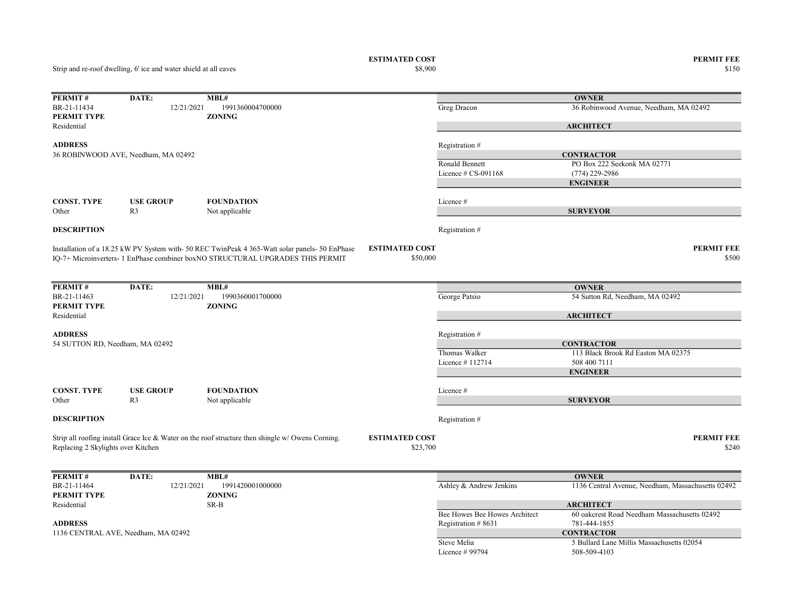ESTIMATED COST PERMIT FEE<br>  $$8,900$  8150  $$8,900$   $$150$ 

| PERMIT#                            | DATE:                               | MBL#                                                                                             |                               | <b>OWNER</b>                                      |
|------------------------------------|-------------------------------------|--------------------------------------------------------------------------------------------------|-------------------------------|---------------------------------------------------|
| BR-21-11434                        | 12/21/2021                          | 1991360004700000                                                                                 | Greg Dracon                   | 36 Robinwood Avenue, Needham, MA 02492            |
| PERMIT TYPE                        |                                     | <b>ZONING</b>                                                                                    |                               |                                                   |
| Residential                        |                                     |                                                                                                  |                               | <b>ARCHITECT</b>                                  |
|                                    |                                     |                                                                                                  |                               |                                                   |
| <b>ADDRESS</b>                     |                                     |                                                                                                  | Registration #                |                                                   |
|                                    | 36 ROBINWOOD AVE, Needham, MA 02492 |                                                                                                  |                               | <b>CONTRACTOR</b>                                 |
|                                    |                                     |                                                                                                  | Ronald Bennett                | PO Box 222 Seekonk MA 02771                       |
|                                    |                                     |                                                                                                  | Licence $\#$ CS-091168        | $(774)$ 229-2986                                  |
|                                    |                                     |                                                                                                  |                               | <b>ENGINEER</b>                                   |
| <b>CONST. TYPE</b>                 | <b>USE GROUP</b>                    | <b>FOUNDATION</b>                                                                                | Licence #                     |                                                   |
| Other                              | R3                                  | Not applicable                                                                                   |                               | <b>SURVEYOR</b>                                   |
|                                    |                                     |                                                                                                  |                               |                                                   |
| <b>DESCRIPTION</b>                 |                                     |                                                                                                  | Registration #                |                                                   |
|                                    |                                     | Installation of a 18.25 kW PV System with- 50 REC TwinPeak 4 365-Watt solar panels- 50 EnPhase   | <b>ESTIMATED COST</b>         | <b>PERMIT FEE</b>                                 |
|                                    |                                     | IQ-7+ Microinverters- 1 EnPhase combiner boxNO STRUCTURAL UPGRADES THIS PERMIT                   | \$50,000                      | \$500                                             |
|                                    |                                     |                                                                                                  |                               |                                                   |
|                                    |                                     | MBL#                                                                                             |                               |                                                   |
| PERMIT#<br>BR-21-11463             | DATE:<br>12/21/2021                 | 1990360001700000                                                                                 |                               | <b>OWNER</b>                                      |
| PERMIT TYPE                        |                                     | <b>ZONING</b>                                                                                    | George Patsio                 | 54 Sutton Rd, Needham, MA 02492                   |
| Residential                        |                                     |                                                                                                  |                               | <b>ARCHITECT</b>                                  |
|                                    |                                     |                                                                                                  |                               |                                                   |
| <b>ADDRESS</b>                     |                                     |                                                                                                  | Registration #                |                                                   |
| 54 SUTTON RD, Needham, MA 02492    |                                     |                                                                                                  |                               | <b>CONTRACTOR</b>                                 |
|                                    |                                     |                                                                                                  | Thomas Walker                 | 113 Black Brook Rd Easton MA 02375                |
|                                    |                                     |                                                                                                  | Licence #112714               | 508 400 7111                                      |
|                                    |                                     |                                                                                                  |                               | <b>ENGINEER</b>                                   |
|                                    |                                     |                                                                                                  |                               |                                                   |
| <b>CONST. TYPE</b>                 | <b>USE GROUP</b>                    | <b>FOUNDATION</b>                                                                                | Licence #                     |                                                   |
| Other                              | R <sub>3</sub>                      | Not applicable                                                                                   |                               | <b>SURVEYOR</b>                                   |
| <b>DESCRIPTION</b>                 |                                     |                                                                                                  | Registration #                |                                                   |
|                                    |                                     |                                                                                                  |                               |                                                   |
|                                    |                                     | Strip all roofing install Grace Ice & Water on the roof structure then shingle w/ Owens Corning. | <b>ESTIMATED COST</b>         | <b>PERMIT FEE</b>                                 |
| Replacing 2 Skylights over Kitchen |                                     |                                                                                                  | \$23,700                      | \$240                                             |
|                                    |                                     |                                                                                                  |                               |                                                   |
| PERMIT#                            | DATE:                               | MBL#                                                                                             |                               | <b>OWNER</b>                                      |
| BR-21-11464                        | 12/21/2021                          | 1991420001000000                                                                                 | Ashley & Andrew Jenkins       | 1136 Central Avenue, Needham, Massachusetts 02492 |
| PERMIT TYPE                        |                                     | <b>ZONING</b>                                                                                    |                               |                                                   |
| Residential                        |                                     | SR-B                                                                                             |                               | <b>ARCHITECT</b>                                  |
|                                    |                                     |                                                                                                  | Bee Howes Bee Howes Architect | 60 oakcrest Road Needham Massachusetts 02492      |
| <b>ADDRESS</b>                     |                                     |                                                                                                  |                               | 781-444-1855                                      |
|                                    | 1136 CENTRAL AVE, Needham, MA 02492 |                                                                                                  | Registration #8631            | <b>CONTRACTOR</b>                                 |
|                                    |                                     |                                                                                                  | Steve Melia                   | 5 Bullard Lane Millis Massachusetts 02054         |
|                                    |                                     |                                                                                                  | Licence # 99794               | 508-509-4103                                      |
|                                    |                                     |                                                                                                  |                               |                                                   |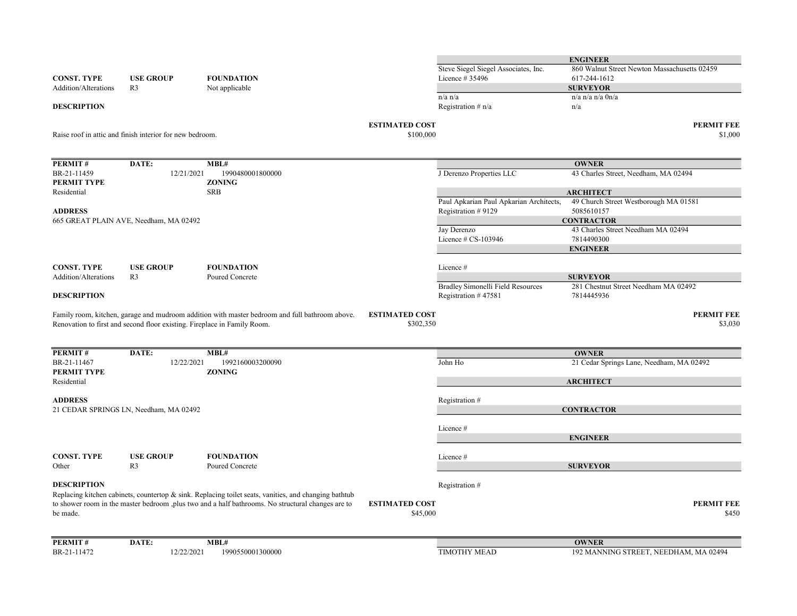|                             |                                                                          |                                                                                                          |                                    |                                                          | <b>ENGINEER</b>                                    |
|-----------------------------|--------------------------------------------------------------------------|----------------------------------------------------------------------------------------------------------|------------------------------------|----------------------------------------------------------|----------------------------------------------------|
| <b>CONST. TYPE</b>          | <b>USE GROUP</b>                                                         | <b>FOUNDATION</b>                                                                                        |                                    | Steve Siegel Siegel Associates, Inc.<br>Licence # 35496  | 860 Walnut Street Newton Massachusetts 02459       |
| Addition/Alterations        | R <sub>3</sub>                                                           | Not applicable                                                                                           |                                    |                                                          | 617-244-1612<br><b>SURVEYOR</b>                    |
|                             |                                                                          |                                                                                                          |                                    | $n/a$ $n/a$                                              | $n/a$ n/a n/a $0n/a$                               |
| <b>DESCRIPTION</b>          |                                                                          |                                                                                                          |                                    | Registration $# n/a$                                     | n/a                                                |
|                             |                                                                          |                                                                                                          | <b>ESTIMATED COST</b>              |                                                          | <b>PERMIT FEE</b>                                  |
|                             | Raise roof in attic and finish interior for new bedroom.                 |                                                                                                          | \$100,000                          |                                                          | \$1,000                                            |
| <b>PERMIT#</b>              | DATE:                                                                    | MBL#                                                                                                     |                                    |                                                          | <b>OWNER</b>                                       |
| BR-21-11459                 | 12/21/2021                                                               | 1990480001800000                                                                                         |                                    | J Derenzo Properties LLC                                 | 43 Charles Street, Needham, MA 02494               |
| PERMIT TYPE                 |                                                                          | <b>ZONING</b>                                                                                            |                                    |                                                          |                                                    |
| Residential                 |                                                                          | <b>SRB</b>                                                                                               |                                    |                                                          | <b>ARCHITECT</b>                                   |
|                             |                                                                          |                                                                                                          |                                    | Paul Apkarian Paul Apkarian Architects,                  | 49 Church Street Westborough MA 01581              |
| <b>ADDRESS</b>              |                                                                          |                                                                                                          |                                    | Registration #9129                                       | 5085610157                                         |
|                             | 665 GREAT PLAIN AVE, Needham, MA 02492                                   |                                                                                                          |                                    |                                                          | <b>CONTRACTOR</b>                                  |
|                             |                                                                          |                                                                                                          |                                    | Jay Derenzo                                              | 43 Charles Street Needham MA 02494                 |
|                             |                                                                          |                                                                                                          |                                    | Licence $# CS-103946$                                    | 7814490300<br><b>ENGINEER</b>                      |
|                             |                                                                          |                                                                                                          |                                    |                                                          |                                                    |
| <b>CONST. TYPE</b>          | <b>USE GROUP</b>                                                         | <b>FOUNDATION</b>                                                                                        |                                    | Licence #                                                |                                                    |
| <b>Addition/Alterations</b> | R <sub>3</sub>                                                           | Poured Concrete                                                                                          |                                    |                                                          | <b>SURVEYOR</b>                                    |
| <b>DESCRIPTION</b>          |                                                                          |                                                                                                          |                                    | Bradley Simonelli Field Resources<br>Registration #47581 | 281 Chestnut Street Needham MA 02492<br>7814445936 |
|                             |                                                                          |                                                                                                          |                                    |                                                          |                                                    |
|                             | Renovation to first and second floor existing. Fireplace in Family Room. | Family room, kitchen, garage and mudroom addition with master bedroom and full bathroom above.           | <b>ESTIMATED COST</b><br>\$302,350 |                                                          | <b>PERMIT FEE</b><br>\$3,030                       |
| PERMIT#                     | DATE:                                                                    | MBL#                                                                                                     |                                    |                                                          | <b>OWNER</b>                                       |
| BR-21-11467                 | 12/22/2021                                                               | 1992160003200090                                                                                         |                                    | John Ho                                                  | 21 Cedar Springs Lane, Needham, MA 02492           |
| PERMIT TYPE                 |                                                                          | <b>ZONING</b>                                                                                            |                                    |                                                          |                                                    |
| Residential                 |                                                                          |                                                                                                          |                                    |                                                          | <b>ARCHITECT</b>                                   |
|                             |                                                                          |                                                                                                          |                                    |                                                          |                                                    |
| <b>ADDRESS</b>              |                                                                          |                                                                                                          |                                    | Registration #                                           |                                                    |
|                             | 21 CEDAR SPRINGS LN, Needham, MA 02492                                   |                                                                                                          |                                    |                                                          | <b>CONTRACTOR</b>                                  |
|                             |                                                                          |                                                                                                          |                                    | Licence #                                                |                                                    |
|                             |                                                                          |                                                                                                          |                                    |                                                          | <b>ENGINEER</b>                                    |
|                             |                                                                          |                                                                                                          |                                    |                                                          |                                                    |
| <b>CONST. TYPE</b>          | <b>USE GROUP</b>                                                         | <b>FOUNDATION</b>                                                                                        |                                    | Licence #                                                |                                                    |
| Other                       | R <sub>3</sub>                                                           | Poured Concrete                                                                                          |                                    |                                                          | <b>SURVEYOR</b>                                    |
| <b>DESCRIPTION</b>          |                                                                          |                                                                                                          |                                    | Registration #                                           |                                                    |
|                             |                                                                          | Replacing kitchen cabinets, countertop $\&$ sink. Replacing toilet seats, vanities, and changing bathtub |                                    |                                                          |                                                    |
|                             |                                                                          | to shower room in the master bedroom ,plus two and a half bathrooms. No structural changes are to        | <b>ESTIMATED COST</b>              |                                                          | <b>PERMIT FEE</b>                                  |
| be made.                    |                                                                          |                                                                                                          | \$45,000                           |                                                          | \$450                                              |
| PERMIT#                     | DATE:                                                                    | MBL#                                                                                                     |                                    |                                                          | <b>OWNER</b>                                       |
| BR-21-11472                 | 12/22/2021                                                               | 1990550001300000                                                                                         |                                    | <b>TIMOTHY MEAD</b>                                      | 192 MANNING STREET, NEEDHAM, MA 02494              |
|                             |                                                                          |                                                                                                          |                                    |                                                          |                                                    |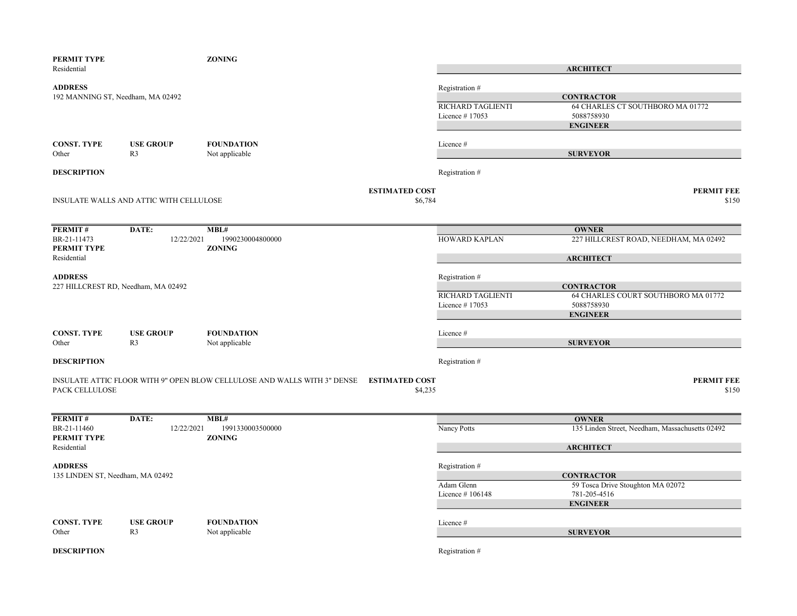| PERMIT TYPE                         |                                         | <b>ZONING</b>                                                            |                       |                   |                                                        |
|-------------------------------------|-----------------------------------------|--------------------------------------------------------------------------|-----------------------|-------------------|--------------------------------------------------------|
| Residential                         |                                         |                                                                          |                       |                   | <b>ARCHITECT</b>                                       |
| <b>ADDRESS</b>                      |                                         |                                                                          |                       | Registration#     |                                                        |
| 192 MANNING ST, Needham, MA 02492   |                                         |                                                                          |                       |                   | <b>CONTRACTOR</b>                                      |
|                                     |                                         |                                                                          |                       | RICHARD TAGLIENTI | 64 CHARLES CT SOUTHBORO MA 01772                       |
|                                     |                                         |                                                                          |                       | Licence $#17053$  | 5088758930                                             |
|                                     |                                         |                                                                          |                       |                   | <b>ENGINEER</b>                                        |
| <b>CONST. TYPE</b>                  | <b>USE GROUP</b>                        | <b>FOUNDATION</b>                                                        |                       | Licence #         |                                                        |
| Other                               | R <sub>3</sub>                          | Not applicable                                                           |                       |                   | <b>SURVEYOR</b>                                        |
|                                     |                                         |                                                                          |                       |                   |                                                        |
| <b>DESCRIPTION</b>                  |                                         |                                                                          |                       | Registration #    |                                                        |
|                                     |                                         |                                                                          |                       |                   |                                                        |
|                                     |                                         |                                                                          | <b>ESTIMATED COST</b> |                   | <b>PERMIT FEE</b>                                      |
|                                     | INSULATE WALLS AND ATTIC WITH CELLULOSE |                                                                          | \$6,784               |                   | \$150                                                  |
|                                     |                                         |                                                                          |                       |                   |                                                        |
| PERMIT #                            | DATE:                                   | MBL#                                                                     |                       |                   | <b>OWNER</b>                                           |
| BR-21-11473                         | 12/22/2021                              | 1990230004800000                                                         |                       | HOWARD KAPLAN     | 227 HILLCREST ROAD, NEEDHAM, MA 02492                  |
| PERMIT TYPE                         |                                         | <b>ZONING</b>                                                            |                       |                   |                                                        |
| Residential                         |                                         |                                                                          |                       |                   | <b>ARCHITECT</b>                                       |
| <b>ADDRESS</b>                      |                                         |                                                                          |                       | Registration #    |                                                        |
| 227 HILLCREST RD, Needham, MA 02492 |                                         |                                                                          |                       |                   | <b>CONTRACTOR</b>                                      |
|                                     |                                         |                                                                          |                       | RICHARD TAGLIENTI | 64 CHARLES COURT SOUTHBORO MA 01772                    |
|                                     |                                         |                                                                          |                       | Licence #17053    | 5088758930                                             |
|                                     |                                         |                                                                          |                       |                   | <b>ENGINEER</b>                                        |
|                                     |                                         |                                                                          |                       |                   |                                                        |
| <b>CONST. TYPE</b>                  | <b>USE GROUP</b>                        | <b>FOUNDATION</b>                                                        |                       | Licence #         |                                                        |
| Other                               | R <sub>3</sub>                          | Not applicable                                                           |                       |                   | <b>SURVEYOR</b>                                        |
| <b>DESCRIPTION</b>                  |                                         |                                                                          |                       | Registration #    |                                                        |
|                                     |                                         |                                                                          |                       |                   |                                                        |
|                                     |                                         | INSULATE ATTIC FLOOR WITH 9" OPEN BLOW CELLULOSE AND WALLS WITH 3" DENSE | <b>ESTIMATED COST</b> |                   | <b>PERMIT FEE</b>                                      |
| PACK CELLULOSE                      |                                         |                                                                          | \$4,235               |                   | \$150                                                  |
|                                     |                                         |                                                                          |                       |                   |                                                        |
| <b>PERMIT#</b>                      | DATE:                                   | MBL#                                                                     |                       |                   | <b>OWNER</b>                                           |
| BR-21-11460                         | 12/22/2021                              | 1991330003500000                                                         |                       | Nancy Potts       | 135 Linden Street, Needham, Massachusetts 02492        |
| PERMIT TYPE                         |                                         | <b>ZONING</b>                                                            |                       |                   |                                                        |
| Residential                         |                                         |                                                                          |                       |                   | <b>ARCHITECT</b>                                       |
|                                     |                                         |                                                                          |                       |                   |                                                        |
| <b>ADDRESS</b>                      |                                         |                                                                          |                       | Registration #    |                                                        |
| 135 LINDEN ST, Needham, MA 02492    |                                         |                                                                          |                       | Adam Glenn        | <b>CONTRACTOR</b><br>59 Tosca Drive Stoughton MA 02072 |
|                                     |                                         |                                                                          |                       | Licence #106148   | 781-205-4516                                           |
|                                     |                                         |                                                                          |                       |                   | <b>ENGINEER</b>                                        |
|                                     |                                         |                                                                          |                       |                   |                                                        |
| <b>CONST. TYPE</b>                  | <b>USE GROUP</b>                        | <b>FOUNDATION</b>                                                        |                       | Licence #         |                                                        |
| Other                               | R <sub>3</sub>                          | Not applicable                                                           |                       |                   | <b>SURVEYOR</b>                                        |
|                                     |                                         |                                                                          |                       |                   |                                                        |
| <b>DESCRIPTION</b>                  |                                         |                                                                          |                       | Registration #    |                                                        |
|                                     |                                         |                                                                          |                       |                   |                                                        |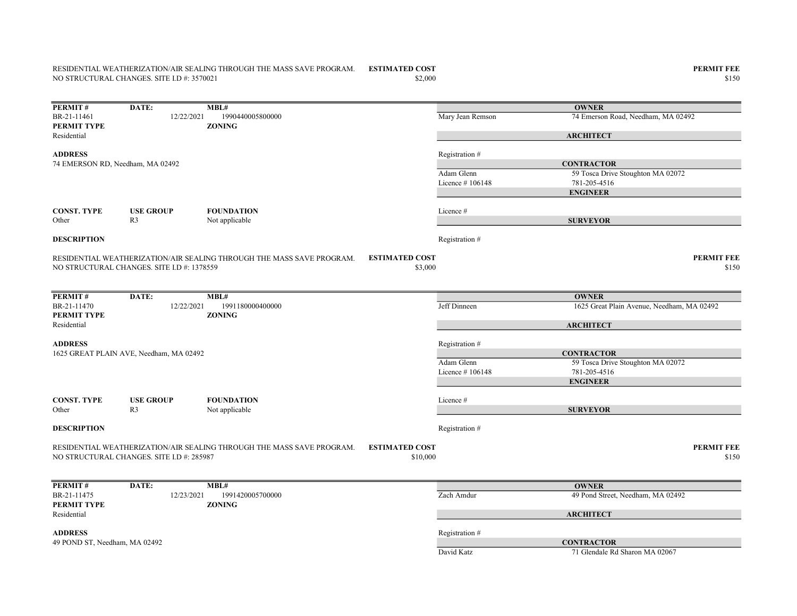## RESIDENTIAL WEATHERIZATION/AIR SEALING THROUGH THE MASS SAVE PROGRAM. NO STRUCTURAL CHANGES. SITE I.D #: 3570021

**PERMIT#** DATE: MBL#<br>BR-21-11461 12/22/2021 1990440005800000 12/22/2021 1990440005800000 Mary Jean Remson 74 Emerson Road, Needham, MA 02492 PERMIT TYPE ZONING Residential ADDRESS Registration # Adam Glenn 59 Tosca Drive Stoughton MA 02072 Licence # 106148 781-205-4516 CONST. TYPE USE GROUP FOUNDATION Licence # Other R3 Not applicable **DESCRIPTION** Registration  $#$ ESTIMATED COST PERMIT FEE  $\$3,000$   $\$150$ **PERMIT#** DATE: MBL#<br>BR-21-11470 12/22/2021 1991180000400000 12/22/2021 1991180000400000 Jeff Dinneen 1625 Great Plain Avenue, Needham, MA 02492 PERMIT TYPE ZONING Residential ADDRESS Registration # Adam Glenn 59 Tosca Drive Stoughton MA 02072 Licence # 106148 781-205-4516 CONST. TYPE USE GROUP FOUNDATION Licence # Other R3 Not applicable **DESCRIPTION** Registration  $#$ ESTIMATED COST PERMIT FEE  $$10,000$   $$150$ **PERMIT#** DATE: MBL#<br>BR-21-11475 12/23/2021 1991420005700000 1991420005700000 **Zach Amdur** 49 Pond Street, Needham, MA 02492<br>**ZONING** PERMIT TYPE Residential ADDRESS Registration # David Katz 71 Glendale Rd Sharon MA 02067 RESIDENTIAL WEATHERIZATION/AIR SEALING THROUGH THE MASS SAVE PROGRAM. NO STRUCTURAL CHANGES. SITE I.D #: 1378559 **OWNER ARCHITECT CONTRACTOR** ENGINEER SURVEYOR 1625 GREAT PLAIN AVE, Needham, MA 02492 **OWNER ARCHITECT CONTRACTOR** ENGINEER SURVEYOR 74 EMERSON RD, Needham, MA 02492 RESIDENTIAL WEATHERIZATION/AIR SEALING THROUGH THE MASS SAVE PROGRAM. NO STRUCTURAL CHANGES. SITE I.D #: 285987 **OWNER ARCHITECT** 49 POND ST, Needham, MA 02492 CONTRACTOR

 $$150$   $$150$ 

ESTIMATED COST PERMIT FEE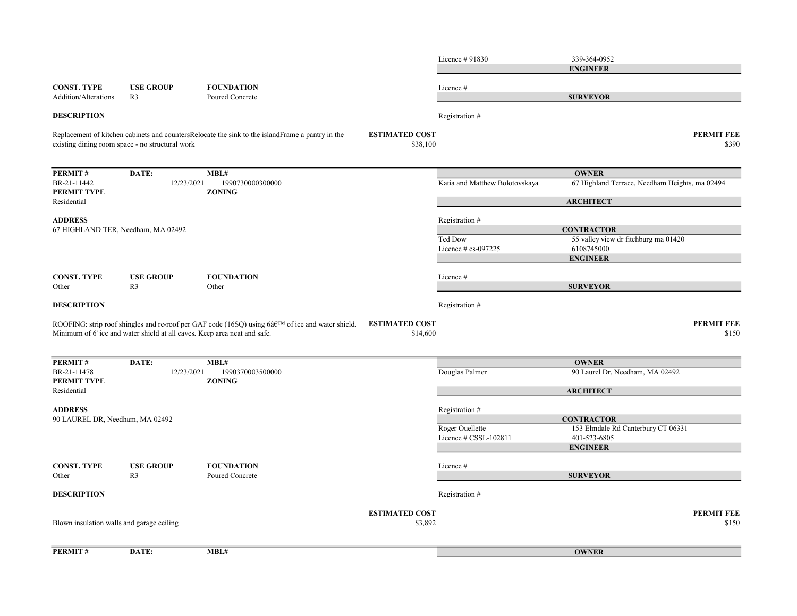|                                                   |                                                                           |                                                                                                      |                                   | Licence # 91830                          | 339-364-0952<br><b>ENGINEER</b>                                                            |                            |
|---------------------------------------------------|---------------------------------------------------------------------------|------------------------------------------------------------------------------------------------------|-----------------------------------|------------------------------------------|--------------------------------------------------------------------------------------------|----------------------------|
| <b>CONST. TYPE</b><br>Addition/Alterations        | <b>USE GROUP</b><br>R <sub>3</sub>                                        | <b>FOUNDATION</b><br>Poured Concrete                                                                 |                                   | Licence #                                | <b>SURVEYOR</b>                                                                            |                            |
| <b>DESCRIPTION</b>                                |                                                                           |                                                                                                      |                                   | Registration #                           |                                                                                            |                            |
|                                                   | existing dining room space - no structural work                           | Replacement of kitchen cabinets and countersRelocate the sink to the islandFrame a pantry in the     | <b>ESTIMATED COST</b><br>\$38,100 |                                          |                                                                                            | <b>PERMIT FEE</b><br>\$390 |
| PERMIT#<br>BR-21-11442<br>PERMIT TYPE             | DATE:<br>12/23/2021                                                       | MBL#<br>1990730000300000<br><b>ZONING</b>                                                            |                                   | Katia and Matthew Bolotovskaya           | <b>OWNER</b><br>67 Highland Terrace, Needham Heights, ma 02494                             |                            |
| Residential                                       |                                                                           |                                                                                                      |                                   |                                          | <b>ARCHITECT</b>                                                                           |                            |
| <b>ADDRESS</b>                                    |                                                                           |                                                                                                      |                                   | Registration #                           |                                                                                            |                            |
| 67 HIGHLAND TER, Needham, MA 02492                |                                                                           |                                                                                                      |                                   | Ted Dow<br>Licence # cs-097225           | <b>CONTRACTOR</b><br>55 valley view dr fitchburg ma 01420<br>6108745000<br><b>ENGINEER</b> |                            |
| <b>CONST. TYPE</b><br>Other                       | <b>USE GROUP</b><br>R <sub>3</sub>                                        | <b>FOUNDATION</b><br>Other                                                                           |                                   | Licence #                                | <b>SURVEYOR</b>                                                                            |                            |
| <b>DESCRIPTION</b>                                |                                                                           |                                                                                                      |                                   | Registration #                           |                                                                                            |                            |
|                                                   | Minimum of 6' ice and water shield at all eaves. Keep area neat and safe. | ROOFING: strip roof shingles and re-roof per GAF code (16SQ) using $6â$ eTM of ice and water shield. | <b>ESTIMATED COST</b><br>\$14,600 |                                          |                                                                                            | <b>PERMIT FEE</b><br>\$150 |
| <b>PERMIT#</b>                                    | DATE:                                                                     | MBL#                                                                                                 |                                   |                                          | <b>OWNER</b>                                                                               |                            |
| BR-21-11478<br>PERMIT TYPE                        | 12/23/2021                                                                | 1990370003500000<br><b>ZONING</b>                                                                    |                                   | Douglas Palmer                           | 90 Laurel Dr, Needham, MA 02492                                                            |                            |
| Residential                                       |                                                                           |                                                                                                      |                                   |                                          | <b>ARCHITECT</b>                                                                           |                            |
| <b>ADDRESS</b><br>90 LAUREL DR, Needham, MA 02492 |                                                                           |                                                                                                      |                                   | Registration #                           | <b>CONTRACTOR</b>                                                                          |                            |
|                                                   |                                                                           |                                                                                                      |                                   | Roger Ouellette<br>Licence # CSSL-102811 | 153 Elmdale Rd Canterbury CT 06331<br>401-523-6805<br><b>ENGINEER</b>                      |                            |
| <b>CONST. TYPE</b>                                | <b>USE GROUP</b><br>R <sub>3</sub>                                        | <b>FOUNDATION</b><br>Poured Concrete                                                                 |                                   | Licence#                                 | <b>SURVEYOR</b>                                                                            |                            |
| Other<br><b>DESCRIPTION</b>                       |                                                                           |                                                                                                      |                                   | Registration #                           |                                                                                            |                            |
|                                                   |                                                                           |                                                                                                      |                                   |                                          |                                                                                            |                            |
| Blown insulation walls and garage ceiling         |                                                                           |                                                                                                      | <b>ESTIMATED COST</b><br>\$3,892  |                                          |                                                                                            | <b>PERMIT FEE</b><br>\$150 |
| <b>PERMIT#</b>                                    | DATE:                                                                     | MBL#                                                                                                 |                                   |                                          | <b>OWNER</b>                                                                               |                            |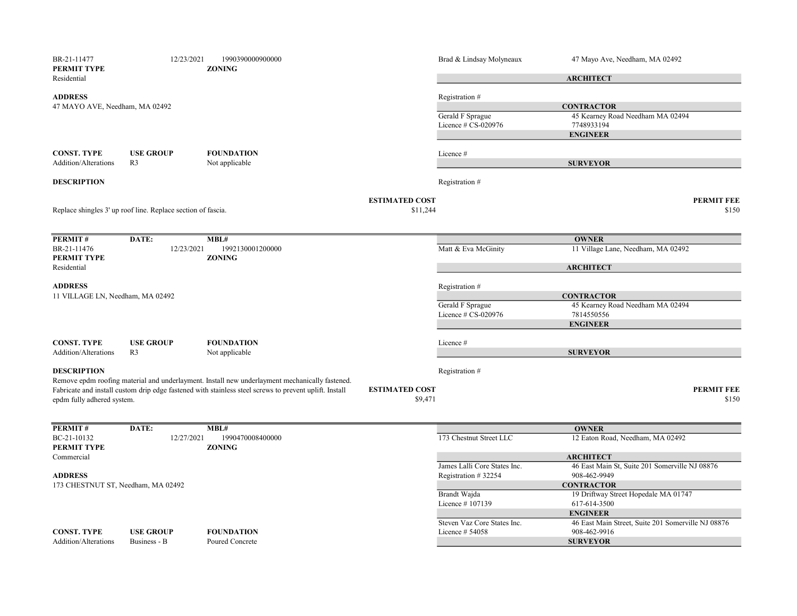| BR-21-11477<br>PERMIT TYPE                        | 12/23/2021                                                   | 1990390000900000<br><b>ZONING</b>                                                                                                                                                                        |                                  | Brad & Lindsay Molyneaux                            | 47 Mayo Ave, Needham, MA 02492                                    |
|---------------------------------------------------|--------------------------------------------------------------|----------------------------------------------------------------------------------------------------------------------------------------------------------------------------------------------------------|----------------------------------|-----------------------------------------------------|-------------------------------------------------------------------|
| Residential                                       |                                                              |                                                                                                                                                                                                          |                                  |                                                     | <b>ARCHITECT</b>                                                  |
| <b>ADDRESS</b><br>47 MAYO AVE, Needham, MA 02492  |                                                              |                                                                                                                                                                                                          |                                  | Registration #                                      | <b>CONTRACTOR</b>                                                 |
|                                                   |                                                              |                                                                                                                                                                                                          |                                  | Gerald F Sprague<br>Licence # CS-020976             | 45 Kearney Road Needham MA 02494<br>7748933194<br><b>ENGINEER</b> |
| <b>CONST. TYPE</b><br><b>Addition/Alterations</b> | <b>USE GROUP</b><br>R <sub>3</sub>                           | <b>FOUNDATION</b><br>Not applicable                                                                                                                                                                      |                                  | Licence #                                           | <b>SURVEYOR</b>                                                   |
| <b>DESCRIPTION</b>                                |                                                              |                                                                                                                                                                                                          |                                  | Registration #                                      |                                                                   |
|                                                   |                                                              |                                                                                                                                                                                                          | <b>ESTIMATED COST</b>            |                                                     | <b>PERMIT FEE</b>                                                 |
|                                                   | Replace shingles 3' up roof line. Replace section of fascia. |                                                                                                                                                                                                          | \$11,244                         |                                                     | \$150                                                             |
|                                                   |                                                              |                                                                                                                                                                                                          |                                  |                                                     |                                                                   |
| PERMIT#<br>BR-21-11476                            | DATE:<br>12/23/2021                                          | MBL#<br>1992130001200000                                                                                                                                                                                 |                                  | Matt & Eva McGinity                                 | <b>OWNER</b><br>11 Village Lane, Needham, MA 02492                |
| PERMIT TYPE                                       |                                                              | <b>ZONING</b>                                                                                                                                                                                            |                                  |                                                     |                                                                   |
| Residential                                       |                                                              |                                                                                                                                                                                                          |                                  |                                                     | <b>ARCHITECT</b>                                                  |
| <b>ADDRESS</b>                                    |                                                              |                                                                                                                                                                                                          |                                  | Registration#                                       |                                                                   |
| 11 VILLAGE LN, Needham, MA 02492                  |                                                              |                                                                                                                                                                                                          |                                  |                                                     | <b>CONTRACTOR</b>                                                 |
|                                                   |                                                              |                                                                                                                                                                                                          |                                  | Gerald F Sprague<br>Licence # CS-020976             | 45 Kearney Road Needham MA 02494<br>7814550556                    |
|                                                   |                                                              |                                                                                                                                                                                                          |                                  |                                                     | <b>ENGINEER</b>                                                   |
| <b>CONST. TYPE</b>                                | <b>USE GROUP</b>                                             | <b>FOUNDATION</b>                                                                                                                                                                                        |                                  | Licence#                                            |                                                                   |
| <b>Addition/Alterations</b>                       | R <sub>3</sub>                                               | Not applicable                                                                                                                                                                                           |                                  |                                                     | <b>SURVEYOR</b>                                                   |
| <b>DESCRIPTION</b>                                |                                                              |                                                                                                                                                                                                          |                                  | Registration #                                      |                                                                   |
| epdm fully adhered system.                        |                                                              | Remove epdm roofing material and underlayment. Install new underlayment mechanically fastened.<br>Fabricate and install custom drip edge fastened with stainless steel screws to prevent uplift. Install | <b>ESTIMATED COST</b><br>\$9,471 |                                                     | <b>PERMIT FEE</b><br>\$150                                        |
| PERMIT#                                           | DATE:                                                        | MBL#                                                                                                                                                                                                     |                                  |                                                     | <b>OWNER</b>                                                      |
| BC-21-10132<br>PERMIT TYPE                        | 12/27/2021                                                   | 1990470008400000<br><b>ZONING</b>                                                                                                                                                                        |                                  | 173 Chestnut Street LLC                             | 12 Eaton Road, Needham, MA 02492                                  |
| Commercial                                        |                                                              |                                                                                                                                                                                                          |                                  |                                                     | <b>ARCHITECT</b>                                                  |
| <b>ADDRESS</b>                                    |                                                              |                                                                                                                                                                                                          |                                  | James Lalli Core States Inc.<br>Registration #32254 | 46 East Main St, Suite 201 Somerville NJ 08876<br>908-462-9949    |
| 173 CHESTNUT ST, Needham, MA 02492                |                                                              |                                                                                                                                                                                                          |                                  |                                                     | <b>CONTRACTOR</b>                                                 |
|                                                   |                                                              |                                                                                                                                                                                                          |                                  | Brandt Wajda                                        | 19 Driftway Street Hopedale MA 01747                              |
|                                                   |                                                              |                                                                                                                                                                                                          |                                  | Licence #107139                                     | 617-614-3500<br><b>ENGINEER</b>                                   |
|                                                   |                                                              |                                                                                                                                                                                                          |                                  | Steven Vaz Core States Inc.                         | 46 East Main Street, Suite 201 Somerville NJ 08876                |
| <b>CONST. TYPE</b>                                | <b>USE GROUP</b>                                             | <b>FOUNDATION</b>                                                                                                                                                                                        |                                  | Licence $#54058$                                    | 908-462-9916                                                      |
| <b>Addition/Alterations</b>                       | Business - B                                                 | Poured Concrete                                                                                                                                                                                          |                                  |                                                     | <b>SURVEYOR</b>                                                   |
|                                                   |                                                              |                                                                                                                                                                                                          |                                  |                                                     |                                                                   |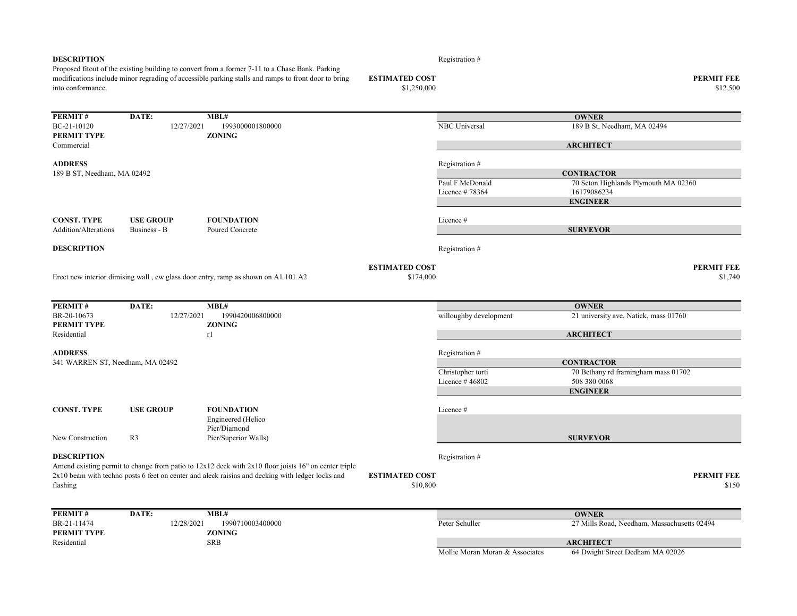| <b>DESCRIPTION</b>               |                  |                                                                                                                                                                                                        |                                   | Registration #                    |                                                     |
|----------------------------------|------------------|--------------------------------------------------------------------------------------------------------------------------------------------------------------------------------------------------------|-----------------------------------|-----------------------------------|-----------------------------------------------------|
|                                  |                  | Proposed fitout of the existing building to convert from a former 7-11 to a Chase Bank. Parking<br>modifications include minor regrading of accessible parking stalls and ramps to front door to bring | <b>ESTIMATED COST</b>             |                                   | <b>PERMIT FEE</b>                                   |
| into conformance.                |                  |                                                                                                                                                                                                        | \$1,250,000                       |                                   | \$12,500                                            |
|                                  |                  |                                                                                                                                                                                                        |                                   |                                   |                                                     |
| PERMIT#                          | DATE:            | MBL#                                                                                                                                                                                                   |                                   |                                   | <b>OWNER</b>                                        |
| BC-21-10120                      | 12/27/2021       | 1993000001800000                                                                                                                                                                                       |                                   | NBC Universal                     | 189 B St, Needham, MA 02494                         |
| PERMIT TYPE                      |                  | <b>ZONING</b>                                                                                                                                                                                          |                                   |                                   |                                                     |
| Commercial                       |                  |                                                                                                                                                                                                        |                                   |                                   | <b>ARCHITECT</b>                                    |
| <b>ADDRESS</b>                   |                  |                                                                                                                                                                                                        |                                   | Registration#                     |                                                     |
| 189 B ST, Needham, MA 02492      |                  |                                                                                                                                                                                                        |                                   |                                   | <b>CONTRACTOR</b>                                   |
|                                  |                  |                                                                                                                                                                                                        |                                   | Paul F McDonald<br>Licence #78364 | 70 Seton Highlands Plymouth MA 02360<br>16179086234 |
|                                  |                  |                                                                                                                                                                                                        |                                   |                                   | <b>ENGINEER</b>                                     |
| <b>CONST. TYPE</b>               | <b>USE GROUP</b> | <b>FOUNDATION</b>                                                                                                                                                                                      |                                   | Licence#                          |                                                     |
| <b>Addition/Alterations</b>      | Business - B     | Poured Concrete                                                                                                                                                                                        |                                   |                                   | <b>SURVEYOR</b>                                     |
| <b>DESCRIPTION</b>               |                  |                                                                                                                                                                                                        |                                   | Registration #                    |                                                     |
|                                  |                  |                                                                                                                                                                                                        | <b>ESTIMATED COST</b>             |                                   | <b>PERMIT FEE</b>                                   |
|                                  |                  | Erect new interior dimising wall, ew glass door entry, ramp as shown on A1.101.A2                                                                                                                      | \$174,000                         |                                   | \$1,740                                             |
|                                  |                  |                                                                                                                                                                                                        |                                   |                                   |                                                     |
| PERMIT#                          | DATE:            | MBL#                                                                                                                                                                                                   |                                   |                                   | <b>OWNER</b>                                        |
| BR-20-10673                      | 12/27/2021       | 1990420006800000                                                                                                                                                                                       |                                   | willoughby development            | 21 university ave, Natick, mass 01760               |
| PERMIT TYPE                      |                  | <b>ZONING</b>                                                                                                                                                                                          |                                   |                                   |                                                     |
| Residential                      |                  | r1                                                                                                                                                                                                     |                                   |                                   | <b>ARCHITECT</b>                                    |
| <b>ADDRESS</b>                   |                  |                                                                                                                                                                                                        |                                   | Registration #                    |                                                     |
| 341 WARREN ST, Needham, MA 02492 |                  |                                                                                                                                                                                                        |                                   |                                   | <b>CONTRACTOR</b>                                   |
|                                  |                  |                                                                                                                                                                                                        |                                   | Christopher torti                 | 70 Bethany rd framingham mass 01702                 |
|                                  |                  |                                                                                                                                                                                                        |                                   | Licence #46802                    | 508 380 0068                                        |
|                                  |                  |                                                                                                                                                                                                        |                                   |                                   | <b>ENGINEER</b>                                     |
| <b>CONST. TYPE</b>               | <b>USE GROUP</b> | <b>FOUNDATION</b>                                                                                                                                                                                      |                                   | Licence #                         |                                                     |
|                                  |                  | Engineered (Helico                                                                                                                                                                                     |                                   |                                   |                                                     |
|                                  |                  | Pier/Diamond                                                                                                                                                                                           |                                   |                                   |                                                     |
| New Construction                 | R <sub>3</sub>   | Pier/Superior Walls)                                                                                                                                                                                   |                                   |                                   | <b>SURVEYOR</b>                                     |
| <b>DESCRIPTION</b>               |                  |                                                                                                                                                                                                        |                                   | Registration #                    |                                                     |
|                                  |                  | Amend existing permit to change from patio to $12x12$ deck with $2x10$ floor joists 16" on center triple                                                                                               |                                   |                                   |                                                     |
| flashing                         |                  | 2x10 beam with techno posts 6 feet on center and aleck raisins and decking with ledger locks and                                                                                                       | <b>ESTIMATED COST</b><br>\$10,800 |                                   | <b>PERMIT FEE</b><br>\$150                          |
|                                  |                  |                                                                                                                                                                                                        |                                   |                                   |                                                     |
| PERMIT#                          | DATE:            | MBL#                                                                                                                                                                                                   |                                   |                                   | <b>OWNER</b>                                        |
| BR-21-11474<br>PERMIT TYPE       | 12/28/2021       | 1990710003400000<br><b>ZONING</b>                                                                                                                                                                      |                                   | Peter Schuller                    | 27 Mills Road, Needham, Massachusetts 02494         |
| Residential                      |                  | <b>SRB</b>                                                                                                                                                                                             |                                   |                                   | <b>ARCHITECT</b>                                    |
|                                  |                  |                                                                                                                                                                                                        |                                   | Mollie Moran Moran & Associates   | 64 Dwight Street Dedham MA 02026                    |
|                                  |                  |                                                                                                                                                                                                        |                                   |                                   |                                                     |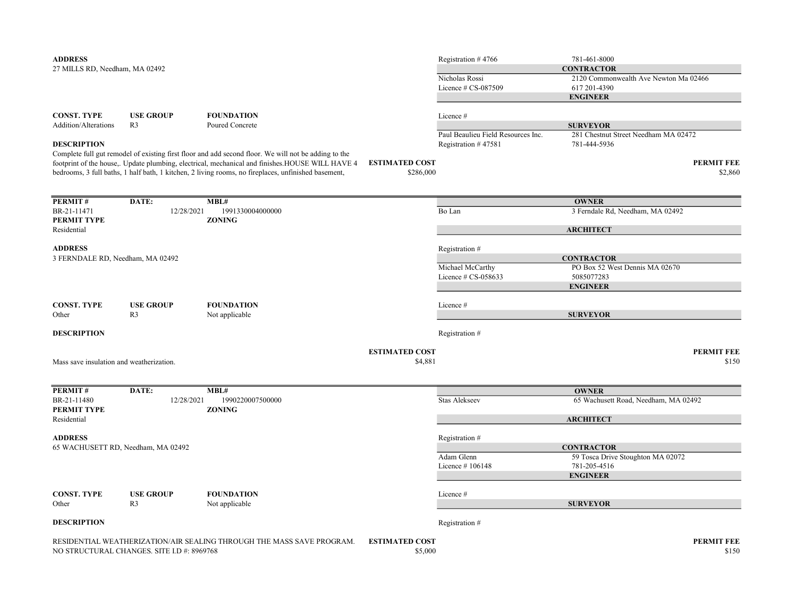| <b>ADDRESS</b><br>27 MILLS RD, Needham, MA 02492                             |                                            |                                                                                                                                                                                                                                                                                                                 |                                    | Registration #4766<br>Nicholas Rossi<br>Licence $# CS-087509$ | 781-461-8000<br><b>CONTRACTOR</b><br>2120 Commonwealth Ave Newton Ma 02466<br>617 201-4390 |
|------------------------------------------------------------------------------|--------------------------------------------|-----------------------------------------------------------------------------------------------------------------------------------------------------------------------------------------------------------------------------------------------------------------------------------------------------------------|------------------------------------|---------------------------------------------------------------|--------------------------------------------------------------------------------------------|
| <b>CONST. TYPE</b><br>Addition/Alterations                                   | <b>USE GROUP</b><br>R <sub>3</sub>         | <b>FOUNDATION</b><br>Poured Concrete                                                                                                                                                                                                                                                                            |                                    | Licence #<br>Paul Beaulieu Field Resources Inc.               | <b>ENGINEER</b><br><b>SURVEYOR</b><br>281 Chestnut Street Needham MA 02472                 |
| <b>DESCRIPTION</b>                                                           |                                            | Complete full gut remodel of existing first floor and add second floor. We will not be adding to the<br>footprint of the house,. Update plumbing, electrical, mechanical and finishes. HOUSE WILL HAVE 4<br>bedrooms, 3 full baths, 1 half bath, 1 kitchen, 2 living rooms, no fireplaces, unfinished basement, | <b>ESTIMATED COST</b><br>\$286,000 | Registration #47581                                           | 781-444-5936<br><b>PERMIT FEE</b><br>\$2,860                                               |
| PERMIT#                                                                      | DATE:                                      | MBL#                                                                                                                                                                                                                                                                                                            |                                    |                                                               | <b>OWNER</b>                                                                               |
| BR-21-11471<br>PERMIT TYPE                                                   | 12/28/2021                                 | 1991330004000000<br><b>ZONING</b>                                                                                                                                                                                                                                                                               |                                    | Bo Lan                                                        | 3 Ferndale Rd, Needham, MA 02492                                                           |
| Residential                                                                  |                                            |                                                                                                                                                                                                                                                                                                                 |                                    |                                                               | <b>ARCHITECT</b>                                                                           |
| <b>ADDRESS</b><br>3 FERNDALE RD, Needham, MA 02492                           |                                            |                                                                                                                                                                                                                                                                                                                 |                                    | Registration #<br>Michael McCarthy                            | <b>CONTRACTOR</b><br>PO Box 52 West Dennis MA 02670                                        |
|                                                                              |                                            |                                                                                                                                                                                                                                                                                                                 |                                    | Licence # CS-058633                                           | 5085077283<br><b>ENGINEER</b>                                                              |
| <b>CONST. TYPE</b><br>Other                                                  | <b>USE GROUP</b><br>R <sub>3</sub>         | <b>FOUNDATION</b><br>Not applicable                                                                                                                                                                                                                                                                             |                                    | Licence #                                                     | <b>SURVEYOR</b>                                                                            |
| <b>DESCRIPTION</b>                                                           |                                            |                                                                                                                                                                                                                                                                                                                 |                                    | Registration #                                                |                                                                                            |
| <b>ESTIMATED COST</b><br>\$4,881<br>Mass save insulation and weatherization. |                                            |                                                                                                                                                                                                                                                                                                                 |                                    |                                                               | <b>PERMIT FEE</b><br>\$150                                                                 |
| PERMIT#                                                                      | DATE:                                      | MBL#                                                                                                                                                                                                                                                                                                            |                                    |                                                               | <b>OWNER</b>                                                                               |
| BR-21-11480<br>PERMIT TYPE                                                   | 12/28/2021                                 | 1990220007500000<br><b>ZONING</b>                                                                                                                                                                                                                                                                               |                                    | Stas Alekseev                                                 | 65 Wachusett Road, Needham, MA 02492                                                       |
| Residential                                                                  |                                            |                                                                                                                                                                                                                                                                                                                 |                                    |                                                               | <b>ARCHITECT</b>                                                                           |
| <b>ADDRESS</b><br>65 WACHUSETT RD, Needham, MA 02492                         |                                            |                                                                                                                                                                                                                                                                                                                 |                                    | Registration #                                                | <b>CONTRACTOR</b>                                                                          |
|                                                                              |                                            |                                                                                                                                                                                                                                                                                                                 |                                    | Adam Glenn<br>Licence $#106148$                               | 59 Tosca Drive Stoughton MA 02072<br>781-205-4516<br><b>ENGINEER</b>                       |
| <b>CONST. TYPE</b>                                                           | <b>USE GROUP</b>                           | <b>FOUNDATION</b>                                                                                                                                                                                                                                                                                               |                                    | Licence #                                                     |                                                                                            |
| Other                                                                        | R <sub>3</sub>                             | Not applicable                                                                                                                                                                                                                                                                                                  |                                    |                                                               | <b>SURVEYOR</b>                                                                            |
| <b>DESCRIPTION</b>                                                           |                                            |                                                                                                                                                                                                                                                                                                                 |                                    | Registration #                                                |                                                                                            |
|                                                                              | NO STRUCTURAL CHANGES. SITE I.D #: 8969768 | RESIDENTIAL WEATHERIZATION/AIR SEALING THROUGH THE MASS SAVE PROGRAM.                                                                                                                                                                                                                                           | <b>ESTIMATED COST</b><br>\$5,000   |                                                               | <b>PERMIT FEE</b><br>\$150                                                                 |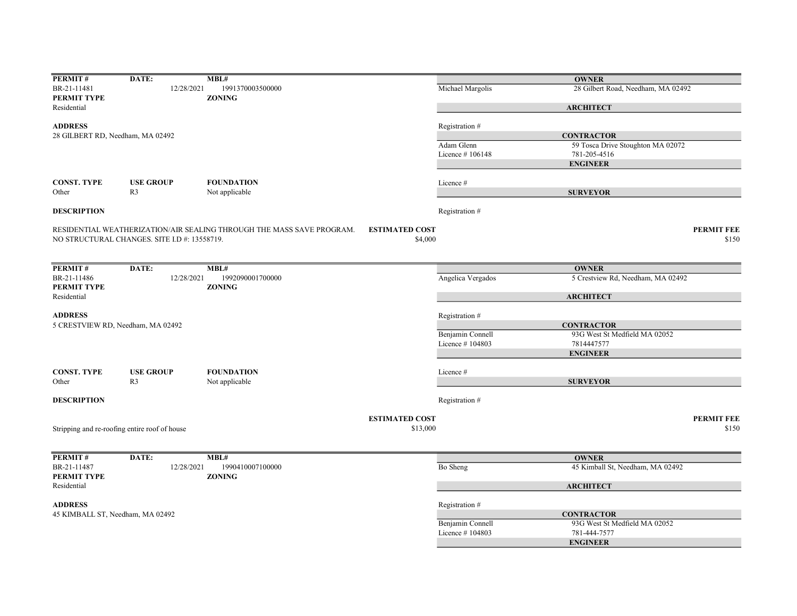| PERMIT#                           | DATE:                                         | MBL#                                                                  |                       |                   | <b>OWNER</b>                       |                   |
|-----------------------------------|-----------------------------------------------|-----------------------------------------------------------------------|-----------------------|-------------------|------------------------------------|-------------------|
| BR-21-11481                       | 12/28/2021                                    | 1991370003500000                                                      |                       | Michael Margolis  | 28 Gilbert Road, Needham, MA 02492 |                   |
| PERMIT TYPE                       |                                               | <b>ZONING</b>                                                         |                       |                   |                                    |                   |
| Residential                       |                                               |                                                                       |                       |                   | <b>ARCHITECT</b>                   |                   |
|                                   |                                               |                                                                       |                       |                   |                                    |                   |
| <b>ADDRESS</b>                    |                                               |                                                                       |                       | Registration #    |                                    |                   |
| 28 GILBERT RD, Needham, MA 02492  |                                               |                                                                       |                       |                   | <b>CONTRACTOR</b>                  |                   |
|                                   |                                               |                                                                       |                       | Adam Glenn        | 59 Tosca Drive Stoughton MA 02072  |                   |
|                                   |                                               |                                                                       |                       | Licence #106148   | 781-205-4516                       |                   |
|                                   |                                               |                                                                       |                       |                   | <b>ENGINEER</b>                    |                   |
|                                   |                                               |                                                                       |                       |                   |                                    |                   |
| <b>CONST. TYPE</b>                | <b>USE GROUP</b>                              | <b>FOUNDATION</b>                                                     |                       | Licence#          |                                    |                   |
| Other                             | R <sub>3</sub>                                | Not applicable                                                        |                       |                   | <b>SURVEYOR</b>                    |                   |
|                                   |                                               |                                                                       |                       |                   |                                    |                   |
| <b>DESCRIPTION</b>                |                                               |                                                                       |                       | Registration #    |                                    |                   |
|                                   |                                               |                                                                       |                       |                   |                                    |                   |
|                                   |                                               | RESIDENTIAL WEATHERIZATION/AIR SEALING THROUGH THE MASS SAVE PROGRAM. | <b>ESTIMATED COST</b> |                   |                                    | <b>PERMIT FEE</b> |
|                                   | NO STRUCTURAL CHANGES. SITE I.D #: 13558719.  |                                                                       | \$4,000               |                   |                                    | \$150             |
|                                   |                                               |                                                                       |                       |                   |                                    |                   |
|                                   |                                               |                                                                       |                       |                   |                                    |                   |
| PERMIT#                           | DATE:                                         | MBL#                                                                  |                       |                   | <b>OWNER</b>                       |                   |
| BR-21-11486                       | 12/28/2021                                    | 1992090001700000                                                      |                       | Angelica Vergados | 5 Crestview Rd, Needham, MA 02492  |                   |
| PERMIT TYPE                       |                                               | <b>ZONING</b>                                                         |                       |                   |                                    |                   |
| Residential                       |                                               |                                                                       |                       |                   |                                    |                   |
|                                   |                                               |                                                                       |                       |                   | <b>ARCHITECT</b>                   |                   |
|                                   |                                               |                                                                       |                       |                   |                                    |                   |
| <b>ADDRESS</b>                    |                                               |                                                                       |                       | Registration #    |                                    |                   |
| 5 CRESTVIEW RD, Needham, MA 02492 |                                               |                                                                       |                       |                   | <b>CONTRACTOR</b>                  |                   |
|                                   |                                               |                                                                       |                       | Benjamin Connell  | 93G West St Medfield MA 02052      |                   |
|                                   |                                               |                                                                       |                       | Licence #104803   | 7814447577                         |                   |
|                                   |                                               |                                                                       |                       |                   | <b>ENGINEER</b>                    |                   |
|                                   |                                               |                                                                       |                       |                   |                                    |                   |
| <b>CONST. TYPE</b>                | <b>USE GROUP</b>                              | <b>FOUNDATION</b>                                                     |                       | Licence#          |                                    |                   |
| Other                             | R <sub>3</sub>                                | Not applicable                                                        |                       |                   | <b>SURVEYOR</b>                    |                   |
|                                   |                                               |                                                                       |                       |                   |                                    |                   |
| <b>DESCRIPTION</b>                |                                               |                                                                       |                       | Registration #    |                                    |                   |
|                                   |                                               |                                                                       |                       |                   |                                    |                   |
|                                   |                                               |                                                                       | <b>ESTIMATED COST</b> |                   |                                    | <b>PERMIT FEE</b> |
|                                   | Stripping and re-roofing entire roof of house |                                                                       | \$13,000              |                   |                                    | \$150             |
|                                   |                                               |                                                                       |                       |                   |                                    |                   |
|                                   |                                               |                                                                       |                       |                   |                                    |                   |
| PERMIT#                           | DATE:                                         | MBL#                                                                  |                       |                   | <b>OWNER</b>                       |                   |
| BR-21-11487                       | 12/28/2021                                    | 1990410007100000                                                      |                       | Bo Sheng          | 45 Kimball St, Needham, MA 02492   |                   |
| PERMIT TYPE                       |                                               | <b>ZONING</b>                                                         |                       |                   |                                    |                   |
| Residential                       |                                               |                                                                       |                       |                   | <b>ARCHITECT</b>                   |                   |
|                                   |                                               |                                                                       |                       |                   |                                    |                   |
| <b>ADDRESS</b>                    |                                               |                                                                       |                       |                   |                                    |                   |
|                                   |                                               |                                                                       | Registration #        |                   |                                    |                   |
| 45 KIMBALL ST, Needham, MA 02492  |                                               |                                                                       |                       |                   | <b>CONTRACTOR</b>                  |                   |
|                                   |                                               |                                                                       |                       | Benjamin Connell  | 93G West St Medfield MA 02052      |                   |
|                                   |                                               |                                                                       |                       | Licence #104803   | 781-444-7577                       |                   |
|                                   |                                               |                                                                       |                       |                   | <b>ENGINEER</b>                    |                   |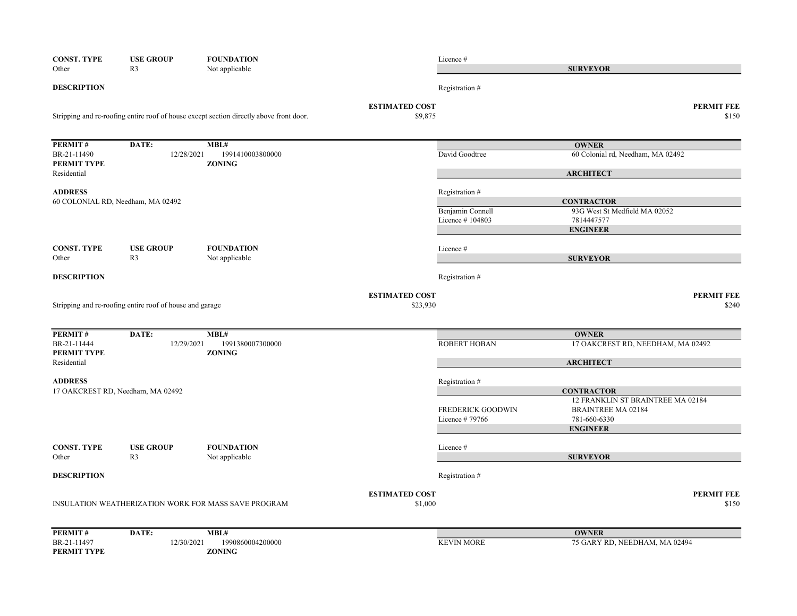| <b>CONST. TYPE</b><br>Other | <b>USE GROUP</b><br>R <sub>3</sub>                       | <b>FOUNDATION</b><br>Not applicable                                                     |                                  | Licence #           | <b>SURVEYOR</b>                                        |
|-----------------------------|----------------------------------------------------------|-----------------------------------------------------------------------------------------|----------------------------------|---------------------|--------------------------------------------------------|
| <b>DESCRIPTION</b>          |                                                          |                                                                                         |                                  | Registration #      |                                                        |
|                             |                                                          | Stripping and re-roofing entire roof of house except section directly above front door. | <b>ESTIMATED COST</b><br>\$9,875 | <b>PERMIT FEE</b>   |                                                        |
| PERMIT#                     | DATE:                                                    | MBL#                                                                                    |                                  |                     | <b>OWNER</b>                                           |
| BR-21-11490<br>PERMIT TYPE  | 12/28/2021                                               | 1991410003800000<br><b>ZONING</b>                                                       |                                  | David Goodtree      | 60 Colonial rd, Needham, MA 02492                      |
| Residential                 |                                                          |                                                                                         |                                  |                     | <b>ARCHITECT</b>                                       |
| <b>ADDRESS</b>              | 60 COLONIAL RD, Needham, MA 02492                        |                                                                                         |                                  | Registration #      | <b>CONTRACTOR</b>                                      |
|                             |                                                          |                                                                                         |                                  | Benjamin Connell    | 93G West St Medfield MA 02052                          |
|                             |                                                          |                                                                                         |                                  | Licence #104803     | 7814447577<br><b>ENGINEER</b>                          |
| <b>CONST. TYPE</b>          | <b>USE GROUP</b>                                         | <b>FOUNDATION</b>                                                                       |                                  | Licence #           |                                                        |
| Other                       | R <sub>3</sub>                                           | Not applicable                                                                          |                                  |                     | <b>SURVEYOR</b>                                        |
| <b>DESCRIPTION</b>          |                                                          |                                                                                         |                                  | Registration #      |                                                        |
|                             |                                                          |                                                                                         | <b>ESTIMATED COST</b>            |                     | <b>PERMIT FEE</b>                                      |
|                             | Stripping and re-roofing entire roof of house and garage |                                                                                         | \$23,930                         |                     | \$240                                                  |
| PERMIT#                     | DATE:                                                    | MBL#                                                                                    |                                  |                     | <b>OWNER</b>                                           |
| BR-21-11444<br>PERMIT TYPE  | 12/29/2021                                               | 1991380007300000<br><b>ZONING</b>                                                       |                                  | <b>ROBERT HOBAN</b> | 17 OAKCREST RD, NEEDHAM, MA 02492                      |
| Residential                 |                                                          |                                                                                         |                                  |                     | <b>ARCHITECT</b>                                       |
| <b>ADDRESS</b>              |                                                          |                                                                                         |                                  | Registration #      |                                                        |
|                             | 17 OAKCREST RD, Needham, MA 02492                        |                                                                                         |                                  |                     | <b>CONTRACTOR</b><br>12 FRANKLIN ST BRAINTREE MA 02184 |
|                             |                                                          |                                                                                         |                                  | FREDERICK GOODWIN   | <b>BRAINTREE MA 02184</b>                              |
|                             |                                                          |                                                                                         |                                  | Licence #79766      | 781-660-6330<br><b>ENGINEER</b>                        |
|                             |                                                          |                                                                                         |                                  |                     |                                                        |
| <b>CONST. TYPE</b><br>Other | <b>USE GROUP</b><br>R <sub>3</sub>                       | <b>FOUNDATION</b><br>Not applicable                                                     |                                  | Licence#            | <b>SURVEYOR</b>                                        |
| <b>DESCRIPTION</b>          |                                                          |                                                                                         |                                  | Registration #      |                                                        |
|                             |                                                          |                                                                                         | <b>ESTIMATED COST</b>            |                     | <b>PERMIT FEE</b>                                      |
|                             |                                                          | INSULATION WEATHERIZATION WORK FOR MASS SAVE PROGRAM                                    | \$1,000                          |                     | \$150                                                  |
| PERMIT#                     | DATE:                                                    | MBL#                                                                                    |                                  |                     | <b>OWNER</b>                                           |
| BR-21-11497<br>PERMIT TYPE  | 12/30/2021                                               | 1990860004200000<br><b>ZONING</b>                                                       |                                  | <b>KEVIN MORE</b>   | 75 GARY RD, NEEDHAM, MA 02494                          |